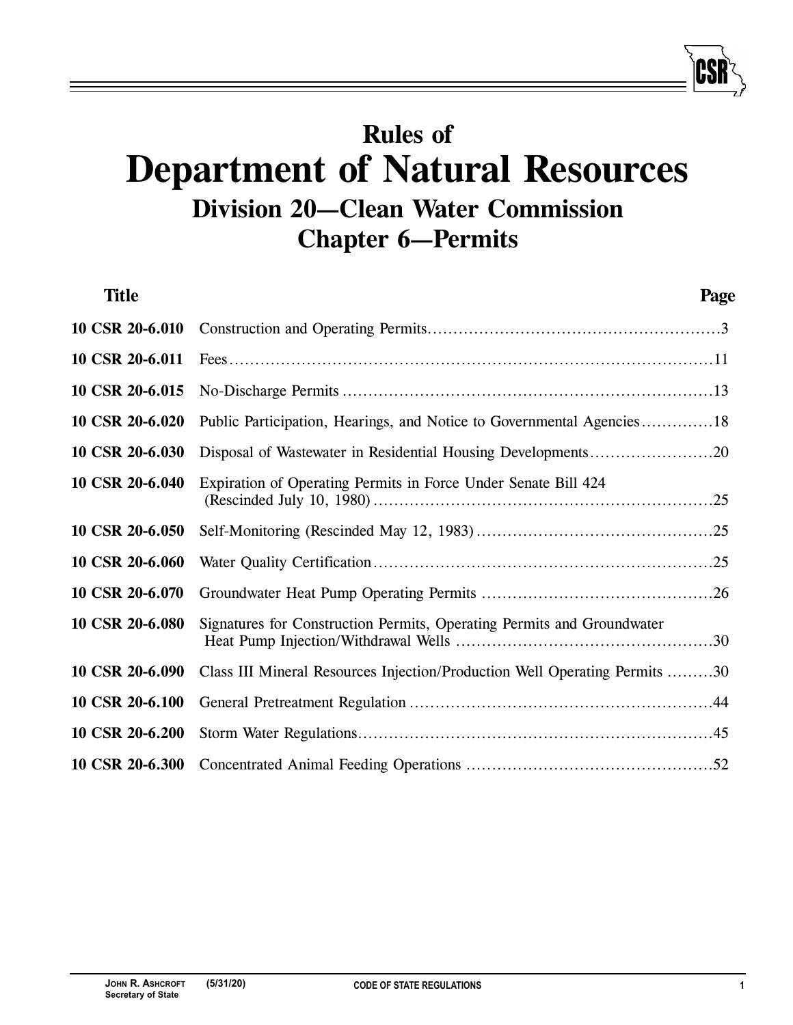# **Rules of Department of Natural Resources Division 20—Clean Water Commission Chapter 6—Permits**

| <b>Title</b>    | Page                                                                       |
|-----------------|----------------------------------------------------------------------------|
| 10 CSR 20-6.010 |                                                                            |
| 10 CSR 20-6.011 |                                                                            |
| 10 CSR 20-6.015 |                                                                            |
| 10 CSR 20-6.020 | Public Participation, Hearings, and Notice to Governmental Agencies18      |
| 10 CSR 20-6.030 |                                                                            |
| 10 CSR 20-6.040 | Expiration of Operating Permits in Force Under Senate Bill 424             |
| 10 CSR 20-6.050 |                                                                            |
| 10 CSR 20-6.060 |                                                                            |
| 10 CSR 20-6.070 |                                                                            |
| 10 CSR 20-6.080 | Signatures for Construction Permits, Operating Permits and Groundwater     |
| 10 CSR 20-6.090 | Class III Mineral Resources Injection/Production Well Operating Permits 30 |
| 10 CSR 20-6.100 |                                                                            |
| 10 CSR 20-6.200 |                                                                            |
| 10 CSR 20-6.300 |                                                                            |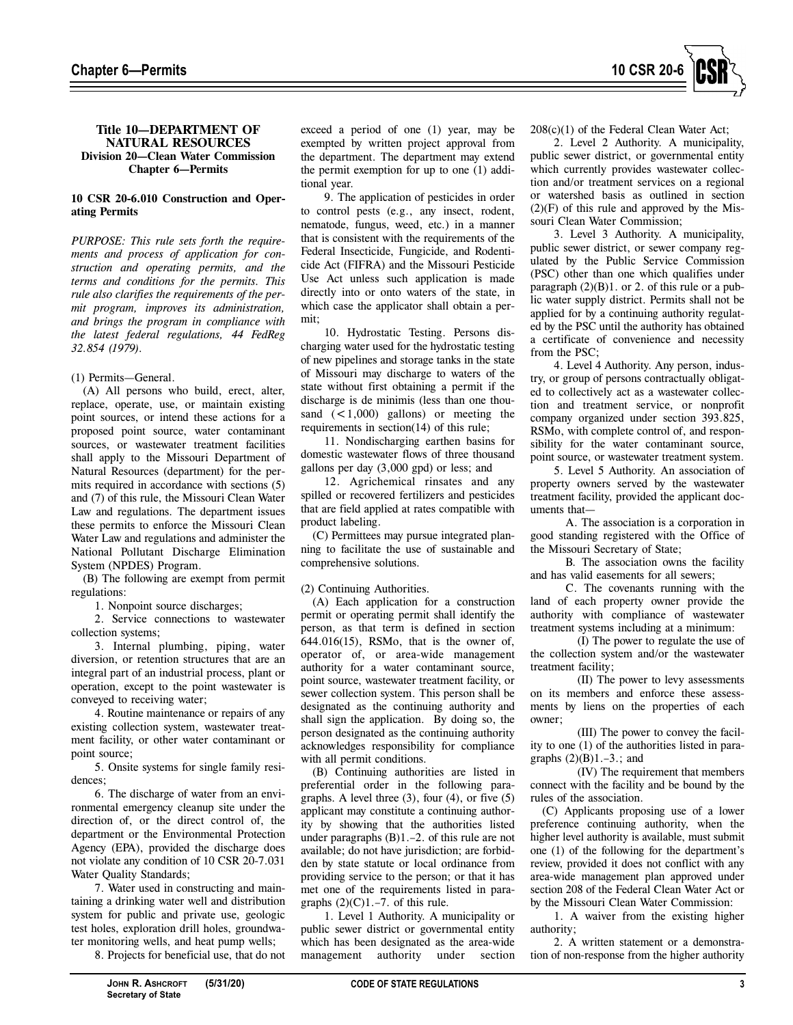

#### **Title 10—DEPARTMENT OF NATURAL RESOURCES Division 20—Clean Water Commission Chapter 6—Permits**

#### **10 CSR 20-6.010 Construction and Operating Permits**

*PURPOSE: This rule sets forth the requirements and process of application for construction and operating permits, and the terms and conditions for the permits. This rule also clarifies the requirements of the permit program, improves its administration, and brings the program in compliance with the latest federal regulations, 44 FedReg 32.854 (1979).* 

#### (1) Permits—General.

(A) All persons who build, erect, alter, replace, operate, use, or maintain existing point sources, or intend these actions for a proposed point source, water contaminant sources, or wastewater treatment facilities shall apply to the Missouri Department of Natural Resources (department) for the permits required in accordance with sections (5) and (7) of this rule, the Missouri Clean Water Law and regulations. The department issues these permits to enforce the Missouri Clean Water Law and regulations and administer the National Pollutant Discharge Elimination System (NPDES) Program.

(B) The following are exempt from permit regulations:

1. Nonpoint source discharges;

2. Service connections to wastewater collection systems;

3. Internal plumbing, piping, water diversion, or retention structures that are an integral part of an industrial process, plant or operation, except to the point wastewater is conveyed to receiving water;

4. Routine maintenance or repairs of any existing collection system, wastewater treatment facility, or other water contaminant or point source;

5. Onsite systems for single family residences;

6. The discharge of water from an environmental emergency cleanup site under the direction of, or the direct control of, the department or the Environmental Protection Agency (EPA), provided the discharge does not violate any condition of 10 CSR 20-7.031 Water Quality Standards;

7. Water used in constructing and maintaining a drinking water well and distribution system for public and private use, geologic test holes, exploration drill holes, groundwater monitoring wells, and heat pump wells;

8. Projects for beneficial use, that do not

9. The application of pesticides in order to control pests (e.g., any insect, rodent, nematode, fungus, weed, etc.) in a manner that is consistent with the requirements of the Federal Insecticide, Fungicide, and Rodenticide Act (FIFRA) and the Missouri Pesticide Use Act unless such application is made directly into or onto waters of the state, in which case the applicator shall obtain a permit;

10. Hydrostatic Testing. Persons discharging water used for the hydrostatic testing of new pipelines and storage tanks in the state of Missouri may discharge to waters of the state without first obtaining a permit if the discharge is de minimis (less than one thousand  $(<1,000)$  gallons) or meeting the requirements in section(14) of this rule;

11. Nondischarging earthen basins for domestic wastewater flows of three thousand gallons per day (3,000 gpd) or less; and

12. Agrichemical rinsates and any spilled or recovered fertilizers and pesticides that are field applied at rates compatible with product labeling.

(C) Permittees may pursue integrated planning to facilitate the use of sustainable and comprehensive solutions.

(2) Continuing Authorities.

(A) Each application for a construction permit or operating permit shall identify the person, as that term is defined in section 644.016(15), RSMo, that is the owner of, operator of, or area-wide management authority for a water contaminant source, point source, wastewater treatment facility, or sewer collection system. This person shall be designated as the continuing authority and shall sign the application. By doing so, the person designated as the continuing authority acknowledges responsibility for compliance with all permit conditions.

(B) Continuing authorities are listed in preferential order in the following paragraphs. A level three  $(3)$ , four  $(4)$ , or five  $(5)$ applicant may constitute a continuing authority by showing that the authorities listed under paragraphs (B)1.–2. of this rule are not available; do not have jurisdiction; are forbidden by state statute or local ordinance from providing service to the person; or that it has met one of the requirements listed in paragraphs  $(2)(C)1$ .–7. of this rule.

1. Level 1 Authority. A municipality or public sewer district or governmental entity which has been designated as the area-wide management authority under section 208(c)(1) of the Federal Clean Water Act;

2. Level 2 Authority. A municipality, public sewer district, or governmental entity which currently provides wastewater collection and/or treatment services on a regional or watershed basis as outlined in section  $(2)(F)$  of this rule and approved by the Missouri Clean Water Commission;

3. Level 3 Authority. A municipality, public sewer district, or sewer company regulated by the Public Service Commission (PSC) other than one which qualifies under paragraph  $(2)(B)1$ . or 2. of this rule or a public water supply district. Permits shall not be applied for by a continuing authority regulated by the PSC until the authority has obtained a certificate of convenience and necessity from the PSC;

4. Level 4 Authority. Any person, industry, or group of persons contractually obligated to collectively act as a wastewater collection and treatment service, or nonprofit company organized under section 393.825, RSMo, with complete control of, and responsibility for the water contaminant source, point source, or wastewater treatment system.

5. Level 5 Authority. An association of property owners served by the wastewater treatment facility, provided the applicant documents that—

A. The association is a corporation in good standing registered with the Office of the Missouri Secretary of State;

B. The association owns the facility and has valid easements for all sewers;

C. The covenants running with the land of each property owner provide the authority with compliance of wastewater treatment systems including at a minimum:

(I) The power to regulate the use of the collection system and/or the wastewater treatment facility;

(II) The power to levy assessments on its members and enforce these assessments by liens on the properties of each owner;

(III) The power to convey the facility to one (1) of the authorities listed in paragraphs  $(2)(B)1.-3$ ; and

(IV) The requirement that members connect with the facility and be bound by the rules of the association.

(C) Applicants proposing use of a lower preference continuing authority, when the higher level authority is available, must submit one (1) of the following for the department's review, provided it does not conflict with any area-wide management plan approved under section 208 of the Federal Clean Water Act or by the Missouri Clean Water Commission:

1. A waiver from the existing higher authority;

2. A written statement or a demonstration of non-response from the higher authority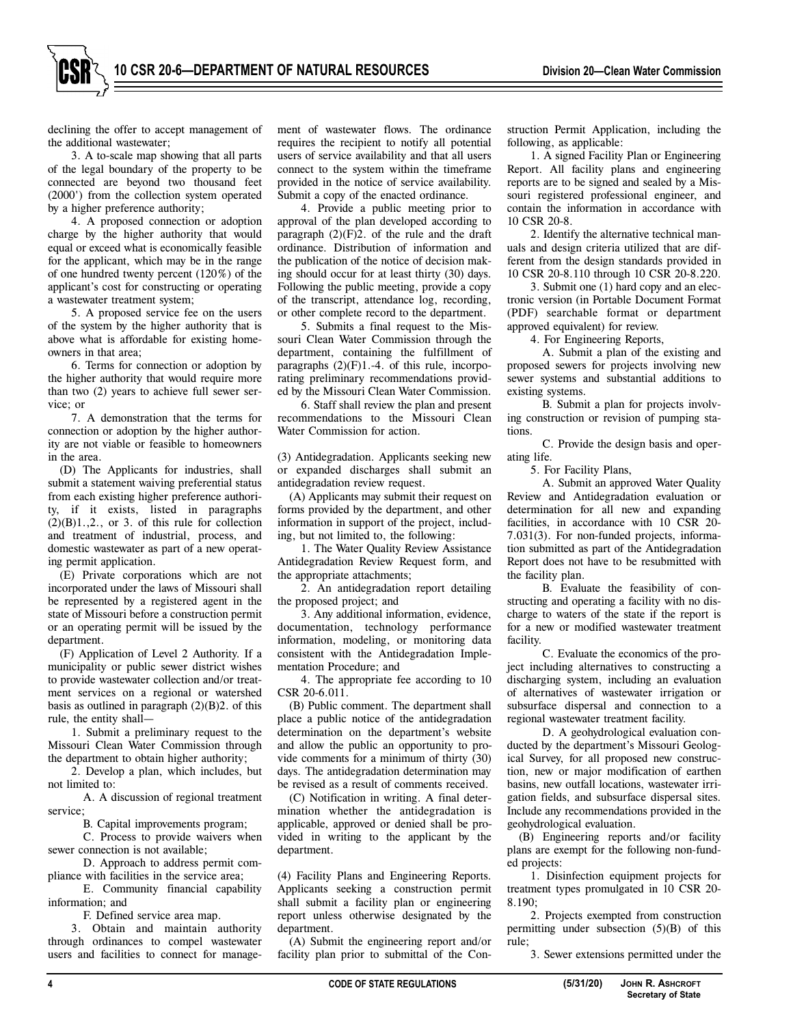declining the offer to accept management of the additional wastewater;

3. A to-scale map showing that all parts of the legal boundary of the property to be connected are beyond two thousand feet (2000') from the collection system operated by a higher preference authority;

4. A proposed connection or adoption charge by the higher authority that would equal or exceed what is economically feasible for the applicant, which may be in the range of one hundred twenty percent (120%) of the applicant's cost for constructing or operating a wastewater treatment system;

5. A proposed service fee on the users of the system by the higher authority that is above what is affordable for existing homeowners in that area;

6. Terms for connection or adoption by the higher authority that would require more than two (2) years to achieve full sewer service; or

7. A demonstration that the terms for connection or adoption by the higher authority are not viable or feasible to homeowners in the area.

(D) The Applicants for industries, shall submit a statement waiving preferential status from each existing higher preference authority, if it exists, listed in paragraphs  $(2)(B)1, 2,$ , or 3. of this rule for collection and treatment of industrial, process, and domestic wastewater as part of a new operating permit application.

(E) Private corporations which are not incorporated under the laws of Missouri shall be represented by a registered agent in the state of Missouri before a construction permit or an operating permit will be issued by the department.

(F) Application of Level 2 Authority. If a municipality or public sewer district wishes to provide wastewater collection and/or treatment services on a regional or watershed basis as outlined in paragraph  $(2)(B)2$ . of this rule, the entity shall—

1. Submit a preliminary request to the Missouri Clean Water Commission through the department to obtain higher authority;

2. Develop a plan, which includes, but not limited to:

A. A discussion of regional treatment service;

B. Capital improvements program;

C. Process to provide waivers when sewer connection is not available;

D. Approach to address permit compliance with facilities in the service area;

E. Community financial capability information; and

F. Defined service area map.

3. Obtain and maintain authority through ordinances to compel wastewater users and facilities to connect for management of wastewater flows. The ordinance requires the recipient to notify all potential users of service availability and that all users connect to the system within the timeframe provided in the notice of service availability. Submit a copy of the enacted ordinance.

4. Provide a public meeting prior to approval of the plan developed according to paragraph  $(2)(F)2$ . of the rule and the draft ordinance. Distribution of information and the publication of the notice of decision making should occur for at least thirty (30) days. Following the public meeting, provide a copy of the transcript, attendance log, recording, or other complete record to the department.

5. Submits a final request to the Missouri Clean Water Commission through the department, containing the fulfillment of paragraphs  $(2)(F)1.-4$ . of this rule, incorporating preliminary recommendations provided by the Missouri Clean Water Commission.

6. Staff shall review the plan and present recommendations to the Missouri Clean Water Commission for action.

(3) Antidegradation. Applicants seeking new or expanded discharges shall submit an antidegradation review request.

(A) Applicants may submit their request on forms provided by the department, and other information in support of the project, including, but not limited to, the following:

1. The Water Quality Review Assistance Antidegradation Review Request form, and the appropriate attachments;

2. An antidegradation report detailing the proposed project; and

3. Any additional information, evidence, documentation, technology performance information, modeling, or monitoring data consistent with the Antidegradation Implementation Procedure; and

4. The appropriate fee according to 10 CSR 20-6.011.

(B) Public comment. The department shall place a public notice of the antidegradation determination on the department's website and allow the public an opportunity to provide comments for a minimum of thirty (30) days. The antidegradation determination may be revised as a result of comments received.

(C) Notification in writing. A final determination whether the antidegradation is applicable, approved or denied shall be provided in writing to the applicant by the department.

(4) Facility Plans and Engineering Reports. Applicants seeking a construction permit shall submit a facility plan or engineering report unless otherwise designated by the department.

(A) Submit the engineering report and/or facility plan prior to submittal of the Construction Permit Application, including the following, as applicable:

1. A signed Facility Plan or Engineering Report. All facility plans and engineering reports are to be signed and sealed by a Missouri registered professional engineer, and contain the information in accordance with 10 CSR 20-8.

2. Identify the alternative technical manuals and design criteria utilized that are different from the design standards provided in 10 CSR 20-8.110 through 10 CSR 20-8.220.

3. Submit one (1) hard copy and an electronic version (in Portable Document Format (PDF) searchable format or department approved equivalent) for review.

4. For Engineering Reports,

A. Submit a plan of the existing and proposed sewers for projects involving new sewer systems and substantial additions to existing systems.

B. Submit a plan for projects involving construction or revision of pumping stations.

C. Provide the design basis and operating life.

5. For Facility Plans,

A. Submit an approved Water Quality Review and Antidegradation evaluation or determination for all new and expanding facilities, in accordance with 10 CSR 20- 7.031(3). For non-funded projects, information submitted as part of the Antidegradation Report does not have to be resubmitted with the facility plan.

B. Evaluate the feasibility of constructing and operating a facility with no discharge to waters of the state if the report is for a new or modified wastewater treatment facility.

C. Evaluate the economics of the project including alternatives to constructing a discharging system, including an evaluation of alternatives of wastewater irrigation or subsurface dispersal and connection to a regional wastewater treatment facility.

D. A geohydrological evaluation conducted by the department's Missouri Geological Survey, for all proposed new construction, new or major modification of earthen basins, new outfall locations, wastewater irrigation fields, and subsurface dispersal sites. Include any recommendations provided in the geohydrological evaluation.

(B) Engineering reports and/or facility plans are exempt for the following non-funded projects:

1. Disinfection equipment projects for treatment types promulgated in 10 CSR 20- 8.190;

2. Projects exempted from construction permitting under subsection (5)(B) of this rule;

3. Sewer extensions permitted under the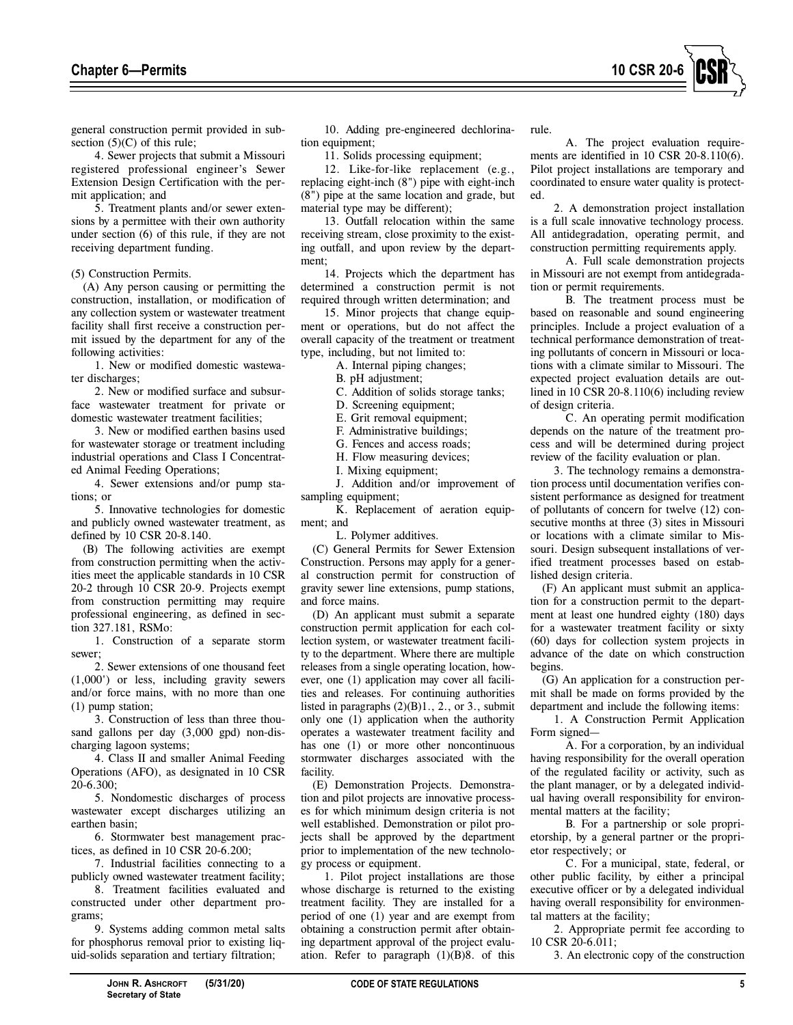

general construction permit provided in subsection  $(5)(C)$  of this rule;

4. Sewer projects that submit a Missouri registered professional engineer's Sewer Extension Design Certification with the permit application; and

5. Treatment plants and/or sewer extensions by a permittee with their own authority under section (6) of this rule, if they are not receiving department funding.

(5) Construction Permits.

(A) Any person causing or permitting the construction, installation, or modification of any collection system or wastewater treatment facility shall first receive a construction permit issued by the department for any of the following activities:

1. New or modified domestic wastewater discharges;

2. New or modified surface and subsurface wastewater treatment for private or domestic wastewater treatment facilities;

3. New or modified earthen basins used for wastewater storage or treatment including industrial operations and Class I Concentrated Animal Feeding Operations;

4. Sewer extensions and/or pump stations; or

5. Innovative technologies for domestic and publicly owned wastewater treatment, as defined by 10 CSR 20-8.140.

(B) The following activities are exempt from construction permitting when the activities meet the applicable standards in 10 CSR 20-2 through 10 CSR 20-9. Projects exempt from construction permitting may require professional engineering, as defined in section 327.181, RSMo:

1. Construction of a separate storm sewer;

2. Sewer extensions of one thousand feet (1,000') or less, including gravity sewers and/or force mains, with no more than one (1) pump station;

3. Construction of less than three thousand gallons per day (3,000 gpd) non-discharging lagoon systems;

4. Class II and smaller Animal Feeding Operations (AFO), as designated in 10 CSR 20-6.300;

5. Nondomestic discharges of process wastewater except discharges utilizing an earthen basin;

6. Stormwater best management practices, as defined in 10 CSR 20-6.200;

7. Industrial facilities connecting to a publicly owned wastewater treatment facility;

8. Treatment facilities evaluated and constructed under other department programs;

9. Systems adding common metal salts for phosphorus removal prior to existing liquid-solids separation and tertiary filtration;

10. Adding pre-engineered dechlorination equipment;

11. Solids processing equipment;

12. Like-for-like replacement (e.g., replacing eight-inch (8") pipe with eight-inch (8") pipe at the same location and grade, but material type may be different);

13. Outfall relocation within the same receiving stream, close proximity to the existing outfall, and upon review by the department;

14. Projects which the department has determined a construction permit is not required through written determination; and

15. Minor projects that change equipment or operations, but do not affect the overall capacity of the treatment or treatment type, including, but not limited to:

A. Internal piping changes;

B. pH adjustment;

C. Addition of solids storage tanks;

D. Screening equipment;

E. Grit removal equipment;

F. Administrative buildings;

G. Fences and access roads;

H. Flow measuring devices;

I. Mixing equipment;

J. Addition and/or improvement of sampling equipment;

K. Replacement of aeration equipment; and

L. Polymer additives.

(C) General Permits for Sewer Extension Construction. Persons may apply for a general construction permit for construction of gravity sewer line extensions, pump stations, and force mains.

(D) An applicant must submit a separate construction permit application for each collection system, or wastewater treatment facility to the department. Where there are multiple releases from a single operating location, however, one (1) application may cover all facilities and releases. For continuing authorities listed in paragraphs  $(2)(B)1, 2,$ , or 3., submit only one (1) application when the authority operates a wastewater treatment facility and has one (1) or more other noncontinuous stormwater discharges associated with the facility.

(E) Demonstration Projects. Demonstration and pilot projects are innovative processes for which minimum design criteria is not well established. Demonstration or pilot projects shall be approved by the department prior to implementation of the new technology process or equipment.

1. Pilot project installations are those whose discharge is returned to the existing treatment facility. They are installed for a period of one (1) year and are exempt from obtaining a construction permit after obtaining department approval of the project evaluation. Refer to paragraph  $(1)(B)8$ . of this

rule.

A. The project evaluation requirements are identified in 10 CSR 20-8.110(6). Pilot project installations are temporary and coordinated to ensure water quality is protected.

2. A demonstration project installation is a full scale innovative technology process. All antidegradation, operating permit, and construction permitting requirements apply.

A. Full scale demonstration projects in Missouri are not exempt from antidegradation or permit requirements.

B. The treatment process must be based on reasonable and sound engineering principles. Include a project evaluation of a technical performance demonstration of treating pollutants of concern in Missouri or locations with a climate similar to Missouri. The expected project evaluation details are outlined in 10 CSR 20-8.110(6) including review of design criteria.

C. An operating permit modification depends on the nature of the treatment process and will be determined during project review of the facility evaluation or plan.

3. The technology remains a demonstration process until documentation verifies consistent performance as designed for treatment of pollutants of concern for twelve (12) consecutive months at three (3) sites in Missouri or locations with a climate similar to Missouri. Design subsequent installations of verified treatment processes based on established design criteria.

(F) An applicant must submit an application for a construction permit to the department at least one hundred eighty (180) days for a wastewater treatment facility or sixty (60) days for collection system projects in advance of the date on which construction begins.

(G) An application for a construction permit shall be made on forms provided by the department and include the following items:

1. A Construction Permit Application Form signed—

A. For a corporation, by an individual having responsibility for the overall operation of the regulated facility or activity, such as the plant manager, or by a delegated individual having overall responsibility for environmental matters at the facility;

B. For a partnership or sole proprietorship, by a general partner or the proprietor respectively; or

C. For a municipal, state, federal, or other public facility, by either a principal executive officer or by a delegated individual having overall responsibility for environmental matters at the facility;

2. Appropriate permit fee according to 10 CSR 20-6.011;

3. An electronic copy of the construction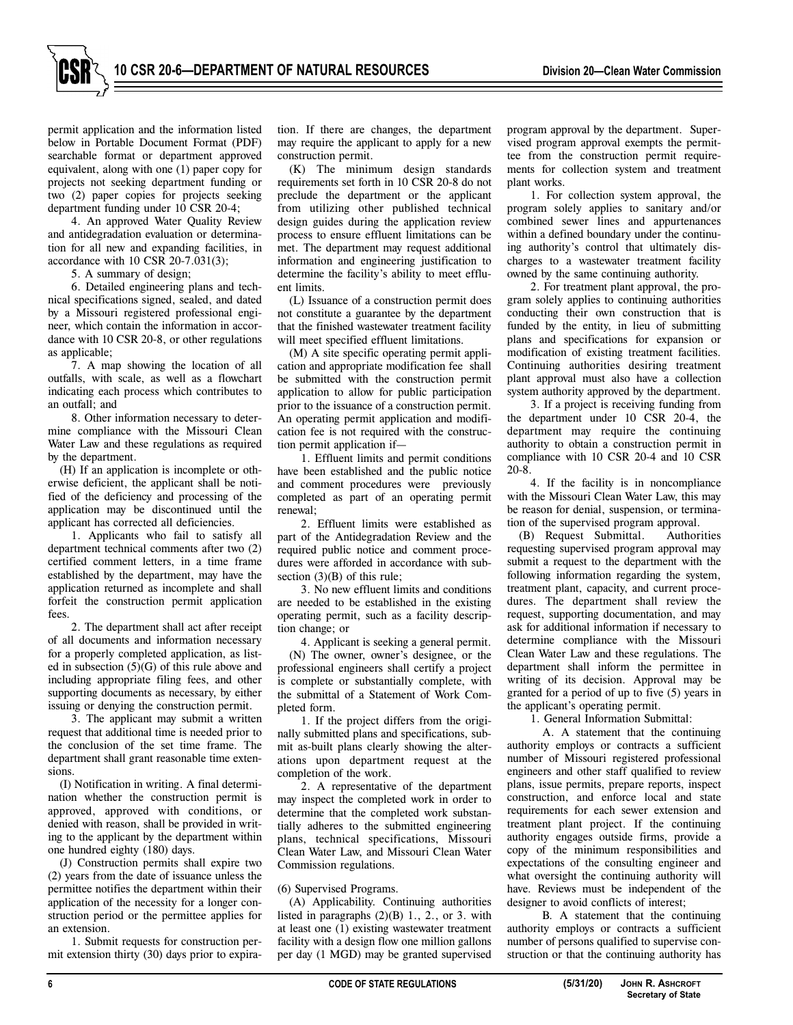permit application and the information listed below in Portable Document Format (PDF) searchable format or department approved equivalent, along with one (1) paper copy for projects not seeking department funding or two (2) paper copies for projects seeking department funding under 10 CSR 20-4;

4. An approved Water Quality Review and antidegradation evaluation or determination for all new and expanding facilities, in accordance with 10 CSR 20-7.031(3);

5. A summary of design;

6. Detailed engineering plans and technical specifications signed, sealed, and dated by a Missouri registered professional engineer, which contain the information in accordance with 10 CSR 20-8, or other regulations as applicable;

7. A map showing the location of all outfalls, with scale, as well as a flowchart indicating each process which contributes to an outfall; and

8. Other information necessary to determine compliance with the Missouri Clean Water Law and these regulations as required by the department.

(H) If an application is incomplete or otherwise deficient, the applicant shall be notified of the deficiency and processing of the application may be discontinued until the applicant has corrected all deficiencies.

1. Applicants who fail to satisfy all department technical comments after two (2) certified comment letters, in a time frame established by the department, may have the application returned as incomplete and shall forfeit the construction permit application fees.

2. The department shall act after receipt of all documents and information necessary for a properly completed application, as listed in subsection (5)(G) of this rule above and including appropriate filing fees, and other supporting documents as necessary, by either issuing or denying the construction permit.

3. The applicant may submit a written request that additional time is needed prior to the conclusion of the set time frame. The department shall grant reasonable time extensions.

(I) Notification in writing. A final determination whether the construction permit is approved, approved with conditions, or denied with reason, shall be provided in writing to the applicant by the department within one hundred eighty (180) days.

(J) Construction permits shall expire two (2) years from the date of issuance unless the permittee notifies the department within their application of the necessity for a longer construction period or the permittee applies for an extension.

1. Submit requests for construction permit extension thirty (30) days prior to expiration. If there are changes, the department may require the applicant to apply for a new construction permit.

(K) The minimum design standards requirements set forth in 10 CSR 20-8 do not preclude the department or the applicant from utilizing other published technical design guides during the application review process to ensure effluent limitations can be met. The department may request additional information and engineering justification to determine the facility's ability to meet effluent limits.

(L) Issuance of a construction permit does not constitute a guarantee by the department that the finished wastewater treatment facility will meet specified effluent limitations.

(M) A site specific operating permit application and appropriate modification fee shall be submitted with the construction permit application to allow for public participation prior to the issuance of a construction permit. An operating permit application and modification fee is not required with the construction permit application if—

1. Effluent limits and permit conditions have been established and the public notice and comment procedures were previously completed as part of an operating permit renewal;

2. Effluent limits were established as part of the Antidegradation Review and the required public notice and comment procedures were afforded in accordance with subsection (3)(B) of this rule;

3. No new effluent limits and conditions are needed to be established in the existing operating permit, such as a facility description change; or

4. Applicant is seeking a general permit. (N) The owner, owner's designee, or the professional engineers shall certify a project is complete or substantially complete, with the submittal of a Statement of Work Completed form.

1. If the project differs from the originally submitted plans and specifications, submit as-built plans clearly showing the alterations upon department request at the completion of the work.

2. A representative of the department may inspect the completed work in order to determine that the completed work substantially adheres to the submitted engineering plans, technical specifications, Missouri Clean Water Law, and Missouri Clean Water Commission regulations.

(6) Supervised Programs.

(A) Applicability. Continuing authorities listed in paragraphs  $(2)(B)$  1., 2., or 3. with at least one (1) existing wastewater treatment facility with a design flow one million gallons per day (1 MGD) may be granted supervised

program approval by the department. Supervised program approval exempts the permittee from the construction permit requirements for collection system and treatment plant works.

1. For collection system approval, the program solely applies to sanitary and/or combined sewer lines and appurtenances within a defined boundary under the continuing authority's control that ultimately discharges to a wastewater treatment facility owned by the same continuing authority.

2. For treatment plant approval, the program solely applies to continuing authorities conducting their own construction that is funded by the entity, in lieu of submitting plans and specifications for expansion or modification of existing treatment facilities. Continuing authorities desiring treatment plant approval must also have a collection system authority approved by the department.

3. If a project is receiving funding from the department under 10 CSR 20-4, the department may require the continuing authority to obtain a construction permit in compliance with 10 CSR 20-4 and 10 CSR 20-8.

4. If the facility is in noncompliance with the Missouri Clean Water Law, this may be reason for denial, suspension, or termination of the supervised program approval.

(B) Request Submittal. Authorities requesting supervised program approval may submit a request to the department with the following information regarding the system, treatment plant, capacity, and current procedures. The department shall review the request, supporting documentation, and may ask for additional information if necessary to determine compliance with the Missouri Clean Water Law and these regulations. The department shall inform the permittee in writing of its decision. Approval may be granted for a period of up to five (5) years in the applicant's operating permit.

1. General Information Submittal:

A. A statement that the continuing authority employs or contracts a sufficient number of Missouri registered professional engineers and other staff qualified to review plans, issue permits, prepare reports, inspect construction, and enforce local and state requirements for each sewer extension and treatment plant project. If the continuing authority engages outside firms, provide a copy of the minimum responsibilities and expectations of the consulting engineer and what oversight the continuing authority will have. Reviews must be independent of the designer to avoid conflicts of interest;

B. A statement that the continuing authority employs or contracts a sufficient number of persons qualified to supervise construction or that the continuing authority has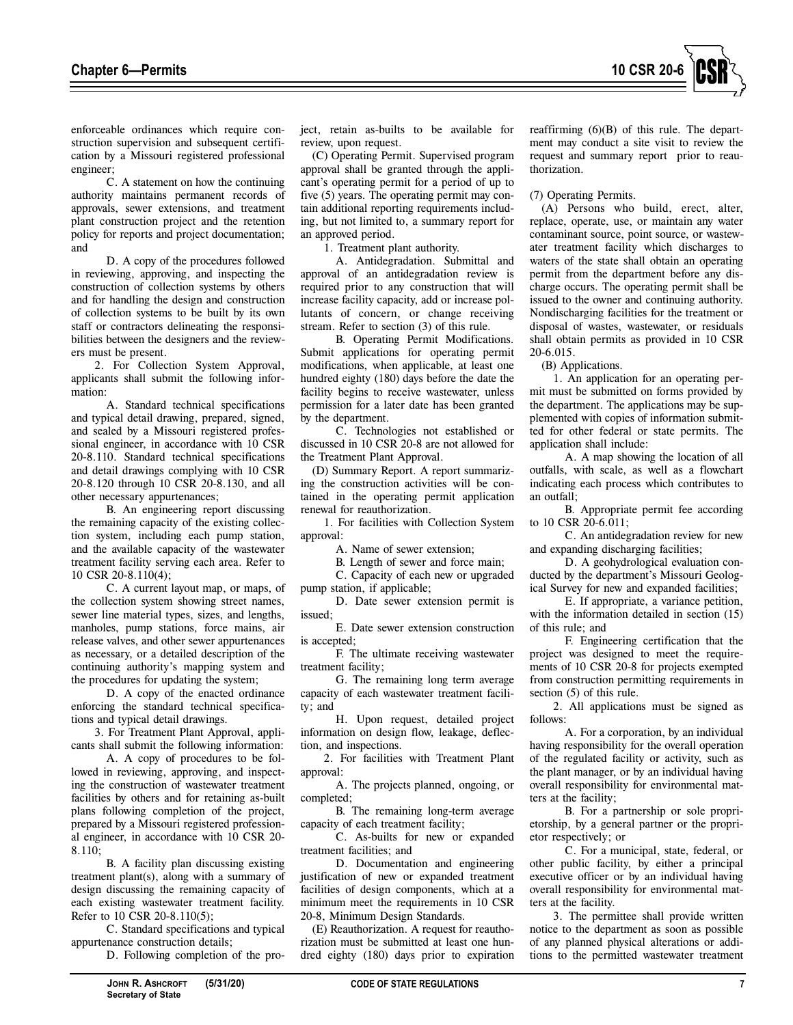

enforceable ordinances which require construction supervision and subsequent certification by a Missouri registered professional engineer;

C. A statement on how the continuing authority maintains permanent records of approvals, sewer extensions, and treatment plant construction project and the retention policy for reports and project documentation; and

D. A copy of the procedures followed in reviewing, approving, and inspecting the construction of collection systems by others and for handling the design and construction of collection systems to be built by its own staff or contractors delineating the responsibilities between the designers and the reviewers must be present.

2. For Collection System Approval, applicants shall submit the following information:

A. Standard technical specifications and typical detail drawing, prepared, signed, and sealed by a Missouri registered professional engineer, in accordance with 10 CSR 20-8.110. Standard technical specifications and detail drawings complying with 10 CSR 20-8.120 through 10 CSR 20-8.130, and all other necessary appurtenances;

B. An engineering report discussing the remaining capacity of the existing collection system, including each pump station, and the available capacity of the wastewater treatment facility serving each area. Refer to 10 CSR 20-8.110(4);

C. A current layout map, or maps, of the collection system showing street names, sewer line material types, sizes, and lengths, manholes, pump stations, force mains, air release valves, and other sewer appurtenances as necessary, or a detailed description of the continuing authority's mapping system and the procedures for updating the system;

D. A copy of the enacted ordinance enforcing the standard technical specifications and typical detail drawings.

3. For Treatment Plant Approval, applicants shall submit the following information:

A. A copy of procedures to be followed in reviewing, approving, and inspecting the construction of wastewater treatment facilities by others and for retaining as-built plans following completion of the project, prepared by a Missouri registered professional engineer, in accordance with 10 CSR 20- 8.110;

B. A facility plan discussing existing treatment plant(s), along with a summary of design discussing the remaining capacity of each existing wastewater treatment facility. Refer to 10 CSR 20-8.110(5);

C. Standard specifications and typical appurtenance construction details;

D. Following completion of the pro-

ject, retain as-builts to be available for review, upon request.

(C) Operating Permit. Supervised program approval shall be granted through the applicant's operating permit for a period of up to five (5) years. The operating permit may contain additional reporting requirements including, but not limited to, a summary report for an approved period.

1. Treatment plant authority.

A. Antidegradation. Submittal and approval of an antidegradation review is required prior to any construction that will increase facility capacity, add or increase pollutants of concern, or change receiving stream. Refer to section (3) of this rule.

B. Operating Permit Modifications. Submit applications for operating permit modifications, when applicable, at least one hundred eighty (180) days before the date the facility begins to receive wastewater, unless permission for a later date has been granted by the department.

C. Technologies not established or discussed in 10 CSR 20-8 are not allowed for the Treatment Plant Approval.

(D) Summary Report. A report summarizing the construction activities will be contained in the operating permit application renewal for reauthorization.

1. For facilities with Collection System approval:

A. Name of sewer extension;

B. Length of sewer and force main;

C. Capacity of each new or upgraded pump station, if applicable;

D. Date sewer extension permit is issued;

E. Date sewer extension construction is accepted;

F. The ultimate receiving wastewater treatment facility;

G. The remaining long term average capacity of each wastewater treatment facility; and

H. Upon request, detailed project information on design flow, leakage, deflection, and inspections.

2. For facilities with Treatment Plant approval:

A. The projects planned, ongoing, or completed;

B. The remaining long-term average capacity of each treatment facility;

C. As-builts for new or expanded treatment facilities; and

D. Documentation and engineering justification of new or expanded treatment facilities of design components, which at a minimum meet the requirements in 10 CSR 20-8, Minimum Design Standards.

(E) Reauthorization. A request for reauthorization must be submitted at least one hundred eighty (180) days prior to expiration reaffirming (6)(B) of this rule. The department may conduct a site visit to review the request and summary report prior to reauthorization.

(7) Operating Permits.

(A) Persons who build, erect, alter, replace, operate, use, or maintain any water contaminant source, point source, or wastewater treatment facility which discharges to waters of the state shall obtain an operating permit from the department before any discharge occurs. The operating permit shall be issued to the owner and continuing authority. Nondischarging facilities for the treatment or disposal of wastes, wastewater, or residuals shall obtain permits as provided in 10 CSR 20-6.015.

(B) Applications.

1. An application for an operating permit must be submitted on forms provided by the department. The applications may be supplemented with copies of information submitted for other federal or state permits. The application shall include:

A. A map showing the location of all outfalls, with scale, as well as a flowchart indicating each process which contributes to an outfall;

B. Appropriate permit fee according to 10 CSR 20-6.011;

C. An antidegradation review for new and expanding discharging facilities;

D. A geohydrological evaluation conducted by the department's Missouri Geological Survey for new and expanded facilities;

E. If appropriate, a variance petition, with the information detailed in section (15) of this rule; and

F. Engineering certification that the project was designed to meet the requirements of 10 CSR 20-8 for projects exempted from construction permitting requirements in section (5) of this rule.

2. All applications must be signed as follows:

A. For a corporation, by an individual having responsibility for the overall operation of the regulated facility or activity, such as the plant manager, or by an individual having overall responsibility for environmental matters at the facility;

B. For a partnership or sole proprietorship, by a general partner or the proprietor respectively; or

C. For a municipal, state, federal, or other public facility, by either a principal executive officer or by an individual having overall responsibility for environmental matters at the facility.

3. The permittee shall provide written notice to the department as soon as possible of any planned physical alterations or additions to the permitted wastewater treatment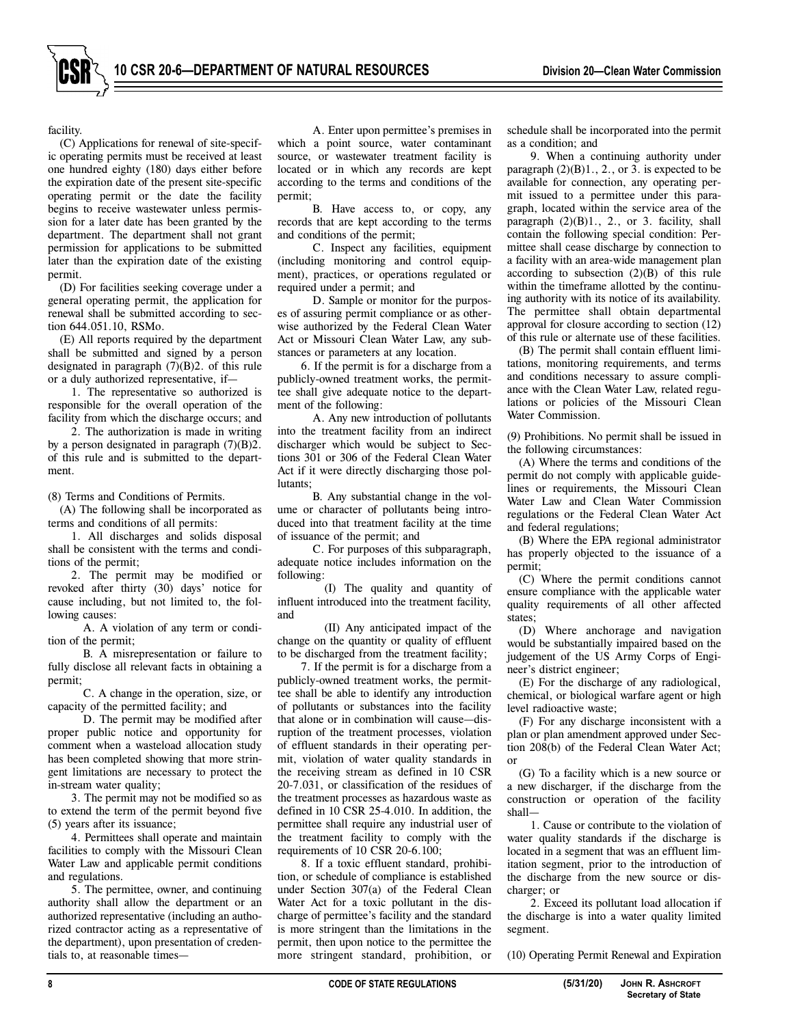

facility.

(C) Applications for renewal of site-specific operating permits must be received at least one hundred eighty (180) days either before the expiration date of the present site-specific operating permit or the date the facility begins to receive wastewater unless permission for a later date has been granted by the department. The department shall not grant permission for applications to be submitted later than the expiration date of the existing permit.

(D) For facilities seeking coverage under a general operating permit, the application for renewal shall be submitted according to section 644.051.10, RSMo.

(E) All reports required by the department shall be submitted and signed by a person designated in paragraph (7)(B)2. of this rule or a duly authorized representative, if—

1. The representative so authorized is responsible for the overall operation of the facility from which the discharge occurs; and

2. The authorization is made in writing by a person designated in paragraph (7)(B)2. of this rule and is submitted to the department.

(8) Terms and Conditions of Permits.

(A) The following shall be incorporated as terms and conditions of all permits:

1. All discharges and solids disposal shall be consistent with the terms and conditions of the permit;

2. The permit may be modified or revoked after thirty (30) days' notice for cause including, but not limited to, the following causes:

A. A violation of any term or condition of the permit;

B. A misrepresentation or failure to fully disclose all relevant facts in obtaining a permit;

C. A change in the operation, size, or capacity of the permitted facility; and

D. The permit may be modified after proper public notice and opportunity for comment when a wasteload allocation study has been completed showing that more stringent limitations are necessary to protect the in-stream water quality;

3. The permit may not be modified so as to extend the term of the permit beyond five (5) years after its issuance;

4. Permittees shall operate and maintain facilities to comply with the Missouri Clean Water Law and applicable permit conditions and regulations.

5. The permittee, owner, and continuing authority shall allow the department or an authorized representative (including an authorized contractor acting as a representative of the department), upon presentation of credentials to, at reasonable times—

A. Enter upon permittee's premises in which a point source, water contaminant source, or wastewater treatment facility is located or in which any records are kept according to the terms and conditions of the permit;

B. Have access to, or copy, any records that are kept according to the terms and conditions of the permit;

C. Inspect any facilities, equipment (including monitoring and control equipment), practices, or operations regulated or required under a permit; and

D. Sample or monitor for the purposes of assuring permit compliance or as otherwise authorized by the Federal Clean Water Act or Missouri Clean Water Law, any substances or parameters at any location.

6. If the permit is for a discharge from a publicly-owned treatment works, the permittee shall give adequate notice to the department of the following:

A. Any new introduction of pollutants into the treatment facility from an indirect discharger which would be subject to Sections 301 or 306 of the Federal Clean Water Act if it were directly discharging those pollutants;

B. Any substantial change in the volume or character of pollutants being introduced into that treatment facility at the time of issuance of the permit; and

C. For purposes of this subparagraph, adequate notice includes information on the following:

(I) The quality and quantity of influent introduced into the treatment facility, and

(II) Any anticipated impact of the change on the quantity or quality of effluent to be discharged from the treatment facility;

7. If the permit is for a discharge from a publicly-owned treatment works, the permittee shall be able to identify any introduction of pollutants or substances into the facility that alone or in combination will cause—disruption of the treatment processes, violation of effluent standards in their operating permit, violation of water quality standards in the receiving stream as defined in 10 CSR 20-7.031, or classification of the residues of the treatment processes as hazardous waste as defined in 10 CSR 25-4.010. In addition, the permittee shall require any industrial user of the treatment facility to comply with the requirements of 10 CSR 20-6.100;

8. If a toxic effluent standard, prohibition, or schedule of compliance is established under Section 307(a) of the Federal Clean Water Act for a toxic pollutant in the discharge of permittee's facility and the standard is more stringent than the limitations in the permit, then upon notice to the permittee the more stringent standard, prohibition, or

schedule shall be incorporated into the permit as a condition; and

9. When a continuing authority under paragraph  $(2)(B)1$ ., 2., or 3. is expected to be available for connection, any operating permit issued to a permittee under this paragraph, located within the service area of the paragraph  $(2)(B)1$ ., 2., or 3. facility, shall contain the following special condition: Permittee shall cease discharge by connection to a facility with an area-wide management plan according to subsection  $(2)(B)$  of this rule within the timeframe allotted by the continuing authority with its notice of its availability. The permittee shall obtain departmental approval for closure according to section (12) of this rule or alternate use of these facilities.

(B) The permit shall contain effluent limitations, monitoring requirements, and terms and conditions necessary to assure compliance with the Clean Water Law, related regulations or policies of the Missouri Clean Water Commission.

(9) Prohibitions. No permit shall be issued in the following circumstances:

(A) Where the terms and conditions of the permit do not comply with applicable guidelines or requirements, the Missouri Clean Water Law and Clean Water Commission regulations or the Federal Clean Water Act and federal regulations;

(B) Where the EPA regional administrator has properly objected to the issuance of a permit;

(C) Where the permit conditions cannot ensure compliance with the applicable water quality requirements of all other affected states;

(D) Where anchorage and navigation would be substantially impaired based on the judgement of the US Army Corps of Engineer's district engineer;

(E) For the discharge of any radiological, chemical, or biological warfare agent or high level radioactive waste;

(F) For any discharge inconsistent with a plan or plan amendment approved under Section 208(b) of the Federal Clean Water Act; or

(G) To a facility which is a new source or a new discharger, if the discharge from the construction or operation of the facility shall—

1. Cause or contribute to the violation of water quality standards if the discharge is located in a segment that was an effluent limitation segment, prior to the introduction of the discharge from the new source or discharger; or

2. Exceed its pollutant load allocation if the discharge is into a water quality limited segment.

(10) Operating Permit Renewal and Expiration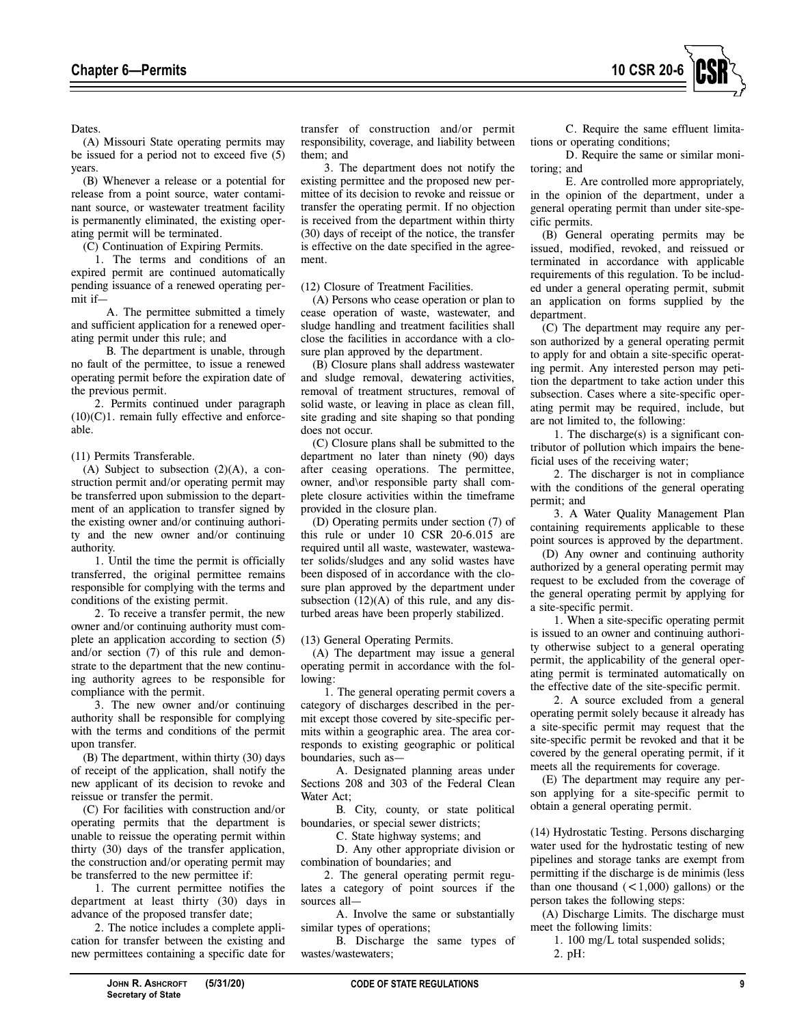

Dates.

(A) Missouri State operating permits may be issued for a period not to exceed five (5) years.

(B) Whenever a release or a potential for release from a point source, water contaminant source, or wastewater treatment facility is permanently eliminated, the existing operating permit will be terminated.

(C) Continuation of Expiring Permits.

1. The terms and conditions of an expired permit are continued automatically pending issuance of a renewed operating permit if—

A. The permittee submitted a timely and sufficient application for a renewed operating permit under this rule; and

B. The department is unable, through no fault of the permittee, to issue a renewed operating permit before the expiration date of the previous permit.

2. Permits continued under paragraph  $(10)(C)1$ . remain fully effective and enforceable.

(11) Permits Transferable.

(A) Subject to subsection  $(2)(A)$ , a construction permit and/or operating permit may be transferred upon submission to the department of an application to transfer signed by the existing owner and/or continuing authority and the new owner and/or continuing authority.

1. Until the time the permit is officially transferred, the original permittee remains responsible for complying with the terms and conditions of the existing permit.

2. To receive a transfer permit, the new owner and/or continuing authority must complete an application according to section (5) and/or section (7) of this rule and demonstrate to the department that the new continuing authority agrees to be responsible for compliance with the permit.

3. The new owner and/or continuing authority shall be responsible for complying with the terms and conditions of the permit upon transfer.

(B) The department, within thirty (30) days of receipt of the application, shall notify the new applicant of its decision to revoke and reissue or transfer the permit.

(C) For facilities with construction and/or operating permits that the department is unable to reissue the operating permit within thirty (30) days of the transfer application, the construction and/or operating permit may be transferred to the new permittee if:

1. The current permittee notifies the department at least thirty (30) days in advance of the proposed transfer date;

2. The notice includes a complete application for transfer between the existing and new permittees containing a specific date for

transfer of construction and/or permit responsibility, coverage, and liability between them; and

3. The department does not notify the existing permittee and the proposed new permittee of its decision to revoke and reissue or transfer the operating permit. If no objection is received from the department within thirty (30) days of receipt of the notice, the transfer is effective on the date specified in the agreement.

(12) Closure of Treatment Facilities.

(A) Persons who cease operation or plan to cease operation of waste, wastewater, and sludge handling and treatment facilities shall close the facilities in accordance with a closure plan approved by the department.

(B) Closure plans shall address wastewater and sludge removal, dewatering activities, removal of treatment structures, removal of solid waste, or leaving in place as clean fill, site grading and site shaping so that ponding does not occur.

(C) Closure plans shall be submitted to the department no later than ninety (90) days after ceasing operations. The permittee, owner, and\or responsible party shall complete closure activities within the timeframe provided in the closure plan.

(D) Operating permits under section (7) of this rule or under 10 CSR 20-6.015 are required until all waste, wastewater, wastewater solids/sludges and any solid wastes have been disposed of in accordance with the closure plan approved by the department under subsection  $(12)(A)$  of this rule, and any disturbed areas have been properly stabilized.

(13) General Operating Permits.

(A) The department may issue a general operating permit in accordance with the following:

1. The general operating permit covers a category of discharges described in the permit except those covered by site-specific permits within a geographic area. The area corresponds to existing geographic or political boundaries, such as—

A. Designated planning areas under Sections 208 and 303 of the Federal Clean Water Act;

B. City, county, or state political boundaries, or special sewer districts;

C. State highway systems; and

D. Any other appropriate division or combination of boundaries; and

2. The general operating permit regulates a category of point sources if the sources all—

A. Involve the same or substantially similar types of operations;

B. Discharge the same types of wastes/wastewaters;

C. Require the same effluent limitations or operating conditions;

D. Require the same or similar monitoring; and

E. Are controlled more appropriately, in the opinion of the department, under a general operating permit than under site-specific permits.

(B) General operating permits may be issued, modified, revoked, and reissued or terminated in accordance with applicable requirements of this regulation. To be included under a general operating permit, submit an application on forms supplied by the department.

(C) The department may require any person authorized by a general operating permit to apply for and obtain a site-specific operating permit. Any interested person may petition the department to take action under this subsection. Cases where a site-specific operating permit may be required, include, but are not limited to, the following:

1. The discharge(s) is a significant contributor of pollution which impairs the beneficial uses of the receiving water;

2. The discharger is not in compliance with the conditions of the general operating permit; and

3. A Water Quality Management Plan containing requirements applicable to these point sources is approved by the department.

(D) Any owner and continuing authority authorized by a general operating permit may request to be excluded from the coverage of the general operating permit by applying for a site-specific permit.

1. When a site-specific operating permit is issued to an owner and continuing authority otherwise subject to a general operating permit, the applicability of the general operating permit is terminated automatically on the effective date of the site-specific permit.

2. A source excluded from a general operating permit solely because it already has a site-specific permit may request that the site-specific permit be revoked and that it be covered by the general operating permit, if it meets all the requirements for coverage.

(E) The department may require any person applying for a site-specific permit to obtain a general operating permit.

(14) Hydrostatic Testing. Persons discharging water used for the hydrostatic testing of new pipelines and storage tanks are exempt from permitting if the discharge is de minimis (less than one thousand  $(<1,000)$  gallons) or the person takes the following steps:

(A) Discharge Limits. The discharge must meet the following limits:

1. 100 mg/L total suspended solids;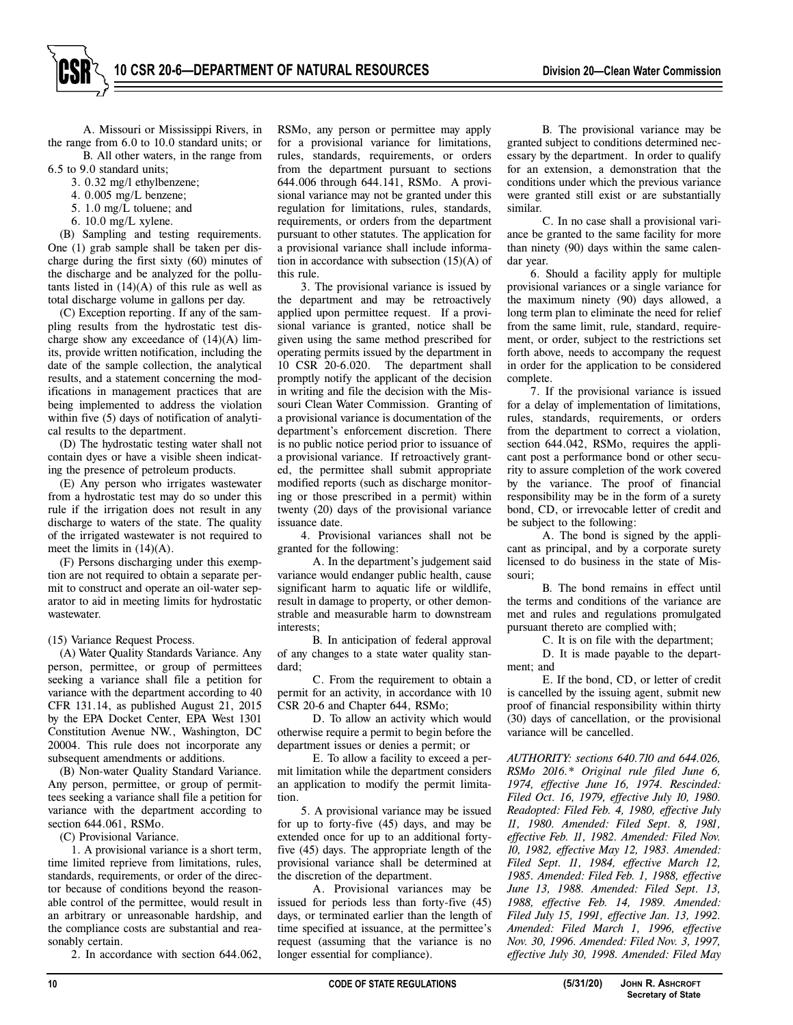A. Missouri or Mississippi Rivers, in the range from 6.0 to 10.0 standard units; or B. All other waters, in the range from

- 6.5 to 9.0 standard units;
	- 3. 0.32 mg/l ethylbenzene;
	- 4. 0.005 mg/L benzene;
	- 5. 1.0 mg/L toluene; and
	- 6. 10.0 mg/L xylene.

(B) Sampling and testing requirements. One (1) grab sample shall be taken per discharge during the first sixty (60) minutes of the discharge and be analyzed for the pollutants listed in  $(14)(A)$  of this rule as well as total discharge volume in gallons per day.

(C) Exception reporting. If any of the sampling results from the hydrostatic test discharge show any exceedance of (14)(A) limits, provide written notification, including the date of the sample collection, the analytical results, and a statement concerning the modifications in management practices that are being implemented to address the violation within five (5) days of notification of analytical results to the department.

(D) The hydrostatic testing water shall not contain dyes or have a visible sheen indicating the presence of petroleum products.

(E) Any person who irrigates wastewater from a hydrostatic test may do so under this rule if the irrigation does not result in any discharge to waters of the state. The quality of the irrigated wastewater is not required to meet the limits in  $(14)(A)$ .

(F) Persons discharging under this exemption are not required to obtain a separate permit to construct and operate an oil-water separator to aid in meeting limits for hydrostatic wastewater.

#### (15) Variance Request Process.

(A) Water Quality Standards Variance. Any person, permittee, or group of permittees seeking a variance shall file a petition for variance with the department according to 40 CFR 131.14, as published August 21, 2015 by the EPA Docket Center, EPA West 1301 Constitution Avenue NW., Washington, DC 20004. This rule does not incorporate any subsequent amendments or additions.

(B) Non-water Quality Standard Variance. Any person, permittee, or group of permittees seeking a variance shall file a petition for variance with the department according to section 644.061, RSMo.

(C) Provisional Variance.

1. A provisional variance is a short term, time limited reprieve from limitations, rules, standards, requirements, or order of the director because of conditions beyond the reasonable control of the permittee, would result in an arbitrary or unreasonable hardship, and the compliance costs are substantial and reasonably certain.

2. In accordance with section 644.062,

RSMo, any person or permittee may apply for a provisional variance for limitations, rules, standards, requirements, or orders from the department pursuant to sections 644.006 through 644.141, RSMo. A provisional variance may not be granted under this regulation for limitations, rules, standards, requirements, or orders from the department pursuant to other statutes. The application for a provisional variance shall include information in accordance with subsection  $(15)(A)$  of this rule.

3. The provisional variance is issued by the department and may be retroactively applied upon permittee request. If a provisional variance is granted, notice shall be given using the same method prescribed for operating permits issued by the department in 10 CSR 20-6.020. The department shall promptly notify the applicant of the decision in writing and file the decision with the Missouri Clean Water Commission. Granting of a provisional variance is documentation of the department's enforcement discretion. There is no public notice period prior to issuance of a provisional variance. If retroactively granted, the permittee shall submit appropriate modified reports (such as discharge monitoring or those prescribed in a permit) within twenty (20) days of the provisional variance issuance date.

4. Provisional variances shall not be granted for the following:

A. In the department's judgement said variance would endanger public health, cause significant harm to aquatic life or wildlife, result in damage to property, or other demonstrable and measurable harm to downstream interests;

B. In anticipation of federal approval of any changes to a state water quality standard;

C. From the requirement to obtain a permit for an activity, in accordance with 10 CSR 20-6 and Chapter 644, RSMo;

D. To allow an activity which would otherwise require a permit to begin before the department issues or denies a permit; or

E. To allow a facility to exceed a permit limitation while the department considers an application to modify the permit limitation.

5. A provisional variance may be issued for up to forty-five (45) days, and may be extended once for up to an additional fortyfive (45) days. The appropriate length of the provisional variance shall be determined at the discretion of the department.

A. Provisional variances may be issued for periods less than forty-five (45) days, or terminated earlier than the length of time specified at issuance, at the permittee's request (assuming that the variance is no longer essential for compliance).

B. The provisional variance may be granted subject to conditions determined necessary by the department. In order to qualify for an extension, a demonstration that the conditions under which the previous variance were granted still exist or are substantially similar.

C. In no case shall a provisional variance be granted to the same facility for more than ninety (90) days within the same calendar year.

6. Should a facility apply for multiple provisional variances or a single variance for the maximum ninety (90) days allowed, a long term plan to eliminate the need for relief from the same limit, rule, standard, requirement, or order, subject to the restrictions set forth above, needs to accompany the request in order for the application to be considered complete.

7. If the provisional variance is issued for a delay of implementation of limitations, rules, standards, requirements, or orders from the department to correct a violation, section 644.042, RSMo, requires the applicant post a performance bond or other security to assure completion of the work covered by the variance. The proof of financial responsibility may be in the form of a surety bond, CD, or irrevocable letter of credit and be subject to the following:

A. The bond is signed by the applicant as principal, and by a corporate surety licensed to do business in the state of Missouri;

B. The bond remains in effect until the terms and conditions of the variance are met and rules and regulations promulgated pursuant thereto are complied with;

C. It is on file with the department;

D. It is made payable to the department; and

E. If the bond, CD, or letter of credit is cancelled by the issuing agent, submit new proof of financial responsibility within thirty (30) days of cancellation, or the provisional variance will be cancelled.

*AUTHORITY: sections 640.710 and 644.026, RSMo 2016.\* Original rule filed June 6, 1974, effective June 16, 1974. Rescinded: Filed Oct. 16, 1979, effective July 10, 1980. Readopted: Filed Feb. 4, 1980, effective July 11, 1980. Amended: Filed Sept. 8, 1981, effective Feb. 11, 1982. Amended: Filed Nov. 10, 1982, effective May 12, 1983. Amended: Filed Sept. 11, 1984, effective March 12, 1985. Amended: Filed Feb. 1, 1988, effective June 13, 1988. Amended: Filed Sept. 13, 1988, effective Feb. 14, 1989. Amended: Filed July 15, 1991, effective Jan. 13, 1992. Amended: Filed March 1, 1996, effective Nov. 30, 1996. Amended: Filed Nov. 3, 1997, effective July 30, 1998. Amended: Filed May*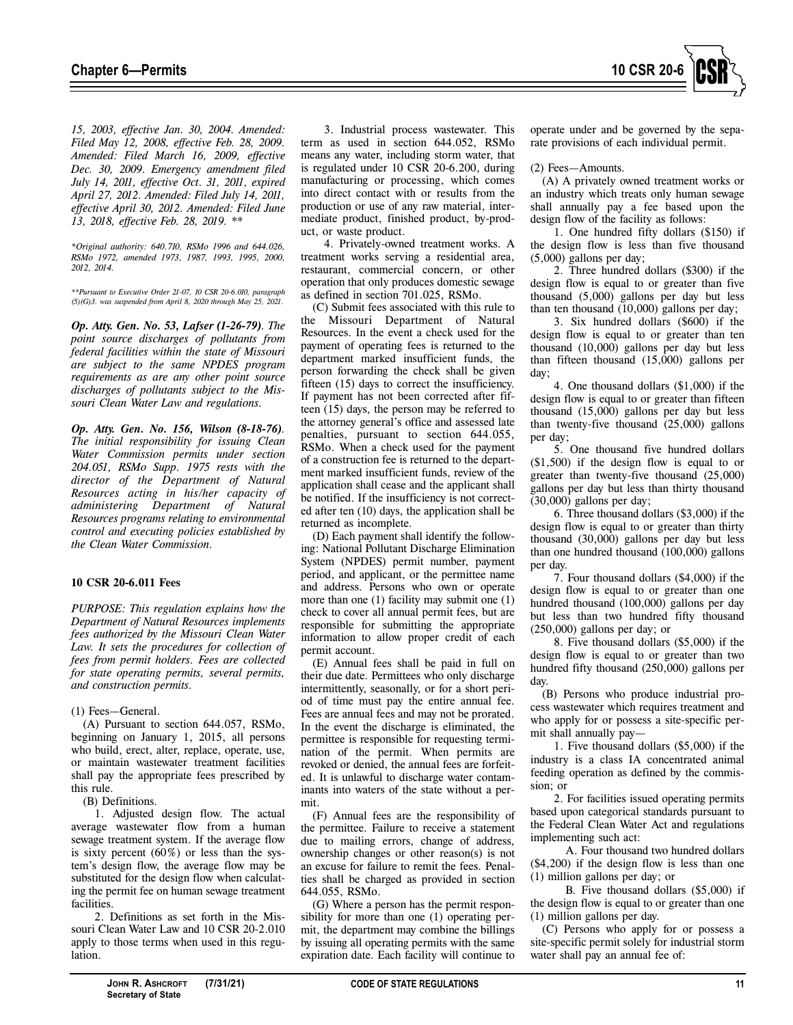

*15, 2003, effective Jan. 30, 2004. Amended: Filed May 12, 2008, effective Feb. 28, 2009. Amended: Filed March 16, 2009, effective Dec. 30, 2009. Emergency amendment filed July 14, 2011, effective Oct. 31, 2011, expired April 27, 2012. Amended: Filed July 14, 2011, effective April 30, 2012. Amended: Filed June 13, 2018, effective Feb. 28, 2019. \*\** 

*\*Original authority: 640.710, RSMo 1996 and 644.026, RSMo 1972, amended 1973, 1987, 1993, 1995, 2000, 2012, 2014.* 

*\*\*Pursuant to Executive Order 21-07, 10 CSR 20-6.010, paragraph (5)(G)3. was suspended from April 8, 2020 through May 25, 2021.* 

*Op. Atty. Gen. No. 53, Lafser (1-26-79). The point source discharges of pollutants from federal facilities within the state of Missouri are subject to the same NPDES program requirements as are any other point source discharges of pollutants subject to the Missouri Clean Water Law and regulations.* 

*Op. Atty. Gen. No. 156, Wilson (8-18-76). The initial responsibility for issuing Clean Water Commission permits under section 204.051, RSMo Supp. 1975 rests with the director of the Department of Natural Resources acting in his/her capacity of administering Department of Natural Resources programs relating to environmental control and executing policies established by the Clean Water Commission.* 

#### **10 CSR 20-6.011 Fees**

*PURPOSE: This regulation explains how the Department of Natural Resources implements fees authorized by the Missouri Clean Water Law. It sets the procedures for collection of fees from permit holders. Fees are collected for state operating permits, several permits, and construction permits.* 

#### (1) Fees—General.

(A) Pursuant to section 644.057, RSMo, beginning on January 1, 2015, all persons who build, erect, alter, replace, operate, use, or maintain wastewater treatment facilities shall pay the appropriate fees prescribed by this rule.

(B) Definitions.

1. Adjusted design flow. The actual average wastewater flow from a human sewage treatment system. If the average flow is sixty percent  $(60\%)$  or less than the system's design flow, the average flow may be substituted for the design flow when calculating the permit fee on human sewage treatment facilities.

2. Definitions as set forth in the Missouri Clean Water Law and 10 CSR 20-2.010 apply to those terms when used in this regulation.

3. Industrial process wastewater. This term as used in section 644.052, RSMo means any water, including storm water, that is regulated under 10 CSR 20-6.200, during manufacturing or processing, which comes into direct contact with or results from the production or use of any raw material, intermediate product, finished product, by-product, or waste product.

4. Privately-owned treatment works. A treatment works serving a residential area, restaurant, commercial concern, or other operation that only produces domestic sewage as defined in section 701.025, RSMo.

(C) Submit fees associated with this rule to the Missouri Department of Natural Resources. In the event a check used for the payment of operating fees is returned to the department marked insufficient funds, the person forwarding the check shall be given fifteen (15) days to correct the insufficiency. If payment has not been corrected after fifteen (15) days, the person may be referred to the attorney general's office and assessed late penalties, pursuant to section 644.055, RSMo. When a check used for the payment of a construction fee is returned to the department marked insufficient funds, review of the application shall cease and the applicant shall be notified. If the insufficiency is not corrected after ten (10) days, the application shall be returned as incomplete.

(D) Each payment shall identify the following: National Pollutant Discharge Elimination System (NPDES) permit number, payment period, and applicant, or the permittee name and address. Persons who own or operate more than one (1) facility may submit one (1) check to cover all annual permit fees, but are responsible for submitting the appropriate information to allow proper credit of each permit account.

(E) Annual fees shall be paid in full on their due date. Permittees who only discharge intermittently, seasonally, or for a short period of time must pay the entire annual fee. Fees are annual fees and may not be prorated. In the event the discharge is eliminated, the permittee is responsible for requesting termination of the permit. When permits are revoked or denied, the annual fees are forfeited. It is unlawful to discharge water contaminants into waters of the state without a permit.

(F) Annual fees are the responsibility of the permittee. Failure to receive a statement due to mailing errors, change of address, ownership changes or other reason(s) is not an excuse for failure to remit the fees. Penalties shall be charged as provided in section 644.055, RSMo.

(G) Where a person has the permit responsibility for more than one (1) operating permit, the department may combine the billings by issuing all operating permits with the same expiration date. Each facility will continue to

operate under and be governed by the separate provisions of each individual permit.

#### (2) Fees—Amounts.

(A) A privately owned treatment works or an industry which treats only human sewage shall annually pay a fee based upon the design flow of the facility as follows:

1. One hundred fifty dollars (\$150) if the design flow is less than five thousand (5,000) gallons per day;

2. Three hundred dollars (\$300) if the design flow is equal to or greater than five thousand (5,000) gallons per day but less than ten thousand (10,000) gallons per day;

3. Six hundred dollars (\$600) if the design flow is equal to or greater than ten thousand (10,000) gallons per day but less than fifteen thousand (15,000) gallons per day;

4. One thousand dollars (\$1,000) if the design flow is equal to or greater than fifteen thousand (15,000) gallons per day but less than twenty-five thousand (25,000) gallons per day;

5. One thousand five hundred dollars (\$1,500) if the design flow is equal to or greater than twenty-five thousand (25,000) gallons per day but less than thirty thousand (30,000) gallons per day;

6. Three thousand dollars (\$3,000) if the design flow is equal to or greater than thirty thousand (30,000) gallons per day but less than one hundred thousand (100,000) gallons per day.

7. Four thousand dollars (\$4,000) if the design flow is equal to or greater than one hundred thousand (100,000) gallons per day but less than two hundred fifty thousand (250,000) gallons per day; or

8. Five thousand dollars (\$5,000) if the design flow is equal to or greater than two hundred fifty thousand (250,000) gallons per day.

(B) Persons who produce industrial process wastewater which requires treatment and who apply for or possess a site-specific permit shall annually pay—

1. Five thousand dollars (\$5,000) if the industry is a class IA concentrated animal feeding operation as defined by the commission; or

2. For facilities issued operating permits based upon categorical standards pursuant to the Federal Clean Water Act and regulations implementing such act:

A. Four thousand two hundred dollars (\$4,200) if the design flow is less than one (1) million gallons per day; or

B. Five thousand dollars (\$5,000) if the design flow is equal to or greater than one (1) million gallons per day.

(C) Persons who apply for or possess a site-specific permit solely for industrial storm water shall pay an annual fee of: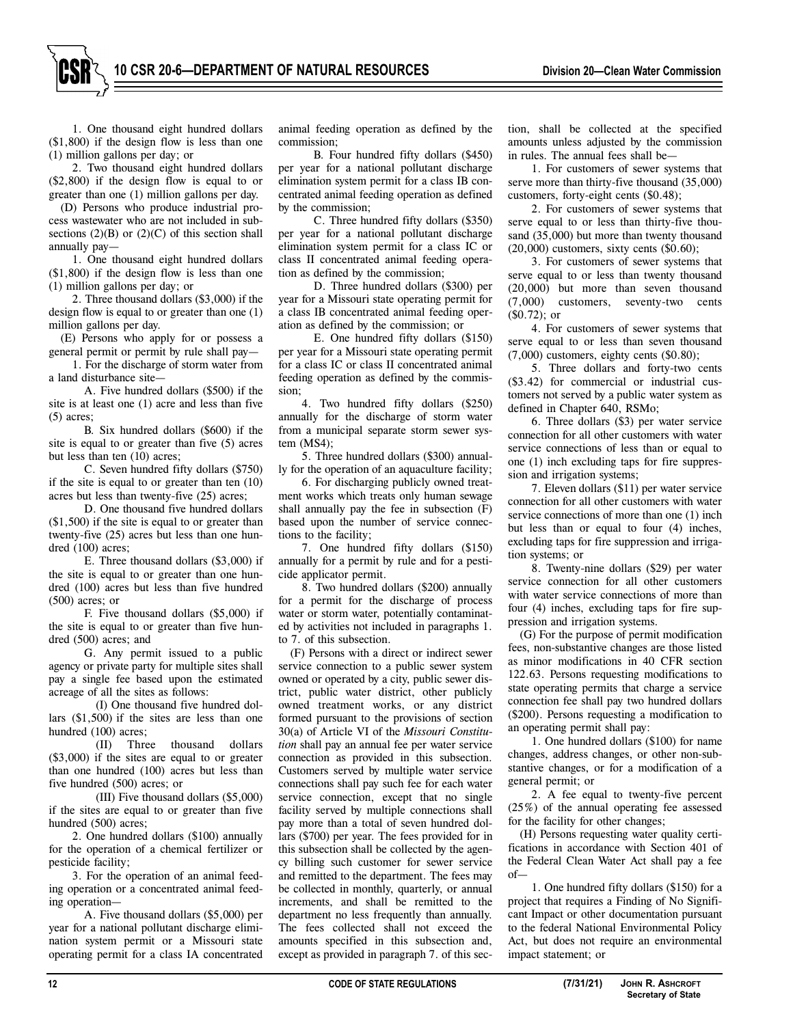1. One thousand eight hundred dollars (\$1,800) if the design flow is less than one (1) million gallons per day; or

2. Two thousand eight hundred dollars (\$2,800) if the design flow is equal to or greater than one (1) million gallons per day.

(D) Persons who produce industrial process wastewater who are not included in subsections  $(2)(B)$  or  $(2)(C)$  of this section shall annually pay—

1. One thousand eight hundred dollars (\$1,800) if the design flow is less than one (1) million gallons per day; or

2. Three thousand dollars (\$3,000) if the design flow is equal to or greater than one (1) million gallons per day.

(E) Persons who apply for or possess a general permit or permit by rule shall pay—

1. For the discharge of storm water from a land disturbance site—

A. Five hundred dollars (\$500) if the site is at least one (1) acre and less than five (5) acres;

B. Six hundred dollars (\$600) if the site is equal to or greater than five (5) acres but less than ten (10) acres;

C. Seven hundred fifty dollars (\$750) if the site is equal to or greater than ten (10) acres but less than twenty-five (25) acres;

D. One thousand five hundred dollars (\$1,500) if the site is equal to or greater than twenty-five (25) acres but less than one hundred (100) acres;

E. Three thousand dollars (\$3,000) if the site is equal to or greater than one hundred (100) acres but less than five hundred (500) acres; or

F. Five thousand dollars (\$5,000) if the site is equal to or greater than five hundred (500) acres; and

G. Any permit issued to a public agency or private party for multiple sites shall pay a single fee based upon the estimated acreage of all the sites as follows:

(I) One thousand five hundred dollars (\$1,500) if the sites are less than one hundred (100) acres;

(II) Three thousand dollars (\$3,000) if the sites are equal to or greater than one hundred (100) acres but less than five hundred (500) acres; or

(III) Five thousand dollars (\$5,000) if the sites are equal to or greater than five hundred (500) acres;

2. One hundred dollars (\$100) annually for the operation of a chemical fertilizer or pesticide facility;

3. For the operation of an animal feeding operation or a concentrated animal feeding operation—

A. Five thousand dollars (\$5,000) per year for a national pollutant discharge elimination system permit or a Missouri state operating permit for a class IA concentrated

animal feeding operation as defined by the commission;

B. Four hundred fifty dollars (\$450) per year for a national pollutant discharge elimination system permit for a class IB concentrated animal feeding operation as defined by the commission;

C. Three hundred fifty dollars (\$350) per year for a national pollutant discharge elimination system permit for a class IC or class II concentrated animal feeding operation as defined by the commission;

D. Three hundred dollars (\$300) per year for a Missouri state operating permit for a class IB concentrated animal feeding operation as defined by the commission; or

E. One hundred fifty dollars (\$150) per year for a Missouri state operating permit for a class IC or class II concentrated animal feeding operation as defined by the commission;

4. Two hundred fifty dollars (\$250) annually for the discharge of storm water from a municipal separate storm sewer system (MS4);

5. Three hundred dollars (\$300) annually for the operation of an aquaculture facility;

6. For discharging publicly owned treatment works which treats only human sewage shall annually pay the fee in subsection (F) based upon the number of service connections to the facility;

7. One hundred fifty dollars (\$150) annually for a permit by rule and for a pesticide applicator permit.

8. Two hundred dollars (\$200) annually for a permit for the discharge of process water or storm water, potentially contaminated by activities not included in paragraphs 1. to 7. of this subsection.

(F) Persons with a direct or indirect sewer service connection to a public sewer system owned or operated by a city, public sewer district, public water district, other publicly owned treatment works, or any district formed pursuant to the provisions of section 30(a) of Article VI of the *Missouri Constitution* shall pay an annual fee per water service connection as provided in this subsection. Customers served by multiple water service connections shall pay such fee for each water service connection, except that no single facility served by multiple connections shall pay more than a total of seven hundred dollars (\$700) per year. The fees provided for in this subsection shall be collected by the agency billing such customer for sewer service and remitted to the department. The fees may be collected in monthly, quarterly, or annual increments, and shall be remitted to the department no less frequently than annually. The fees collected shall not exceed the amounts specified in this subsection and, except as provided in paragraph 7. of this section, shall be collected at the specified amounts unless adjusted by the commission in rules. The annual fees shall be—

1. For customers of sewer systems that serve more than thirty-five thousand (35,000) customers, forty-eight cents (\$0.48);

2. For customers of sewer systems that serve equal to or less than thirty-five thousand (35,000) but more than twenty thousand (20,000) customers, sixty cents (\$0.60);

3. For customers of sewer systems that serve equal to or less than twenty thousand (20,000) but more than seven thousand (7,000) customers, seventy-two cents (\$0.72); or

4. For customers of sewer systems that serve equal to or less than seven thousand  $(7,000)$  customers, eighty cents  $(\$0.80)$ ;

5. Three dollars and forty-two cents (\$3.42) for commercial or industrial customers not served by a public water system as defined in Chapter 640, RSMo;

6. Three dollars (\$3) per water service connection for all other customers with water service connections of less than or equal to one (1) inch excluding taps for fire suppression and irrigation systems;

7. Eleven dollars (\$11) per water service connection for all other customers with water service connections of more than one (1) inch but less than or equal to four (4) inches, excluding taps for fire suppression and irrigation systems; or

8. Twenty-nine dollars (\$29) per water service connection for all other customers with water service connections of more than four (4) inches, excluding taps for fire suppression and irrigation systems.

(G) For the purpose of permit modification fees, non-substantive changes are those listed as minor modifications in 40 CFR section 122.63. Persons requesting modifications to state operating permits that charge a service connection fee shall pay two hundred dollars (\$200). Persons requesting a modification to an operating permit shall pay:

1. One hundred dollars (\$100) for name changes, address changes, or other non-substantive changes, or for a modification of a general permit; or

2. A fee equal to twenty-five percent (25%) of the annual operating fee assessed for the facility for other changes;

(H) Persons requesting water quality certifications in accordance with Section 401 of the Federal Clean Water Act shall pay a fee of—

1. One hundred fifty dollars (\$150) for a project that requires a Finding of No Significant Impact or other documentation pursuant to the federal National Environmental Policy Act, but does not require an environmental impact statement; or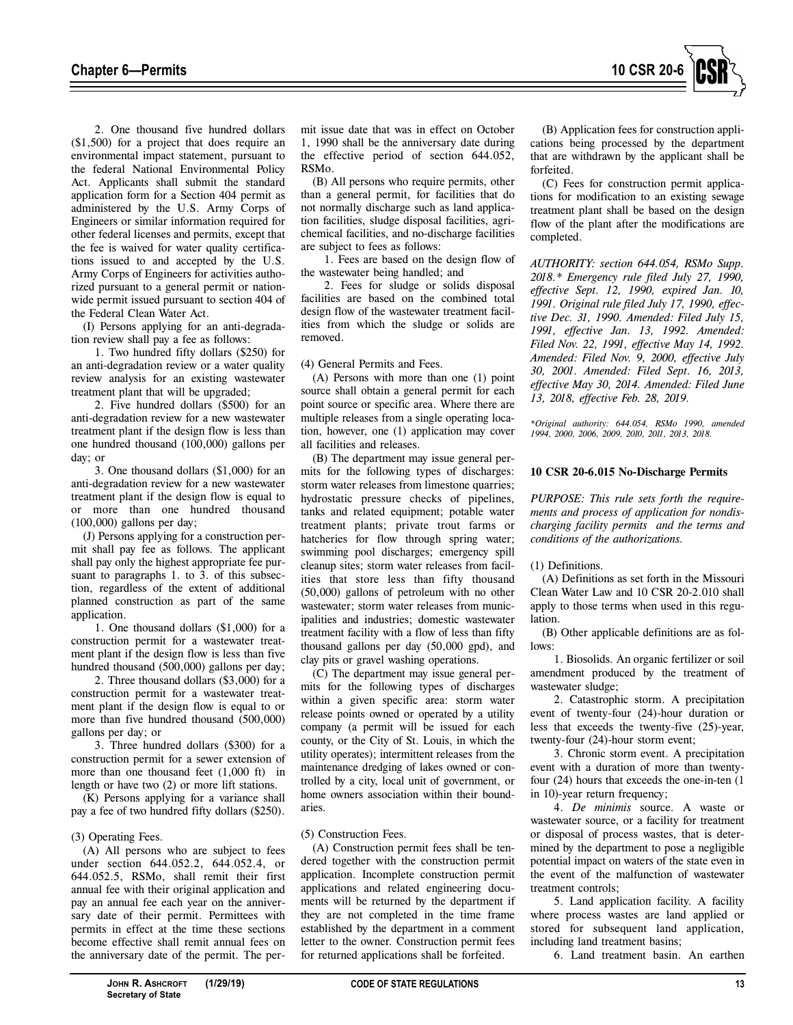

2. One thousand five hundred dollars (\$1,500) for a project that does require an environmental impact statement, pursuant to the federal National Environmental Policy Act. Applicants shall submit the standard application form for a Section 404 permit as administered by the U.S. Army Corps of Engineers or similar information required for other federal licenses and permits, except that the fee is waived for water quality certifications issued to and accepted by the U.S. Army Corps of Engineers for activities authorized pursuant to a general permit or nationwide permit issued pursuant to section 404 of the Federal Clean Water Act.

(I) Persons applying for an anti-degradation review shall pay a fee as follows:

1. Two hundred fifty dollars (\$250) for an anti-degradation review or a water quality review analysis for an existing wastewater treatment plant that will be upgraded;

2. Five hundred dollars (\$500) for an anti-degradation review for a new wastewater treatment plant if the design flow is less than one hundred thousand (100,000) gallons per day; or

3. One thousand dollars (\$1,000) for an anti-degradation review for a new wastewater treatment plant if the design flow is equal to or more than one hundred thousand (100,000) gallons per day;

(J) Persons applying for a construction permit shall pay fee as follows. The applicant shall pay only the highest appropriate fee pursuant to paragraphs 1. to 3. of this subsection, regardless of the extent of additional planned construction as part of the same application.

1. One thousand dollars (\$1,000) for a construction permit for a wastewater treatment plant if the design flow is less than five hundred thousand (500,000) gallons per day;

2. Three thousand dollars (\$3,000) for a construction permit for a wastewater treatment plant if the design flow is equal to or more than five hundred thousand (500,000) gallons per day; or

3. Three hundred dollars (\$300) for a construction permit for a sewer extension of more than one thousand feet (1,000 ft) in length or have two (2) or more lift stations.

(K) Persons applying for a variance shall pay a fee of two hundred fifty dollars (\$250).

#### (3) Operating Fees.

(A) All persons who are subject to fees under section 644.052.2, 644.052.4, or 644.052.5, RSMo, shall remit their first annual fee with their original application and pay an annual fee each year on the anniversary date of their permit. Permittees with permits in effect at the time these sections become effective shall remit annual fees on the anniversary date of the permit. The permit issue date that was in effect on October 1, 1990 shall be the anniversary date during the effective period of section 644.052, RSMo.

(B) All persons who require permits, other than a general permit, for facilities that do not normally discharge such as land application facilities, sludge disposal facilities, agrichemical facilities, and no-discharge facilities are subject to fees as follows:

1. Fees are based on the design flow of the wastewater being handled; and

2. Fees for sludge or solids disposal facilities are based on the combined total design flow of the wastewater treatment facilities from which the sludge or solids are removed.

(4) General Permits and Fees.

(A) Persons with more than one (1) point source shall obtain a general permit for each point source or specific area. Where there are multiple releases from a single operating location, however, one (1) application may cover all facilities and releases.

(B) The department may issue general permits for the following types of discharges: storm water releases from limestone quarries; hydrostatic pressure checks of pipelines, tanks and related equipment; potable water treatment plants; private trout farms or hatcheries for flow through spring water; swimming pool discharges; emergency spill cleanup sites; storm water releases from facilities that store less than fifty thousand (50,000) gallons of petroleum with no other wastewater; storm water releases from municipalities and industries; domestic wastewater treatment facility with a flow of less than fifty thousand gallons per day (50,000 gpd), and clay pits or gravel washing operations.

(C) The department may issue general permits for the following types of discharges within a given specific area: storm water release points owned or operated by a utility company (a permit will be issued for each county, or the City of St. Louis, in which the utility operates); intermittent releases from the maintenance dredging of lakes owned or controlled by a city, local unit of government, or home owners association within their boundaries.

#### (5) Construction Fees.

(A) Construction permit fees shall be tendered together with the construction permit application. Incomplete construction permit applications and related engineering documents will be returned by the department if they are not completed in the time frame established by the department in a comment letter to the owner. Construction permit fees for returned applications shall be forfeited.

(B) Application fees for construction applications being processed by the department that are withdrawn by the applicant shall be forfeited.

(C) Fees for construction permit applications for modification to an existing sewage treatment plant shall be based on the design flow of the plant after the modifications are completed.

*AUTHORITY: section 644.054, RSMo Supp. 2018.\* Emergency rule filed July 27, 1990, effective Sept. 12, 1990, expired Jan. 10, 1991. Original rule filed July 17, 1990, effective Dec. 31, 1990. Amended: Filed July 15, 1991, effective Jan. 13, 1992. Amended: Filed Nov. 22, 1991, effective May 14, 1992. Amended: Filed Nov. 9, 2000, effective July 30, 2001. Amended: Filed Sept. 16, 2013, effective May 30, 2014. Amended: Filed June 13, 2018, effective Feb. 28, 2019.* 

*\*Original authority: 644.054, RSMo 1990, amended 1994, 2000, 2006, 2009, 2010, 2011, 2013, 2018.* 

#### **10 CSR 20-6.015 No-Discharge Permits**

*PURPOSE: This rule sets forth the requirements and process of application for nondischarging facility permits and the terms and conditions of the authorizations.* 

#### (1) Definitions.

(A) Definitions as set forth in the Missouri Clean Water Law and 10 CSR 20-2.010 shall apply to those terms when used in this regulation.

(B) Other applicable definitions are as follows:

1. Biosolids. An organic fertilizer or soil amendment produced by the treatment of wastewater sludge;

2. Catastrophic storm. A precipitation event of twenty-four (24)-hour duration or less that exceeds the twenty-five (25)-year, twenty-four (24)-hour storm event;

3. Chronic storm event. A precipitation event with a duration of more than twentyfour (24) hours that exceeds the one-in-ten (1 in 10)-year return frequency;

4. *De minimis* source. A waste or wastewater source, or a facility for treatment or disposal of process wastes, that is determined by the department to pose a negligible potential impact on waters of the state even in the event of the malfunction of wastewater treatment controls;

5. Land application facility. A facility where process wastes are land applied or stored for subsequent land application, including land treatment basins;

6. Land treatment basin. An earthen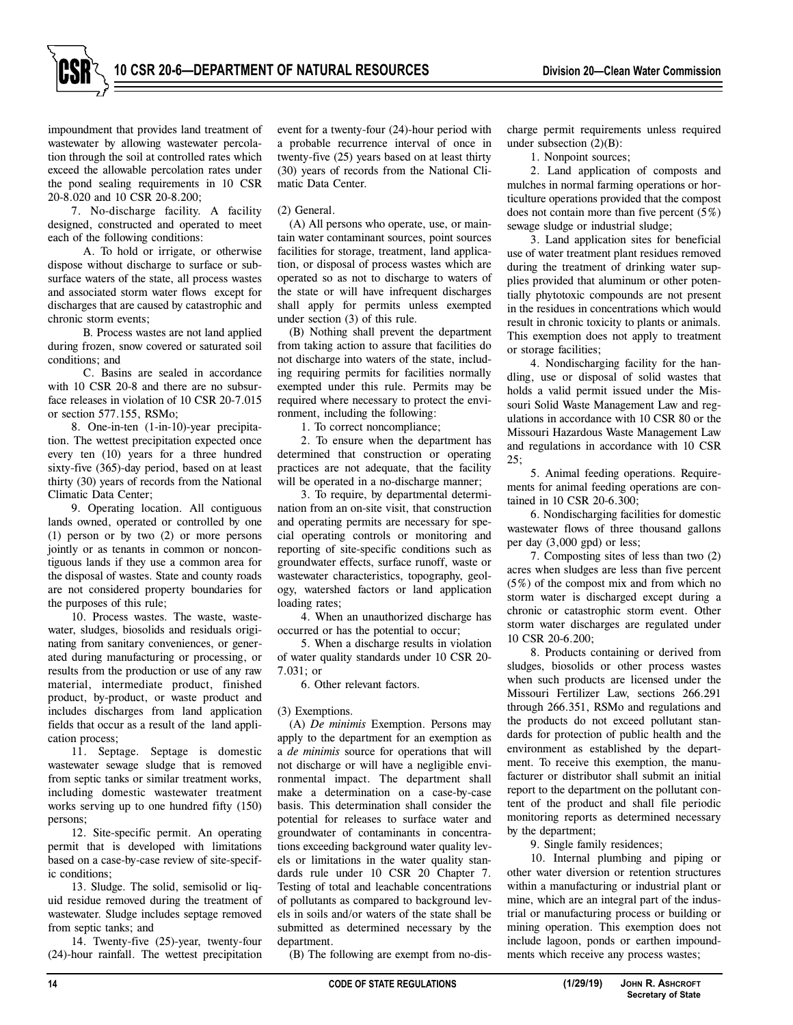impoundment that provides land treatment of wastewater by allowing wastewater percolation through the soil at controlled rates which exceed the allowable percolation rates under the pond sealing requirements in 10 CSR 20-8.020 and 10 CSR 20-8.200;

7. No-discharge facility. A facility designed, constructed and operated to meet each of the following conditions:

A. To hold or irrigate, or otherwise dispose without discharge to surface or subsurface waters of the state, all process wastes and associated storm water flows except for discharges that are caused by catastrophic and chronic storm events;

B. Process wastes are not land applied during frozen, snow covered or saturated soil conditions; and

C. Basins are sealed in accordance with 10 CSR 20-8 and there are no subsurface releases in violation of 10 CSR 20-7.015 or section 577.155, RSMo;

8. One-in-ten (1-in-10)-year precipitation. The wettest precipitation expected once every ten (10) years for a three hundred sixty-five (365)-day period, based on at least thirty (30) years of records from the National Climatic Data Center;

9. Operating location. All contiguous lands owned, operated or controlled by one (1) person or by two (2) or more persons jointly or as tenants in common or noncontiguous lands if they use a common area for the disposal of wastes. State and county roads are not considered property boundaries for the purposes of this rule;

10. Process wastes. The waste, wastewater, sludges, biosolids and residuals originating from sanitary conveniences, or generated during manufacturing or processing, or results from the production or use of any raw material, intermediate product, finished product, by-product, or waste product and includes discharges from land application fields that occur as a result of the land application process;

11. Septage. Septage is domestic wastewater sewage sludge that is removed from septic tanks or similar treatment works, including domestic wastewater treatment works serving up to one hundred fifty (150) persons;

12. Site-specific permit. An operating permit that is developed with limitations based on a case-by-case review of site-specific conditions;

13. Sludge. The solid, semisolid or liquid residue removed during the treatment of wastewater. Sludge includes septage removed from septic tanks; and

14. Twenty-five (25)-year, twenty-four (24)-hour rainfall. The wettest precipitation event for a twenty-four (24)-hour period with a probable recurrence interval of once in twenty-five (25) years based on at least thirty (30) years of records from the National Climatic Data Center.

#### (2) General.

(A) All persons who operate, use, or maintain water contaminant sources, point sources facilities for storage, treatment, land application, or disposal of process wastes which are operated so as not to discharge to waters of the state or will have infrequent discharges shall apply for permits unless exempted under section (3) of this rule.

(B) Nothing shall prevent the department from taking action to assure that facilities do not discharge into waters of the state, including requiring permits for facilities normally exempted under this rule. Permits may be required where necessary to protect the environment, including the following:

1. To correct noncompliance;

2. To ensure when the department has determined that construction or operating practices are not adequate, that the facility will be operated in a no-discharge manner;

3. To require, by departmental determination from an on-site visit, that construction and operating permits are necessary for special operating controls or monitoring and reporting of site-specific conditions such as groundwater effects, surface runoff, waste or wastewater characteristics, topography, geology, watershed factors or land application loading rates;

4. When an unauthorized discharge has occurred or has the potential to occur;

5. When a discharge results in violation of water quality standards under 10 CSR 20- 7.031; or

6. Other relevant factors.

#### (3) Exemptions.

(A) *De minimis* Exemption. Persons may apply to the department for an exemption as a *de minimis* source for operations that will not discharge or will have a negligible environmental impact. The department shall make a determination on a case-by-case basis. This determination shall consider the potential for releases to surface water and ground water of contaminants in concentrations exceeding background water quality levels or limitations in the water quality standards rule under 10 CSR 20 Chapter 7. Testing of total and leachable concentrations of pollutants as compared to background levels in soils and/or waters of the state shall be submitted as determined necessary by the department.

(B) The following are exempt from no-dis-

charge permit requirements unless required under subsection (2)(B):

1. Nonpoint sources;

2. Land application of composts and mulches in normal farming operations or horticulture operations provided that the compost does not contain more than five percent (5%) sewage sludge or industrial sludge;

3. Land application sites for beneficial use of water treatment plant residues removed during the treatment of drinking water supplies provided that aluminum or other potentially phytotoxic compounds are not present in the residues in concentrations which would result in chronic toxicity to plants or animals. This exemption does not apply to treatment or storage facilities;

4. Nondischarging facility for the handling, use or disposal of solid wastes that holds a valid permit issued under the Missouri Solid Waste Management Law and regulations in accordance with 10 CSR 80 or the Missouri Hazardous Waste Management Law and regulations in accordance with 10 CSR  $25:$ 

5. Animal feeding operations. Require ments for animal feeding operations are contained in 10 CSR 20-6.300;

6. Nondischarging facilities for domestic wastewater flows of three thousand gallons per day (3,000 gpd) or less;

7. Composting sites of less than two (2) acres when sludges are less than five percent (5%) of the compost mix and from which no storm water is discharged except during a chronic or catastrophic storm event. Other storm water discharges are regulated under 10 CSR 20-6.200;

8. Products containing or derived from sludges, biosolids or other process wastes when such products are licensed under the Missouri Fertilizer Law, sections 266.291 through 266.351, RSMo and regulations and the products do not exceed pollutant standards for protection of public health and the environment as established by the department. To receive this exemption, the manufacturer or distributor shall submit an initial report to the department on the pollutant content of the product and shall file periodic monitoring reports as determined necessary by the department;

9. Single family residences;

10. Internal plumbing and piping or other water diversion or retention structures within a manufacturing or industrial plant or mine, which are an integral part of the industrial or manufacturing process or building or mining operation. This exemption does not include lagoon, ponds or earthen impoundments which receive any process wastes;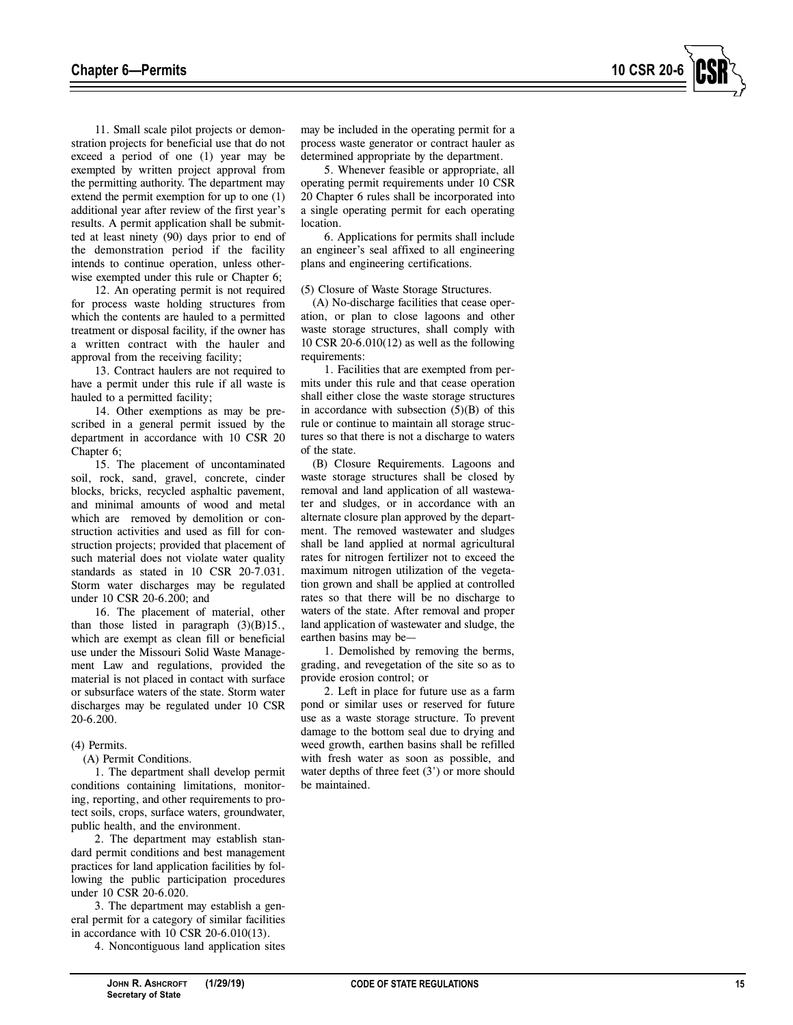11. Small scale pilot projects or demonstration projects for beneficial use that do not exceed a period of one (1) year may be exempted by written project approval from the permitting authority. The department may extend the permit exemption for up to one (1) additional year after review of the first year's results. A permit application shall be submitted at least ninety (90) days prior to end of the demonstration period if the facility intends to continue operation, unless otherwise exempted under this rule or Chapter 6;

12. An operating permit is not required for process waste holding structures from which the contents are hauled to a permitted treatment or disposal facility, if the owner has a written contract with the hauler and approval from the receiving facility;

13. Contract haulers are not required to have a permit under this rule if all waste is hauled to a permitted facility;

14. Other exemptions as may be prescribed in a general permit issued by the department in accordance with 10 CSR 20 Chapter 6;

15. The placement of uncontaminated soil, rock, sand, gravel, concrete, cinder blocks, bricks, recycled asphaltic pavement, and minimal amounts of wood and metal which are removed by demolition or construction activities and used as fill for construction projects; provided that placement of such material does not violate water quality standards as stated in 10 CSR 20-7.031. Storm water discharges may be regulated under 10 CSR 20-6.200; and

16. The placement of material, other than those listed in paragraph  $(3)(B)15$ . which are exempt as clean fill or beneficial use under the Missouri Solid Waste Management Law and regulations, provided the material is not placed in contact with surface or subsurface waters of the state. Storm water discharges may be regulated under 10 CSR 20-6.200.

#### (4) Permits.

(A) Permit Conditions.

1. The department shall develop permit conditions containing limitations, monitoring, reporting, and other requirements to protect soils, crops, surface waters, groundwater, public health, and the environment.

2. The department may establish standard permit conditions and best management practices for land application facilities by following the public participation procedures under 10 CSR 20-6.020.

3. The department may establish a general permit for a category of similar facilities in accordance with 10 CSR 20-6.010(13).

4. Noncontiguous land application sites

may be included in the operating permit for a process waste generator or contract hauler as determined appropriate by the department.

5. Whenever feasible or appropriate, all operating permit requirements under 10 CSR 20 Chapter 6 rules shall be incorporated into a single operating permit for each operating location.

6. Applications for permits shall include an engineer's seal affixed to all engineering plans and engineering certifications.

(5) Closure of Waste Storage Structures.

(A) No-discharge facilities that cease operation, or plan to close lagoons and other waste storage structures, shall comply with 10 CSR 20-6.010(12) as well as the following requirements:

1. Facilities that are exempted from permits under this rule and that cease operation shall either close the waste storage structures in accordance with subsection (5)(B) of this rule or continue to maintain all storage structures so that there is not a discharge to waters of the state.

(B) Closure Requirements. Lagoons and waste storage structures shall be closed by removal and land application of all wastewater and sludges, or in accordance with an alternate closure plan approved by the department. The removed wastewater and sludges shall be land applied at normal agricultural rates for nitrogen fertilizer not to exceed the maximum nitrogen utilization of the vegetation grown and shall be applied at controlled rates so that there will be no discharge to waters of the state. After removal and proper land application of wastewater and sludge, the earthen basins may be—

1. Demolished by removing the berms, grading, and revegetation of the site so as to provide erosion control; or

2. Left in place for future use as a farm pond or similar uses or reserved for future use as a waste storage structure. To prevent damage to the bottom seal due to drying and weed growth, earthen basins shall be refilled with fresh water as soon as possible, and water depths of three feet (3') or more should be maintained.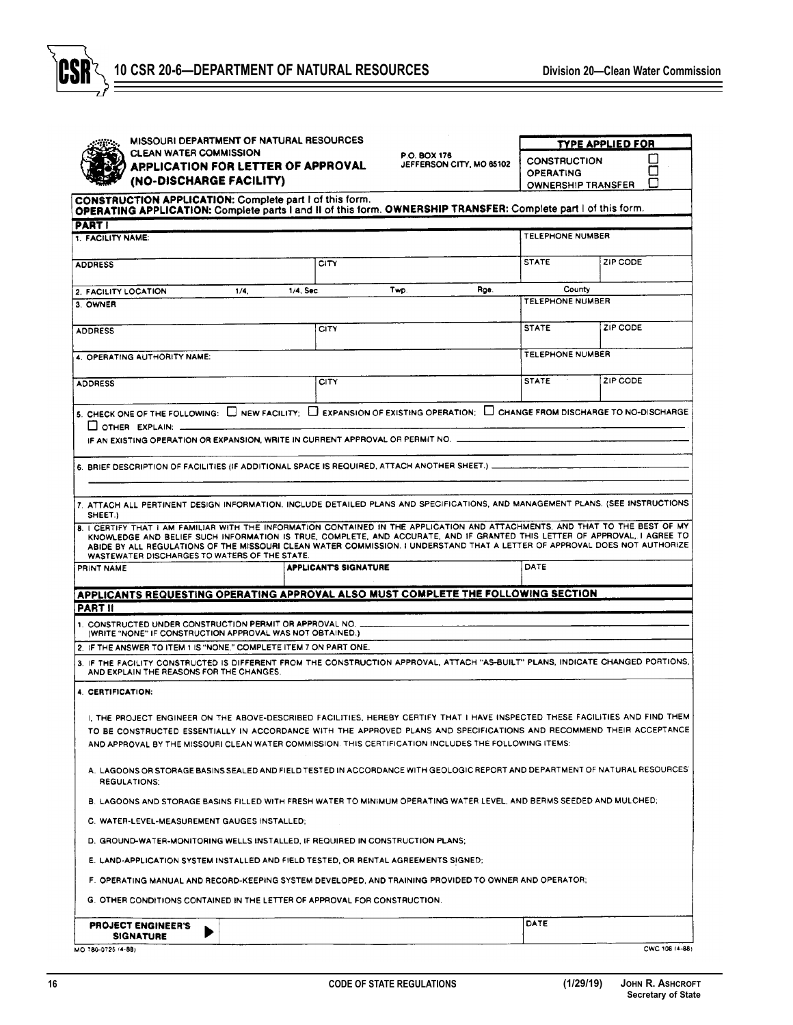

| MISSOURI DEPARTMENT OF NATURAL RESOURCES                                                                                                                                                                                                                                                                                                                                                                                                  | TYPE APPLIED FOR                                                               |      |      |                         |          |
|-------------------------------------------------------------------------------------------------------------------------------------------------------------------------------------------------------------------------------------------------------------------------------------------------------------------------------------------------------------------------------------------------------------------------------------------|--------------------------------------------------------------------------------|------|------|-------------------------|----------|
| <b>CLEAN WATER COMMISSION</b><br>APPLICATION FOR LETTER OF APPROVAL<br>(NO-DISCHARGE FACILITY)                                                                                                                                                                                                                                                                                                                                            | <b>CONSTRUCTION</b><br><b>OPERATING</b><br>$\Box$<br><b>OWNERSHIP TRANSFER</b> |      |      |                         |          |
| <b>CONSTRUCTION APPLICATION: Complete part I of this form.</b><br>OPERATING APPLICATION: Complete parts I and II of this form. OWNERSHIP TRANSFER: Complete part I of this form.                                                                                                                                                                                                                                                          |                                                                                |      |      |                         |          |
| <b>PARTI</b>                                                                                                                                                                                                                                                                                                                                                                                                                              |                                                                                |      |      |                         |          |
| 1. FACILITY NAME:                                                                                                                                                                                                                                                                                                                                                                                                                         |                                                                                |      |      | <b>TELEPHONE NUMBER</b> |          |
| <b>ADDRESS</b>                                                                                                                                                                                                                                                                                                                                                                                                                            | CITY                                                                           |      |      | <b>STATE</b>            | ZIP CODE |
| 2. FACILITY LOCATION<br>1/4.                                                                                                                                                                                                                                                                                                                                                                                                              | 1/4, Sec.                                                                      | Twp. | Rge. | County                  |          |
| 3. OWNER                                                                                                                                                                                                                                                                                                                                                                                                                                  |                                                                                |      |      | TELEPHONE NUMBER        |          |
| <b>ADDRESS</b>                                                                                                                                                                                                                                                                                                                                                                                                                            | <b>CITY</b>                                                                    |      |      | <b>STATE</b>            | ZIP CODE |
| 4. OPERATING AUTHORITY NAME:                                                                                                                                                                                                                                                                                                                                                                                                              |                                                                                |      |      | TELEPHONE NUMBER        |          |
| <b>ADDRESS</b>                                                                                                                                                                                                                                                                                                                                                                                                                            | <b>CITY</b>                                                                    |      |      | <b>STATE</b>            | ZIP CODE |
| 5. CHECK ONE OF THE FOLLOWING: LA EW FACILITY; LA EXPANSION OF EXISTING OPERATION; LA CHANGE FROM DISCHARGE TO NO-DISCHARGE<br>$\Box$ OTHER EXPLAIN: $\Box$<br>IF AN EXISTING OPERATION OR EXPANSION, WRITE IN CURRENT APPROVAL OR PERMIT NO.                                                                                                                                                                                             |                                                                                |      |      |                         |          |
|                                                                                                                                                                                                                                                                                                                                                                                                                                           |                                                                                |      |      |                         |          |
| 6. BRIEF DESCRIPTION OF FACILITIES (IF ADDITIONAL SPACE IS REQUIRED, ATTACH ANOTHER SHEET.)                                                                                                                                                                                                                                                                                                                                               |                                                                                |      |      |                         |          |
| 7. ATTACH ALL PERTINENT DESIGN INFORMATION. INCLUDE DETAILED PLANS AND SPECIFICATIONS, AND MANAGEMENT PLANS. (SEE INSTRUCTIONS<br>SHEET.)                                                                                                                                                                                                                                                                                                 |                                                                                |      |      |                         |          |
| B. I CERTIFY THAT I AM FAMILIAR WITH THE INFORMATION CONTAINED IN THE APPLICATION AND ATTACHMENTS, AND THAT TO THE BEST OF MY<br>KNOWLEDGE AND BELIEF SUCH INFORMATION IS TRUE, COMPLETE, AND ACCURATE, AND IF GRANTED THIS LETTER OF APPROVAL, I AGREE TO<br>ABIDE BY ALL REGULATIONS OF THE MISSOURI CLEAN WATER COMMISSION. I UNDERSTAND THAT A LETTER OF APPROVAL DOES NOT AUTHORIZE<br>WASTEWATER DISCHARGES TO WATERS OF THE STATE. |                                                                                |      |      |                         |          |
| PRINT NAME                                                                                                                                                                                                                                                                                                                                                                                                                                | <b>APPLICANTS SIGNATURE</b>                                                    |      |      | DATE                    |          |
| APPLICANTS REQUESTING OPERATING APPROVAL ALSO MUST COMPLETE THE FOLLOWING SECTION                                                                                                                                                                                                                                                                                                                                                         |                                                                                |      |      |                         |          |
| <b>PART II</b>                                                                                                                                                                                                                                                                                                                                                                                                                            |                                                                                |      |      |                         |          |
| 1. CONSTRUCTED UNDER CONSTRUCTION PERMIT OR APPROVAL NO.<br>(WRITE "NONE" IF CONSTRUCTION APPROVAL WAS NOT OBTAINED.)                                                                                                                                                                                                                                                                                                                     |                                                                                |      |      |                         |          |
| 2. IF THE ANSWER TO ITEM 1 IS "NONE," COMPLETE ITEM 7 ON PART ONE.                                                                                                                                                                                                                                                                                                                                                                        |                                                                                |      |      |                         |          |
| 3. IF THE FACILITY CONSTRUCTED IS DIFFERENT FROM THE CONSTRUCTION APPROVAL, ATTACH "AS-BUILT" PLANS, INDICATE CHANGED PORTIONS,<br>AND EXPLAIN THE REASONS FOR THE CHANGES.                                                                                                                                                                                                                                                               |                                                                                |      |      |                         |          |
| 4. CERTIFICATION:                                                                                                                                                                                                                                                                                                                                                                                                                         |                                                                                |      |      |                         |          |
| I. THE PROJECT ENGINEER ON THE ABOVE-DESCRIBED FACILITIES, HEREBY CERTIFY THAT I HAVE INSPECTED THESE FACILITIES AND FIND THEM<br>TO BE CONSTRUCTED ESSENTIALLY IN ACCORDANCE WITH THE APPROVED PLANS AND SPECIFICATIONS AND RECOMMEND THEIR ACCEPTANCE<br>AND APPROVAL BY THE MISSOURI CLEAN WATER COMMISSION. THIS CERTIFICATION INCLUDES THE FOLLOWING ITEMS:                                                                          |                                                                                |      |      |                         |          |
| A. LAGOONS OR STORAGE BASINS SEALED AND FIELD TESTED IN ACCORDANCE WITH GEOLOGIC REPORT AND DEPARTMENT OF NATURAL RESOURCES'<br>REGULATIONS:                                                                                                                                                                                                                                                                                              |                                                                                |      |      |                         |          |
| B. LAGOONS AND STORAGE BASINS FILLED WITH FRESH WATER TO MINIMUM OPERATING WATER LEVEL, AND BERMS SEEDED AND MULCHED:                                                                                                                                                                                                                                                                                                                     |                                                                                |      |      |                         |          |
| C. WATER-LEVEL-MEASUREMENT GAUGES INSTALLED;                                                                                                                                                                                                                                                                                                                                                                                              |                                                                                |      |      |                         |          |
| D. GROUND-WATER-MONITORING WELLS INSTALLED, IF REQUIRED IN CONSTRUCTION PLANS,                                                                                                                                                                                                                                                                                                                                                            |                                                                                |      |      |                         |          |
| E. LAND-APPLICATION SYSTEM INSTALLED AND FIELD TESTED, OR RENTAL AGREEMENTS SIGNED;                                                                                                                                                                                                                                                                                                                                                       |                                                                                |      |      |                         |          |
| F. OPERATING MANUAL AND RECORD-KEEPING SYSTEM DEVELOPED, AND TRAINING PROVIDED TO OWNER AND OPERATOR;                                                                                                                                                                                                                                                                                                                                     |                                                                                |      |      |                         |          |
| G. OTHER CONDITIONS CONTAINED IN THE LETTER OF APPROVAL FOR CONSTRUCTION.                                                                                                                                                                                                                                                                                                                                                                 |                                                                                |      |      |                         |          |
| <b>PROJECT ENGINEER'S</b><br><b>SIGNATURE</b>                                                                                                                                                                                                                                                                                                                                                                                             |                                                                                |      |      | DATE                    |          |

MO 780-0725 (4-88)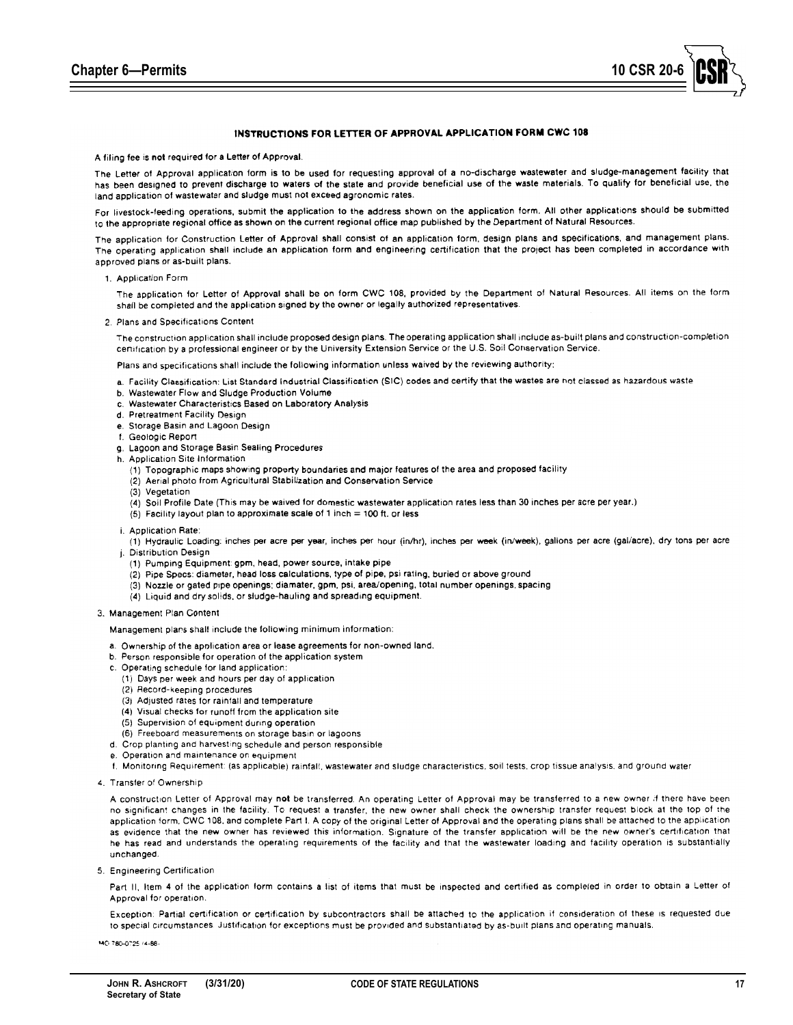

## INSTRUCTIONS FOR LETTER OF APPROVAL APPLICATION FORM CWC 108

A filing fee is not required for a Letter of Approval.

The Letter of Approval application form is to be used for requesting approval of a no-discharge wastewater and sludge-management facility that has been designed to prevent discharge to waters of the state and provide beneficial use of the waste materials. To qualify for beneficial use, the land application of wastewater and sludge must not exceed agronomic rates.

For livestock-feeding operations, submit the application to the address shown on the application form. All other applications should be submitted to the appropriate regional office as shown on the current regional office map published by the Department of Natural Resources.

The application for Construction Letter of Approval shall consist of an application form, design plans and specifications, and management plans. The operating application shall include an application form and engineering certification that the project has been completed in accordance with approved plans or as-built plans.

1. Application Form

The application for Letter of Approval shall be on form CWC 108, provided by the Department of Natural Resources. All items on the form shall be completed and the application signed by the owner or legally authorized representatives.

2. Plans and Specifications Content

The construction application shall include proposed design plans. The operating application shall include as-built plans and construction-completion certification by a professional engineer or by the University Extension Service or the U.S. Soil Conservation Service.

Plans and specifications shall include the following information unless waived by the reviewing authority:

- a. Facility Classification: List Standard Industrial Classification (SIC) codes and certify that the wastes are not classed as hazardous waste
- b. Wastewater Flow and Sludge Production Volume
- c. Wastewater Characteristics Based on Laboratory Analysis
- d. Pretreatment Facility Design
- e. Storage Basin and Lagoon Design
- f. Geologic Report
- g. Lagoon and Storage Basin Sealing Procedures
- h. Application Site Information
	- (1) Topographic maps showing property boundaries and major features of the area and proposed facility
	- (2) Aerial photo from Agricultural Stabilization and Conservation Service
	- (3) Vegetation
	- (4) Soil Profile Date (This may be waived for domestic wastewater application rates less than 30 inches per acre per year.)
	- (5) Facility layout plan to approximate scale of 1 inch = 100 ft. or less
- i. Application Rate:
- (1) Hydraulic Loading: inches per acre per year, inches per hour (in/hr), inches per week (in/week), gallons per acre (gal/acre), dry tons per acre i. Distribution Design
- (1) Pumping Equipment: gpm, head, power source, intake pipe
- (2) Pipe Specs: diameter, head loss calculations, type of pipe, psi rating, buried or above ground
- (3) Nozzle or gated pipe openings; diamater, gpm, psi, area/opening, total number openings, spacing
- (4) Liquid and dry solids, or sludge-hauling and spreading equipment.
- 3. Management Plan Content

Management plans shall include the following minimum information:

- a. Ownership of the application area or lease agreements for non-owned land.
- b. Person responsible for operation of the application system
- c. Operating schedule for land application:
	- (1) Days per week and hours per day of application
	- (2) Record-keeping procedures
	- (3) Adjusted rates for rainfall and temperature
	- (4) Visual checks for runoff from the application site
	- (5) Supervision of equipment during operation
- (6) Freeboard measurements on storage basin or lagoons
- d. Crop planting and harvesting schedule and person responsible
- e. Operation and maintenance on equipment
- f. Monitoring Requirement: (as applicable) rainfall, wastewater and sludge characteristics, soil tests, crop tissue analysis, and ground water
- 4. Transfer of Ownership

A construction Letter of Approval may not be transferred. An operating Letter of Approval may be transferred to a new owner if there have been no significant changes in the facility. To request a transfer, the new owner shall check the ownership transfer request block at the top of the application form, CWC 108, and complete Part I. A copy of the original Letter of Approval and the operating plans shall be attached to the application as evidence that the new owner has reviewed this information. Signature of the transfer application will be the new owner's certification that he has read and understands the operating requirements of the facility and that the wastewater loading and facility operation is substantially unchanged.

5. Engineering Certification

Part II. Item 4 of the application form contains a list of items that must be inspected and certified as completed in order to obtain a Letter of Approval for operation.

Exception: Partial certification or certification by subcontractors shall be attached to the application if consideration of these is requested due to special circumstances. Justification for exceptions must be provided and substantiated by as-built plans and operating manuals.

MO 780-0725 (4-88)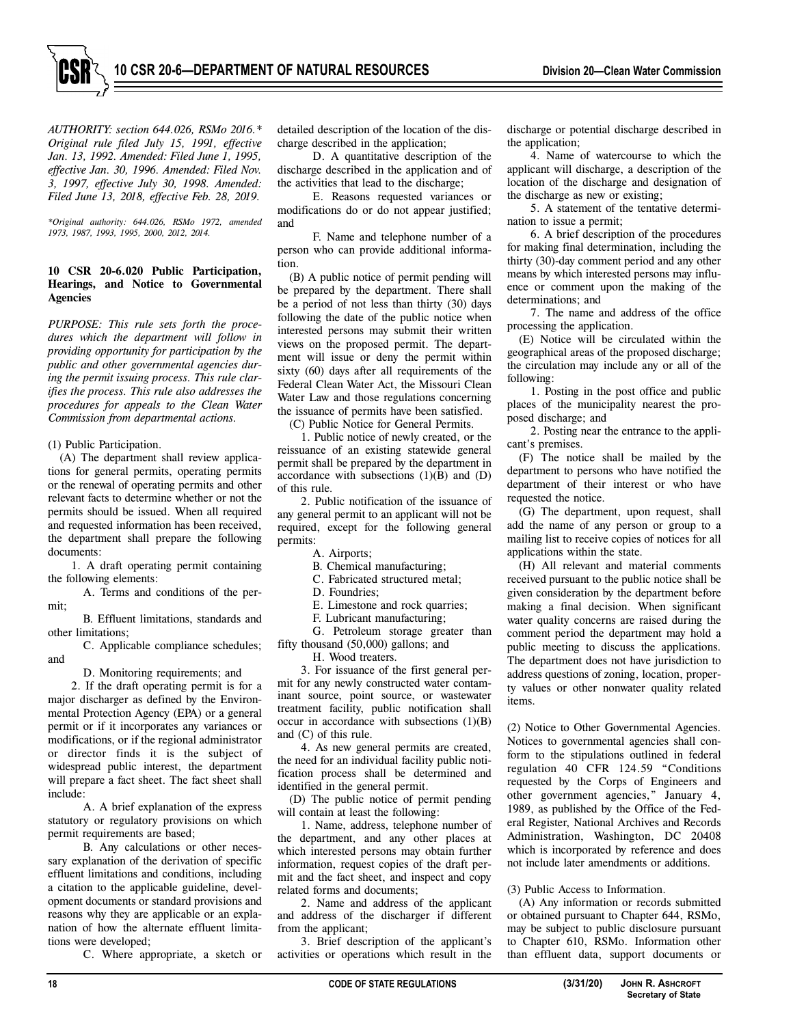

*AUTHORITY: section 644.026, RSMo 2016.\* Original rule filed July 15, 1991, effective Jan. 13, 1992. Amended: Filed June 1, 1995, effective Jan. 30, 1996. Amended: Filed Nov. 3, 1997, effective July 30, 1998. Amended: Filed June 13, 2018, effective Feb. 28, 2019.* 

*\*Original authority: 644.026, RSMo 1972, amended 1973, 1987, 1993, 1995, 2000, 2012, 2014.* 

#### **10 CSR 20-6.020 Public Participation, Hearings, and Notice to Governmental Agencies**

*PURPOSE: This rule sets forth the procedures which the department will follow in providing opportunity for participation by the public and other governmental agencies during the permit issuing process. This rule clarifies the process. This rule also addresses the procedures for appeals to the Clean Water Commission from departmental actions.* 

(1) Public Participation.

(A) The department shall review applications for general permits, operating permits or the renewal of operating permits and other relevant facts to determine whether or not the permits should be issued. When all required and requested information has been received, the department shall prepare the following documents:

1. A draft operating permit containing the following elements:

A. Terms and conditions of the permit;

B. Effluent limitations, standards and other limitations;

C. Applicable compliance schedules; and

D. Monitoring requirements; and

2. If the draft operating permit is for a major discharger as defined by the Environmental Protection Agency (EPA) or a general permit or if it incorporates any variances or modifications, or if the regional administrator or director finds it is the subject of widespread public interest, the department will prepare a fact sheet. The fact sheet shall include:

A. A brief explanation of the express statutory or regulatory provisions on which permit requirements are based;

B. Any calculations or other necessary explanation of the derivation of specific effluent limitations and conditions, including a citation to the applicable guideline, development documents or standard provisions and reasons why they are applicable or an explanation of how the alternate effluent limitations were developed;

C. Where appropriate, a sketch or

detailed description of the location of the discharge described in the application;

D. A quantitative description of the discharge described in the application and of the activities that lead to the discharge;

E. Reasons requested variances or modifications do or do not appear justified; and

F. Name and telephone number of a person who can provide additional information.

(B) A public notice of permit pending will be prepared by the department. There shall be a period of not less than thirty (30) days following the date of the public notice when interested persons may submit their written views on the proposed permit. The department will issue or deny the permit within sixty (60) days after all requirements of the Federal Clean Water Act, the Missouri Clean Water Law and those regulations concerning the issuance of permits have been satisfied.

(C) Public Notice for General Permits.

1. Public notice of newly created, or the reissuance of an existing statewide general permit shall be prepared by the department in accordance with subsections  $(1)(\overline{B})$  and  $(D)$ of this rule.

2. Public notification of the issuance of any general permit to an applicant will not be required, except for the following general permits:

A. Airports;

B. Chemical manufacturing;

C. Fabricated structured metal;

D. Foundries:

E. Limestone and rock quarries;

F. Lubricant manufacturing;

G. Petroleum storage greater than fifty thousand (50,000) gallons; and H. Wood treaters.

3. For issuance of the first general permit for any newly constructed water contaminant source, point source, or wastewater treatment facility, public notification shall occur in accordance with subsections (1)(B) and (C) of this rule.

4. As new general permits are created, the need for an individual facility public notification process shall be determined and identified in the general permit.

(D) The public notice of permit pending will contain at least the following:

1. Name, address, telephone number of the department, and any other places at which interested persons may obtain further information, request copies of the draft permit and the fact sheet, and inspect and copy related forms and documents;

2. Name and address of the applicant and address of the discharger if different from the applicant;

3. Brief description of the applicant's activities or operations which result in the

discharge or potential discharge described in the application;

4. Name of watercourse to which the applicant will discharge, a description of the location of the discharge and designation of the discharge as new or existing;

5. A statement of the tentative determination to issue a permit;

6. A brief description of the procedures for making final determination, including the thirty (30)-day comment period and any other means by which interested persons may influence or comment upon the making of the determinations; and

7. The name and address of the office processing the application.

(E) Notice will be circulated within the geographical areas of the proposed discharge; the circulation may include any or all of the following:

1. Posting in the post office and public places of the municipality nearest the proposed discharge; and

2. Posting near the entrance to the applicant's premises.

(F) The notice shall be mailed by the department to persons who have notified the department of their interest or who have requested the notice.

(G) The department, upon request, shall add the name of any person or group to a mailing list to receive copies of notices for all applications within the state.

(H) All relevant and material comments received pursuant to the public notice shall be given consideration by the department before making a final decision. When significant water quality concerns are raised during the comment period the department may hold a public meeting to discuss the applications. The department does not have jurisdiction to address questions of zoning, location, property values or other nonwater quality related items.

(2) Notice to Other Governmental Agencies. Notices to governmental agencies shall conform to the stipulations outlined in federal regulation 40 CFR 124.59 "Conditions requested by the Corps of Engineers and other government agencies," January 4, 1989, as published by the Office of the Federal Register, National Archives and Records Administration, Washington, DC 20408 which is incorporated by reference and does not include later amendments or additions.

(3) Public Access to Information.

(A) Any information or records submitted or obtained pursuant to Chapter 644, RSMo, may be subject to public disclosure pursuant to Chapter 610, RSMo. Information other than effluent data, support documents or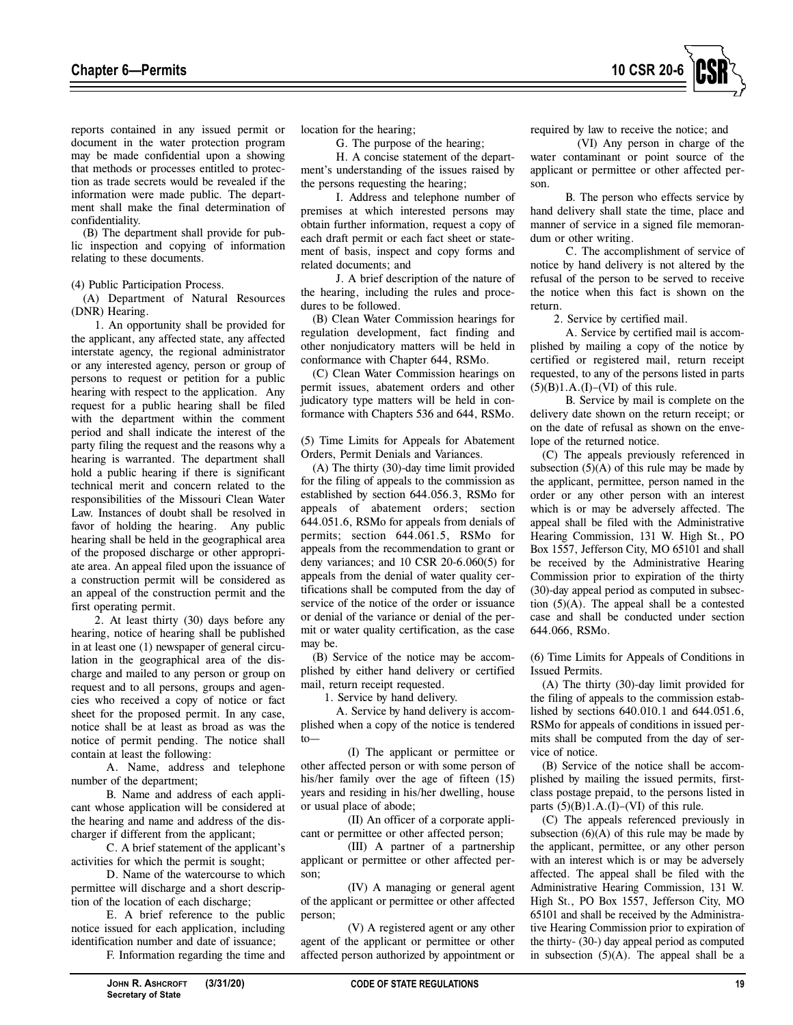

reports contained in any issued permit or document in the water protection program may be made confidential upon a showing that methods or processes entitled to protection as trade secrets would be revealed if the information were made public. The department shall make the final determination of confidentiality.

(B) The department shall provide for public inspection and copying of information relating to these documents.

(4) Public Participation Process.

(A) Department of Natural Resources (DNR) Hearing.

1. An opportunity shall be provided for the applicant, any affected state, any affected interstate agency, the regional administrator or any interested agency, person or group of persons to request or petition for a public hearing with respect to the application. Any request for a public hearing shall be filed with the department within the comment period and shall indicate the interest of the party filing the request and the reasons why a hearing is warranted. The department shall hold a public hearing if there is significant technical merit and concern related to the responsibilities of the Missouri Clean Water Law. Instances of doubt shall be resolved in favor of holding the hearing. Any public hearing shall be held in the geographical area of the proposed discharge or other appropriate area. An appeal filed upon the issuance of a construction permit will be considered as an appeal of the construction permit and the first operating permit.

2. At least thirty (30) days before any hearing, notice of hearing shall be published in at least one (1) newspaper of general circulation in the geographical area of the discharge and mailed to any person or group on request and to all persons, groups and agencies who received a copy of notice or fact sheet for the proposed permit. In any case, notice shall be at least as broad as was the notice of permit pending. The notice shall contain at least the following:

A. Name, address and telephone number of the department;

B. Name and address of each applicant whose application will be considered at the hearing and name and address of the discharger if different from the applicant;

C. A brief statement of the applicant's activities for which the permit is sought;

D. Name of the watercourse to which permittee will discharge and a short description of the location of each discharge;

E. A brief reference to the public notice issued for each application, including identification number and date of issuance;

F. Information regarding the time and

location for the hearing;

G. The purpose of the hearing;

H. A concise statement of the department's understanding of the issues raised by the persons requesting the hearing;

I. Address and telephone number of premises at which interested persons may obtain further information, request a copy of each draft permit or each fact sheet or statement of basis, inspect and copy forms and related documents; and

J. A brief description of the nature of the hearing, including the rules and procedures to be followed.

(B) Clean Water Commission hearings for regulation development, fact finding and other nonjudicatory matters will be held in conformance with Chapter 644, RSMo.

(C) Clean Water Commission hearings on permit issues, abatement orders and other judicatory type matters will be held in conformance with Chapters 536 and 644, RSMo.

(5) Time Limits for Appeals for Abatement Orders, Permit Denials and Variances.

(A) The thirty (30)-day time limit provided for the filing of appeals to the commission as established by section 644.056.3, RSMo for appeals of abatement orders; section 644.051.6, RSMo for appeals from denials of permits; section 644.061.5, RSMo for appeals from the recommendation to grant or deny variances; and 10 CSR 20-6.060(5) for appeals from the denial of water quality certifications shall be computed from the day of service of the notice of the order or issuance or denial of the variance or denial of the permit or water quality certification, as the case may be.

(B) Service of the notice may be accomplished by either hand delivery or certified mail, return receipt requested.

1. Service by hand delivery.

A. Service by hand delivery is accomplished when a copy of the notice is tendered to—

(I) The applicant or permittee or other affected person or with some person of his/her family over the age of fifteen (15) years and residing in his/her dwelling, house or usual place of abode;

(II) An officer of a corporate applicant or permittee or other affected person;

(III) A partner of a partnership applicant or permittee or other affected person;

(IV) A managing or general agent of the applicant or permittee or other affected person;

(V) A registered agent or any other agent of the applicant or permittee or other affected person authorized by appointment or required by law to receive the notice; and

(VI) Any person in charge of the water contaminant or point source of the applicant or permittee or other affected person.

B. The person who effects service by hand delivery shall state the time, place and manner of service in a signed file memorandum or other writing.

C. The accomplishment of service of notice by hand delivery is not altered by the refusal of the person to be served to receive the notice when this fact is shown on the return.

2. Service by certified mail.

A. Service by certified mail is accomplished by mailing a copy of the notice by certified or registered mail, return receipt requested, to any of the persons listed in parts  $(5)(B)1.A.(I)–(VI)$  of this rule.

B. Service by mail is complete on the delivery date shown on the return receipt; or on the date of refusal as shown on the envelope of the returned notice.

(C) The appeals previously referenced in subsection  $(5)(A)$  of this rule may be made by the applicant, permittee, person named in the order or any other person with an interest which is or may be adversely affected. The appeal shall be filed with the Administrative Hearing Commission, 131 W. High St., PO Box 1557, Jefferson City, MO 65101 and shall be received by the Administrative Hearing Commission prior to expiration of the thirty (30)-day appeal period as computed in subsection (5)(A). The appeal shall be a contested case and shall be conducted under section 644.066, RSMo.

(6) Time Limits for Appeals of Conditions in Issued Permits.

(A) The thirty (30)-day limit provided for the filing of appeals to the commission established by sections 640.010.1 and 644.051.6, RSMo for appeals of conditions in issued permits shall be computed from the day of service of notice.

(B) Service of the notice shall be accomplished by mailing the issued permits, firstclass postage prepaid, to the persons listed in parts  $(5)(B)1.A.(I)–(VI)$  of this rule.

(C) The appeals referenced previously in subsection  $(6)(A)$  of this rule may be made by the applicant, permittee, or any other person with an interest which is or may be adversely affected. The appeal shall be filed with the Administrative Hearing Commission, 131 W. High St., PO Box 1557, Jefferson City, MO 65101 and shall be received by the Administrative Hearing Commission prior to expiration of the thirty- (30-) day appeal period as computed in subsection  $(5)(A)$ . The appeal shall be a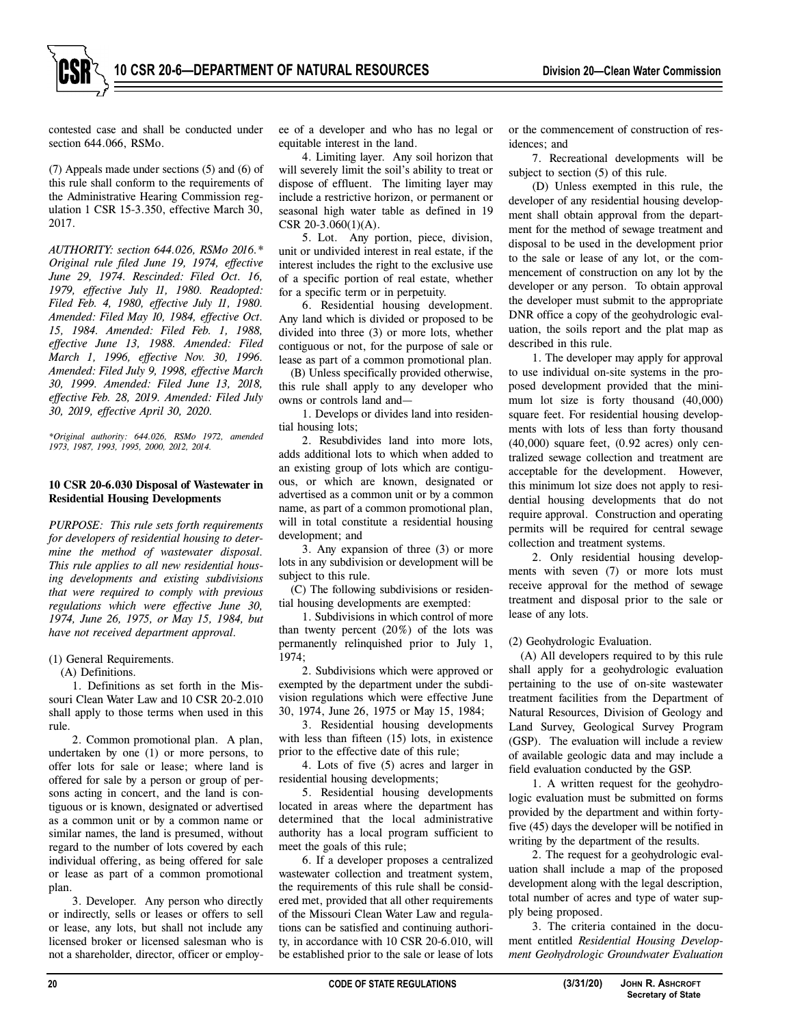contested case and shall be conducted under section 644.066, RSMo.

(7) Appeals made under sections (5) and (6) of this rule shall conform to the requirements of the Administrative Hearing Commission regulation 1 CSR 15-3.350, effective March 30, 2017.

*AUTHORITY: section 644.026, RSMo 2016.\* Original rule filed June 19, 1974, effective June 29, 1974. Rescinded: Filed Oct. 16, 1979, effective July 11, 1980. Readopted: Filed Feb. 4, 1980, effective July 11, 1980. Amended: Filed May 10, 1984, effective Oct. 15, 1984. Amended: Filed Feb. 1, 1988, effective June 13, 1988. Amended: Filed March 1, 1996, effective Nov. 30, 1996. Amended: Filed July 9, 1998, effective March 30, 1999. Amended: Filed June 13, 2018, effective Feb. 28, 2019. Amended: Filed July 30, 2019, effective April 30, 2020.* 

*\*Original authority: 644.026, RSMo 1972, amended 1973, 1987, 1993, 1995, 2000, 2012, 2014.* 

#### **10 CSR 20-6.030 Disposal of Wastewater in Residential Housing Developments**

*PURPOSE: This rule sets forth requirements for developers of residential housing to determine the method of wastewater disposal. This rule applies to all new residential housing developments and existing subdivisions that were required to comply with previous regulations which were effective June 30, 1974, June 26, 1975, or May 15, 1984, but have not received department approval.* 

#### (1) General Requirements.

(A) Definitions.

1. Definitions as set forth in the Missouri Clean Water Law and 10 CSR 20-2.010 shall apply to those terms when used in this rule.

2. Common promotional plan. A plan, undertaken by one (1) or more persons, to offer lots for sale or lease; where land is offered for sale by a person or group of persons acting in concert, and the land is contiguous or is known, designated or advertised as a common unit or by a common name or similar names, the land is presumed, without regard to the number of lots covered by each individual offering, as being offered for sale or lease as part of a common promotional plan.

3. Developer. Any person who directly or indirectly, sells or leases or offers to sell or lease, any lots, but shall not include any licensed broker or licensed salesman who is not a shareholder, director, officer or employee of a developer and who has no legal or equitable interest in the land.

4. Limiting layer. Any soil horizon that will severely limit the soil's ability to treat or dispose of effluent. The limiting layer may include a restrictive horizon, or permanent or seasonal high water table as defined in 19 CSR 20-3.060(1)(A).

5. Lot. Any portion, piece, division, unit or undivided interest in real estate, if the interest includes the right to the exclusive use of a specific portion of real estate, whether for a specific term or in perpetuity.

6. Residential housing development. Any land which is divided or proposed to be divided into three (3) or more lots, whether contiguous or not, for the purpose of sale or lease as part of a common promotional plan.

(B) Unless specifically provided otherwise, this rule shall apply to any developer who owns or controls land and—

1. Develops or divides land into residential housing lots;

2. Resubdivides land into more lots, adds additional lots to which when added to an existing group of lots which are contiguous, or which are known, designated or advertised as a common unit or by a common name, as part of a common promotional plan, will in total constitute a residential housing development; and

3. Any expansion of three (3) or more lots in any subdivision or development will be subject to this rule.

(C) The following subdivisions or residential housing developments are exempted:

1. Subdivisions in which control of more than twenty percent  $(20\%)$  of the lots was permanently relinquished prior to July 1, 1974;

2. Subdivisions which were approved or exempted by the department under the subdivision regulations which were effective June 30, 1974, June 26, 1975 or May 15, 1984;

3. Residential housing developments with less than fifteen (15) lots, in existence prior to the effective date of this rule;

4. Lots of five (5) acres and larger in residential housing developments;

5. Residential housing developments located in areas where the department has determined that the local administrative authority has a local program sufficient to meet the goals of this rule;

6. If a developer proposes a centralized wastewater collection and treatment system, the requirements of this rule shall be considered met, provided that all other requirements of the Missouri Clean Water Law and regulations can be satisfied and continuing authority, in accordance with 10 CSR 20-6.010, will be established prior to the sale or lease of lots or the commencement of construction of residences; and

7. Recreational developments will be subject to section (5) of this rule.

(D) Unless exempted in this rule, the developer of any residential housing development shall obtain approval from the department for the method of sewage treatment and disposal to be used in the development prior to the sale or lease of any lot, or the commencement of construction on any lot by the developer or any person. To obtain approval the developer must submit to the appropriate DNR office a copy of the geohydrologic evaluation, the soils report and the plat map as described in this rule.

1. The developer may apply for approval to use individual on-site systems in the proposed development provided that the minimum lot size is forty thousand (40,000) square feet. For residential housing developments with lots of less than forty thousand  $(40,000)$  square feet,  $(0.92 \text{ acres})$  only centralized sewage collection and treatment are acceptable for the development. However, this minimum lot size does not apply to residential housing developments that do not require approval.Construction and operating permits will be required for central sewage collection and treatment systems.

2. Only residential housing developments with seven (7) or more lots must receive approval for the method of sewage treatment and disposal prior to the sale or lease of any lots.

(2) Geohydrologic Evaluation.

(A) All developers required to by this rule shall apply for a geohydrologic evaluation pertaining to the use of on-site wastewater treatment facilities from the Department of Natural Resources, Division of Geology and Land Survey, Geological Survey Program (GSP). The evaluation will include a review of available geologic data and may include a field evaluation conducted by the GSP.

1. A written request for the geohydrologic evaluation must be submitted on forms provided by the department and within fortyfive (45) days the developer will be notified in writing by the department of the results.

2. The request for a geohydrologic evaluation shall include a map of the proposed development along with the legal description, total number of acres and type of water supply being proposed.

3. The criteria contained in the document entitled *Residential Housing Development Geohydrologic Groundwater Evaluation*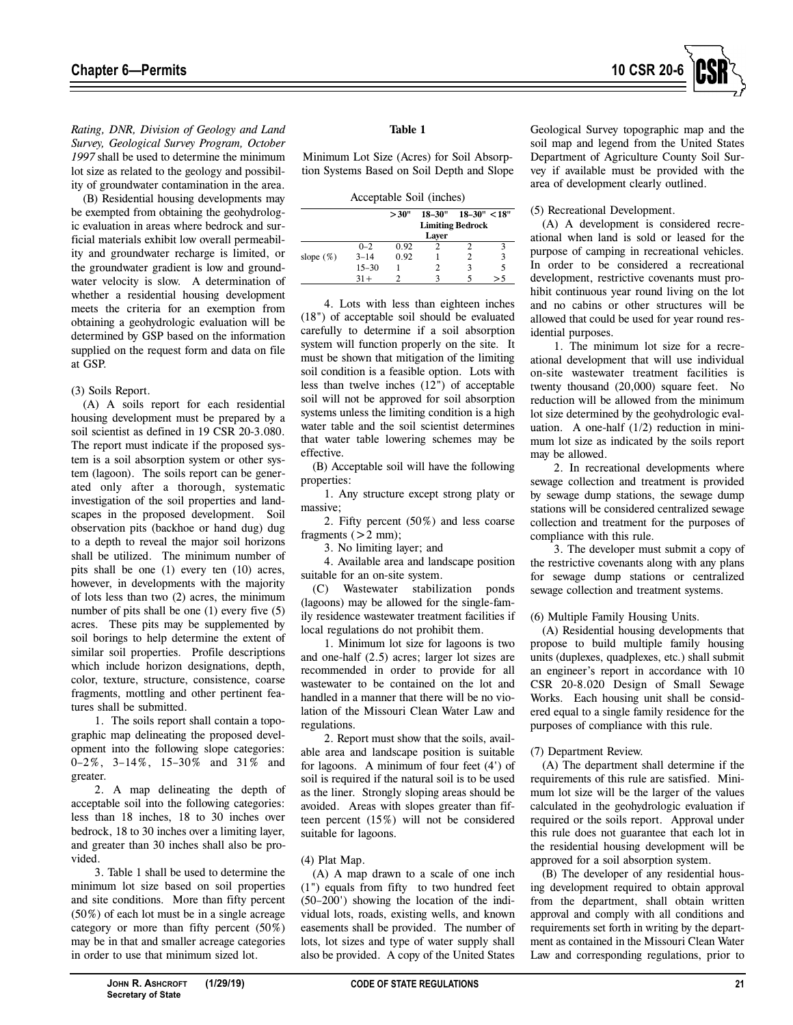

*Rating, DNR, Division of Geology and Land Survey, Geological Survey Program, October 1997* shall be used to determine the minimum lot size as related to the geology and possibility of groundwater contamination in the area.

(B) Residential housing developments may be exempted from obtaining the geohydrologic evaluation in areas where bedrock and surficial materials exhibit low overall permeability and groundwater recharge is limited, or the groundwater gradient is low and groundwater velocity is slow. A determination of whether a residential housing development meets the criteria for an exemption from obtaining a geohydrologic evaluation will be determined by GSP based on the information supplied on the request form and data on file at GSP.

#### (3) Soils Report.

(A) A soils report for each residential housing development must be prepared by a soil scientist as defined in 19 CSR 20-3.080. The report must indicate if the proposed system is a soil absorption system or other system (lagoon). The soils report can be generated only after a thorough, systematic investigation of the soil properties and landscapes in the proposed development. Soil observation pits (backhoe or hand dug) dug to a depth to reveal the major soil horizons shall be utilized. The minimum number of pits shall be one (1) every ten (10) acres, however, in developments with the majority of lots less than two (2) acres, the minimum number of pits shall be one (1) every five (5) acres. These pits may be supplemented by soil borings to help determine the extent of similar soil properties. Profile descriptions which include horizon designations, depth, color, texture, structure, consistence, coarse fragments, mottling and other pertinent features shall be submitted.

1. The soils report shall contain a topographic map delineating the proposed development into the following slope categories: 0–2%, 3–14%, 15–30% and 31% and greater.

2. A map delineating the depth of acceptable soil into the following categories: less than 18 inches, 18 to 30 inches over bedrock, 18 to 30 inches over a limiting layer, and greater than 30 inches shall also be provided.

3. Table 1 shall be used to determine the minimum lot size based on soil properties and site conditions. More than fifty percent (50%) of each lot must be in a single acreage category or more than fifty percent (50%) may be in that and smaller acreage categories in order to use that minimum sized lot.

#### **Table 1**

Minimum Lot Size (Acres) for Soil Absorption Systems Based on Soil Depth and Slope

Acceptable Soil (inches)

|              |           | >30" | $18-30"$ $18-30"$ < $18"$ |    |
|--------------|-----------|------|---------------------------|----|
|              |           |      | <b>Limiting Bedrock</b>   |    |
|              |           |      | Laver                     |    |
|              | $0 - 2$   | 0.92 |                           |    |
| slope $(\%)$ | $3 - 14$  | 0.92 |                           |    |
|              | $15 - 30$ |      |                           |    |
|              | $31 +$    |      |                           | >5 |

4. Lots with less than eighteen inches (18") of acceptable soil should be evaluated carefully to determine if a soil absorption system will function properly on the site. It must be shown that mitigation of the limiting soil condition is a feasible option. Lots with less than twelve inches (12") of acceptable soil will not be approved for soil absorption systems unless the limiting condition is a high water table and the soil scientist determines that water table lowering schemes may be effective.

(B) Acceptable soil will have the following properties:

1. Any structure except strong platy or massive;

2. Fifty percent (50%) and less coarse fragments  $(>2$  mm);

3. No limiting layer; and

4. Available area and landscape position suitable for an on-site system.

(C) Wastewater stabilization ponds (lagoons) may be allowed for the single-family residence wastewater treatment facilities if local regulations do not prohibit them.

1. Minimum lot size for lagoons is two and one-half (2.5) acres; larger lot sizes are recommended in order to provide for all wastewater to be contained on the lot and handled in a manner that there will be no violation of the Missouri Clean Water Law and regulations.

2. Report must show that the soils, available area and landscape position is suitable for lagoons. A minimum of four feet (4') of soil is required if the natural soil is to be used as the liner. Strongly sloping areas should be avoided. Areas with slopes greater than fifteen percent (15%) will not be considered suitable for lagoons.

#### (4) Plat Map.

(A) A map drawn to a scale of one inch (1") equals from fifty to two hundred feet (50–200') showing the location of the individual lots, roads, existing wells, and known easements shall be provided. The number of lots, lot sizes and type of water supply shall also be provided. A copy of the United States

Geological Survey topographic map and the soil map and legend from the United States Department of Agriculture County Soil Survey if available must be provided with the area of development clearly outlined.

#### (5) Recreational Development.

(A) A development is considered recreational when land is sold or leased for the purpose of camping in recreational vehicles. In order to be considered a recreational development, restrictive covenants must prohibit continuous year round living on the lot and no cabins or other structures will be allowed that could be used for year round residential purposes.

1. The minimum lot size for a recreational development that will use individual on-site wastewater treatment facilities is twenty thousand (20,000) square feet. No reduction will be allowed from the minimum lot size determined by the geohydrologic evaluation. A one-half  $(1/2)$  reduction in minimum lot size as indicated by the soils report may be allowed.

2. In recreational developments where sewage collection and treatment is provided by sewage dump stations, the sewage dump stations will be considered centralized sewage collection and treatment for the purposes of compliance with this rule.

3. The developer must submit a copy of the restrictive covenants along with any plans for sewage dump stations or centralized sewage collection and treatment systems.

#### (6) Multiple Family Housing Units.

(A) Residential housing developments that propose to build multiple family housing units (duplexes, quadplexes, etc.) shall submit an engineer's report in accordance with 10 CSR 20-8.020 Design of Small Sewage Works. Each housing unit shall be considered equal to a single family residence for the purposes of compliance with this rule.

#### (7) Department Review.

(A) The department shall determine if the requirements of this rule are satisfied. Minimum lot size will be the larger of the values calculated in the geohydrologic evaluation if required or the soils report. Approval under this rule does not guarantee that each lot in the residential housing development will be approved for a soil absorption system.

(B) The developer of any residential housing development required to obtain approval from the department, shall obtain written approval and comply with all conditions and requirements set forth in writing by the department as contained in the Missouri Clean Water Law and corresponding regulations, prior to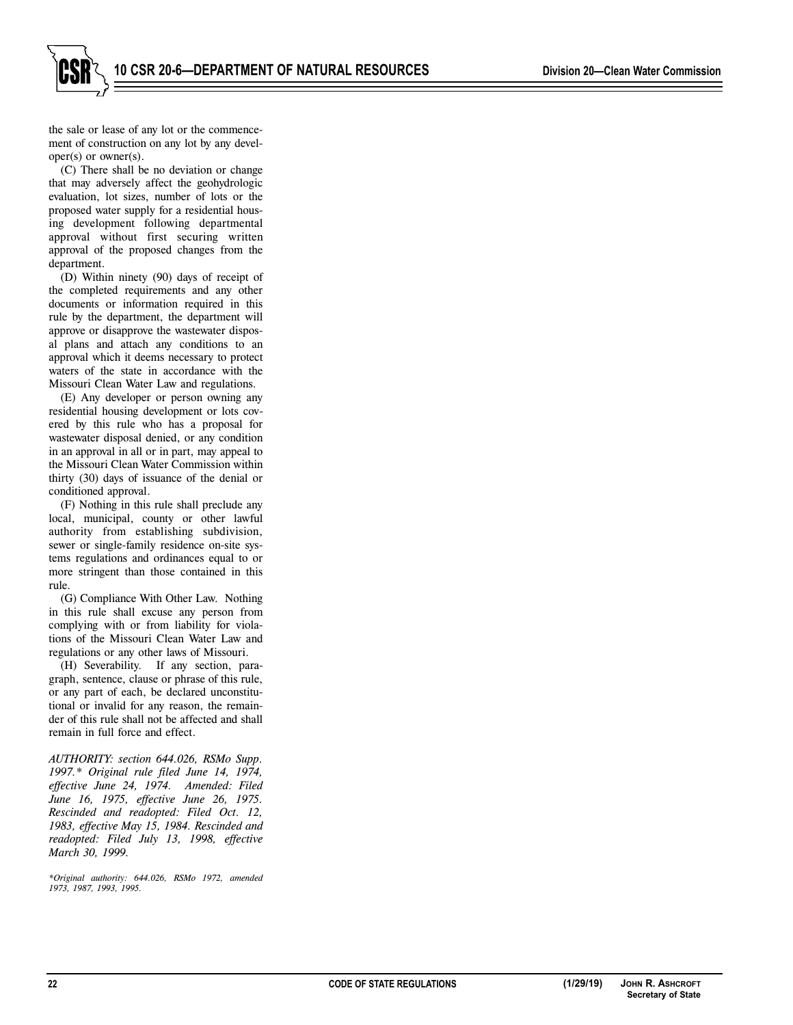the sale or lease of any lot or the commencement of construction on any lot by any developer(s) or owner(s).

(C) There shall be no deviation or change that may adversely affect the geohydrologic evaluation, lot sizes, number of lots or the proposed water supply for a residential housing development following departmental approval without first securing written approval of the proposed changes from the department.

(D) Within ninety (90) days of receipt of the completed requirements and any other documents or information required in this rule by the department, the department will approve or disapprove the wastewater disposal plans and attach any conditions to an approval which it deems necessary to protect waters of the state in accordance with the Missouri Clean Water Law and regulations.

(E) Any developer or person owning any residential housing development or lots covered by this rule who has a proposal for wastewater disposal denied, or any condition in an approval in all or in part, may appeal to the Missouri Clean Water Commission within thirty (30) days of issuance of the denial or conditioned approval.

(F) Nothing in this rule shall preclude any local, municipal, county or other lawful authority from establishing subdivision, sewer or single-family residence on-site systems regulations and ordinances equal to or more stringent than those contained in this rule.

(G) Compliance With Other Law. Nothing in this rule shall excuse any person from complying with or from liability for violations of the Missouri Clean Water Law and regulations or any other laws of Missouri.

(H) Severability. If any section, paragraph, sentence, clause or phrase of this rule, or any part of each, be declared unconstitutional or invalid for any reason, the remainder of this rule shall not be affected and shall remain in full force and effect.

*AUTHORITY: section 644.026, RSMo Supp. 1997.\* Original rule filed June 14, 1974, effective June 24, 1974. Amended: Filed June 16, 1975, effective June 26, 1975. Rescinded and readopted: Filed Oct. 12, 1983, effective May 15, 1984. Rescinded and readopted: Filed July 13, 1998, effective March 30, 1999.* 

*\*Original authority: 644.026, RSMo 1972, amended 1973, 1987, 1993, 1995.*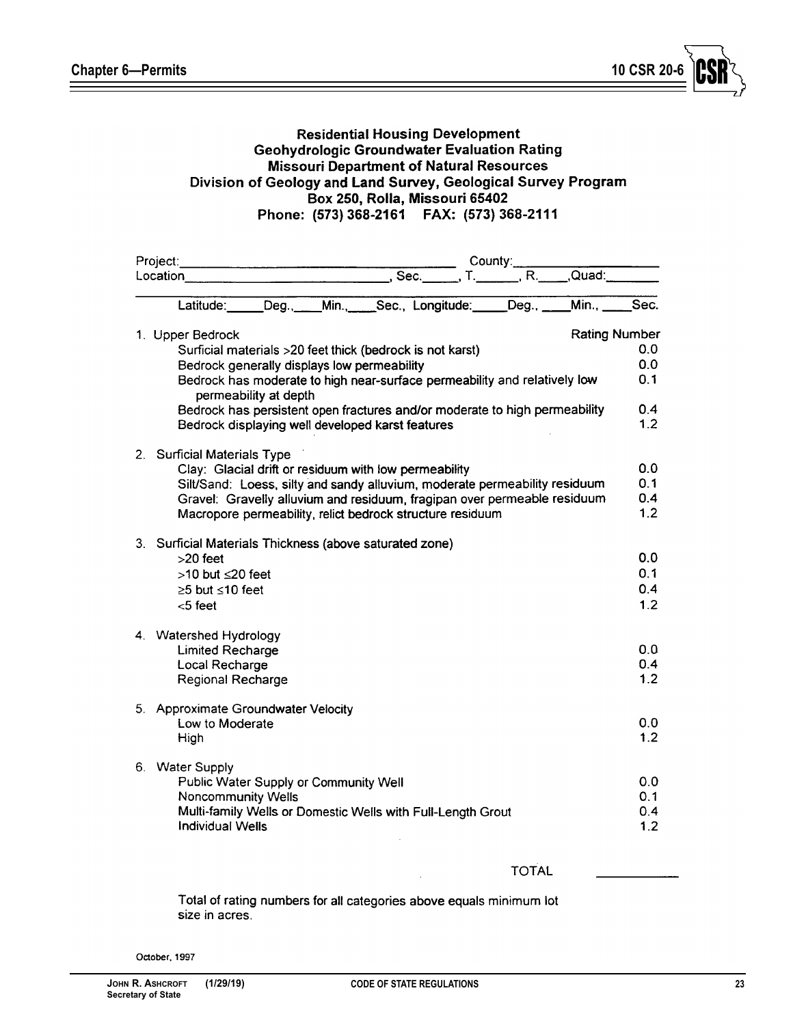**Residential Housing Development Geohydrologic Groundwater Evaluation Rating Missouri Department of Natural Resources** Division of Geology and Land Survey, Geological Survey Program Box 250, Rolla, Missouri 65402 Phone: (573) 368-2161 FAX: (573) 368-2111

| Project:                                                                                           |                                             | County: |                      |            |
|----------------------------------------------------------------------------------------------------|---------------------------------------------|---------|----------------------|------------|
| Location                                                                                           | ___, Sec. _____, T. _____, R. ____, Quad: _ |         |                      |            |
| Latitude:                                                                                          | Deg., Min., Sec., Longitude: Deg.,          |         | Min.                 | Sec.       |
| 1. Upper Bedrock                                                                                   |                                             |         | <b>Rating Number</b> |            |
| Surficial materials >20 feet thick (bedrock is not karst)                                          |                                             |         |                      | 0.0        |
| Bedrock generally displays low permeability                                                        |                                             |         |                      | 0.0        |
| Bedrock has moderate to high near-surface permeability and relatively low<br>permeability at depth |                                             |         |                      | 0.1        |
| Bedrock has persistent open fractures and/or moderate to high permeability                         |                                             |         |                      | 0.4        |
| Bedrock displaying well developed karst features                                                   |                                             |         |                      | 1.2        |
| 2. Surficial Materials Type<br>Clay: Glacial drift or residuum with low permeability               |                                             |         |                      | 0.0        |
| Silt/Sand: Loess, silty and sandy alluvium, moderate permeability residuum                         |                                             |         |                      | 0.1        |
| Gravel: Gravelly alluvium and residuum, fragipan over permeable residuum                           |                                             |         |                      | 0.4        |
| Macropore permeability, relict bedrock structure residuum                                          |                                             |         |                      | 1.2        |
| 3. Surficial Materials Thickness (above saturated zone)                                            |                                             |         |                      |            |
| $>20$ feet                                                                                         |                                             |         |                      | 0.0        |
| $>10$ but $\leq$ 20 feet                                                                           |                                             |         |                      | 0.1        |
| ≥5 but ≤10 feet                                                                                    |                                             |         |                      | 0.4        |
| <5 feet                                                                                            |                                             |         |                      | 1.2        |
| 4. Watershed Hydrology                                                                             |                                             |         |                      |            |
| <b>Limited Recharge</b>                                                                            |                                             |         |                      | 0.0        |
| <b>Local Recharge</b><br>Regional Recharge                                                         |                                             |         |                      | 0.4<br>1.2 |
|                                                                                                    |                                             |         |                      |            |
| 5. Approximate Groundwater Velocity                                                                |                                             |         |                      |            |
| Low to Moderate                                                                                    |                                             |         |                      | 0.0        |
| High                                                                                               |                                             |         |                      | 1.2        |
| 6. Water Supply<br>Public Water Supply or Community Well                                           |                                             |         |                      | 0.0        |
| <b>Noncommunity Wells</b>                                                                          |                                             |         |                      | 0.1        |
| Multi-family Wells or Domestic Wells with Full-Length Grout                                        |                                             |         |                      | 0.4        |
| <b>Individual Wells</b>                                                                            |                                             |         |                      | 1.2        |
|                                                                                                    |                                             |         |                      |            |

## **TOTAL**

Total of rating numbers for all categories above equals minimum lot size in acres.

October, 1997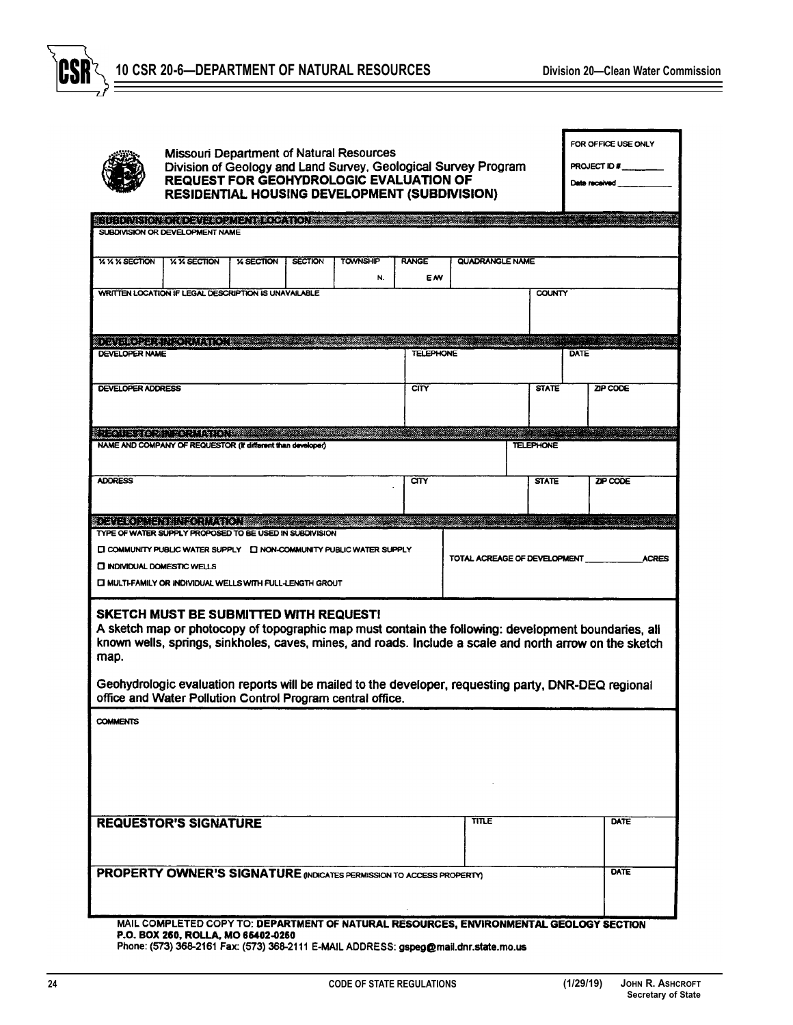

FOR OFFICE USE ONLY

**PROJECT ID#** 

**Data received** 



**Missouri Department of Natural Resources** Division of Geology and Land Survey, Geological Survey Program REQUEST FOR GEOHYDROLOGIC EVALUATION OF **RESIDENTIAL HOUSING DEVELOPMENT (SUBDIVISION)** 

|                                                                             | <b>SUBDIVISION CROEVELOPMENT LCCATIONS SOLUTIONS CONTINUES.</b>       |                  |                |                 |                  |                 |                              |                                                                                                                                                                                                                 |
|-----------------------------------------------------------------------------|-----------------------------------------------------------------------|------------------|----------------|-----------------|------------------|-----------------|------------------------------|-----------------------------------------------------------------------------------------------------------------------------------------------------------------------------------------------------------------|
|                                                                             | SUBDIVISION OR DEVELOPMENT NAME                                       |                  |                |                 |                  |                 |                              |                                                                                                                                                                                                                 |
| <b>X X X SECTION</b>                                                        | <b>X X SECTION</b>                                                    | <b>X SECTION</b> | <b>SECTION</b> | <b>TOWNSHIP</b> | <b>RANGE</b>     | QUADRANGLE NAME |                              |                                                                                                                                                                                                                 |
|                                                                             | WRITTEN LOCATION IF LEGAL DESCRIPTION IS UNAVAILABLE                  |                  |                | Ν.              | <b>EW</b>        |                 | <b>COUNTY</b>                |                                                                                                                                                                                                                 |
|                                                                             |                                                                       |                  |                |                 |                  |                 |                              |                                                                                                                                                                                                                 |
|                                                                             |                                                                       |                  |                |                 |                  |                 |                              |                                                                                                                                                                                                                 |
|                                                                             |                                                                       |                  |                |                 |                  |                 |                              |                                                                                                                                                                                                                 |
| <b>DEVELOPER NAME</b>                                                       |                                                                       |                  |                |                 | <b>TELEPHONE</b> |                 |                              | DATE                                                                                                                                                                                                            |
| DEVELOPER ADDRESS                                                           |                                                                       |                  |                |                 | CITY             |                 | <b>STATE</b>                 | ZIP CODE                                                                                                                                                                                                        |
|                                                                             |                                                                       |                  |                |                 |                  |                 |                              |                                                                                                                                                                                                                 |
| <b>"我不知道你的话,你不知道你的事,我不知道你的事,我不知道你的事,我不知道你</b> 是我的                           |                                                                       |                  |                |                 |                  |                 |                              | <u>tan sama manang</u>                                                                                                                                                                                          |
|                                                                             | NAME AND COMPANY OF REQUESTOR (If different than developer)           |                  |                |                 |                  |                 | <b>TELEPHONE</b>             |                                                                                                                                                                                                                 |
| <b>ADDRESS</b>                                                              |                                                                       |                  |                |                 | <b>CITY</b>      |                 | <b>STATE</b>                 | ZIP CODE                                                                                                                                                                                                        |
|                                                                             |                                                                       |                  |                |                 |                  |                 |                              |                                                                                                                                                                                                                 |
| devekornet en zorration.                                                    |                                                                       |                  |                |                 |                  |                 |                              | <b>The Committee of the Committee</b>                                                                                                                                                                           |
|                                                                             | TYPE OF WATER SUPPLY PROPOSED TO BE USED IN SUBDIVISION               |                  |                |                 |                  |                 |                              |                                                                                                                                                                                                                 |
|                                                                             | [ COMMUNITY PUBLIC WATER SUPPLY [ ] NON-COMMUNITY PUBLIC WATER SUPPLY |                  |                |                 |                  |                 |                              | <b>ACRES</b>                                                                                                                                                                                                    |
| <b>C INDIVIDUAL DOMESTIC WELLS</b>                                          |                                                                       |                  |                |                 |                  |                 | TOTAL ACREAGE OF DEVELOPMENT |                                                                                                                                                                                                                 |
|                                                                             | <b>ET MULTI-FAMILY OR INDIVIDUAL WELLS WITH FULL-LENGTH GROUT</b>     |                  |                |                 |                  |                 |                              |                                                                                                                                                                                                                 |
| <b>SKETCH MUST BE SUBMITTED WITH REQUEST!</b><br>map.                       |                                                                       |                  |                |                 |                  |                 |                              | A sketch map or photocopy of topographic map must contain the following: development boundaries, all<br>known wells, springs, sinkholes, caves, mines, and roads. Include a scale and north arrow on the sketch |
|                                                                             | office and Water Pollution Control Program central office.            |                  |                |                 |                  |                 |                              | Geohydrologic evaluation reports will be mailed to the developer, requesting party, DNR-DEQ regional                                                                                                            |
| <b>COMMENTS</b>                                                             |                                                                       |                  |                |                 |                  |                 |                              |                                                                                                                                                                                                                 |
|                                                                             |                                                                       |                  |                |                 |                  |                 |                              |                                                                                                                                                                                                                 |
|                                                                             |                                                                       |                  |                |                 |                  |                 |                              |                                                                                                                                                                                                                 |
|                                                                             |                                                                       |                  |                |                 |                  |                 |                              |                                                                                                                                                                                                                 |
|                                                                             |                                                                       |                  |                |                 |                  |                 |                              |                                                                                                                                                                                                                 |
| <b>REQUESTOR'S SIGNATURE</b>                                                |                                                                       |                  |                |                 |                  | TITLE           |                              | DATE                                                                                                                                                                                                            |
|                                                                             |                                                                       |                  |                |                 |                  |                 |                              |                                                                                                                                                                                                                 |
|                                                                             |                                                                       |                  |                |                 |                  |                 |                              |                                                                                                                                                                                                                 |
| <b>PROPERTY OWNER'S SIGNATURE (INDICATES PERMISSION TO ACCESS PROPERTY)</b> |                                                                       |                  |                |                 |                  |                 |                              | DATE                                                                                                                                                                                                            |
|                                                                             |                                                                       |                  |                |                 |                  |                 |                              |                                                                                                                                                                                                                 |
|                                                                             |                                                                       |                  |                |                 |                  |                 |                              |                                                                                                                                                                                                                 |
|                                                                             | P.O. BOX 260, ROLLA, MO 65402-0250                                    |                  |                |                 |                  |                 |                              | MAIL COMPLETED COPY TO: DEPARTMENT OF NATURAL RESOURCES, ENVIRONMENTAL GEOLOGY SECTION                                                                                                                          |

Phone: (573) 368-2161 Fax: (573) 368-2111 E-MAIL ADDRESS: gspeg@mail.dnr.state.mo.us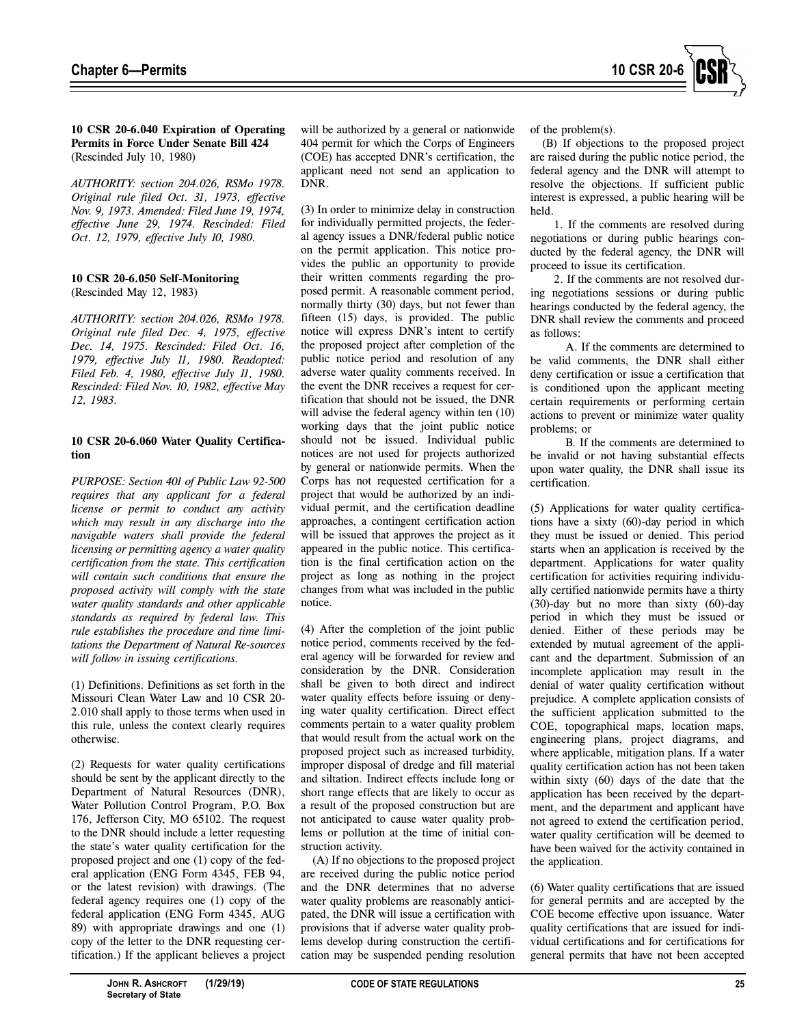

#### **10 CSR 20-6.040 Expiration of Operating Permits in Force Under Senate Bill 424**  (Rescinded July 10, 1980)

*AUTHORITY: section 204.026, RSMo 1978. Original rule filed Oct. 31, 1973, effective Nov. 9, 1973. Amended: Filed June 19, 1974, effective June 29, 1974. Rescinded: Filed Oct. 12, 1979, effective July 10, 1980.* 

#### **10 CSR 20-6.050 Self-Monitoring**  (Rescinded May 12, 1983)

*AUTHORITY: section 204.026, RSMo 1978. Original rule filed Dec. 4, 1975, effective Dec. 14, 1975. Rescinded: Filed Oct. 16, 1979, effective July 11, 1980. Readopted: Filed Feb. 4, 1980, effective July 11, 1980. Rescinded: Filed Nov. 10, 1982, effective May 12, 1983.* 

#### **10 CSR 20-6.060 Water Quality Certification**

*PURPOSE: Section 401 of Public Law 92-500 requires that any applicant for a federal license or permit to conduct any activity which may result in any discharge into the navigable waters shall provide the federal licensing or permitting agency a water quality certification from the state. This certification will contain such conditions that ensure the proposed activity will comply with the state water quality standards and other applicable standards as required by federal law. This rule establishes the procedure and time limitations the Department of Natural Re-sources will follow in issuing certifications.* 

(1) Definitions. Definitions as set forth in the Missouri Clean Water Law and 10 CSR 20- 2.010 shall apply to those terms when used in this rule, unless the context clearly requires otherwise.

(2) Requests for water quality certifications should be sent by the applicant directly to the Department of Natural Resources (DNR), Water Pollution Control Program, P.O. Box 176, Jefferson City, MO 65102. The request to the DNR should include a letter requesting the state's water quality certification for the proposed project and one (1) copy of the federal application (ENG Form 4345, FEB 94, or the latest revision) with drawings. (The federal agency requires one (1) copy of the federal application (ENG Form 4345, AUG 89) with appropriate drawings and one (1) copy of the letter to the DNR requesting certification.) If the applicant believes a project will be authorized by a general or nationwide 404 permit for which the Corps of Engineers (COE) has accepted DNR's certification, the applicant need not send an application to DNR.

(3) In order to minimize delay in construction for individually permitted projects, the federal agency issues a DNR/federal public notice on the permit application. This notice provides the public an opportunity to provide their written comments regarding the proposed permit. A reasonable comment period, normally thirty (30) days, but not fewer than fifteen (15) days, is provided. The public notice will express DNR's intent to certify the proposed project after completion of the public notice period and resolution of any adverse water quality comments received. In the event the DNR receives a request for certification that should not be issued, the DNR will advise the federal agency within ten (10) working days that the joint public notice should not be issued. Individual public notices are not used for projects authorized by general or nationwide permits. When the Corps has not requested certification for a project that would be authorized by an individual permit, and the certification deadline approaches, a contingent certification action will be issued that approves the project as it appeared in the public notice. This certification is the final certification action on the project as long as nothing in the project changes from what was included in the public notice.

(4) After the completion of the joint public notice period, comments received by the federal agency will be forwarded for review and consideration by the DNR. Consideration shall be given to both direct and indirect water quality effects before issuing or denying water quality certification. Direct effect comments pertain to a water quality problem that would result from the actual work on the proposed project such as increased turbidity, improper disposal of dredge and fill material and siltation. Indirect effects include long or short range effects that are likely to occur as a result of the proposed construction but are not anticipated to cause water quality problems or pollution at the time of initial construction activity.

(A) If no objections to the proposed project are received during the public notice period and the DNR determines that no adverse water quality problems are reasonably anticipated, the DNR will issue a certification with provisions that if adverse water quality problems develop during construction the certification may be suspended pending resolution

of the problem(s).

(B) If objections to the proposed project are raised during the public notice period, the federal agency and the DNR will attempt to resolve the objections. If sufficient public interest is expressed, a public hearing will be held.

1. If the comments are resolved during negotiations or during public hearings conducted by the federal agency, the DNR will proceed to issue its certification.

2. If the comments are not resolved during negotiations sessions or during public hearings conducted by the federal agency, the DNR shall review the comments and proceed as follows:

A. If the comments are determined to be valid comments, the DNR shall either deny certification or issue a certification that is conditioned upon the applicant meeting certain requirements or performing certain actions to prevent or minimize water quality problems; or

B. If the comments are determined to be invalid or not having substantial effects upon water quality, the DNR shall issue its certification.

(5) Applications for water quality certifications have a sixty (60)-day period in which they must be issued or denied. This period starts when an application is received by the department. Applications for water quality certification for activities requiring individually certified nationwide permits have a thirty (30)-day but no more than sixty (60)-day period in which they must be issued or denied. Either of these periods may be extended by mutual agreement of the applicant and the department. Submission of an incomplete application may result in the denial of water quality certification without prejudice. A complete application consists of the sufficient application submitted to the COE, topographical maps, location maps, engineering plans, project diagrams, and where applicable, mitigation plans. If a water quality certification action has not been taken within sixty (60) days of the date that the application has been received by the department, and the department and applicant have not agreed to extend the certification period, water quality certification will be deemed to have been waived for the activity contained in the application.

(6) Water quality certifications that are issued for general permits and are accepted by the COE become effective upon issuance. Water quality certifications that are issued for individual certifications and for certifications for general permits that have not been accepted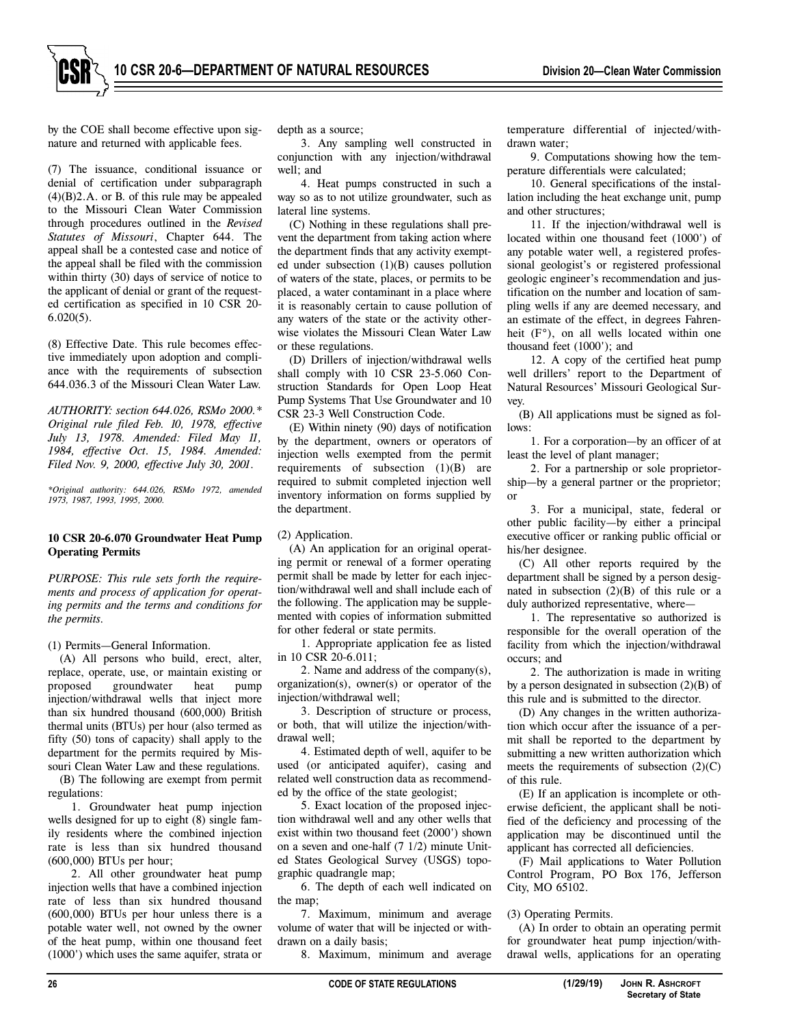by the COE shall become effective upon signature and returned with applicable fees.

(7) The issuance, conditional issuance or denial of certification under subparagraph  $(4)(B)2.A.$  or B. of this rule may be appealed to the Missouri Clean Water Commission through procedures outlined in the *Revised Statutes of Missouri*, Chapter 644. The appeal shall be a contested case and notice of the appeal shall be filed with the commission within thirty (30) days of service of notice to the applicant of denial or grant of the requested certification as specified in 10 CSR 20- 6.020(5).

(8) Effective Date. This rule becomes effective immediately upon adoption and compliance with the requirements of subsection 644.036.3 of the Missouri Clean Water Law.

*AUTHORITY: section 644.026, RSMo 2000.\* Original rule filed Feb. 10, 1978, effective July 13, 1978. Amended: Filed May 11, 1984, effective Oct. 15, 1984. Amended: Filed Nov. 9, 2000, effective July 30, 2001.* 

*\*Original authority: 644.026, RSMo 1972, amended 1973, 1987, 1993, 1995, 2000.* 

#### **10 CSR 20-6.070 Groundwater Heat Pump Operating Permits**

*PURPOSE: This rule sets forth the requirements and process of application for operating permits and the terms and conditions for the permits.* 

(1) Permits—General Information.

(A) All persons who build, erect, alter, replace, operate, use, or maintain existing or proposed groundwater heat pump injection/withdrawal wells that inject more than six hundred thousand (600,000) British thermal units (BTUs) per hour (also termed as fifty (50) tons of capacity) shall apply to the department for the permits required by Missouri Clean Water Law and these regulations.

(B) The following are exempt from permit regulations:

1. Groundwater heat pump injection wells designed for up to eight  $(8)$  single family residents where the combined injection rate is less than six hundred thousand (600,000) BTUs per hour;

2. All other groundwater heat pump injection wells that have a combined injection rate of less than six hundred thousand (600,000) BTUs per hour unless there is a potable water well, not owned by the owner of the heat pump, within one thousand feet (1000') which uses the same aquifer, strata or

depth as a source;

3. Any sampling well constructed in conjunction with any injection/withdrawal well; and

4. Heat pumps constructed in such a way so as to not utilize groundwater, such as lateral line systems.

(C) Nothing in these regulations shall prevent the department from taking action where the department finds that any activity exempted under subsection (1)(B) causes pollution of waters of the state, places, or permits to be placed, a water contaminant in a place where it is reasonably certain to cause pollution of any waters of the state or the activity otherwise violates the Missouri Clean Water Law or these regulations.

(D) Drillers of injection/withdrawal wells shall comply with 10 CSR 23-5.060 Construction Standards for Open Loop Heat Pump Systems That Use Groundwater and 10 CSR 23-3 Well Construction Code.

(E) Within ninety (90) days of notification by the department, owners or operators of injection wells exempted from the permit requirements of subsection (1)(B) are required to submit completed injection well inventory information on forms supplied by the department.

#### (2) Application.

(A) An application for an original operating permit or renewal of a former operating permit shall be made by letter for each injection/withdrawal well and shall include each of the following. The application may be supplemented with copies of information submitted for other federal or state permits.

1. Appropriate application fee as listed in 10 CSR 20-6.011;

2. Name and address of the company(s), organization(s), owner(s) or operator of the injection/withdrawal well;

3. Description of structure or process, or both, that will utilize the injection/withdrawal well;

4. Estimated depth of well, aquifer to be used (or anticipated aquifer), casing and related well construction data as recommended by the office of the state geologist;

5. Exact location of the proposed injec tion withdrawal well and any other wells that exist within two thousand feet (2000') shown on a seven and one-half  $(7 \frac{1}{2})$  minute United States Geological Survey (USGS) topographic quadrangle map;

6. The depth of each well indicated on the map;

7. Maximum, minimum and average volume of water that will be injected or withdrawn on a daily basis;

8. Maximum, minimum and average

temperature differential of injected/withdrawn water;

9. Computations showing how the temperature differentials were calculated;

10. General specifications of the installation including the heat exchange unit, pump and other structures;

11. If the injection/withdrawal well is located within one thousand feet (1000') of any potable water well, a registered professional geologist's or registered professional geologic engineer's recommendation and justification on the number and location of sampling wells if any are deemed necessary, and an estimate of the effect, in degrees Fahrenheit (F°), on all wells located within one thousand feet (1000'); and

12. A copy of the certified heat pump well drillers' report to the Department of Natural Resources' Missouri Geological Survey.

(B) All applications must be signed as follows:

1. For a corporation—by an officer of at least the level of plant manager;

2. For a partnership or sole proprietorship—by a general partner or the proprietor; or

3. For a municipal, state, federal or other public facility—by either a principal executive officer or ranking public official or his/her designee.

(C) All other reports required by the department shall be signed by a person designated in subsection  $(2)(B)$  of this rule or a duly authorized representative, where—

1. The representative so authorized is responsible for the overall operation of the facility from which the injection/withdrawal occurs; and

2. The authorization is made in writing by a person designated in subsection (2)(B) of this rule and is submitted to the director.

(D) Any changes in the written authorization which occur after the issuance of a permit shall be reported to the department by submitting a new written authorization which meets the requirements of subsection  $(2)(C)$ of this rule.

(E) If an application is incomplete or otherwise deficient, the applicant shall be notified of the deficiency and processing of the application may be discontinued until the applicant has corrected all deficiencies.

(F) Mail applications to Water Pollution Control Program, PO Box 176, Jefferson City, MO 65102.

(3) Operating Permits.

(A) In order to obtain an operating permit for groundwater heat pump injection/withdrawal wells, applications for an operating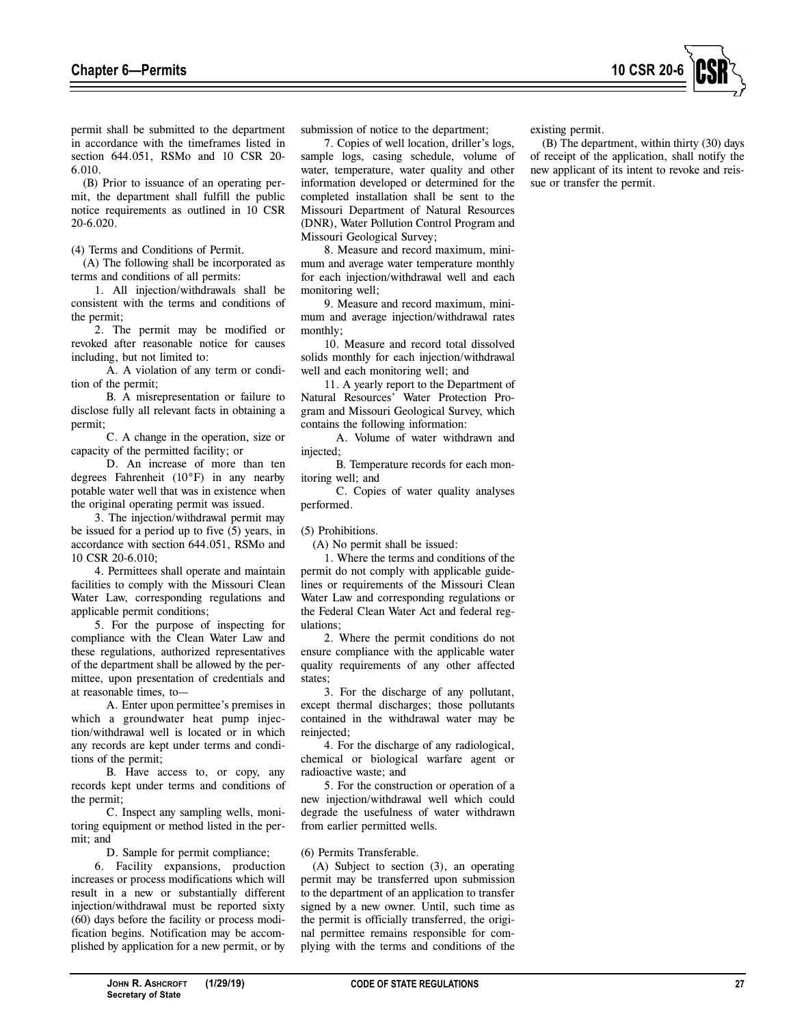

permit shall be submitted to the department in accordance with the timeframes listed in section 644.051, RSMo and 10 CSR 20- 6.010.

(B) Prior to issuance of an operating permit, the department shall fulfill the public notice requirements as outlined in 10 CSR 20-6.020.

(4) Terms and Conditions of Permit.

(A) The following shall be incorporated as terms and conditions of all permits:

1. All injection/withdrawals shall be consistent with the terms and conditions of the permit;

2. The permit may be modified or revoked after reasonable notice for causes including, but not limited to:

A. A violation of any term or condition of the permit;

B. A misrepresentation or failure to disclose fully all relevant facts in obtaining a permit;

C. A change in the operation, size or capacity of the permitted facility; or

D. An increase of more than ten degrees Fahrenheit (10°F) in any nearby potable water well that was in existence when the original operating permit was issued.

3. The injection/withdrawal permit may be issued for a period up to five (5) years, in accordance with section 644.051, RSMo and 10 CSR 20-6.010;

4. Permittees shall operate and maintain facilities to comply with the Missouri Clean Water Law, corresponding regulations and applicable permit conditions;

5. For the purpose of inspecting for compliance with the Clean Water Law and these regulations, authorized representatives of the department shall be allowed by the permittee, upon presentation of credentials and at reasonable times, to—

A. Enter upon permittee's premises in which a groundwater heat pump injection/withdrawal well is located or in which any records are kept under terms and conditions of the permit;

B. Have access to, or copy, any records kept under terms and conditions of the permit;

C. Inspect any sampling wells, monitoring equipment or method listed in the permit; and

D. Sample for permit compliance;

6. Facility expansions, production increases or process modifications which will result in a new or substantially different injection/withdrawal must be reported sixty (60) days before the facility or process modification begins. Notification may be accomplished by application for a new permit, or by

submission of notice to the department;

7. Copies of well location, driller's logs, sample logs, casing schedule, volume of water, temperature, water quality and other information developed or determined for the completed installation shall be sent to the Missouri Department of Natural Resources (DNR), Water Pollution Control Program and Missouri Geological Survey;

8. Measure and record maximum, minimum and average water temperature monthly for each injection/withdrawal well and each monitoring well;

9. Measure and record maximum, minimum and average injection/withdrawal rates monthly;

10. Measure and record total dissolved solids monthly for each injection/withdrawal well and each monitoring well; and

11. A yearly report to the Department of Natural Resources' Water Protection Program and Missouri Geological Survey, which contains the following information:

A. Volume of water withdrawn and injected;

B. Temperature records for each monitoring well; and

C. Copies of water quality analyses performed.

(5) Prohibitions.

(A) No permit shall be issued:

1. Where the terms and conditions of the permit do not comply with applicable guidelines or requirements of the Missouri Clean Water Law and corresponding regulations or the Federal Clean Water Act and federal regulations;

2. Where the permit conditions do not ensure compliance with the applicable water quality requirements of any other affected states;

3. For the discharge of any pollutant, except thermal discharges; those pollutants contained in the withdrawal water may be reinjected;

4. For the discharge of any radiological, chemical or biological warfare agent or radioactive waste; and

5. For the construction or operation of a new injection/withdrawal well which could degrade the usefulness of water withdrawn from earlier permitted wells.

(6) Permits Transferable.

(A) Subject to section (3), an operating permit may be transferred upon submission to the department of an application to transfer signed by a new owner. Until, such time as the permit is officially transferred, the original permittee remains responsible for complying with the terms and conditions of the

existing permit.

(B) The department, within thirty (30) days of receipt of the application, shall notify the new applicant of its intent to revoke and reissue or transfer the permit.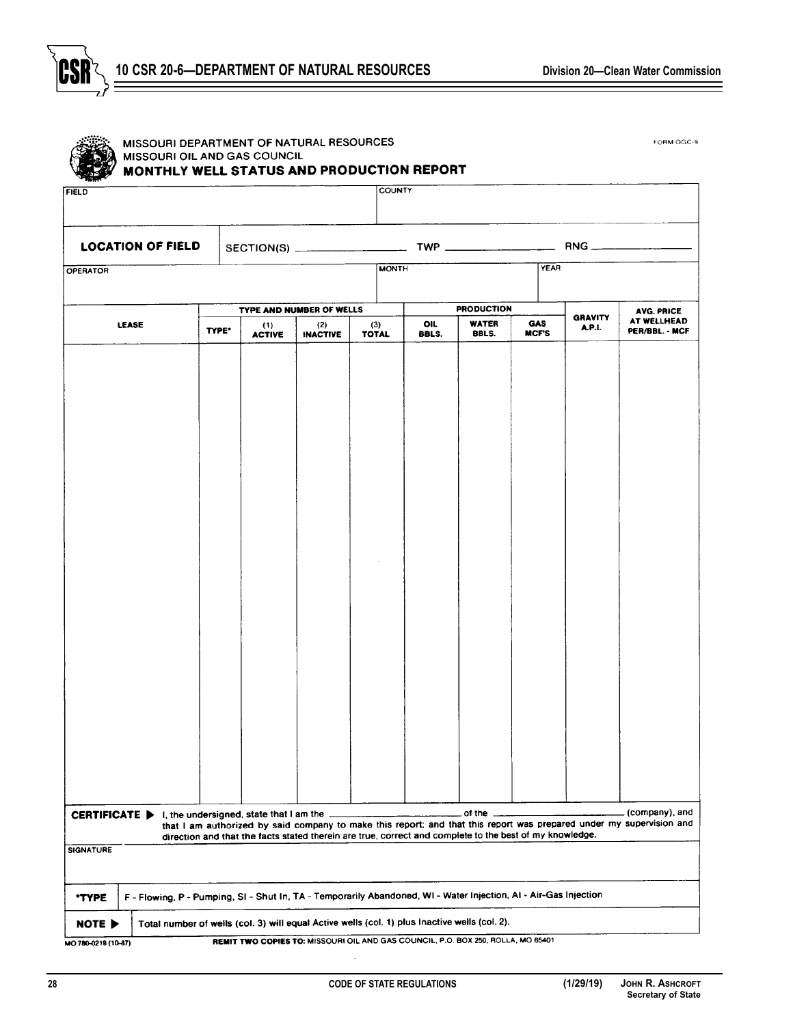

FORM OGC-9



### MISSOURI DEPARTMENT OF NATURAL RESOURCES MISSOURI OIL AND GAS COUNCIL MONTHLY WELL STATUS AND PRODUCTION REPORT

| FIELD               |                                                                                                                  |                                                                                  |                      |                                                                                                         | <b>COUNTY</b>       |                     |                                                     |             |                |                                                                                                                                        |
|---------------------|------------------------------------------------------------------------------------------------------------------|----------------------------------------------------------------------------------|----------------------|---------------------------------------------------------------------------------------------------------|---------------------|---------------------|-----------------------------------------------------|-------------|----------------|----------------------------------------------------------------------------------------------------------------------------------------|
|                     | <b>LOCATION OF FIELD</b>                                                                                         |                                                                                  |                      |                                                                                                         |                     |                     |                                                     |             |                |                                                                                                                                        |
| <b>OPERATOR</b>     |                                                                                                                  |                                                                                  |                      |                                                                                                         | <b>MONTH</b>        |                     |                                                     | <b>YEAR</b> |                |                                                                                                                                        |
|                     |                                                                                                                  |                                                                                  |                      |                                                                                                         |                     |                     |                                                     |             |                |                                                                                                                                        |
|                     |                                                                                                                  |                                                                                  |                      | TYPE AND NUMBER OF WELLS                                                                                |                     | <b>PRODUCTION</b>   |                                                     |             | <b>GRAVITY</b> | <b>AVG. PRICE</b>                                                                                                                      |
|                     | <b>LEASE</b>                                                                                                     | TYPE <sup>.</sup>                                                                | (1)<br><b>ACTIVE</b> | (2)<br><b>INACTIVE</b>                                                                                  | (3)<br><b>TOTAL</b> | OIL<br><b>BBLS.</b> | <b>WATER</b><br><b>GAS</b><br>BBLS.<br><b>MCF'S</b> |             | A.P.I.         | AT WELLHEAD<br>PER/BBL. - MCF                                                                                                          |
|                     |                                                                                                                  |                                                                                  |                      |                                                                                                         |                     |                     |                                                     |             |                |                                                                                                                                        |
|                     |                                                                                                                  |                                                                                  |                      |                                                                                                         |                     |                     |                                                     |             |                |                                                                                                                                        |
|                     |                                                                                                                  |                                                                                  |                      |                                                                                                         |                     |                     |                                                     |             |                |                                                                                                                                        |
|                     |                                                                                                                  |                                                                                  |                      |                                                                                                         |                     |                     |                                                     |             |                |                                                                                                                                        |
|                     |                                                                                                                  |                                                                                  |                      |                                                                                                         |                     |                     |                                                     |             |                |                                                                                                                                        |
|                     |                                                                                                                  |                                                                                  |                      |                                                                                                         |                     |                     |                                                     |             |                |                                                                                                                                        |
|                     |                                                                                                                  |                                                                                  |                      |                                                                                                         |                     |                     |                                                     |             |                |                                                                                                                                        |
|                     |                                                                                                                  |                                                                                  |                      |                                                                                                         |                     |                     |                                                     |             |                |                                                                                                                                        |
|                     |                                                                                                                  |                                                                                  |                      |                                                                                                         |                     |                     |                                                     |             |                |                                                                                                                                        |
|                     |                                                                                                                  |                                                                                  |                      |                                                                                                         |                     |                     |                                                     |             |                |                                                                                                                                        |
|                     |                                                                                                                  |                                                                                  |                      |                                                                                                         |                     |                     |                                                     |             |                |                                                                                                                                        |
|                     |                                                                                                                  |                                                                                  |                      |                                                                                                         |                     |                     |                                                     |             |                |                                                                                                                                        |
|                     |                                                                                                                  |                                                                                  |                      |                                                                                                         |                     |                     |                                                     |             |                |                                                                                                                                        |
|                     |                                                                                                                  |                                                                                  |                      |                                                                                                         |                     |                     |                                                     |             |                |                                                                                                                                        |
|                     |                                                                                                                  |                                                                                  |                      |                                                                                                         |                     |                     |                                                     |             |                |                                                                                                                                        |
|                     |                                                                                                                  |                                                                                  |                      |                                                                                                         |                     |                     |                                                     |             |                |                                                                                                                                        |
|                     |                                                                                                                  |                                                                                  |                      |                                                                                                         |                     |                     |                                                     |             |                |                                                                                                                                        |
|                     |                                                                                                                  |                                                                                  |                      |                                                                                                         |                     |                     |                                                     |             |                |                                                                                                                                        |
|                     |                                                                                                                  |                                                                                  |                      |                                                                                                         |                     |                     |                                                     |             |                |                                                                                                                                        |
|                     |                                                                                                                  |                                                                                  |                      |                                                                                                         |                     |                     |                                                     |             |                |                                                                                                                                        |
|                     |                                                                                                                  |                                                                                  |                      |                                                                                                         |                     |                     |                                                     |             |                |                                                                                                                                        |
|                     |                                                                                                                  |                                                                                  |                      |                                                                                                         |                     |                     |                                                     |             |                |                                                                                                                                        |
|                     | <b>CERTIFICATE</b> $\blacktriangleright$ 1, the undersigned, state that I am the $\equiv$                        |                                                                                  |                      |                                                                                                         |                     |                     | of the _                                            |             |                | (company), and<br>that I am authorized by said company to make this report; and that this report was prepared under my supervision and |
| <b>SIGNATURE</b>    |                                                                                                                  |                                                                                  |                      | direction and that the facts stated therein are true, correct and complete to the best of my knowledge. |                     |                     |                                                     |             |                |                                                                                                                                        |
|                     |                                                                                                                  |                                                                                  |                      |                                                                                                         |                     |                     |                                                     |             |                |                                                                                                                                        |
| *TYPE               | F - Flowing, P - Pumping, SI - Shut In, TA - Temporarily Abandoned, WI - Water Injection, AI - Air-Gas Injection |                                                                                  |                      |                                                                                                         |                     |                     |                                                     |             |                |                                                                                                                                        |
| NOTE >              | Total number of wells (col. 3) will equal Active wells (col. 1) plus Inactive wells (col. 2).                    |                                                                                  |                      |                                                                                                         |                     |                     |                                                     |             |                |                                                                                                                                        |
| AO 780-0219 (10-87) |                                                                                                                  | REMIT TWO COPIES TO: MISSOURI OIL AND GAS COUNCIL, P.O. BOX 250, ROLLA, MO 65401 |                      |                                                                                                         |                     |                     |                                                     |             |                |                                                                                                                                        |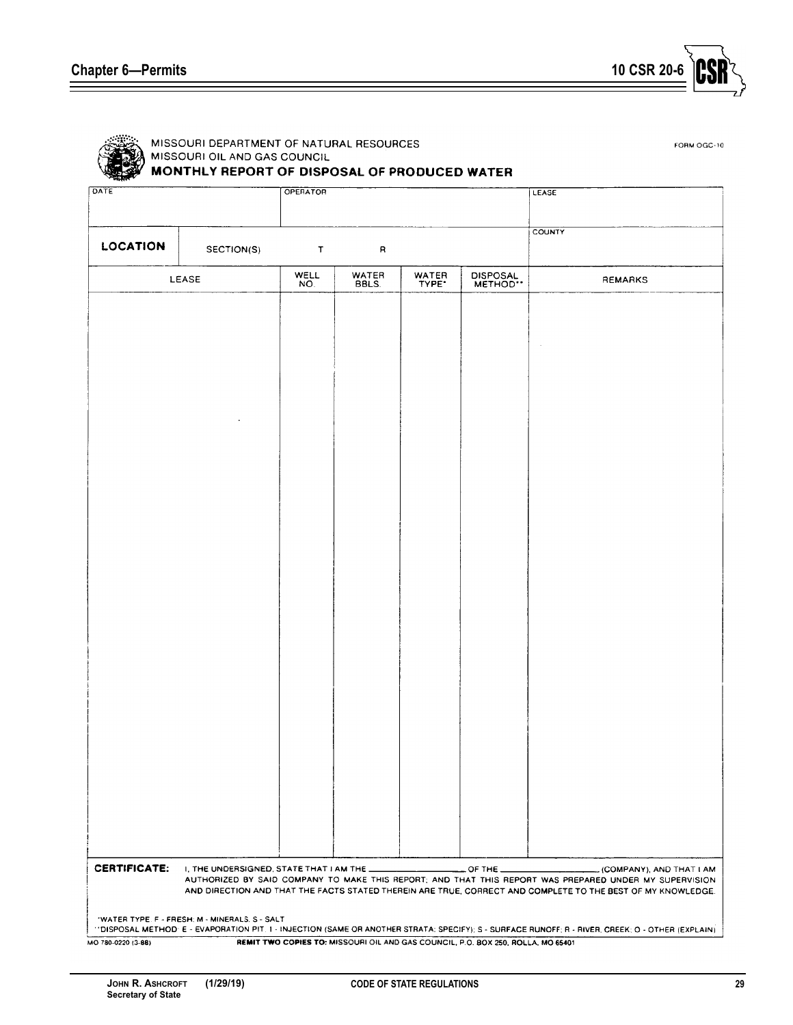

FORM OGC-10

MISSOURI DEPARTMENT OF NATURAL RESOURCES<br>MISSOURI OIL AND GAS COUNCIL<br>MONTHLY REPORT OF DISPOSAL OF PRODUCED WATER

| DATE               |                                                | OPERATOR    |                |                |                                                                                  | LEASE                                                                                                                                                                                                                                            |
|--------------------|------------------------------------------------|-------------|----------------|----------------|----------------------------------------------------------------------------------|--------------------------------------------------------------------------------------------------------------------------------------------------------------------------------------------------------------------------------------------------|
| LOCATION           | SECTION(S)                                     | $\mathsf T$ | R              |                |                                                                                  | <b>COUNTY</b>                                                                                                                                                                                                                                    |
|                    | LEASE                                          | WELL<br>NO. | WATER<br>BBLS. | WATER<br>TYPE* | DISPOSAL<br>METHOD"                                                              | REMARKS                                                                                                                                                                                                                                          |
|                    |                                                |             |                |                |                                                                                  |                                                                                                                                                                                                                                                  |
|                    |                                                |             |                |                |                                                                                  | ×                                                                                                                                                                                                                                                |
|                    |                                                |             |                |                |                                                                                  |                                                                                                                                                                                                                                                  |
|                    |                                                |             |                |                |                                                                                  |                                                                                                                                                                                                                                                  |
|                    |                                                |             |                |                |                                                                                  |                                                                                                                                                                                                                                                  |
|                    |                                                |             |                |                |                                                                                  |                                                                                                                                                                                                                                                  |
|                    |                                                |             |                |                |                                                                                  |                                                                                                                                                                                                                                                  |
|                    |                                                |             |                |                |                                                                                  |                                                                                                                                                                                                                                                  |
|                    |                                                |             |                |                |                                                                                  |                                                                                                                                                                                                                                                  |
|                    |                                                |             |                |                |                                                                                  |                                                                                                                                                                                                                                                  |
|                    |                                                |             |                |                |                                                                                  |                                                                                                                                                                                                                                                  |
|                    |                                                |             |                |                |                                                                                  |                                                                                                                                                                                                                                                  |
|                    |                                                |             |                |                |                                                                                  |                                                                                                                                                                                                                                                  |
|                    |                                                |             |                |                |                                                                                  |                                                                                                                                                                                                                                                  |
|                    |                                                |             |                |                |                                                                                  |                                                                                                                                                                                                                                                  |
|                    |                                                |             |                |                |                                                                                  |                                                                                                                                                                                                                                                  |
|                    |                                                |             |                |                |                                                                                  |                                                                                                                                                                                                                                                  |
|                    |                                                |             |                |                |                                                                                  |                                                                                                                                                                                                                                                  |
|                    |                                                |             |                |                |                                                                                  |                                                                                                                                                                                                                                                  |
|                    |                                                |             |                |                |                                                                                  |                                                                                                                                                                                                                                                  |
| CERTIFICATE:       | I, THE UNDERSIGNED, STATE THAT I AM THE _      |             |                |                | $\_$ OF THE $\_$                                                                 | COMPANY), AND THAT I AM<br>AUTHORIZED BY SAID COMPANY TO MAKE THIS REPORT; AND THAT THIS REPORT WAS PREPARED UNDER MY SUPERVISION<br>AND DIRECTION AND THAT THE FACTS STATED THEREIN ARE TRUE, CORRECT AND COMPLETE TO THE BEST OF MY KNOWLEDGE. |
|                    | "WATER TYPE. F - FRESH: M - MINERALS. S - SALT |             |                |                |                                                                                  | "DISPOSAL METHOD" E - EVAPORATION PIT. 1 - INJECTION (SAME OR ANOTHER STRATA: SPECIFY); S - SURFACE RUNOFF; R - RIVER, CREEK; O - OTHER (EXPLAIN)                                                                                                |
| MO 780-0220 (3-88) |                                                |             |                |                | REMIT TWO COPIES TO: MISSOURI OIL AND GAS COUNCIL, P.O. BOX 250, ROLLA, MO 65401 |                                                                                                                                                                                                                                                  |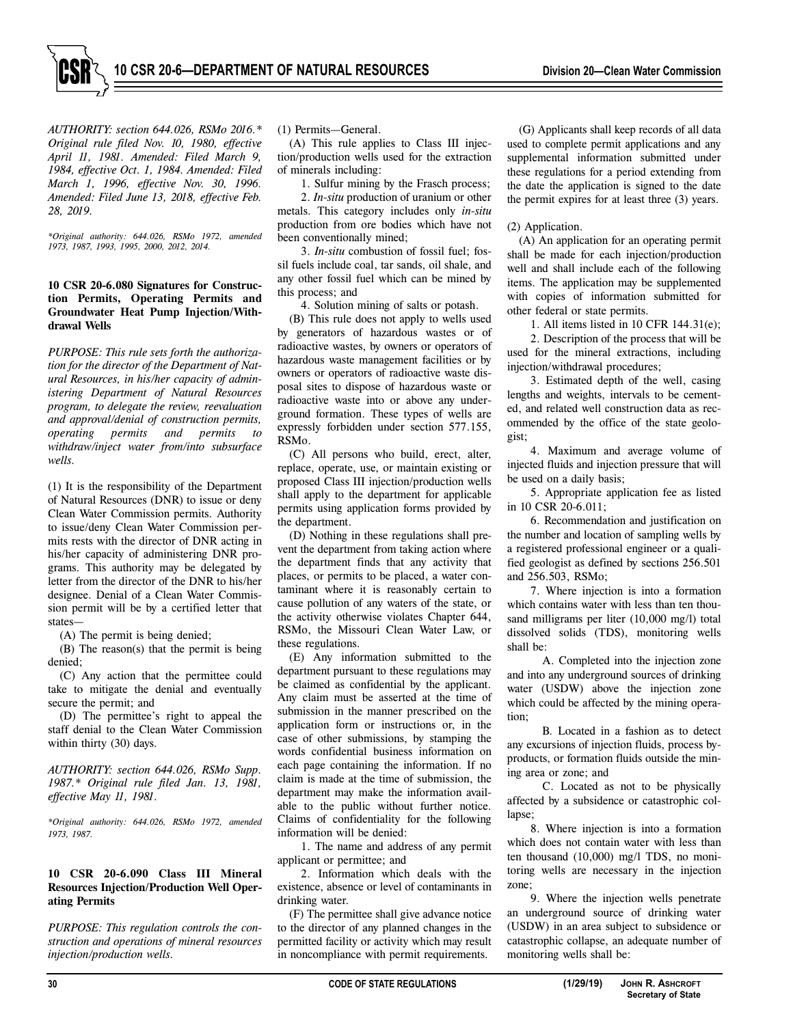*AUTHORITY: section 644.026, RSMo 2016.\* Original rule filed Nov. 10, 1980, effective April 11, 1981. Amended: Filed March 9, 1984, effective Oct. 1, 1984. Amended: Filed March 1, 1996, effective Nov. 30, 1996. Amended: Filed June 13, 2018, effective Feb. 28, 2019.* 

*\*Original authority: 644.026, RSMo 1972, amended 1973, 1987, 1993, 1995, 2000, 2012, 2014.* 

#### **10 CSR 20-6.080 Signatures for Construction Permits, Operating Permits and Groundwater Heat Pump Injection/Withdrawal Wells**

*PURPOSE: This rule sets forth the authorization for the director of the Department of Natural Resources, in his/her capacity of administering Department of Natural Resources program, to delegate the review, reevaluation and approval/denial of construction permits, operating permits and permits to withdraw/inject water from/into subsurface wells.* 

(1) It is the responsibility of the Department of Natural Resources (DNR) to issue or deny Clean Water Commission permits. Authority to issue/deny Clean Water Commission permits rests with the director of DNR acting in his/her capacity of administering DNR programs. This authority may be delegated by letter from the director of the DNR to his/her designee. Denial of a Clean Water Commission permit will be by a certified letter that states—

(A) The permit is being denied;

(B) The reason(s) that the permit is being denied;

(C) Any action that the permittee could take to mitigate the denial and eventually secure the permit; and

(D) The permittee's right to appeal the staff denial to the Clean Water Commission within thirty (30) days.

*AUTHORITY: section 644.026, RSMo Supp. 1987.\* Original rule filed Jan. 13, 1981, effective May 11, 1981.* 

*\*Original authority: 644.026, RSMo 1972, amended 1973, 1987.*

#### **10 CSR 20-6.090 Class III Mineral Resources Injection/Production Well Operating Permits**

*PURPOSE: This regulation controls the construction and operations of mineral resources injection/production wells.* 

(1) Permits—General.

(A) This rule applies to Class III injection/production wells used for the extraction of minerals including:

1. Sulfur mining by the Frasch process; 2. *In-situ* production of uranium or other metals. This category includes only *in-situ* 

production from ore bodies which have not been conventionally mined; 3. *In-situ* combustion of fossil fuel; fos -

sil fuels include coal, tar sands, oil shale, and any other fossil fuel which can be mined by this process; and

4. Solution mining of salts or potash.

(B) This rule does not apply to wells used by generators of hazardous wastes or of radioactive wastes, by owners or operators of hazardous waste management facilities or by owners or operators of radioactive waste disposal sites to dispose of hazardous waste or radioactive waste into or above any underground formation. These types of wells are expressly forbidden under section 577.155, RSMo.

(C) All persons who build, erect, alter, replace, operate, use, or maintain existing or proposed Class III injection/production wells shall apply to the department for applicable permits using application forms provided by the department.

(D) Nothing in these regulations shall prevent the department from taking action where the department finds that any activity that places, or permits to be placed, a water contaminant where it is reasonably certain to cause pollution of any waters of the state, or the activity otherwise violates Chapter 644, RSMo, the Missouri Clean Water Law, or these regulations.

(E) Any information submitted to the department pursuant to these regulations may be claimed as confidential by the applicant. Any claim must be asserted at the time of submission in the manner prescribed on the application form or instructions or, in the case of other submissions, by stamping the words confidential business information on each page containing the information. If no claim is made at the time of submission, the department may make the information available to the public without further notice. Claims of confidentiality for the following information will be denied:

1. The name and address of any permit applicant or permittee; and

2. Information which deals with the existence, absence or level of contaminants in drinking water.

(F) The permittee shall give advance notice to the director of any planned changes in the permitted facility or activity which may result in noncompliance with permit requirements.

(G) Applicants shall keep records of all data used to complete permit applications and any supplemental information submitted under these regulations for a period extending from the date the application is signed to the date the permit expires for at least three (3) years.

#### (2) Application.

(A) An application for an operating permit shall be made for each injection/production well and shall include each of the following items. The application may be supplemented with copies of information submitted for other federal or state permits.

1. All items listed in 10 CFR 144.31(e); 2. Description of the process that will be used for the mineral extractions, including injection/withdrawal procedures;

3. Estimated depth of the well, casing lengths and weights, intervals to be cemented, and related well construction data as recommended by the office of the state geologist;

4. Maximum and average volume of injected fluids and injection pressure that will be used on a daily basis;

5. Appropriate application fee as listed in 10 CSR 20-6.011;

6. Recommendation and justification on the number and location of sampling wells by a registered professional engineer or a qualified geologist as defined by sections 256.501 and 256.503, RSMo;

7. Where injection is into a formation which contains water with less than ten thousand milligrams per liter (10,000 mg/l) total dissolved solids (TDS), monitoring wells shall be:

A. Completed into the injection zone and into any underground sources of drinking water (USDW) above the injection zone which could be affected by the mining operation;

B. Located in a fashion as to detect any excursions of injection fluids, process byproducts, or formation fluids outside the mining area or zone; and

C. Located as not to be physically affected by a subsidence or catastrophic collapse;

8. Where injection is into a formation which does not contain water with less than ten thousand  $(10,000)$  mg/l TDS, no monitoring wells are necessary in the injection zone;

9. Where the injection wells penetrate an underground source of drinking water (USDW) in an area subject to subsidence or catastrophic collapse, an adequate number of monitoring wells shall be: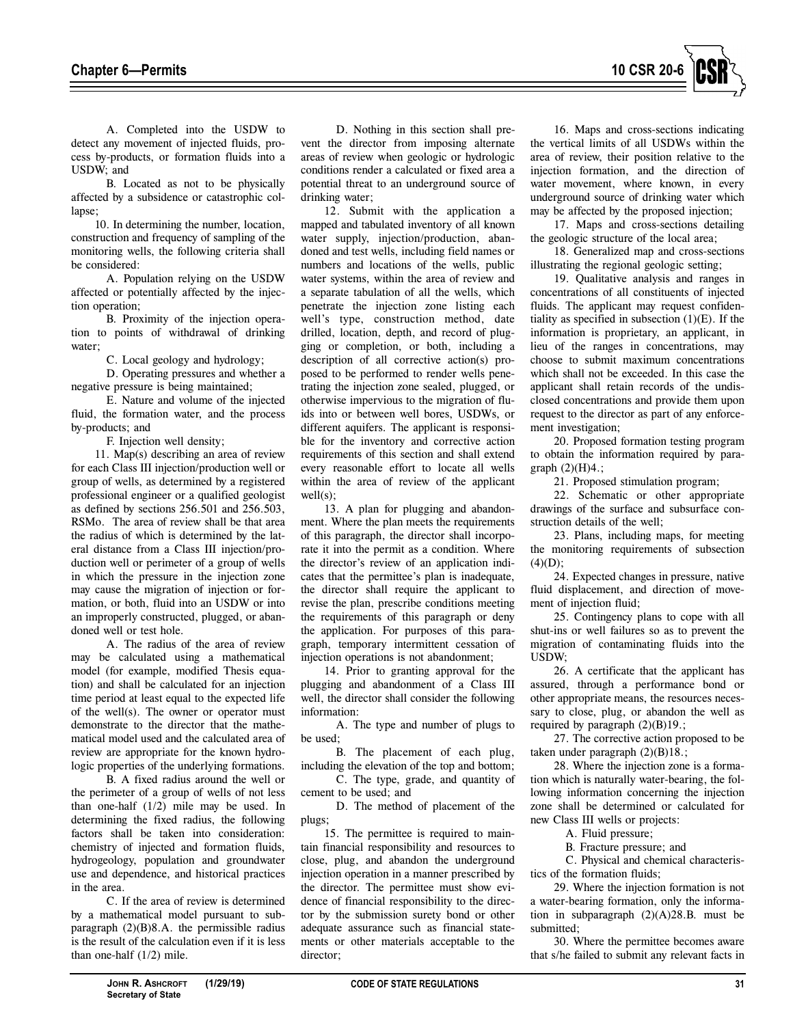

A. Completed into the USDW to detect any movement of injected fluids, process by-products, or formation fluids into a USDW; and

B. Located as not to be physically affected by a subsidence or catastrophic collapse;

10. In determining the number, location, construction and frequency of sampling of the monitoring wells, the following criteria shall be considered:

A. Population relying on the USDW affected or potentially affected by the injection operation;

B. Proximity of the injection operation to points of withdrawal of drinking water;

C. Local geology and hydrology;

D. Operating pressures and whether a negative pressure is being maintained;

E. Nature and volume of the injected fluid, the formation water, and the process by-products; and

F. Injection well density;

11. Map(s) describing an area of review for each Class III injection/production well or group of wells, as determined by a registered professional engineer or a qualified geologist as defined by sections 256.501 and 256.503, RSMo. The area of review shall be that area the radius of which is determined by the lateral distance from a Class III injection/production well or perimeter of a group of wells in which the pressure in the injection zone may cause the migration of injection or formation, or both, fluid into an USDW or into an improperly constructed, plugged, or abandoned well or test hole.

A. The radius of the area of review may be calculated using a mathematical model (for example, modified Thesis equation) and shall be calculated for an injection time period at least equal to the expected life of the well(s). The owner or operator must demonstrate to the director that the mathematical model used and the calculated area of review are appropriate for the known hydrologic properties of the underlying formations.

B. A fixed radius around the well or the perimeter of a group of wells of not less than one-half (1/2) mile may be used. In determining the fixed radius, the following factors shall be taken into consideration: chemistry of injected and formation fluids, hydrogeology, population and groundwater use and dependence, and historical practices in the area.

C. If the area of review is determined by a mathematical model pursuant to subparagraph  $(2)(B)8.A.$  the permissible radius is the result of the calculation even if it is less than one-half (1/2) mile.

D. Nothing in this section shall prevent the director from imposing alternate areas of review when geologic or hydrologic conditions render a calculated or fixed area a potential threat to an underground source of drinking water;

12. Submit with the application a mapped and tabulated inventory of all known water supply, injection/production, abandoned and test wells, including field names or numbers and locations of the wells, public water systems, within the area of review and a separate tabulation of all the wells, which penetrate the injection zone listing each well's type, construction method, date drilled, location, depth, and record of plugging or completion, or both, including a description of all corrective action(s) proposed to be performed to render wells penetrating the injection zone sealed, plugged, or otherwise impervious to the migration of fluids into or between well bores, USDWs, or different aquifers. The applicant is responsible for the inventory and corrective action requirements of this section and shall extend every reasonable effort to locate all wells within the area of review of the applicant well(s);

13. A plan for plugging and abandonment. Where the plan meets the requirements of this paragraph, the director shall incorporate it into the permit as a condition. Where the director's review of an application indicates that the permittee's plan is inadequate, the director shall require the applicant to revise the plan, prescribe conditions meeting the requirements of this paragraph or deny the application. For purposes of this paragraph, temporary intermittent cessation of injection operations is not abandonment;

14. Prior to granting approval for the plugging and abandonment of a Class III well, the director shall consider the following information:

A. The type and number of plugs to be used;

B. The placement of each plug, including the elevation of the top and bottom;

C. The type, grade, and quantity of cement to be used; and

D. The method of placement of the plugs;

15. The permittee is required to maintain financial responsibility and resources to close, plug, and abandon the underground injection operation in a manner prescribed by the director. The permittee must show evidence of financial responsibility to the director by the submission surety bond or other adequate assurance such as financial statements or other materials acceptable to the director;

16. Maps and cross-sections indicating the vertical limits of all USDWs within the area of review, their position relative to the injection formation, and the direction of water movement, where known, in every underground source of drinking water which may be affected by the proposed injection;

17. Maps and cross-sections detailing the geologic structure of the local area;

18. Generalized map and cross-sections illustrating the regional geologic setting;

19. Qualitative analysis and ranges in concentrations of all constituents of injected fluids. The applicant may request confidentiality as specified in subsection  $(1)(E)$ . If the information is proprietary, an applicant, in lieu of the ranges in concentrations, may choose to submit maximum concentrations which shall not be exceeded. In this case the applicant shall retain records of the undisclosed concentrations and provide them upon request to the director as part of any enforcement investigation;

20. Proposed formation testing program to obtain the information required by paragraph  $(2)(H)4$ .;

21. Proposed stimulation program;

22. Schematic or other appropriate drawings of the surface and subsurface construction details of the well;

23. Plans, including maps, for meeting the monitoring requirements of subsection  $(4)(D);$ 

24. Expected changes in pressure, native fluid displacement, and direction of movement of injection fluid;

25. Contingency plans to cope with all shut-ins or well failures so as to prevent the migration of contaminating fluids into the USDW;

26. A certificate that the applicant has assured, through a performance bond or other appropriate means, the resources necessary to close, plug, or abandon the well as required by paragraph  $(2)(B)19$ .;

27. The corrective action proposed to be taken under paragraph (2)(B)18.;

28. Where the injection zone is a formation which is naturally water-bearing, the following information concerning the injection zone shall be determined or calculated for new Class III wells or projects:

A. Fluid pressure;

B. Fracture pressure; and

C. Physical and chemical characteris tics of the formation fluids;

29. Where the injection formation is not a water-bearing formation, only the information in subparagraph (2)(A)28.B. must be submitted;

30. Where the permittee becomes aware that s/he failed to submit any relevant facts in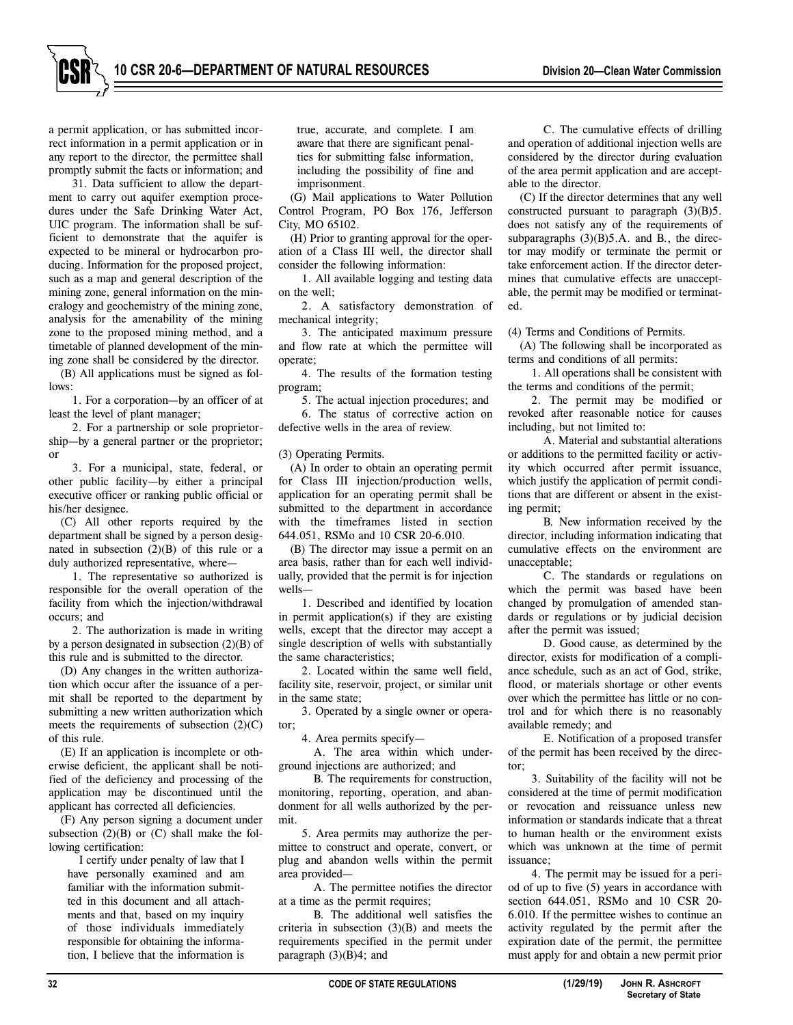a permit application, or has submitted incorrect information in a permit application or in any report to the director, the permittee shall promptly submit the facts or information; and

31. Data sufficient to allow the department to carry out aquifer exemption procedures under the Safe Drinking Water Act, UIC program. The information shall be sufficient to demonstrate that the aquifer is expected to be mineral or hydrocarbon producing. Information for the proposed project, such as a map and general description of the mining zone, general information on the mineralogy and geochemistry of the mining zone, analysis for the amenability of the mining zone to the proposed mining method, and a timetable of planned development of the mining zone shall be considered by the director.

(B) All applications must be signed as follows:

1. For a corporation—by an officer of at least the level of plant manager;

2. For a partnership or sole proprietorship—by a general partner or the proprietor; or

3. For a municipal, state, federal, or other public facility—by either a principal executive officer or ranking public official or his/her designee.

(C) All other reports required by the department shall be signed by a person designated in subsection  $(2)(B)$  of this rule or a duly authorized representative, where—

1. The representative so authorized is responsible for the overall operation of the facility from which the injection/withdrawal occurs; and

2. The authorization is made in writing by a person designated in subsection (2)(B) of this rule and is submitted to the director.

(D) Any changes in the written authorization which occur after the issuance of a permit shall be reported to the department by submitting a new written authorization which meets the requirements of subsection  $(2)(C)$ of this rule.

(E) If an application is incomplete or otherwise deficient, the applicant shall be notified of the deficiency and processing of the application may be discontinued until the applicant has corrected all deficiencies.

(F) Any person signing a document under subsection  $(2)(B)$  or  $(C)$  shall make the following certification:

I certify under penalty of law that I have personally examined and am familiar with the information submitted in this document and all attachments and that, based on my inquiry of those individuals immediately responsible for obtaining the information, I believe that the information is true, accurate, and complete. I am aware that there are significant penalties for submitting false information, including the possibility of fine and imprisonment.

(G) Mail applications to Water Pollution Control Program, PO Box 176, Jefferson City, MO 65102.

(H) Prior to granting approval for the operation of a Class III well, the director shall consider the following information:

1. All available logging and testing data on the well;

2. A satisfactory demonstration of mechanical integrity;

3. The anticipated maximum pressure and flow rate at which the permittee will operate;

4. The results of the formation testing program;

5. The actual injection procedures; and

6. The status of corrective action on defective wells in the area of review.

(3) Operating Permits.

(A) In order to obtain an operating permit for Class III injection/production wells, application for an operating permit shall be submitted to the department in accordance with the timeframes listed in section 644.051, RSMo and 10 CSR 20-6.010.

(B) The director may issue a permit on an area basis, rather than for each well individually, provided that the permit is for injection wells—

1. Described and identified by location in permit application(s) if they are existing wells, except that the director may accept a single description of wells with substantially the same characteristics;

2. Located within the same well field, facility site, reservoir, project, or similar unit in the same state;

3. Operated by a single owner or opera tor;

4. Area permits specify—

A. The area within which underground injections are authorized; and

B. The requirements for construction, monitoring, reporting, operation, and abandonment for all wells authorized by the permit.

5. Area permits may authorize the permittee to construct and operate, convert, or plug and abandon wells within the permit area provided—

A. The permittee notifies the director at a time as the permit requires;

B. The additional well satisfies the criteria in subsection (3)(B) and meets the requirements specified in the permit under paragraph (3)(B)4; and

C. The cumulative effects of drilling and operation of additional injection wells are considered by the director during evaluation of the area permit application and are acceptable to the director.

(C) If the director determines that any well constructed pursuant to paragraph (3)(B)5. does not satisfy any of the requirements of subparagraphs (3)(B)5.A. and B., the director may modify or terminate the permit or take enforcement action. If the director determines that cumulative effects are unacceptable, the permit may be modified or terminated.

(4) Terms and Conditions of Permits.

(A) The following shall be incorporated as terms and conditions of all permits:

1. All operations shall be consistent with the terms and conditions of the permit;

2. The permit may be modified or revoked after reasonable notice for causes including, but not limited to:

A. Material and substantial alterations or additions to the permitted facility or activity which occurred after permit issuance, which justify the application of permit conditions that are different or absent in the existing permit;

B. New information received by the director, including information indicating that cumulative effects on the environment are unacceptable;

C. The standards or regulations on which the permit was based have been changed by promulgation of amended standards or regulations or by judicial decision after the permit was issued;

D. Good cause, as determined by the director, exists for modification of a compliance schedule, such as an act of God, strike, flood, or materials shortage or other events over which the permittee has little or no control and for which there is no reasonably available remedy; and

E. Notification of a proposed transfer of the permit has been received by the direc tor;

3. Suitability of the facility will not be considered at the time of permit modification or revocation and reissuance unless new information or standards indicate that a threat to human health or the environment exists which was unknown at the time of permit issuance;

4. The permit may be issued for a period of up to five (5) years in accordance with section 644.051, RSMo and 10 CSR 20- 6.010. If the permittee wishes to continue an activity regulated by the permit after the expiration date of the permit, the permittee must apply for and obtain a new permit prior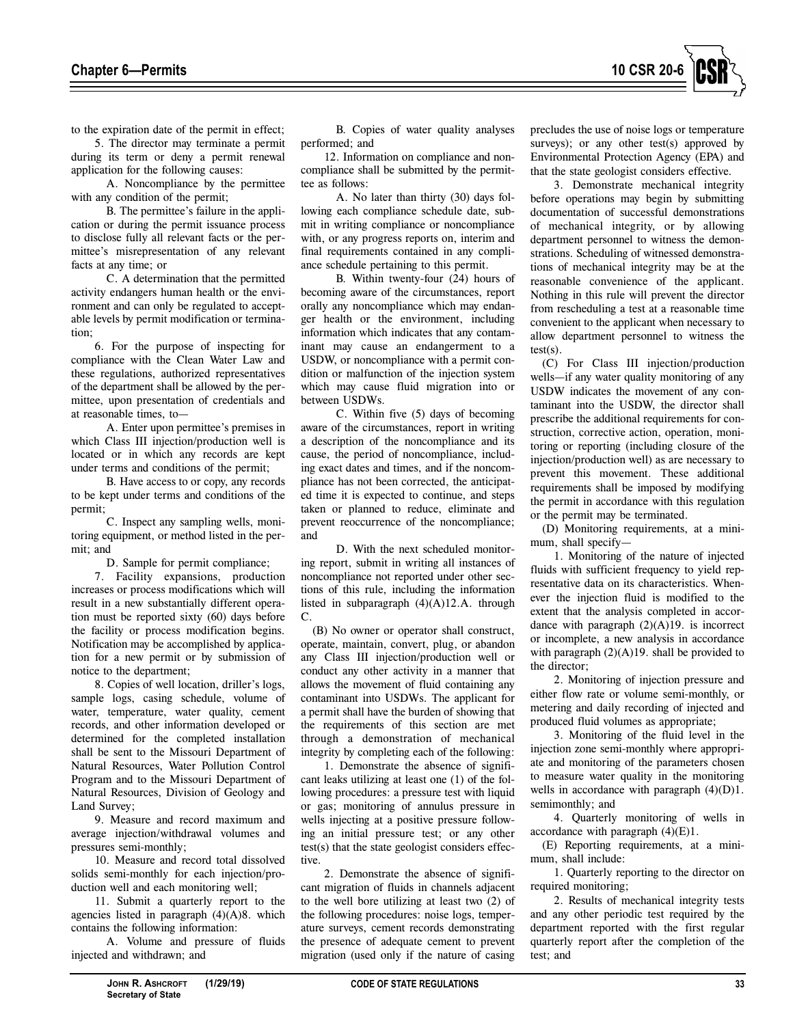

to the expiration date of the permit in effect;

5. The director may terminate a permit during its term or deny a permit renewal application for the following causes:

A. Noncompliance by the permittee with any condition of the permit;

B. The permittee's failure in the application or during the permit issuance process to disclose fully all relevant facts or the per mittee's misrepresentation of any relevant facts at any time; or

C. A determination that the permitted activity endangers human health or the environment and can only be regulated to acceptable levels by permit modification or termination;

6. For the purpose of inspecting for compliance with the Clean Water Law and these regulations, authorized representatives of the department shall be allowed by the per mittee, upon presentation of credentials and at reasonable times, to—

A. Enter upon permittee's premises in which Class III injection/production well is located or in which any records are kept under terms and conditions of the permit;

B. Have access to or copy, any records to be kept under terms and conditions of the permit;

C. Inspect any sampling wells, monitoring equipment, or method listed in the permit; and

D. Sample for permit compliance;

7. Facility expansions, production increases or process modifications which will result in a new substantially different operation must be reported sixty (60) days before the facility or process modification begins. Notification may be accomplished by applica tion for a new permit or by submission of notice to the department;

8. Copies of well location, driller's logs, sample logs, casing schedule, volume of water, temperature, water quality, cement records, and other information developed or determined for the completed installation shall be sent to the Missouri Department of Natural Resources, Water Pollution Control Program and to the Missouri Department of Natural Resources, Division of Geology and Land Survey;

9. Measure and record maximum and average injection/withdrawal volumes and pressures semi-monthly;

10. Measure and record total dissolved solids semi-monthly for each injection/production well and each monitoring well;

11. Submit a quarterly report to the agencies listed in paragraph  $(4)(A)8$ . which contains the following information:

A. Volume and pressure of fluids injected and withdrawn; and

B. Copies of water quality analyses performed; and

12. Information on compliance and noncompliance shall be submitted by the permittee as follows:

A. No later than thirty (30) days following each compliance schedule date, submit in writing compliance or noncompliance with, or any progress reports on, interim and final requirements contained in any compliance schedule pertaining to this permit.

B. Within twenty-four (24) hours of becoming aware of the circumstances, report orally any noncompliance which may endanger health or the environment, including information which indicates that any contaminant may cause an endangerment to a USDW, or noncompliance with a permit condition or malfunction of the injection system which may cause fluid migration into or between USDWs.

C. Within five (5) days of becoming aware of the circumstances, report in writing a description of the noncompliance and its cause, the period of noncompliance, including exact dates and times, and if the noncompliance has not been corrected, the anticipated time it is expected to continue, and steps taken or planned to reduce, eliminate and prevent reoccurrence of the noncompliance; and

D. With the next scheduled monitoring report, submit in writing all instances of noncompliance not reported under other sections of this rule, including the information listed in subparagraph (4)(A)12.A. through C.

(B) No owner or operator shall construct, operate, maintain, convert, plug, or abandon any Class III injection/production well or conduct any other activity in a manner that allows the movement of fluid containing any contaminant into USDWs. The applicant for a permit shall have the burden of showing that the requirements of this section are met through a demonstration of mechanical integrity by completing each of the following:

1. Demonstrate the absence of significant leaks utilizing at least one (1) of the following procedures: a pressure test with liquid or gas; monitoring of annulus pressure in wells injecting at a positive pressure following an initial pressure test; or any other test(s) that the state geologist considers effective.

2. Demonstrate the absence of significant migration of fluids in channels adjacent to the well bore utilizing at least two (2) of the following procedures: noise logs, temperature surveys, cement records demonstrating the presence of adequate cement to prevent migration (used only if the nature of casing

precludes the use of noise logs or temperature surveys); or any other test(s) approved by Environmental Protection Agency (EPA) and that the state geologist considers effective.

3. Demonstrate mechanical integrity before operations may begin by submitting documentation of successful demonstrations of mechanical integrity, or by allowing department personnel to witness the demonstrations. Scheduling of witnessed demonstrations of mechanical integrity may be at the reasonable convenience of the applicant. Nothing in this rule will prevent the director from rescheduling a test at a reasonable time convenient to the applicant when necessary to allow department personnel to witness the test(s).

(C) For Class III injection/production wells—if any water quality monitoring of any USDW indicates the movement of any contaminant into the USDW, the director shall prescribe the additional requirements for construction, corrective action, operation, monitoring or reporting (including closure of the injection/production well) as are necessary to prevent this movement. These additional requirements shall be imposed by modifying the permit in accordance with this regulation or the permit may be terminated.

(D) Monitoring requirements, at a minimum, shall specify—

1. Monitoring of the nature of injected fluids with sufficient frequency to yield representative data on its characteristics. Whenever the injection fluid is modified to the extent that the analysis completed in accordance with paragraph  $(2)(A)19$ . is incorrect or incomplete, a new analysis in accordance with paragraph  $(2)(A)19$ . shall be provided to the director;

2. Monitoring of injection pressure and either flow rate or volume semi-monthly, or metering and daily recording of injected and produced fluid volumes as appropriate;

3. Monitoring of the fluid level in the injection zone semi-monthly where appropriate and monitoring of the parameters chosen to measure water quality in the monitoring wells in accordance with paragraph  $(4)(D)1$ . semimonthly; and

4. Quarterly monitoring of wells in accordance with paragraph (4)(E)1.

(E) Reporting requirements, at a minimum, shall include:

1. Quarterly reporting to the director on required monitoring;

2. Results of mechanical integrity tests and any other periodic test required by the department reported with the first regular quarterly report after the completion of the test; and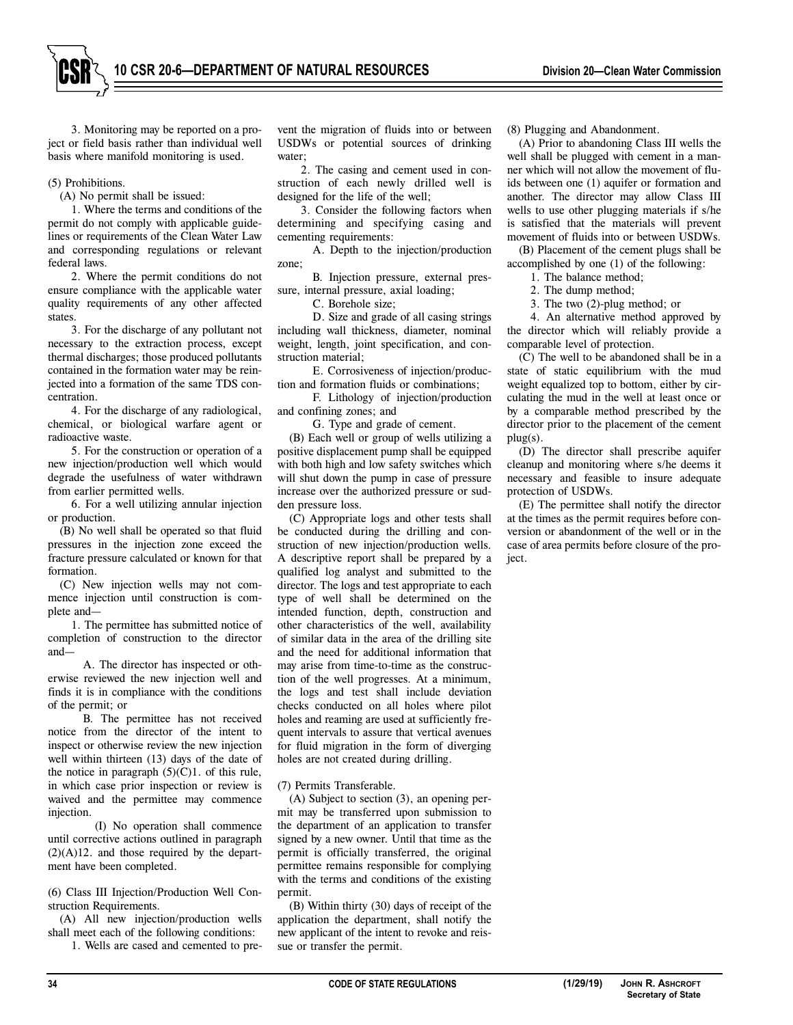

3. Monitoring may be reported on a project or field basis rather than individual well basis where manifold monitoring is used.

(5) Prohibitions.

(A) No permit shall be issued:

1. Where the terms and conditions of the permit do not comply with applicable guidelines or requirements of the Clean Water Law and corresponding regulations or relevant federal laws.

2. Where the permit conditions do not ensure compliance with the applicable water quality requirements of any other affected states.

3. For the dis charge of any pollutant not necessary to the extraction process, except thermal discharges; those produced pollutants contained in the formation water may be reinjected into a formation of the same TDS concentration.

4. For the discharge of any radiological, chemical, or biological warfare agent or radioactive waste.

5. For the construction or operation of a new injection/production well which would degrade the usefulness of water withdrawn from earlier permitted wells.

6. For a well utilizing annular injection or production.

(B) No well shall be operated so that fluid pressures in the injection zone exceed the fracture pressure calculated or known for that formation.

(C) New injection wells may not commence injection until construction is complete and—

1. The permittee has submitted notice of completion of construction to the director and—

A. The director has inspected or otherwise reviewed the new injection well and finds it is in compliance with the conditions of the permit; or

B. The permittee has not received notice from the director of the intent to inspect or otherwise review the new injection well within thirteen (13) days of the date of the notice in paragraph  $(5)(C)1$ . of this rule, in which case prior inspection or review is waived and the permittee may commence injection.

(I) No operation shall commence until corrective actions outlined in paragraph  $(2)(A)12$ . and those required by the department have been completed.

(6) Class III Injection/Production Well Construction Requirements.

(A) All new injection/production wells shall meet each of the following conditions:

1. Wells are cased and cemented to pre-

vent the migration of fluids into or between USDWs or potential sources of drinking water;

2. The casing and cement used in construction of each newly drilled well is designed for the life of the well;

3. Consider the following factors when determining and specifying casing and cementing requirements:

A. Depth to the injection/production zone;

B. Injection pressure, external pressure, internal pressure, axial loading;

C. Borehole size;

D. Size and grade of all casing strings including wall thickness, diameter, nominal weight, length, joint specification, and construction material;

E. Corrosiveness of injection/production and formation fluids or combinations;

F. Lithology of injection/production and confining zones; and

G. Type and grade of cement.

(B) Each well or group of wells utilizing a positive displacement pump shall be equipped with both high and low safety switches which will shut down the pump in case of pressure increase over the authorized pressure or sudden pressure loss.

(C) Appropriate logs and other tests shall be conducted during the drilling and construction of new injection/production wells. A descriptive report shall be prepared by a qualified log analyst and submitted to the director. The logs and test appropriate to each type of well shall be determined on the intended function, depth, construction and other characteristics of the well, availability of similar data in the area of the drilling site and the need for additional information that may arise from time-to-time as the construction of the well progresses. At a minimum, the logs and test shall include deviation checks conducted on all holes where pilot holes and reaming are used at sufficiently frequent intervals to assure that vertical avenues for fluid migration in the form of diverging holes are not created during drilling.

#### (7) Permits Transferable.

(A) Subject to section (3), an opening permit may be transferred upon submission to the department of an application to transfer signed by a new owner. Until that time as the permit is officially transferred, the original permittee remains responsible for complying with the terms and conditions of the existing permit.

(B) Within thirty (30) days of receipt of the application the department, shall notify the new applicant of the intent to revoke and reissue or transfer the permit.

(8) Plugging and Abandonment.

(A) Prior to abandoning Class III wells the well shall be plugged with cement in a manner which will not allow the movement of fluids between one (1) aquifer or formation and another. The director may allow Class III wells to use other plugging materials if s/he is satisfied that the materials will prevent movement of fluids into or between USDWs.

(B) Placement of the cement plugs shall be accomplished by one (1) of the following:

- 1. The balance method;
- 2. The dump method;
- 3. The two (2)-plug method; or

4. An alternative method approved by the director which will reliably provide a comparable level of protection.

(C) The well to be abandoned shall be in a state of static equilibrium with the mud weight equalized top to bottom, either by circulating the mud in the well at least once or by a comparable method prescribed by the director prior to the placement of the cement  $plug(s)$ .

(D) The director shall prescribe aquifer cleanup and monitoring where s/he deems it necessary and feasible to insure adequate protection of USDWs.

(E) The permittee shall notify the director at the times as the permit requires before conversion or abandonment of the well or in the case of area permits before closure of the project.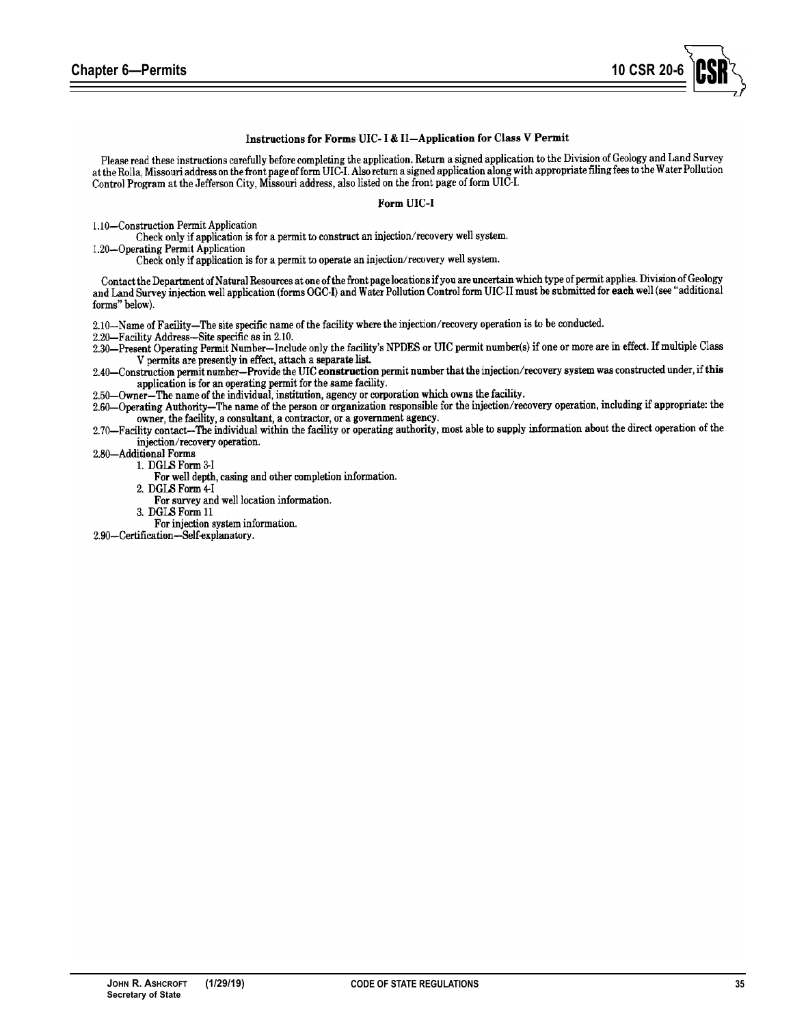

#### Instructions for Forms UIC- I & II-Application for Class V Permit

Please read these instructions carefully before completing the application. Return a signed application to the Division of Geology and Land Survey<br>at the Rolla, Missouri address on the front page of form UIC-I. Also return

#### Form UIC-I

1.10-Construction Permit Application

Check only if application is for a permit to construct an injection/recovery well system.

1.20-Operating Permit Application

Check only if application is for a permit to operate an injection/recovery well system.

Contact the Department of Natural Resources at one of the front page locations if you are uncertain which type of permit applies. Division of Geology and Land Survey injection well application (forms OGC-I) and Water Pollution Control form UIC-II must be submitted for each well (see "additional forms" below).

2.10—Name of Facility—The site specific name of the facility where the injection/recovery operation is to be conducted.

2.20-Facility Address-Site specific as in 2.10.

2.20—Tucking rights of Specific as in 2.10. V permits are presently in effect, attach a separate list.

2.40—Construction permit number—Provide the UIC construction permit number that the injection/recovery system was constructed under, if this application is for an operating permit for the same facility.<br>2.50—Owner—The name of the individual, institution, agency or corporation which owns the facility.

2.60—Operating Authority—The name of the person or organization responsible for the injection/recovery operation, including if appropriate: the owner, the facility, a consultant, a contractor, or a government agency.

2.70—Facility contact—The individual within the facility or operating authority, most able to supply information about the direct operation of the injection/recovery operation.

2.80-Additional Forms

1. DGLS Form 3-I

For well depth, casing and other completion information.

2. DGLS Form 4-I

- For survey and well location information.
- 3. DGLS Form 11

For injection system information.

2.90-Certification-Self-explanatory.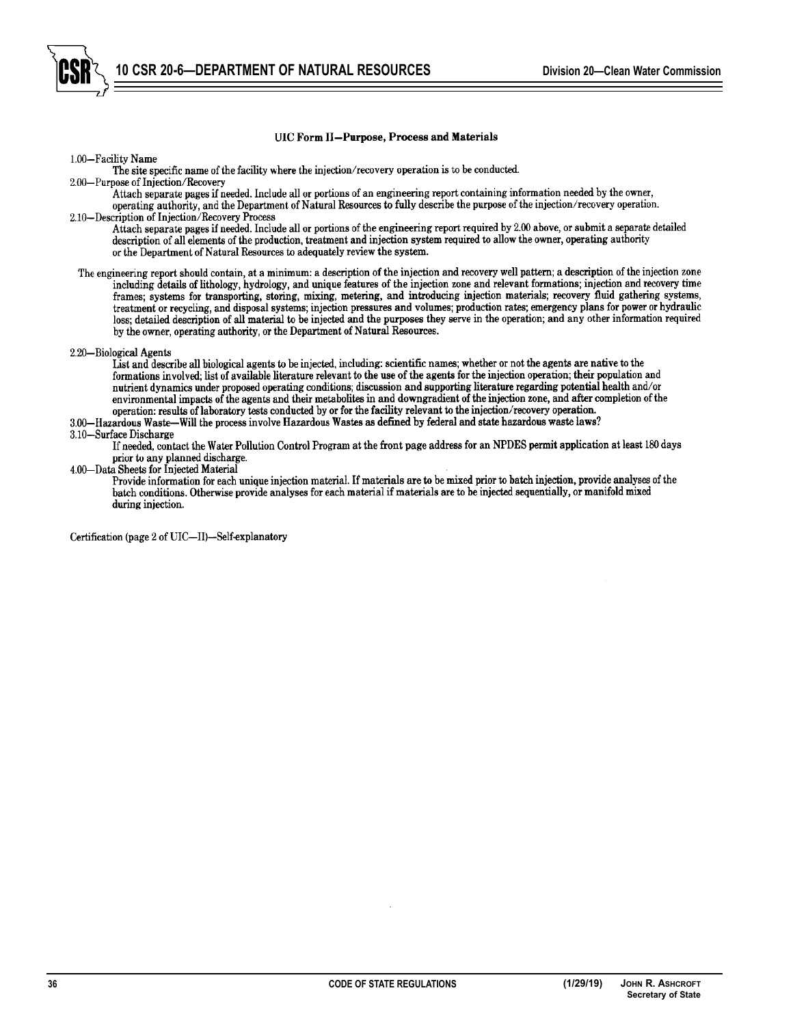**10 CSR 20-6—DEPARTMENT OF NATURAL RESOURCES Division 20—Clean Water Commission**

#### UIC Form II-Purpose, Process and Materials

1.00-Facility Name

The site specific name of the facility where the injection/recovery operation is to be conducted.

2.00-Purpose of Injection/Recovery

Attach separate pages if needed. Include all or portions of an engineering report containing information needed by the owner, operating authority, and the Department of Natural Resources to fully describe the purpose of the injection/recovery operation.

2.10-Description of Injection/Recovery Process

Attach separate pages if needed. Include all or portions of the engineering report required by 2.00 above, or submit a separate detailed description of all elements of the production, treatment and injection system required to allow the owner, operating authority or the Department of Natural Resources to adequately review the system.

The engineering report should contain, at a minimum: a description of the injection and recovery well pattern; a description of the injection zone including details of lithology, hydrology, and unique features of the injection zone and relevant formations; injection and recovery time frames; systems for transporting, storing, mixing, metering, and introducing injection materials; recovery fluid gathering systems, treatment or recycling, and disposal systems; injection pressures and volumes; production rates; emergency plans for power or hydraulic loss; detailed description of all material to be injected and the purposes they serve in the operation; and any other information required by the owner, operating authority, or the Department of Natural Resources.

#### 2.20-Biological Agents

List and describe all biological agents to be injected, including: scientific names, whether or not the agents are native to the formations involved; list of available literature relevant to the use of the agents for the injection operation; their population and nutrient dynamics under proposed operating conditions; discussion and supporting literature regarding potential health and/or environmental impacts of the agents and their metabolites in and downgradient of the injection zone, and after completion of the operation: results of laboratory tests conducted by or for the facility relevant to the injection/recovery operation. 3.00-Hazardous Waste-Will the process involve Hazardous Wastes as defined by federal and state hazardous waste laws?

# 3.10-Surface Discharge

If needed, contact the Water Pollution Control Program at the front page address for an NPDES permit application at least 180 days prior to any planned discharge.

4.00-Data Sheets for Injected Material

Provide information for each unique injection material. If materials are to be mixed prior to batch injection, provide analyses of the batch conditions. Otherwise provide analyses for each material if materials are to be injected sequentially, or manifold mixed during injection.

Certification (page 2 of UIC-II)-Self-explanatory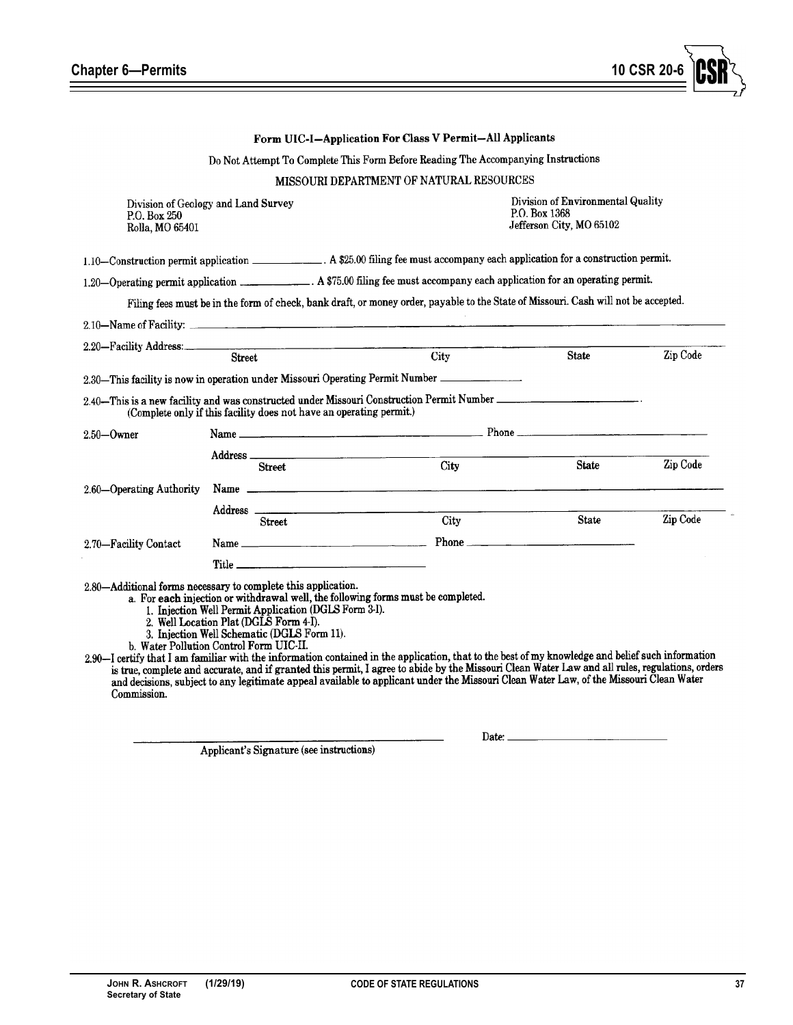

|                                                                                                                                                                                                                  |        |               | Form UIC-I-Application For Class V Permit-All Applicants                                                                                                                                                                                                                                                                                                                                                                                                                                                                                                                                    |                                                                                |          |
|------------------------------------------------------------------------------------------------------------------------------------------------------------------------------------------------------------------|--------|---------------|---------------------------------------------------------------------------------------------------------------------------------------------------------------------------------------------------------------------------------------------------------------------------------------------------------------------------------------------------------------------------------------------------------------------------------------------------------------------------------------------------------------------------------------------------------------------------------------------|--------------------------------------------------------------------------------|----------|
|                                                                                                                                                                                                                  |        |               | Do Not Attempt To Complete This Form Before Reading The Accompanying Instructions                                                                                                                                                                                                                                                                                                                                                                                                                                                                                                           |                                                                                |          |
|                                                                                                                                                                                                                  |        |               | MISSOURI DEPARTMENT OF NATURAL RESOURCES                                                                                                                                                                                                                                                                                                                                                                                                                                                                                                                                                    |                                                                                |          |
| Division of Geology and Land Survey<br>P.O. Box 250<br>Rolla, MO 65401                                                                                                                                           |        |               |                                                                                                                                                                                                                                                                                                                                                                                                                                                                                                                                                                                             | Division of Environmental Quality<br>P.O. Box 1368<br>Jefferson City, MO 65102 |          |
|                                                                                                                                                                                                                  |        |               | 1.10-Construction permit application ____________. A \$25.00 filing fee must accompany each application for a construction permit.                                                                                                                                                                                                                                                                                                                                                                                                                                                          |                                                                                |          |
|                                                                                                                                                                                                                  |        |               | 1.20-Operating permit application _____________. A \$75.00 filing fee must accompany each application for an operating permit.                                                                                                                                                                                                                                                                                                                                                                                                                                                              |                                                                                |          |
|                                                                                                                                                                                                                  |        |               | Filing fees must be in the form of check, bank draft, or money order, payable to the State of Missouri. Cash will not be accepted.                                                                                                                                                                                                                                                                                                                                                                                                                                                          |                                                                                |          |
|                                                                                                                                                                                                                  |        |               | 2.10 - Name of Facility:                                                                                                                                                                                                                                                                                                                                                                                                                                                                                                                                                                    |                                                                                |          |
|                                                                                                                                                                                                                  | Street |               | City                                                                                                                                                                                                                                                                                                                                                                                                                                                                                                                                                                                        | <b>State</b>                                                                   | Zip Code |
|                                                                                                                                                                                                                  |        |               | 2.30-This facility is now in operation under Missouri Operating Permit Number                                                                                                                                                                                                                                                                                                                                                                                                                                                                                                               |                                                                                |          |
|                                                                                                                                                                                                                  |        |               | 2.40-This is a new facility and was constructed under Missouri Construction Permit Number __________________________<br>(Complete only if this facility does not have an operating permit.)                                                                                                                                                                                                                                                                                                                                                                                                 |                                                                                |          |
| $2.50 -$ Owner                                                                                                                                                                                                   |        |               |                                                                                                                                                                                                                                                                                                                                                                                                                                                                                                                                                                                             |                                                                                |          |
|                                                                                                                                                                                                                  |        | <b>Street</b> | City                                                                                                                                                                                                                                                                                                                                                                                                                                                                                                                                                                                        | <b>State</b>                                                                   | Zip Code |
| 2.60—Operating Authority                                                                                                                                                                                         |        |               |                                                                                                                                                                                                                                                                                                                                                                                                                                                                                                                                                                                             |                                                                                |          |
|                                                                                                                                                                                                                  |        | <b>Street</b> | City                                                                                                                                                                                                                                                                                                                                                                                                                                                                                                                                                                                        | <b>State</b>                                                                   | Zip Code |
|                                                                                                                                                                                                                  |        |               |                                                                                                                                                                                                                                                                                                                                                                                                                                                                                                                                                                                             |                                                                                |          |
| 2.70-Facility Contact                                                                                                                                                                                            |        |               |                                                                                                                                                                                                                                                                                                                                                                                                                                                                                                                                                                                             |                                                                                |          |
| 2.80—Additional forms necessary to complete this application.<br>2. Well Location Plat (DGLS Form 4-I).<br>3. Injection Well Schematic (DGLS Form 11).<br>b. Water Pollution Control Form UIC-II.<br>Commission. |        |               | a. For each injection or withdrawal well, the following forms must be completed.<br>1. Injection Well Permit Application (DGLS Form 3-I).<br>2.90-I certify that I am familiar with the information contained in the application, that to the best of my knowledge and belief such information<br>is true, complete and accurate, and if granted this permit, I agree to abide by the Missouri Clean Water Law and all rules, regulations, orders<br>and decisions, subject to any legitimate appeal available to applicant under the Missouri Clean Water Law, of the Missouri Clean Water |                                                                                |          |
|                                                                                                                                                                                                                  |        |               | Applicant's Signature (see instructions)                                                                                                                                                                                                                                                                                                                                                                                                                                                                                                                                                    |                                                                                |          |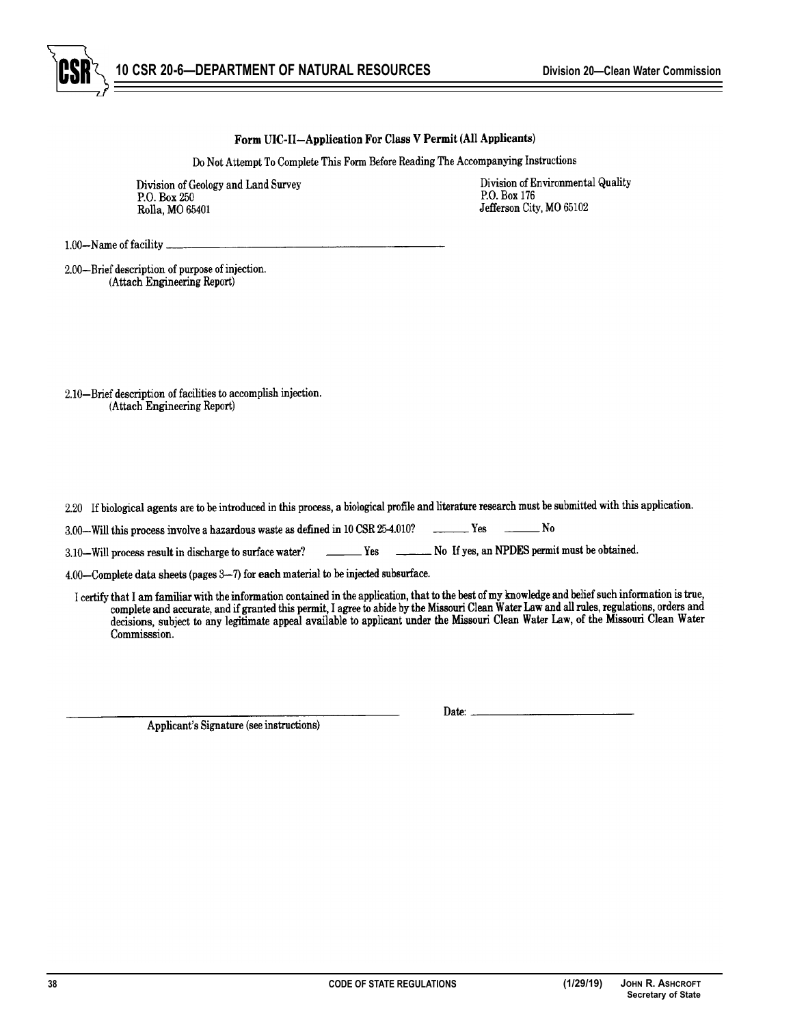

#### Form UIC-II-Application For Class V Permit (All Applicants)

Do Not Attempt To Complete This Form Before Reading The Accompanying Instructions

Division of Geology and Land Survey P.O. Box 250 Rolla, MO 65401

Division of Environmental Quality P.O. Box 176 Jefferson City, MO 65102

1.00-Name of facility

2.00-Brief description of purpose of injection. (Attach Engineering Report)

2.10-Brief description of facilities to accomplish injection. (Attach Engineering Report)

2.20 If biological agents are to be introduced in this process, a biological profile and literature research must be submitted with this application.

 $3.00\mathrm{-}$  Will this process involve a hazardous waste as defined in 10 CSR 25-4.010?  $Yes$  No

No If yes, an NPDES permit must be obtained.  $Yes$ 3.10-Will process result in discharge to surface water?

4.00—Complete data sheets (pages 3-7) for each material to be injected subsurface.

I certify that I am familiar with the information contained in the application, that to the best of my knowledge and belief such information is true, complete and accurate, and if granted this permit, I agree to abide by the Missouri Clean Water Law and all rules, regulations, orders and decisions, subject to any legitimate appeal available to applicant under the Missouri Clean Water Law, of the Missouri Clean Water Commisssion.

Applicant's Signature (see instructions)

Date:  $\_\_$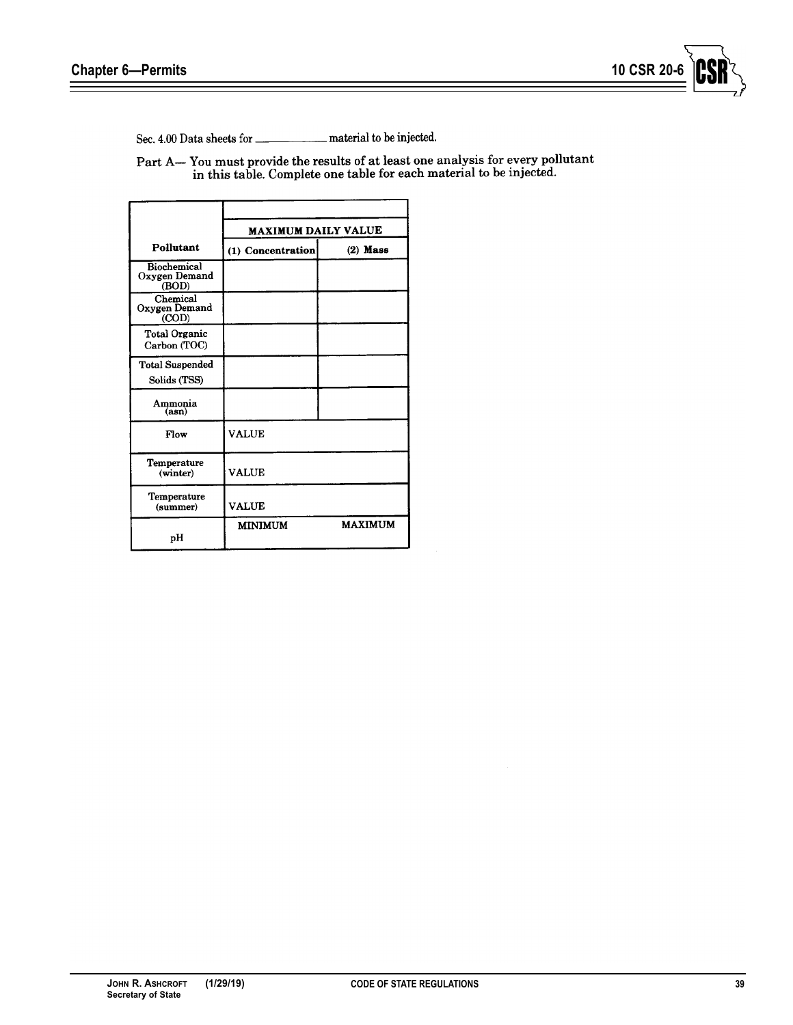

Sec. 4.00 Data sheets for \_\_\_\_\_\_\_\_\_\_\_\_ material to be injected.

Part A— You must provide the results of at least one analysis for every pollutant in this table. Complete one table for each material to be injected.

|                                              | <b>MAXIMUM DAILY VALUE</b> |                |  |  |  |  |  |
|----------------------------------------------|----------------------------|----------------|--|--|--|--|--|
| Pollutant                                    | (1) Concentration          | $(2)$ Mass     |  |  |  |  |  |
| <b>Biochemical</b><br>Oxygen Demand<br>(BOD) |                            |                |  |  |  |  |  |
| Chemical<br>Oxygen Demand<br>(COD)           |                            |                |  |  |  |  |  |
| <b>Total Organic</b><br>Carbon (TOC)         |                            |                |  |  |  |  |  |
| <b>Total Suspended</b><br>Solids (TSS)       |                            |                |  |  |  |  |  |
| Ammonia<br>(asn)                             |                            |                |  |  |  |  |  |
| Flow                                         | <b>VALUE</b>               |                |  |  |  |  |  |
| <b>Temperature</b><br>(winter)               | <b>VALUE</b>               |                |  |  |  |  |  |
| Temperature<br>(summer)                      | <b>VALUE</b>               |                |  |  |  |  |  |
| рH                                           | <b>MINIMUM</b>             | <b>MAXIMUM</b> |  |  |  |  |  |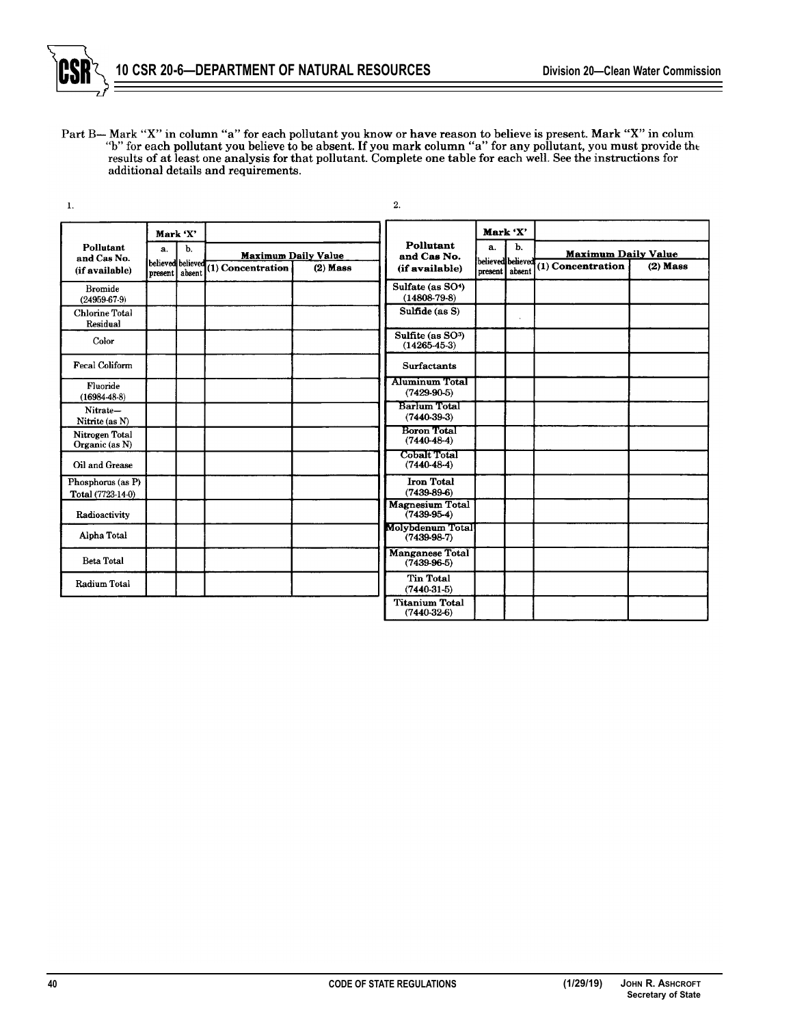

Part B— Mark "X" in column "a" for each pollutant you know or have reason to believe is present. Mark "X" in colum<br>"b" for each pollutant you believe to be absent. If you mark column "a" for any pollutant, you must provide additional details and requirements.

| $\mathbf{1}$ .                             |               | Mark 'X'                          |                                                 |            | 2.                                                  | Mark 'X'                                  |    |                                                 |            |
|--------------------------------------------|---------------|-----------------------------------|-------------------------------------------------|------------|-----------------------------------------------------|-------------------------------------------|----|-------------------------------------------------|------------|
| Pollutant<br>and Cas No.<br>(if available) | a.<br>present | b.<br>believed believed<br>absent | <b>Maximum Daily Value</b><br>(1) Concentration | $(2)$ Mass | Pollutant<br>and Cas No.<br>(if available)          | a.<br>believed believed<br>present absent | Ъ. | <b>Maximum Daily Value</b><br>(1) Concentration | $(2)$ Mass |
| <b>Bromide</b><br>$(24959-67-9)$           |               |                                   |                                                 |            | Sulfate (as SO <sup>4</sup> )<br>$(14808-79-8)$     |                                           |    |                                                 |            |
| <b>Chlorine Total</b><br>Residual          |               |                                   |                                                 |            | Sulfide (as S)                                      |                                           |    |                                                 |            |
| Color                                      |               |                                   |                                                 |            | Sulfite (as SO <sup>3</sup> )<br>$(14265 - 45 - 3)$ |                                           |    |                                                 |            |
| <b>Fecal Coliform</b>                      |               |                                   |                                                 |            | <b>Surfactants</b>                                  |                                           |    |                                                 |            |
| Fluoride<br>$(16984 - 48 - 8)$             |               |                                   |                                                 |            | Aluminum Total<br>$(7429.90-5)$                     |                                           |    |                                                 |            |
| Nitrate-<br>Nitrite (as N)                 |               |                                   |                                                 |            | Barlum Total<br>$(7440-39-3)$                       |                                           |    |                                                 |            |
| Nitrogen Total<br>Organic (as N)           |               |                                   |                                                 |            | <b>Boron Total</b><br>$(7440-48-4)$                 |                                           |    |                                                 |            |
| Oil and Grease                             |               |                                   |                                                 |            | Cobalt Total<br>$(7440-48-4)$                       |                                           |    |                                                 |            |
| Phosphorus (as P)<br>Total (7723-14-0)     |               |                                   |                                                 |            | <b>Iron Total</b><br>$(7439 - 89 - 6)$              |                                           |    |                                                 |            |
| Radioactivity                              |               |                                   |                                                 |            | <b>Magnesium Total</b><br>$(7439-95-4)$             |                                           |    |                                                 |            |
| Alpha Total                                |               |                                   |                                                 |            | Molybdenum Total<br>$(7439-98-7)$                   |                                           |    |                                                 |            |
| <b>Beta Total</b>                          |               |                                   |                                                 |            | <b>Manganese Total</b><br>$(7439-96-5)$             |                                           |    |                                                 |            |
| Radium Total                               |               |                                   |                                                 |            | <b>Tin Total</b><br>$(7440-31-5)$                   |                                           |    |                                                 |            |
|                                            |               |                                   |                                                 |            | Titanium Total<br>$(7440-32-6)$                     |                                           |    |                                                 |            |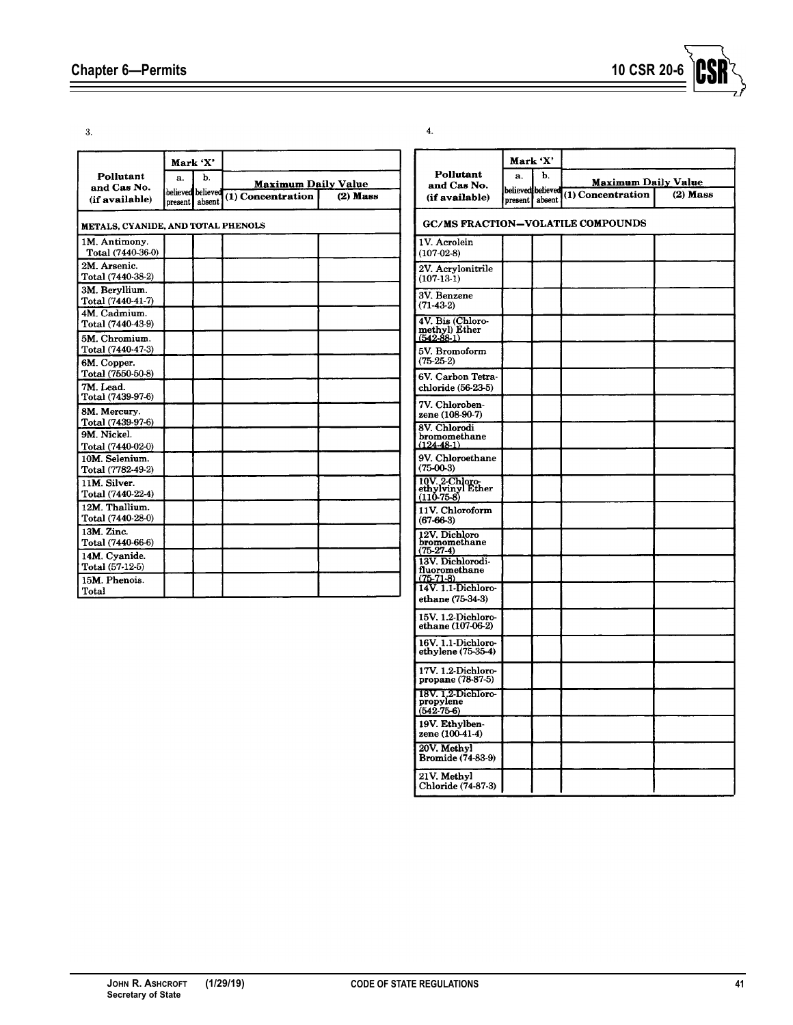

 $\overline{3}$ .

|                                     |    | Mark 'X'                            |                   |                            |  |  |
|-------------------------------------|----|-------------------------------------|-------------------|----------------------------|--|--|
| Pollutant<br>and Cas No.            | я. | Ъ.                                  |                   | <b>Maximum Daily Value</b> |  |  |
| (if available)                      |    | believed believed<br>present absent | (1) Concentration | $(2)$ Mass                 |  |  |
| METALS, CYANIDE, AND TOTAL PHENOLS  |    |                                     |                   |                            |  |  |
| 1M. Antimony.<br>Total (7440-36-0)  |    |                                     |                   |                            |  |  |
| 2M. Arsenic.<br>Total (7440-38-2)   |    |                                     |                   |                            |  |  |
| 3M. Beryllium.<br>Total (7440-41-7) |    |                                     |                   |                            |  |  |
| 4M. Cadmium.<br>Total (7440-43-9)   |    |                                     |                   |                            |  |  |
| 5M. Chromium.<br>Total (7440-47-3)  |    |                                     |                   |                            |  |  |
| 6M. Copper.<br>Total (7550-50-8)    |    |                                     |                   |                            |  |  |
| 7M. Lead.<br>Total (7439-97-6)      |    |                                     |                   |                            |  |  |
| 8M. Mercury.<br>Total (7439-97-6)   |    |                                     |                   |                            |  |  |
| 9M. Nickel.<br>Total (7440-02-0)    |    |                                     |                   |                            |  |  |
| 10M. Selenium.<br>Total (7782-49-2) |    |                                     |                   |                            |  |  |
| 11M. Silver.<br>Total (7440-22-4)   |    |                                     |                   |                            |  |  |
| 12M. Thallium.<br>Total (7440-28-0) |    |                                     |                   |                            |  |  |
| 13M. Zinc.<br>Total (7440-66-6)     |    |                                     |                   |                            |  |  |
| 14M. Cvanide.<br>Total (57-12-5)    |    |                                     |                   |                            |  |  |
| 15M. Phenois.<br>Total              |    |                                     |                   |                            |  |  |

 $\overline{4}$ .

|                                                     | Mark 'X' |        |                                          |            |
|-----------------------------------------------------|----------|--------|------------------------------------------|------------|
| Pollutant                                           | a.       | Ъ.     | <u>Maximum Daily Value</u>               |            |
| and Cas No.<br>(if available)                       | present  | absent | believed believed (1) Concentration      | $(2)$ Mass |
|                                                     |          |        |                                          |            |
|                                                     |          |        | <b>GC/MS FRACTION-VOLATILE COMPOUNDS</b> |            |
| 1V. Acrolein<br>$(107-02-8)$                        |          |        |                                          |            |
| 2V. Acrylonitrile<br>$(107-13-1)$                   |          |        |                                          |            |
| 3V. Benzene<br>$(71-43-2)$                          |          |        |                                          |            |
| 4V. Bis (Chloro-<br>methyl) Ether<br>$(542-88-1)$   |          |        |                                          |            |
| 5V. Bromoform<br>$(75-25-2)$                        |          |        |                                          |            |
| 6V. Carbon Tetra-<br>chloride (56-23-5)             |          |        |                                          |            |
| 7V. Chloroben-<br>zene (108-90-7)                   |          |        |                                          |            |
| 8V. Chlorodi<br>bromomethane<br>$(124-48-1)$        |          |        |                                          |            |
| 9V. Chloroethane<br>$(75-00-3)$                     |          |        |                                          |            |
| 10V. 2-Chloro-<br>ethylvinyl Ether<br>$(110-75-8)$  |          |        |                                          |            |
| 11V. Chloroform<br>$(67-66-3)$                      |          |        |                                          |            |
| 12V. Dichloro<br>bromomethane<br>$(75-27-4)$        |          |        |                                          |            |
| 13V. Dichlorodi-<br>fluoromethane<br>$(75-71-8)$    |          |        |                                          |            |
| 14V. 1.1-Dichloro-<br>ethane (75-34-3)              |          |        |                                          |            |
| 15V. 1.2-Dichloro<br>ethane (107-06-2)              |          |        |                                          |            |
| 16V. 1.1-Dichloro-<br>ethylene (75-35-4)            |          |        |                                          |            |
| 17V. 1.2-Dichloro-<br>propane $(78-87-5)$           |          |        |                                          |            |
| 18V. 1,2-Dichloro-<br>propylene<br>$(542 - 75 - 6)$ |          |        |                                          |            |
| 19V. Ethylben-<br>zene (100-41-4)                   |          |        |                                          |            |
| 20V. Methyl<br><b>Bromide</b> (74-83-9)             |          |        |                                          |            |
| 21V. Methyl<br>Chloride (74-87-3)                   |          |        |                                          |            |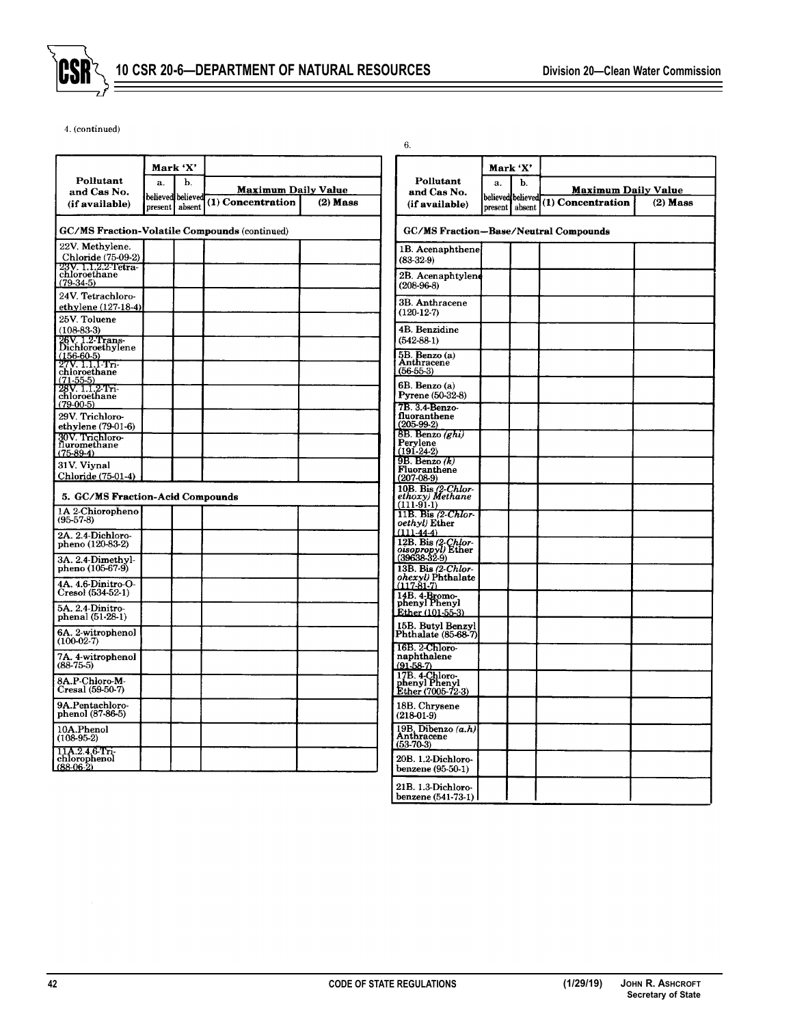

 $6.$ 

4. (continued)

|                                                    | Mark 'X' |                   |                                               |            |  |  |
|----------------------------------------------------|----------|-------------------|-----------------------------------------------|------------|--|--|
| Pollutant                                          | a.       | b.                | <b>Maximum Daily Value</b>                    |            |  |  |
| and Cas No.<br>(if available)                      |          | believed believed | (1) Concentration                             | $(2)$ Mass |  |  |
|                                                    | present  | absent            |                                               |            |  |  |
|                                                    |          |                   | GC/MS Fraction-Volatile Compounds (continued) |            |  |  |
| 22V. Methylene.                                    |          |                   |                                               |            |  |  |
| Chloride (75-09-2)                                 |          |                   |                                               |            |  |  |
| 23V. 1.1.2.2-Tetra-<br>chloroethane<br>$(79-34-5)$ |          |                   |                                               |            |  |  |
| 24V. Tetrachloro-                                  |          |                   |                                               |            |  |  |
| ethylene (127-18-4)                                |          |                   |                                               |            |  |  |
| 25V. Toluene                                       |          |                   |                                               |            |  |  |
| $(108-83-3)$                                       |          |                   |                                               |            |  |  |
| 26V. 1.2-Trans-<br>Dichloroethylene                |          |                   |                                               |            |  |  |
| (156-60-5)<br>27V. 1.1.1-Tri-<br>chloroethane      |          |                   |                                               |            |  |  |
| $(71-55-5$                                         |          |                   |                                               |            |  |  |
| 28V. 1.1.2-Tri-<br>chloroethane                    |          |                   |                                               |            |  |  |
| $(79-00-5)$                                        |          |                   |                                               |            |  |  |
| 29V. Trichloro-                                    |          |                   |                                               |            |  |  |
| ethylene (79-01-6)                                 |          |                   |                                               |            |  |  |
| 30V. Trichloro-<br>fluromethane                    |          |                   |                                               |            |  |  |
| $(75-89-4)$                                        |          |                   |                                               |            |  |  |
| 31V. Viynal                                        |          |                   |                                               |            |  |  |
| Chloride (75-01-4)                                 |          |                   |                                               |            |  |  |
| 5. GC/MS Fraction-Acid Compounds                   |          |                   |                                               |            |  |  |
| 1A 2-Chioropheno<br>$(95-57-8)$                    |          |                   |                                               |            |  |  |
| 2A. 2.4-Dichloro-                                  |          |                   |                                               |            |  |  |
| pheno (120-83-2)                                   |          |                   |                                               |            |  |  |
| 3A. 2.4-Dimethyl-<br>pheno (105-67-9)              |          |                   |                                               |            |  |  |
| 4A. 4.6 Dinitro-O-                                 |          |                   |                                               |            |  |  |
| Cresol (534-52-1)                                  |          |                   |                                               |            |  |  |
| 5A. 2.4 Dinitro-                                   |          |                   |                                               |            |  |  |
| phenal (51-28-1)                                   |          |                   |                                               |            |  |  |
| 6A. 2-witrophenol<br>$(100-02-7)$                  |          |                   |                                               |            |  |  |
| 7A. 4-witrophenol<br>$(88-75-5)$                   |          |                   |                                               |            |  |  |
| 8A.P-Chloro-M-<br>Cresal (59-50-7)                 |          |                   |                                               |            |  |  |
| 9A.Pentachloro-                                    |          |                   |                                               |            |  |  |
| phenol (87-86-5)                                   |          |                   |                                               |            |  |  |
| 10A.Phenol<br>$(108-95-2)$                         |          |                   |                                               |            |  |  |
| 11A.2.4.6-Tri-<br>chlorophenol<br>$(88-06-2)$      |          |                   |                                               |            |  |  |

|                                                            | Mark 'X' |                   |                            |            |  |  |  |
|------------------------------------------------------------|----------|-------------------|----------------------------|------------|--|--|--|
| Pollutant                                                  | b.<br>а. |                   | <u>Maximum Daily Value</u> |            |  |  |  |
| and Cas No.                                                |          | believed believed | (1) Concentration          | $(2)$ Mass |  |  |  |
| (if available)                                             | present  | absent            |                            |            |  |  |  |
| GC/MS Fraction-Base/Neutral Compounds                      |          |                   |                            |            |  |  |  |
| 1B. Acenaphthene<br>$(83-32-9)$                            |          |                   |                            |            |  |  |  |
| 2B. Acenaphtylene<br>$(208-96-8)$                          |          |                   |                            |            |  |  |  |
| 3B. Anthracene<br>$(120-12-7)$                             |          |                   |                            |            |  |  |  |
| 4B. Benzidine<br>$(542-88-1)$                              |          |                   |                            |            |  |  |  |
| 5B. Benzo (a)<br>Anthracene<br>$(56-55-3)$                 |          |                   |                            |            |  |  |  |
| 6B. Benzo (a)<br><b>Pyrene</b> (50-32-8)                   |          |                   |                            |            |  |  |  |
| 7B. 3.4-Benzo-<br>fluoranthene<br>$(205-99-2)$             |          |                   |                            |            |  |  |  |
| 8B. Benzo (ghi)<br>Perylene<br>$(191-24-2)$                |          |                   |                            |            |  |  |  |
| $9B.$ Benzo $(k)$<br>Fluoranthene<br>$(207-08-9)$          |          |                   |                            |            |  |  |  |
| 10B. Bis (2-Chlor-<br>ethoxy) Methane<br>$(111-91-1)$      |          |                   |                            |            |  |  |  |
| 11B. Bis (2-Chlor-<br><i>oethyl)</i> Ether<br>$(111-44-4)$ |          |                   |                            |            |  |  |  |
| 12B. Bis (2-Chlor-<br>0isopropyl) Ether<br>(39638-32-9)    |          |                   |                            |            |  |  |  |
| 13B. Bis $(2-Chlor -$<br>ohexyl) Phthalate<br>(117-81-7)   |          |                   |                            |            |  |  |  |
| 14B. 4-Bromo-<br>phenyl Phenyl<br>Ether (101-55-3)         |          |                   |                            |            |  |  |  |
| 15B. Butyl Benzyl<br>Phthalate (85-68-7)                   |          |                   |                            |            |  |  |  |
| 16B. 2-Chloro-<br>naphthalene<br>$(91-58-7)$               |          |                   |                            |            |  |  |  |
| 17B. 4-Chloro-<br>phenyl Phenyl<br>Ether (7005-72-3)       |          |                   |                            |            |  |  |  |
| 18B. Chrysene<br>$(218-01-9)$                              |          |                   |                            |            |  |  |  |
| 19B. Dibenzo (a.h)<br>Anthracene<br>$(53-70-3)$            |          |                   |                            |            |  |  |  |
| 20B. 1.2-Dichloro-<br>benzene (95-50-1)                    |          |                   |                            |            |  |  |  |
| 21B. 1.3-Dichloro-<br>benzene (541-73-1) l                 |          |                   |                            |            |  |  |  |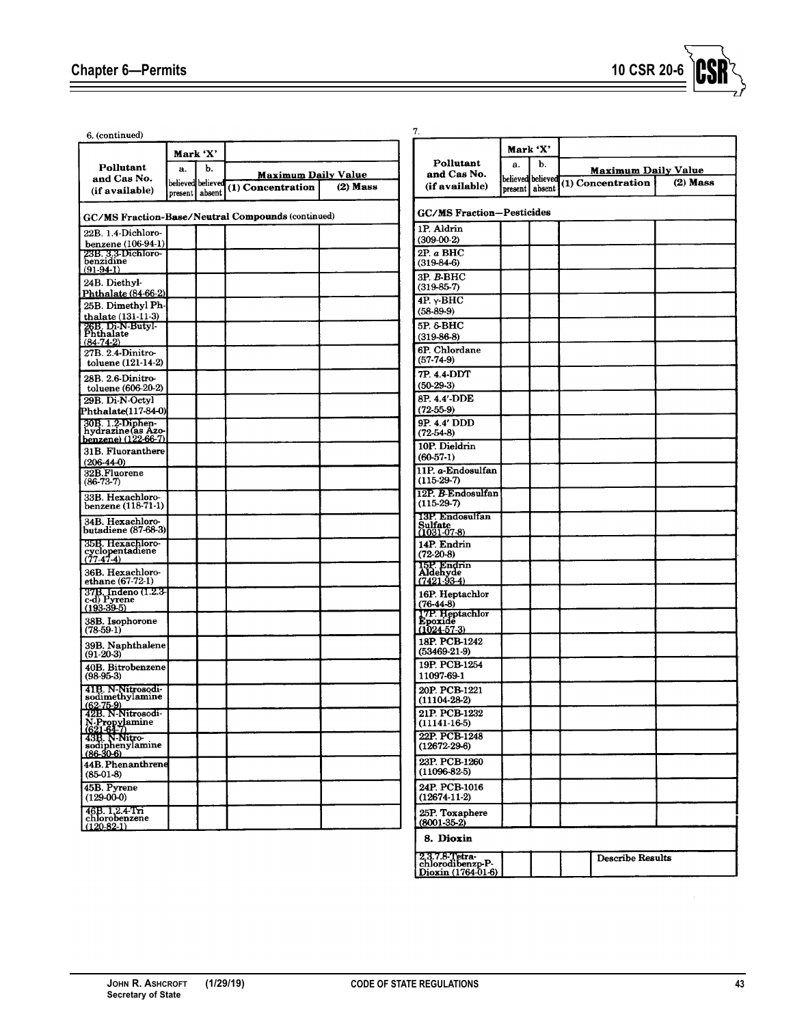

| 6. (continued)                                                                |          |                             |                                  |            | 7.                                          |         |                             |                            |            |
|-------------------------------------------------------------------------------|----------|-----------------------------|----------------------------------|------------|---------------------------------------------|---------|-----------------------------|----------------------------|------------|
|                                                                               | Mark 'X' |                             |                                  |            |                                             |         | Mark 'X'                    |                            |            |
| Pollutant                                                                     | a.       | b.                          | <b>Maximum Daily Value</b>       |            | Pollutant<br>and Cas No.                    | a.      | Ъ.                          | <b>Maximum Daily Value</b> |            |
| and Cas No.<br>(if available)                                                 | present  | believed believed<br>absent | (1) Concentration                | $(2)$ Mass | (if available)                              | present | believed believed<br>absent | (1) Concentration          | $(2)$ Mass |
| GC/MS Fraction-Base/Neutral Compounds (continued)                             |          |                             | <b>GC/MS Fraction-Pesticides</b> |            |                                             |         |                             |                            |            |
| 22B. 1.4-Dichloro-                                                            |          |                             |                                  |            | 1P. Aldrin                                  |         |                             |                            |            |
| benzene (106-94-1)                                                            |          |                             |                                  |            | $(309-00-2)$                                |         |                             |                            |            |
| 23B. 3.3-Dichloro-<br>benzidine<br>$(91-94-1)$                                |          |                             |                                  |            | 2P. a BHC<br>$(319-84-6)$                   |         |                             |                            |            |
| 24B. Diethyl-<br>Phthalate (84-66-2)                                          |          |                             |                                  |            | 3P. B-BHC<br>$(319-85-7)$                   |         |                             |                            |            |
| 25B. Dimethyl Ph-<br>thalate $(131-11-3)$                                     |          |                             |                                  |            | 4P. y-BHC<br>$(58-89-9)$                    |         |                             |                            |            |
| 26B. Di-N-Butyl-<br>Phthalate                                                 |          |                             |                                  |            | 5P. 6-BHC<br>$(319-86-8)$                   |         |                             |                            |            |
| $(84 - 74 - 2)$<br>27B. 2.4-Dinitro-<br>toluene (121-14-2)                    |          |                             |                                  |            | 6P. Chlordane<br>$(57-74-9)$                |         |                             |                            |            |
| 28B. 2.6 Dinitro-<br>toluene (606-20-2)                                       |          |                             |                                  |            | 7P. 4.4-DDT<br>$(50-29-3)$                  |         |                             |                            |            |
| 29B. Di N Octyl                                                               |          |                             |                                  |            | 8P. 4.4'-DDE<br>$(72-55-9)$                 |         |                             |                            |            |
| Phthalate(117-84-0)<br>30B. 1.2-Diphen-<br>hydrazine (as Azo-                 |          |                             |                                  |            | 9P. 4.4' DDD<br>$(72-54-8)$                 |         |                             |                            |            |
| benzene) (122-66-7)<br>31B. Fluoranthere                                      |          |                             |                                  |            | 10P. Dieldrin<br>$(60-57-1)$                |         |                             |                            |            |
| $(206-44-0)$<br>32B.Fluorene<br>$(86-73-7)$                                   |          |                             |                                  |            | 11P. a-Endosulfan<br>$(115-29-7)$           |         |                             |                            |            |
| 33B. Hexachloro-<br>benzene (118-71-1)                                        |          |                             |                                  |            | 12P. B-Endosulfan<br>$(115-29-7)$           |         |                             |                            |            |
| 34B. Hexachloro-<br>butadiene (87-68-3)                                       |          |                             |                                  |            | 13P. Endosulfan<br>Sulfate<br>(1031-07-8)   |         |                             |                            |            |
| 35B. Hexachloro-<br>cyclopentadiene<br>$(77-47-4)$                            |          |                             |                                  |            | 14P. Endrin<br>$(72-20-8)$                  |         |                             |                            |            |
| 36B. Hexachloro-<br>ethane (67-72-1)                                          |          |                             |                                  |            | 15P. Endrin<br>Aldehyde<br>$(7421.93-4)$    |         |                             |                            |            |
| 37B. Indeno (1.2.3-<br>c-d) Pyrene<br>(193-39-5)                              |          |                             |                                  |            | 16P. Heptachlor<br>$(76-44-8)$              |         |                             |                            |            |
| 38B. Isophorone<br>$(78-59-1)$                                                |          |                             |                                  |            | 17P. Heptachlor<br>Epoxide<br>$(1024-57-3)$ |         |                             |                            |            |
| 39B. Naphthalene<br>$(91-20-3)$                                               |          |                             |                                  |            | 18P. PCB-1242<br>$(53469-21-9)$             |         |                             |                            |            |
| 40B. Bitrobenzene<br>$(98-95-3)$                                              |          |                             |                                  |            | 19P. PCB-1254<br>11097-69-1                 |         |                             |                            |            |
| 41B. N-Nitrosodi-<br>sodimethylamine                                          |          |                             |                                  |            | 20P. PCB-1221<br>$(11104-28-2)$             |         |                             |                            |            |
| 42B. N-Nitrosodi-                                                             |          |                             |                                  |            | 21P. PCB-1232<br>$(1114116-5)$              |         |                             |                            |            |
| N-Propylamine<br>(621-64-7)<br>43B. N-Nitro<br>sodiphenylamine<br>$(86-30-6)$ |          |                             |                                  |            | 22P. PCB-1248<br>$(12672 - 29 - 6)$         |         |                             |                            |            |
| 44B. Phenanthrene<br>$(85-01-8)$                                              |          |                             |                                  |            | 23P. PCB-1260<br>$(11096-82.5)$             |         |                             |                            |            |
| 45B. Pyrene<br>$(129-00-0)$                                                   |          |                             |                                  |            | 24P. PCB-1016<br>$(12674-11-2)$             |         |                             |                            |            |
| 46B. 1.2.4-Tri<br>chlorobenzene<br>$(120-82-1)$                               |          |                             |                                  |            | 25P. Toxaphere<br>$(8001-35-2)$             |         |                             |                            |            |
|                                                                               |          |                             |                                  |            | 8. Dioxin                                   |         |                             |                            |            |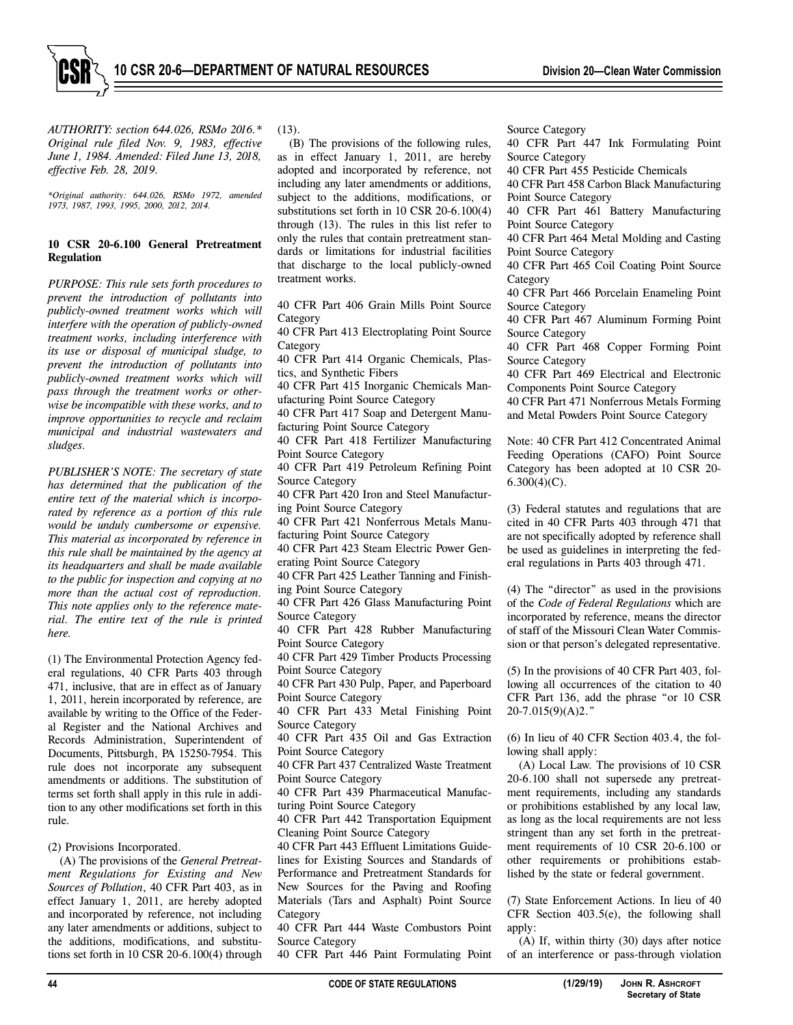*AUTHORITY: section 644.026, RSMo 2016.\* Original rule filed Nov. 9, 1983, effective June 1, 1984. Amended: Filed June 13, 2018, effective Feb. 28, 2019.* 

*\*Original authority: 644.026, RSMo 1972, amended 1973, 1987, 1993, 1995, 2000, 2012, 2014.* 

#### **10 CSR 20-6.100 General Pretreatment Regulation**

*PURPOSE: This rule sets forth procedures to prevent the introduction of pollutants into publicly-owned treatment works which will interfere with the operation of publicly-owned treatment works, including interference with its use or disposal of municipal sludge, to prevent the introduction of pollutants into publicly-owned treatment works which will pass through the treatment works or otherwise be incompatible with these works, and to improve opportunities to recycle and reclaim municipal and industrial wastewaters and sludges.* 

*PUBLISHER'S NOTE: The secretary of state has determined that the publication of the entire text of the material which is incorporated by reference as a portion of this rule would be unduly cumbersome or expensive. This material as incorporated by reference in this rule shall be maintained by the agency at its headquarters and shall be made available to the public for inspection and copying at no more than the actual cost of reproduction. This note applies only to the reference material. The entire text of the rule is printed here.*

(1) The Environmental Protection Agency federal regulations, 40 CFR Parts 403 through 471, inclusive, that are in effect as of January 1, 2011, herein incorporated by reference, are available by writing to the Office of the Federal Register and the National Archives and Records Administration, Superintendent of Documents, Pittsburgh, PA 15250-7954. This rule does not incorporate any subsequent amendments or additions. The substitution of terms set forth shall apply in this rule in addition to any other modifications set forth in this rule.

(2) Provisions Incorporated.

(A) The provisions of the *General Pretreatment Regulations for Existing and New Sources of Pollution*, 40 CFR Part 403, as in effect January 1, 2011, are hereby adopted and incorporated by reference, not including any later amendments or additions, subject to the additions, modifications, and substitutions set forth in 10 CSR 20-6.100(4) through

(13).

(B) The provisions of the following rules, as in effect January 1, 2011, are hereby adopted and incorporated by reference, not including any later amendments or additions, subject to the additions, modifications, or substitutions set forth in 10 CSR 20-6.100(4) through (13). The rules in this list refer to only the rules that contain pretreatment standards or limitations for industrial facilities that discharge to the local publicly-owned treatment works.

40 CFR Part 406 Grain Mills Point Source Category

40 CFR Part 413 Electroplating Point Source Category

40 CFR Part 414 Organic Chemicals, Plastics, and Synthetic Fibers

40 CFR Part 415 Inorganic Chemicals Manufacturing Point Source Category

40 CFR Part 417 Soap and Detergent Manufacturing Point Source Category

40 CFR Part 418 Fertilizer Manufacturing Point Source Category

40 CFR Part 419 Petroleum Refining Point Source Category

40 CFR Part 420 Iron and Steel Manufacturing Point Source Category

40 CFR Part 421 Nonferrous Metals Manufacturing Point Source Category

40 CFR Part 423 Steam Electric Power Generating Point Source Category

40 CFR Part 425 Leather Tanning and Finishing Point Source Category

40 CFR Part 426 Glass Manufacturing Point Source Category

40 CFR Part 428 Rubber Manufacturing Point Source Category

40 CFR Part 429 Timber Products Processing Point Source Category

40 CFR Part 430 Pulp, Paper, and Paperboard Point Source Category

40 CFR Part 433 Metal Finishing Point Source Category

40 CFR Part 435 Oil and Gas Extraction Point Source Category

40 CFR Part 437 Centralized Waste Treatment Point Source Category

40 CFR Part 439 Pharmaceutical Manufacturing Point Source Category

40 CFR Part 442 Transportation Equipment Cleaning Point Source Category

40 CFR Part 443 Effluent Limitations Guidelines for Existing Sources and Standards of Performance and Pretreatment Standards for New Sources for the Paving and Roofing Materials (Tars and Asphalt) Point Source Category

40 CFR Part 444 Waste Combustors Point Source Category

40 CFR Part 446 Paint Formulating Point

Source Category

40 CFR Part 447 Ink Formulating Point Source Category

40 CFR Part 455 Pesticide Chemicals

40 CFR Part 458 Carbon Black Manufacturing Point Source Category

40 CFR Part 461 Battery Manufacturing Point Source Category

40 CFR Part 464 Metal Molding and Casting Point Source Category

40 CFR Part 465 Coil Coating Point Source Category

40 CFR Part 466 Porcelain Enameling Point Source Category

40 CFR Part 467 Aluminum Forming Point Source Category

40 CFR Part 468 Copper Forming Point Source Category

40 CFR Part 469 Electrical and Electronic Components Point Source Category

40 CFR Part 471 Nonferrous Metals Forming and Metal Powders Point Source Category

Note: 40 CFR Part 412 Concentrated Animal Feeding Operations (CAFO) Point Source Category has been adopted at 10 CSR 20-  $6.300(4)(C)$ .

(3) Federal statutes and regulations that are cited in 40 CFR Parts 403 through 471 that are not specifically adopted by reference shall be used as guidelines in interpreting the federal regulations in Parts 403 through 471.

(4) The "director" as used in the provisions of the *Code of Federal Regulations* which are incorporated by reference, means the director of staff of the Missouri Clean Water Commission or that person's delegated representative.

(5) In the provisions of 40 CFR Part 403, following all occurrences of the citation to 40 CFR Part 136, add the phrase "or 10 CSR 20-7.015(9)(A)2."

(6) In lieu of 40 CFR Section 403.4, the following shall apply:

(A) Local Law. The provisions of 10 CSR 20-6.100 shall not supersede any pretreatment requirements, including any standards or prohibitions established by any local law, as long as the local requirements are not less stringent than any set forth in the pretreatment requirements of 10 CSR 20-6.100 or other requirements or prohibitions established by the state or federal government.

(7) State Enforcement Actions. In lieu of 40 CFR Section  $403.5(e)$ , the following shall apply:

(A) If, within thirty (30) days after notice of an interference or pass-through violation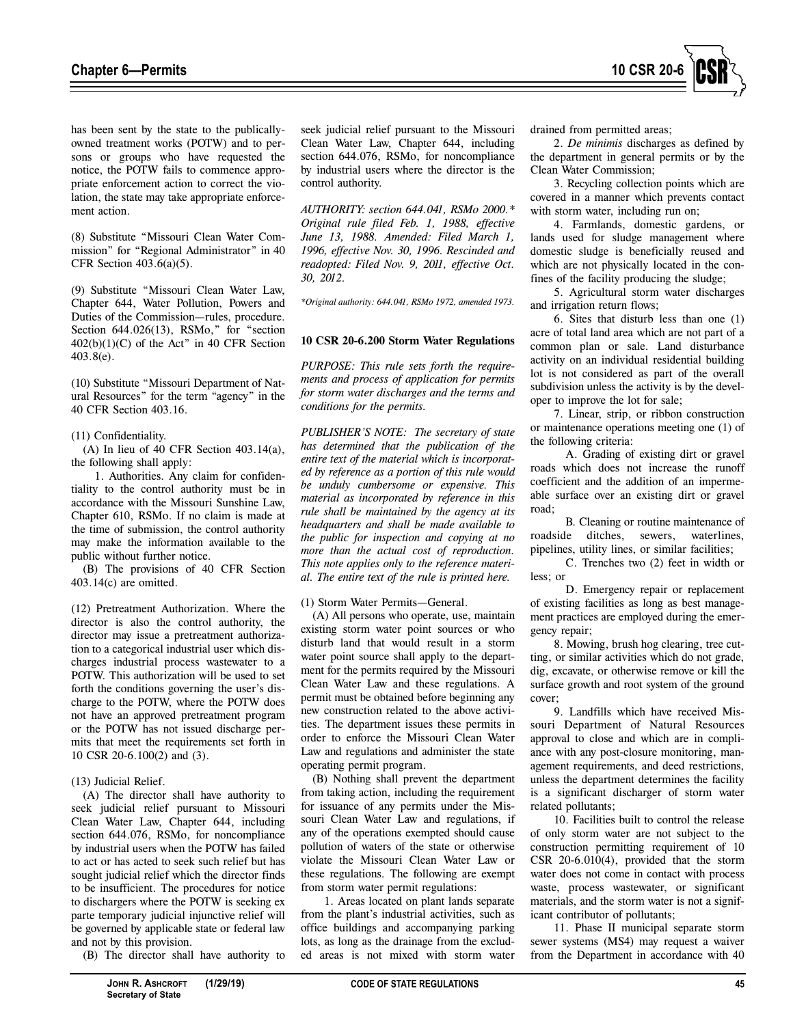

has been sent by the state to the publicallyowned treatment works (POTW) and to persons or groups who have requested the notice, the POTW fails to commence appropriate enforcement action to correct the violation, the state may take appropriate enforcement action.

(8) Substitute "Missouri Clean Water Commission" for "Regional Administrator" in 40 CFR Section 403.6(a)(5).

(9) Substitute "Missouri Clean Water Law, Chapter 644, Water Pollution, Powers and Duties of the Commission—rules, procedure. Section 644.026(13), RSMo," for "section 402(b)(1)(C) of the Act" in 40 CFR Section 403.8(e).

(10) Substitute "Missouri Department of Natural Resources" for the term "agency" in the 40 CFR Section 403.16.

#### (11) Confidentiality.

(A) In lieu of 40 CFR Section 403.14(a), the following shall apply:

1. Authorities. Any claim for confidentiality to the control authority must be in accordance with the Missouri Sunshine Law, Chapter 610, RSMo. If no claim is made at the time of submission, the control authority may make the information available to the public without further notice.

(B) The provisions of 40 CFR Section 403.14(c) are omitted.

(12) Pretreatment Authorization. Where the director is also the control authority, the director may issue a pretreatment authorization to a categorical industrial user which discharges industrial process wastewater to a POTW. This authorization will be used to set forth the conditions governing the user's discharge to the POTW, where the POTW does not have an approved pretreatment program or the POTW has not issued discharge permits that meet the requirements set forth in 10 CSR 20-6.100(2) and (3).

#### (13) Judicial Relief.

(A) The director shall have authority to seek judicial relief pursuant to Missouri Clean Water Law, Chapter 644, including section 644.076, RSMo, for noncompliance by industrial users when the POTW has failed to act or has acted to seek such relief but has sought judicial relief which the director finds to be insufficient. The procedures for notice to dischargers where the POTW is seeking ex parte temporary judicial injunctive relief will be governed by applicable state or federal law and not by this provision.

(B) The director shall have authority to

seek judicial relief pursuant to the Missouri Clean Water Law, Chapter 644, including section 644.076, RSMo, for noncompliance by industrial users where the director is the control authority.

*AUTHORITY: section 644.041, RSMo 2000.\* Original rule filed Feb. 1, 1988, effective June 13, 1988. Amended: Filed March 1, 1996, effective Nov. 30, 1996. Rescinded and readopted: Filed Nov. 9, 2011, effective Oct. 30, 2012.*

*\*Original authority: 644.041, RSMo 1972, amended 1973.* 

#### **10 CSR 20-6.200 Storm Water Regulations**

*PURPOSE: This rule sets forth the requirements and process of application for permits for storm water discharges and the terms and conditions for the permits.* 

*PUBLISHER'S NOTE: The secretary of state has determined that the publication of the entire text of the material which is incorporated by reference as a portion of this rule would be unduly cumbersome or expensive. This material as incorporated by reference in this rule shall be maintained by the agency at its headquarters and shall be made available to the public for inspection and copying at no more than the actual cost of reproduction. This note applies only to the reference material. The entire text of the rule is printed here.* 

#### (1) Storm Water Permits—General.

(A) All persons who operate, use, maintain existing storm water point sources or who disturb land that would result in a storm water point source shall apply to the department for the permits required by the Missouri Clean Water Law and these regulations. A permit must be obtained before beginning any new construction related to the above activities. The department issues these permits in order to enforce the Missouri Clean Water Law and regulations and administer the state operating permit program.

(B) Nothing shall prevent the department from taking action, including the requirement for issuance of any permits under the Missouri Clean Water Law and regulations, if any of the operations exempted should cause pollution of waters of the state or otherwise violate the Missouri Clean Water Law or these regulations. The following are exempt from storm water permit regulations:

1. Areas located on plant lands separate from the plant's industrial activities, such as office buildings and accompanying parking lots, as long as the drainage from the excluded areas is not mixed with storm water drained from permitted areas;

2. *De minimis* discharges as defined by the department in general permits or by the Clean Water Commission;

3. Recycling collection points which are covered in a manner which prevents contact with storm water, including run on;

4. Farmlands, domestic gardens, or lands used for sludge management where domestic sludge is beneficially reused and which are not physically located in the confines of the facility producing the sludge;

5. Agricultural storm water discharges and irrigation return flows;

6. Sites that disturb less than one (1) acre of total land area which are not part of a common plan or sale. Land disturbance activity on an individual residential building lot is not considered as part of the overall subdivision unless the activity is by the developer to improve the lot for sale;

7. Linear, strip, or ribbon construction or maintenance operations meeting one (1) of the following criteria:

A. Grading of existing dirt or gravel roads which does not increase the runoff coefficient and the addition of an impermeable surface over an existing dirt or gravel road;

B. Cleaning or routine maintenance of roadside ditches, sewers, waterlines, pipelines, utility lines, or similar facilities;

C. Trenches two (2) feet in width or less; or

D. Emergency repair or replacement of existing facilities as long as best management practices are employed during the emergency repair;

8. Mowing, brush hog clearing, tree cutting, or similar activities which do not grade, dig, excavate, or otherwise remove or kill the surface growth and root system of the ground cover;

9. Landfills which have received Missouri Department of Natural Resources approval to close and which are in compliance with any post-closure monitoring, management requirements, and deed restrictions, unless the department determines the facility is a significant discharger of storm water related pollutants;

10. Facilities built to control the release of only storm water are not subject to the construction permitting requirement of 10 CSR 20-6.010(4), provided that the storm water does not come in contact with process waste, process wastewater, or significant materials, and the storm water is not a significant contributor of pollutants;

11. Phase II municipal separate storm sewer systems (MS4) may request a waiver from the Department in accordance with 40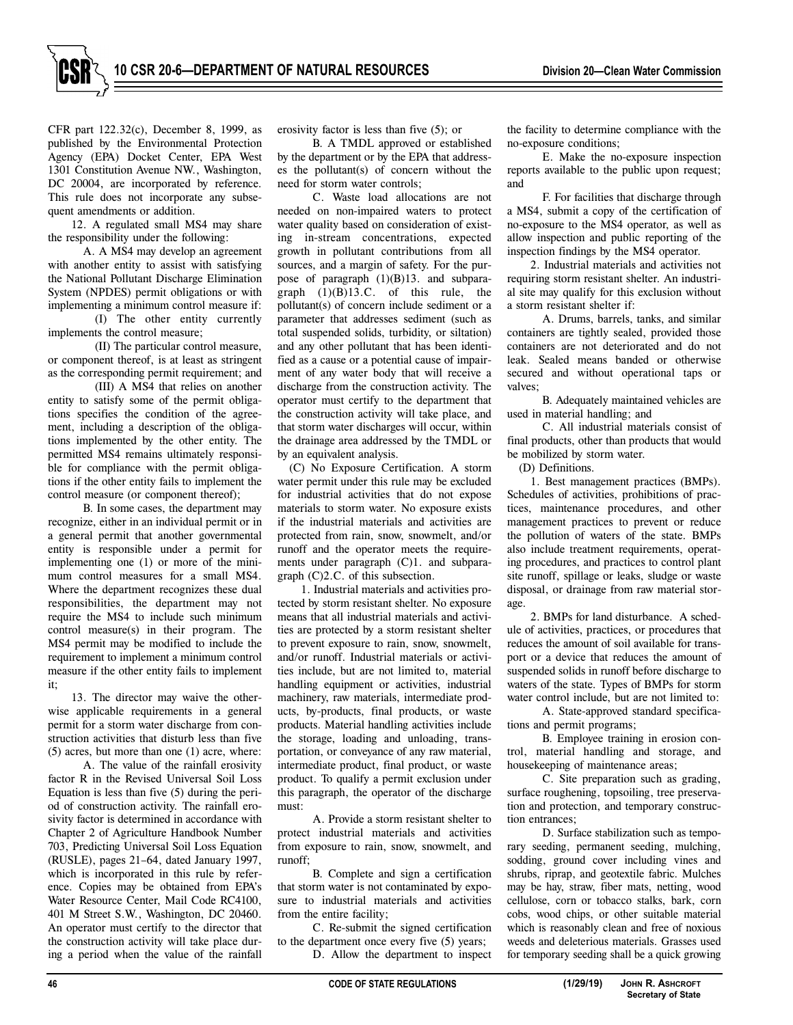CFR part 122.32(c), December 8, 1999, as published by the Environmental Protection Agency (EPA) Docket Center, EPA West 1301 Constitution Avenue NW., Washington, DC 20004, are incorporated by reference. This rule does not incorporate any subsequent amendments or addition.

12. A regulated small MS4 may share the responsibility under the following:

A. A MS4 may develop an agreement with another entity to assist with satisfying the National Pollutant Discharge Elimination System (NPDES) permit obligations or with implementing a minimum control measure if: (I) The other entity currently

implements the control measure;

(II) The particular control measure, or component thereof, is at least as stringent as the corresponding permit requirement; and

(III) A MS4 that relies on another entity to satisfy some of the permit obligations specifies the condition of the agreement, including a description of the obligations implemented by the other entity. The permitted MS4 remains ultimately responsible for compliance with the permit obligations if the other entity fails to implement the control measure (or component thereof);

B. In some cases, the department may recognize, either in an individual permit or in a general permit that another governmental entity is responsible under a permit for implementing one (1) or more of the minimum control measures for a small MS4. Where the department recognizes these dual responsibilities, the department may not require the MS4 to include such minimum control measure(s) in their program. The MS4 permit may be modified to include the requirement to implement a minimum control measure if the other entity fails to implement it;

13. The director may waive the otherwise applicable requirements in a general permit for a storm water discharge from construction activities that disturb less than five (5) acres, but more than one (1) acre, where:

A. The value of the rainfall erosivity factor R in the Revised Universal Soil Loss Equation is less than five (5) during the period of construction activity. The rainfall erosivity factor is determined in accordance with Chapter 2 of Agriculture Handbook Number 703, Predicting Universal Soil Loss Equation (RUSLE), pages 21–64, dated January 1997, which is incorporated in this rule by reference. Copies may be obtained from EPA's Water Resource Center, Mail Code RC4100, 401 M Street S.W., Washington, DC 20460. An operator must certify to the director that the construction activity will take place during a period when the value of the rainfall

erosivity factor is less than five (5); or

B. A TMDL approved or established by the department or by the EPA that addresses the pollutant(s) of concern without the need for storm water controls;

C. Waste load allocations are not needed on non-impaired waters to protect water quality based on consideration of existing in-stream concentrations, expected growth in pollutant contributions from all sources, and a margin of safety. For the purpose of paragraph (1)(B)13. and subparagraph  $(1)(B)$ 13.C. of this rule, the pollutant(s) of concern include sediment or a parameter that addresses sediment (such as total suspended solids, turbidity, or siltation) and any other pollutant that has been identified as a cause or a potential cause of impairment of any water body that will receive a discharge from the construction activity. The operator must certify to the department that the construction activity will take place, and that storm water discharges will occur, within the drainage area addressed by the TMDL or by an equivalent analysis.

(C) No Exposure Certification. A storm water permit under this rule may be excluded for industrial activities that do not expose materials to storm water. No exposure exists if the industrial materials and activities are protected from rain, snow, snowmelt, and/or runoff and the operator meets the requirements under paragraph (C)1. and subparagraph (C)2.C. of this subsection.

1. Industrial materials and activities protected by storm resistant shelter. No exposure means that all industrial materials and activities are protected by a storm resistant shelter to prevent exposure to rain, snow, snowmelt, and/or runoff. Industrial materials or activities include, but are not limited to, material handling equipment or activities, industrial machinery, raw materials, intermediate products, by-products, final products, or waste products. Material handling activities include the storage, loading and unloading, transportation, or conveyance of any raw material, intermediate product, final product, or waste product. To qualify a permit exclusion under this paragraph, the operator of the discharge must:

A. Provide a storm resistant shelter to protect industrial materials and activities from exposure to rain, snow, snowmelt, and runoff;

B. Complete and sign a certification that storm water is not contaminated by exposure to industrial materials and activities from the entire facility;

C. Re-submit the signed certification to the department once every five (5) years; D. Allow the department to inspect the facility to determine compliance with the no-exposure conditions;

E. Make the no-exposure inspection reports available to the public upon request; and

F. For facilities that discharge through a MS4, submit a copy of the certification of no-exposure to the MS4 operator, as well as allow inspection and public reporting of the inspection findings by the MS4 operator.

2. Industrial materials and activities not requiring storm resistant shelter. An industrial site may qualify for this exclusion without a storm resistant shelter if:

A. Drums, barrels, tanks, and similar containers are tightly sealed, provided those containers are not deteriorated and do not leak. Sealed means banded or otherwise secured and without operational taps or valves;

B. Adequately maintained vehicles are used in material handling; and

C. All industrial materials consist of final products, other than products that would be mobilized by storm water.

(D) Definitions.

1. Best management practices (BMPs). Schedules of activities, prohibitions of practices, maintenance procedures, and other management practices to prevent or reduce the pollution of waters of the state. BMPs also include treatment requirements, operating procedures, and practices to control plant site runoff, spillage or leaks, sludge or waste disposal, or drainage from raw material storage.

2. BMPs for land disturbance. A schedule of activities, practices, or procedures that reduces the amount of soil available for transport or a device that reduces the amount of suspended solids in runoff before discharge to waters of the state. Types of BMPs for storm water control include, but are not limited to:

A. State-approved standard specifications and permit programs;

B. Employee training in erosion control, material handling and storage, and housekeeping of maintenance areas;

C. Site preparation such as grading, surface roughening, topsoiling, tree preservation and protection, and temporary construction entrances;

D. Surface stabilization such as temporary seeding, permanent seeding, mulching, sodding, ground cover including vines and shrubs, riprap, and geotextile fabric. Mulches may be hay, straw, fiber mats, netting, wood cellulose, corn or tobacco stalks, bark, corn cobs, wood chips, or other suitable material which is reasonably clean and free of noxious weeds and deleterious materials. Grasses used for temporary seeding shall be a quick growing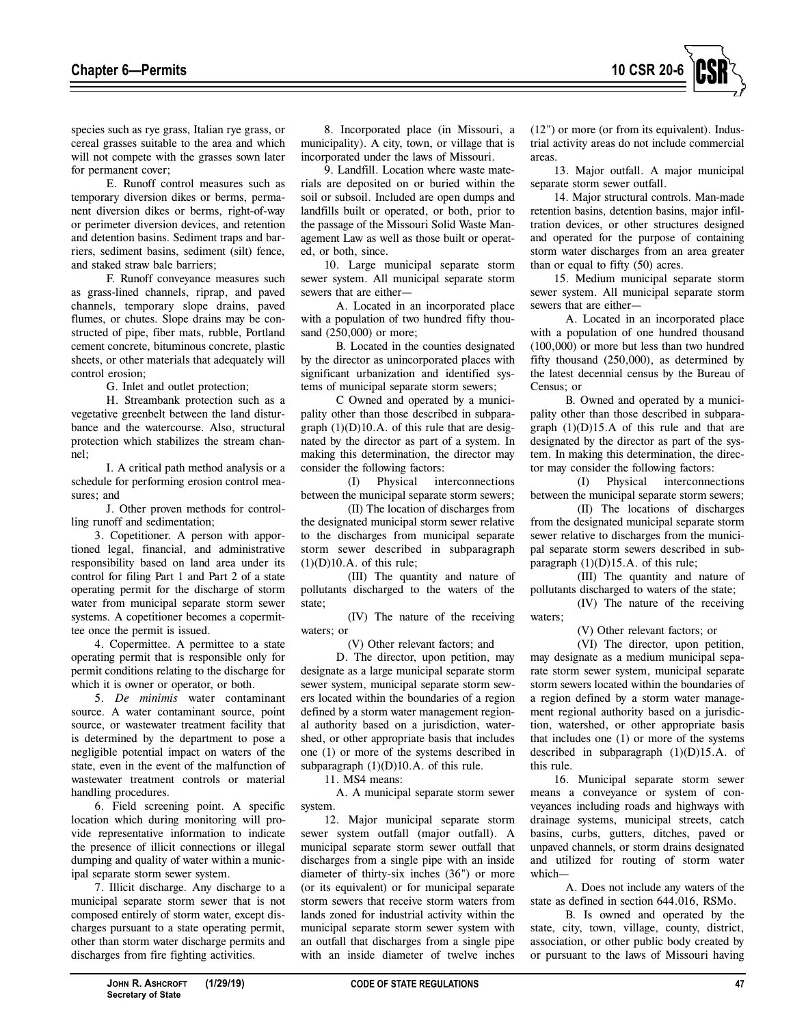

species such as rye grass, Italian rye grass, or cereal grasses suitable to the area and which will not compete with the grasses sown later for permanent cover;

E. Runoff control measures such as temporary diversion dikes or berms, permanent diversion dikes or berms, right-of-way or perimeter diversion devices, and retention and detention basins. Sediment traps and barriers, sediment basins, sediment (silt) fence, and staked straw bale barriers;

F. Runoff conveyance measures such as grass-lined channels, riprap, and paved channels, temporary slope drains, paved flumes, or chutes. Slope drains may be constructed of pipe, fiber mats, rubble, Portland cement concrete, bituminous concrete, plastic sheets, or other materials that adequately will control erosion;

G. Inlet and outlet protection;

H. Streambank protection such as a vegetative greenbelt between the land disturbance and the watercourse. Also, structural protection which stabilizes the stream channel;

I. A critical path method analysis or a schedule for performing erosion control measures; and

J. Other proven methods for controlling runoff and sedimentation;

3. Copetitioner. A person with apportioned legal, financial, and administrative responsibility based on land area under its control for filing Part 1 and Part 2 of a state operating permit for the discharge of storm water from municipal separate storm sewer systems. A copetitioner becomes a copermittee once the permit is issued.

4. Copermittee. A permittee to a state operating permit that is responsible only for permit conditions relating to the discharge for which it is owner or operator, or both.

5. *De minimis* water contaminant source. A water contaminant source, point source, or wastewater treatment facility that is determined by the department to pose a negligible potential impact on waters of the state, even in the event of the malfunction of wastewater treatment controls or material handling procedures.

6. Field screening point. A specific location which during monitoring will provide representative information to indicate the presence of illicit connections or illegal dumping and quality of water within a municipal separate storm sewer system.

7. Illicit discharge. Any discharge to a municipal separate storm sewer that is not composed entirely of storm water, except discharges pursuant to a state operating permit, other than storm water discharge permits and discharges from fire fighting activities.

9. Landfill. Location where waste materials are deposited on or buried within the soil or subsoil. Included are open dumps and landfills built or operated, or both, prior to the passage of the Missouri Solid Waste Management Law as well as those built or operated, or both, since.

10. Large municipal separate storm sewer system. All municipal separate storm sewers that are either—

A. Located in an incorporated place with a population of two hundred fifty thousand (250,000) or more;

B. Located in the counties designated by the director as unincorporated places with significant urbanization and identified systems of municipal separate storm sewers;

C Owned and operated by a municipality other than those described in subparagraph  $(1)(D)10.A.$  of this rule that are designated by the director as part of a system. In making this determination, the director may consider the following factors:

(I) Physical interconnections between the municipal separate storm sewers;

(II) The location of discharges from the designated municipal storm sewer relative to the discharges from municipal separate storm sewer described in subparagraph  $(1)(D)10.A.$  of this rule;

(III) The quantity and nature of pollutants discharged to the waters of the state;

(IV) The nature of the receiving waters; or

(V) Other relevant factors; and

D. The director, upon petition, may designate as a large municipal separate storm sewer system, municipal separate storm sewers located within the boundaries of a region defined by a storm water management regional authority based on a jurisdiction, watershed, or other appropriate basis that includes one (1) or more of the systems described in subparagraph  $(1)(D)10.A.$  of this rule.

11. MS4 means:

A. A municipal separate storm sewer system.

12. Major municipal separate storm sewer system outfall (major outfall). A municipal separate storm sewer outfall that discharges from a single pipe with an inside diameter of thirty-six inches (36") or more (or its equivalent) or for municipal separate storm sewers that receive storm waters from lands zoned for industrial activity within the municipal separate storm sewer system with an outfall that discharges from a single pipe with an inside diameter of twelve inches

(12") or more (or from its equivalent). Industrial activity areas do not include commercial areas.

13. Major outfall. A major municipal separate storm sewer outfall.

14. Major structural controls. Man-made retention basins, detention basins, major infiltration devices, or other structures designed and operated for the purpose of containing storm water discharges from an area greater than or equal to fifty (50) acres.

15. Medium municipal separate storm sewer system. All municipal separate storm sewers that are either—

A. Located in an incorporated place with a population of one hundred thousand (100,000) or more but less than two hundred fifty thousand (250,000), as determined by the latest decennial census by the Bureau of Census; or

B. Owned and operated by a municipality other than those described in subparagraph  $(1)(D)15.A$  of this rule and that are designated by the director as part of the system. In making this determination, the director may consider the following factors:

(I) Physical interconnections between the municipal separate storm sewers;

(II) The locations of discharges from the designated municipal separate storm sewer relative to discharges from the municipal separate storm sewers described in subparagraph  $(1)(D)15.A.$  of this rule;

(III) The quantity and nature of pollutants discharged to waters of the state;

(IV) The nature of the receiving waters;

(V) Other relevant factors; or

(VI) The director, upon petition, may designate as a medium municipal separate storm sewer system, municipal separate storm sewers located within the boundaries of a region defined by a storm water management regional authority based on a jurisdiction, watershed, or other appropriate basis that includes one (1) or more of the systems described in subparagraph  $(1)(D)15.A.$  of this rule.

16. Municipal separate storm sewer means a conveyance or system of conveyances including roads and highways with drainage systems, municipal streets, catch basins, curbs, gutters, ditches, paved or unpaved channels, or storm drains designated and utilized for routing of storm water which—

A. Does not include any waters of the state as defined in section 644.016, RSMo.

B. Is owned and operated by the state, city, town, village, county, district, association, or other public body created by or pursuant to the laws of Missouri having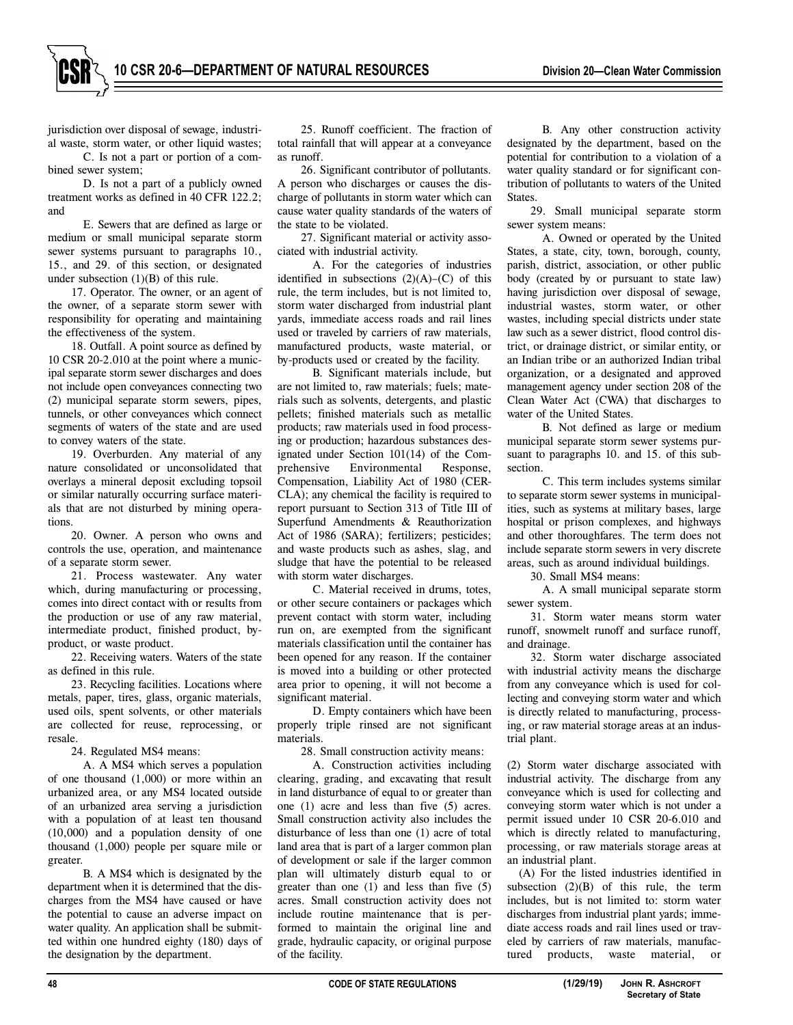jurisdiction over disposal of sewage, industrial waste, storm water, or other liquid wastes;

C. Is not a part or portion of a combined sewer system;

D. Is not a part of a publicly owned treatment works as defined in 40 CFR 122.2; and

E. Sewers that are defined as large or medium or small municipal separate storm sewer systems pursuant to paragraphs 10., 15., and 29. of this section, or designated under subsection  $(1)(B)$  of this rule.

17. Operator. The owner, or an agent of the owner, of a separate storm sewer with responsibility for operating and maintaining the effectiveness of the system.

18. Outfall. A point source as defined by 10 CSR 20-2.010 at the point where a municipal separate storm sewer discharges and does not include open conveyances connecting two (2) municipal separate storm sewers, pipes, tunnels, or other conveyances which connect segments of waters of the state and are used to convey waters of the state.

19. Overburden. Any material of any nature consolidated or unconsolidated that overlays a mineral deposit excluding topsoil or similar naturally occurring surface materials that are not disturbed by mining operations.

20. Owner. A person who owns and controls the use, operation, and maintenance of a separate storm sewer.

21. Process wastewater. Any water which, during manufacturing or processing, comes into direct contact with or results from the production or use of any raw material, intermediate product, finished product, byproduct, or waste product.

22. Receiving waters. Waters of the state as defined in this rule.

23. Recycling facilities. Locations where metals, paper, tires, glass, organic materials, used oils, spent solvents, or other materials are collected for reuse, reprocessing, or resale.

24. Regulated MS4 means:

A. A MS4 which serves a population of one thousand (1,000) or more within an urbanized area, or any MS4 located outside of an urbanized area serving a jurisdiction with a population of at least ten thousand (10,000) and a population density of one thousand (1,000) people per square mile or greater.

B. A MS4 which is designated by the department when it is determined that the discharges from the MS4 have caused or have the potential to cause an adverse impact on water quality. An application shall be submitted within one hundred eighty (180) days of the designation by the department.

25. Runoff coefficient. The fraction of total rainfall that will appear at a conveyance as runoff.

26. Significant contributor of pollutants. A person who discharges or causes the discharge of pollutants in storm water which can cause water quality standards of the waters of the state to be violated.

27. Significant material or activity associated with industrial activity.

A. For the categories of industries identified in subsections  $(2)(A)$ – $(C)$  of this rule, the term includes, but is not limited to, storm water discharged from industrial plant yards, immediate access roads and rail lines used or traveled by carriers of raw materials, manufactured products, waste material, or by-products used or created by the facility.

B. Significant materials include, but are not limited to, raw materials; fuels; materials such as solvents, detergents, and plastic pellets; finished materials such as metallic products; raw materials used in food processing or production; hazardous substances designated under Section 101(14) of the Comprehensive Environmental Response, Compensation, Liability Act of 1980 (CER-CLA); any chemical the facility is required to report pursuant to Section 313 of Title III of Superfund Amendments & Reauthorization Act of 1986 (SARA); fertilizers; pesticides; and waste products such as ashes, slag, and sludge that have the potential to be released with storm water discharges.

C. Material received in drums, totes, or other secure containers or packages which prevent contact with storm water, including run on, are exempted from the significant materials classification until the container has been opened for any reason. If the container is moved into a building or other protected area prior to opening, it will not become a significant material.

D. Empty containers which have been properly triple rinsed are not significant materials.

28. Small construction activity means:

A. Construction activities including clearing, grading, and excavating that result in land disturbance of equal to or greater than one (1) acre and less than five (5) acres. Small construction activity also includes the disturbance of less than one (1) acre of total land area that is part of a larger common plan of development or sale if the larger common plan will ultimately disturb equal to or greater than one (1) and less than five (5) acres. Small construction activity does not include routine maintenance that is performed to maintain the original line and grade, hydraulic capacity, or original purpose of the facility.

B. Any other construction activity designated by the department, based on the potential for contribution to a violation of a water quality standard or for significant contribution of pollutants to waters of the United **States** 

29. Small municipal separate storm sewer system means:

A. Owned or operated by the United States, a state, city, town, borough, county, parish, district, association, or other public body (created by or pursuant to state law) having jurisdiction over disposal of sewage, industrial wastes, storm water, or other wastes, including special districts under state law such as a sewer district, flood control district, or drainage district, or similar entity, or an Indian tribe or an authorized Indian tribal organization, or a designated and approved management agency under section 208 of the Clean Water Act (CWA) that discharges to water of the United States.

B. Not defined as large or medium municipal separate storm sewer systems pursuant to paragraphs 10. and 15. of this subsection.

C. This term includes systems similar to separate storm sewer systems in municipalities, such as systems at military bases, large hospital or prison complexes, and highways and other thoroughfares. The term does not include separate storm sewers in very discrete areas, such as around individual buildings.

30. Small MS4 means:

A. A small municipal separate storm sewer system.

31. Storm water means storm water runoff, snowmelt runoff and surface runoff, and drainage.

32. Storm water discharge associated with industrial activity means the discharge from any conveyance which is used for collecting and conveying storm water and which is directly related to manufacturing, processing, or raw material storage areas at an industrial plant.

(2) Storm water discharge associated with industrial activity. The discharge from any conveyance which is used for collecting and conveying storm water which is not under a permit issued under 10 CSR 20-6.010 and which is directly related to manufacturing, processing, or raw materials storage areas at an industrial plant.

(A) For the listed industries identified in subsection  $(2)(B)$  of this rule, the term includes, but is not limited to: storm water discharges from industrial plant yards; immediate access roads and rail lines used or traveled by carriers of raw materials, manufactured products, waste material, or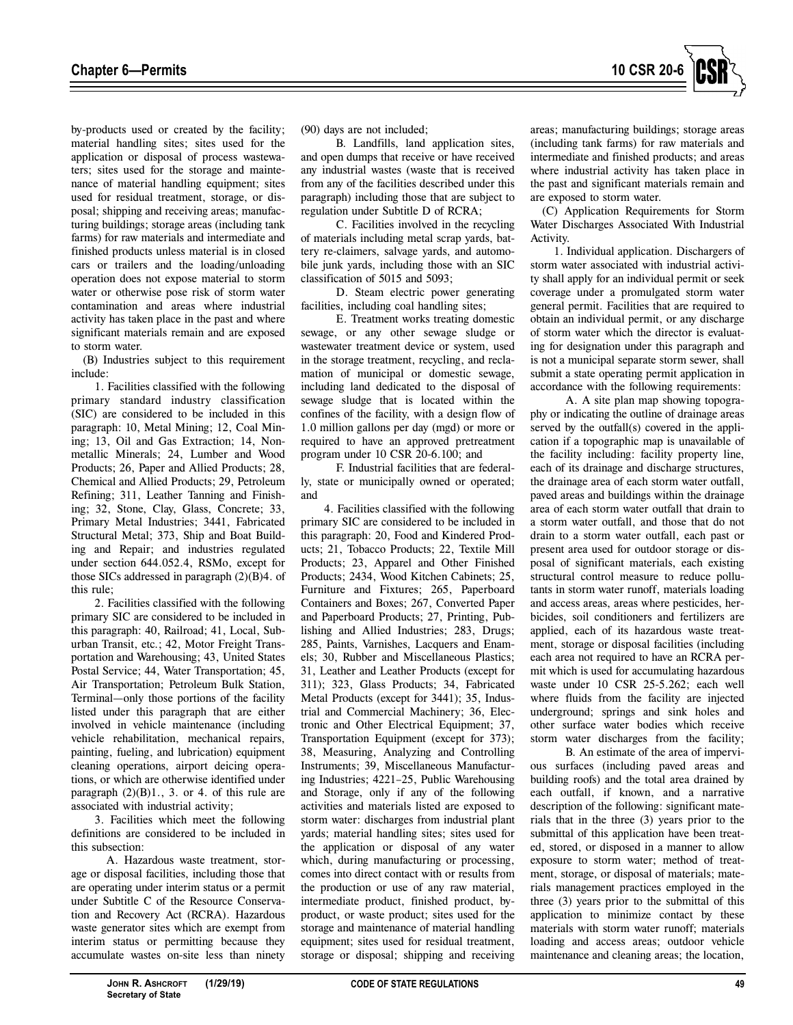

by-products used or created by the facility; material handling sites; sites used for the application or disposal of process wastewaters; sites used for the storage and maintenance of material handling equipment; sites used for residual treatment, storage, or disposal; shipping and receiving areas; manufacturing buildings; storage areas (including tank farms) for raw materials and intermediate and finished products unless material is in closed cars or trailers and the loading/unloading operation does not expose material to storm water or otherwise pose risk of storm water contamination and areas where industrial activity has taken place in the past and where significant materials remain and are exposed to storm water.

(B) Industries subject to this requirement include:

1. Facilities classified with the following primary standard industry classification (SIC) are considered to be included in this paragraph: 10, Metal Mining; 12, Coal Mining; 13, Oil and Gas Extraction; 14, Nonmetallic Minerals; 24, Lumber and Wood Products; 26, Paper and Allied Products; 28, Chemical and Allied Products; 29, Petroleum Refining; 311, Leather Tanning and Finishing; 32, Stone, Clay, Glass, Concrete; 33, Primary Metal Industries; 3441, Fabricated Structural Metal; 373, Ship and Boat Building and Repair; and industries regulated under section 644.052.4, RSMo, except for those SICs addressed in paragraph (2)(B)4. of this rule;

2. Facilities classified with the following primary SIC are considered to be included in this paragraph: 40, Railroad; 41, Local, Suburban Transit, etc.; 42, Motor Freight Transportation and Warehousing; 43, United States Postal Service; 44, Water Transportation; 45, Air Transportation; Petroleum Bulk Station, Terminal—only those portions of the facility listed under this paragraph that are either involved in vehicle maintenance (including vehicle rehabilitation, mechanical repairs, painting, fueling, and lubrication) equipment cleaning operations, airport deicing operations, or which are otherwise identified under paragraph  $(2)(B)1$ ., 3. or 4. of this rule are associated with industrial activity;

3. Facilities which meet the following definitions are considered to be included in this subsection:

A. Hazardous waste treatment, storage or disposal facilities, including those that are operating under interim status or a permit under Subtitle C of the Resource Conservation and Recovery Act (RCRA). Hazardous waste generator sites which are exempt from interim status or permitting because they accumulate wastes on-site less than ninety

(90) days are not included;

B. Landfills, land application sites, and open dumps that receive or have received any industrial wastes (waste that is received from any of the facilities described under this paragraph) including those that are subject to regulation under Subtitle D of RCRA;

C. Facilities involved in the recycling of materials including metal scrap yards, battery re-claimers, salvage yards, and automobile junk yards, including those with an SIC classification of 5015 and 5093;

D. Steam electric power generating facilities, including coal handling sites;

E. Treatment works treating domestic sewage, or any other sewage sludge or wastewater treatment device or system, used in the storage treatment, recycling, and reclamation of municipal or domestic sewage, including land dedicated to the disposal of sewage sludge that is located within the confines of the facility, with a design flow of 1.0 million gallons per day (mgd) or more or required to have an approved pretreatment program under 10 CSR 20-6.100; and

F. Industrial facilities that are federally, state or municipally owned or operated; and

4. Facilities classified with the following primary SIC are considered to be included in this paragraph: 20, Food and Kindered Products; 21, Tobacco Products; 22, Textile Mill Products; 23, Apparel and Other Finished Products; 2434, Wood Kitchen Cabinets; 25, Furniture and Fixtures; 265, Paperboard Containers and Boxes; 267, Converted Paper and Paperboard Products; 27, Printing, Publishing and Allied Industries; 283, Drugs; 285, Paints, Varnishes, Lacquers and Enamels; 30, Rubber and Miscellaneous Plastics; 31, Leather and Leather Products (except for 311); 323, Glass Products; 34, Fabricated Metal Products (except for 3441); 35, Industrial and Commercial Machinery; 36, Electronic and Other Electrical Equipment; 37, Transportation Equipment (except for 373); 38, Measuring, Analyzing and Controlling Instruments; 39, Miscellaneous Manufacturing Industries; 4221–25, Public Warehousing and Storage, only if any of the following activities and materials listed are exposed to storm water: discharges from industrial plant yards; material handling sites; sites used for the application or disposal of any water which, during manufacturing or processing, comes into direct contact with or results from the production or use of any raw material, intermediate product, finished product, byproduct, or waste product; sites used for the storage and maintenance of material handling equipment; sites used for residual treatment, storage or disposal; shipping and receiving

areas; manufacturing buildings; storage areas (including tank farms) for raw materials and intermediate and finished products; and areas where industrial activity has taken place in the past and significant materials remain and are exposed to storm water.

(C) Application Requirements for Storm Water Discharges Associated With Industrial Activity.

1. Individual application. Dischargers of storm water associated with industrial activity shall apply for an individual permit or seek coverage under a promulgated storm water general permit. Facilities that are required to obtain an individual permit, or any discharge of storm water which the director is evaluating for designation under this paragraph and is not a municipal separate storm sewer, shall submit a state operating permit application in accordance with the following requirements:

A. A site plan map showing topography or indicating the outline of drainage areas served by the outfall(s) covered in the application if a topographic map is unavailable of the facility including: facility property line, each of its drainage and discharge structures, the drainage area of each storm water outfall, paved areas and buildings within the drainage area of each storm water outfall that drain to a storm water outfall, and those that do not drain to a storm water outfall, each past or present area used for outdoor storage or disposal of significant materials, each existing structural control measure to reduce pollutants in storm water runoff, materials loading and access areas, areas where pesticides, herbicides, soil conditioners and fertilizers are applied, each of its hazardous waste treatment, storage or disposal facilities (including each area not required to have an RCRA permit which is used for accumulating hazardous waste under 10 CSR 25-5.262; each well where fluids from the facility are injected underground; springs and sink holes and other surface water bodies which receive storm water discharges from the facility;

B. An estimate of the area of impervious surfaces (including paved areas and building roofs) and the total area drained by each outfall, if known, and a narrative description of the following: significant materials that in the three (3) years prior to the submittal of this application have been treated, stored, or disposed in a manner to allow exposure to storm water; method of treatment, storage, or disposal of materials; materials management practices employed in the three (3) years prior to the submittal of this application to minimize contact by these materials with storm water runoff; materials loading and access areas; outdoor vehicle maintenance and cleaning areas; the location,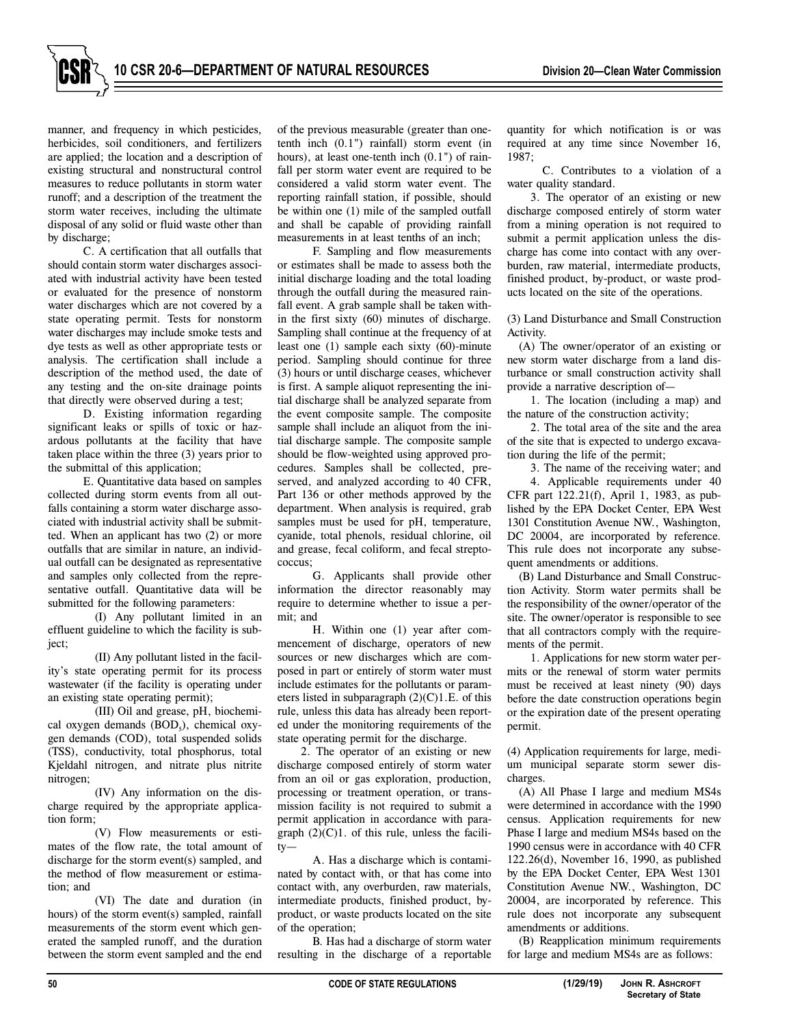

manner, and frequency in which pesticides, herbicides, soil conditioners, and fertilizers are applied; the location and a description of existing structural and nonstructural control measures to reduce pollutants in storm water runoff; and a description of the treatment the storm water receives, including the ultimate disposal of any solid or fluid waste other than by discharge;

C. A certification that all outfalls that should contain storm water discharges associated with industrial activity have been tested or evaluated for the presence of nonstorm water discharges which are not covered by a state operating permit. Tests for nonstorm water discharges may include smoke tests and dye tests as well as other appropriate tests or analysis. The certification shall include a description of the method used, the date of any testing and the on-site drainage points that directly were observed during a test;

D. Existing information regarding significant leaks or spills of toxic or hazardous pollutants at the facility that have taken place within the three (3) years prior to the submittal of this application;

E. Quantitative data based on samples collected during storm events from all outfalls containing a storm water discharge associated with industrial activity shall be submitted. When an applicant has two (2) or more outfalls that are similar in nature, an individual outfall can be designated as representative and samples only collected from the representative outfall. Quantitative data will be submitted for the following parameters:

(I) Any pollutant limited in an effluent guideline to which the facility is subject;

(II) Any pollutant listed in the facility's state operating permit for its process wastewater (if the facility is operating under an existing state operating permit);

(III) Oil and grease, pH, biochemical oxygen demands  $(BOD<sub>s</sub>)$ , chemical oxygen demands (COD), total suspended solids (TSS), conductivity, total phosphorus, total Kjeldahl nitrogen, and nitrate plus nitrite nitrogen;

(IV) Any information on the discharge required by the appropriate application form;

(V) Flow measurements or estimates of the flow rate, the total amount of discharge for the storm event(s) sampled, and the method of flow measurement or estimation; and

(VI) The date and duration (in hours) of the storm event(s) sampled, rainfall measurements of the storm event which generated the sampled runoff, and the duration between the storm event sampled and the end

of the previous measurable (greater than onetenth inch (0.1") rainfall) storm event (in hours), at least one-tenth inch (0.1") of rainfall per storm water event are required to be considered a valid storm water event. The reporting rainfall station, if possible, should be within one (1) mile of the sampled outfall and shall be capable of providing rainfall measurements in at least tenths of an inch;

F. Sampling and flow measurements or estimates shall be made to assess both the initial discharge loading and the total loading through the outfall during the measured rainfall event. A grab sample shall be taken within the first sixty (60) minutes of discharge. Sampling shall continue at the frequency of at least one (1) sample each sixty (60)-minute period. Sampling should continue for three (3) hours or until discharge ceases, whichever is first. A sample aliquot representing the initial discharge shall be analyzed separate from the event composite sample. The composite sample shall include an aliquot from the initial discharge sample. The composite sample should be flow-weighted using approved procedures. Samples shall be collected, preserved, and analyzed according to 40 CFR, Part 136 or other methods approved by the department. When analysis is required, grab samples must be used for pH, temperature, cyanide, total phenols, residual chlorine, oil and grease, fecal coliform, and fecal streptococcus;

G. Applicants shall provide other information the director reasonably may require to determine whether to issue a permit; and

H. Within one (1) year after commencement of discharge, operators of new sources or new discharges which are composed in part or entirely of storm water must include estimates for the pollutants or parameters listed in subparagraph  $(2)(C)1.E.$  of this rule, unless this data has already been reported under the monitoring requirements of the state operating permit for the discharge.

2. The operator of an existing or new discharge composed entirely of storm water from an oil or gas exploration, production, processing or treatment operation, or transmission facility is not required to submit a permit application in accordance with paragraph  $(2)(C)1$ . of this rule, unless the facility—

A. Has a discharge which is contaminated by contact with, or that has come into contact with, any overburden, raw materials, intermediate products, finished product, byproduct, or waste products located on the site of the operation;

B. Has had a discharge of storm water resulting in the discharge of a reportable

quantity for which notification is or was required at any time since November 16, 1987;

C. Contributes to a violation of a water quality standard.

3. The operator of an existing or new discharge composed entirely of storm water from a mining operation is not required to submit a permit application unless the discharge has come into contact with any overburden, raw material, intermediate products, finished product, by-product, or waste products located on the site of the operations.

(3) Land Disturbance and Small Construction Activity.

(A) The owner/operator of an existing or new storm water discharge from a land disturbance or small construction activity shall provide a narrative description of—

1. The location (including a map) and the nature of the construction activity;

2. The total area of the site and the area of the site that is expected to undergo excavation during the life of the permit;

3. The name of the receiving water; and

4. Applicable requirements under 40 CFR part 122.21(f), April 1, 1983, as published by the EPA Docket Center, EPA West 1301 Constitution Avenue NW., Washington, DC 20004, are incorporated by reference. This rule does not incorporate any subsequent amendments or additions.

(B) Land Disturbance and Small Construction Activity. Storm water permits shall be the responsibility of the owner/operator of the site. The owner/operator is responsible to see that all contractors comply with the requirements of the permit.

1. Applications for new storm water permits or the renewal of storm water permits must be received at least ninety (90) days before the date construction operations begin or the expiration date of the present operating permit.

(4) Application requirements for large, medium municipal separate storm sewer discharges.

(A) All Phase I large and medium MS4s were determined in accordance with the 1990 census. Application requirements for new Phase I large and medium MS4s based on the 1990 census were in accordance with 40 CFR 122.26(d), November 16, 1990, as published by the EPA Docket Center, EPA West 1301 Constitution Avenue NW., Washington, DC 20004, are incorporated by reference. This rule does not incorporate any subsequent amendments or additions.

(B) Reapplication minimum requirements for large and medium MS4s are as follows: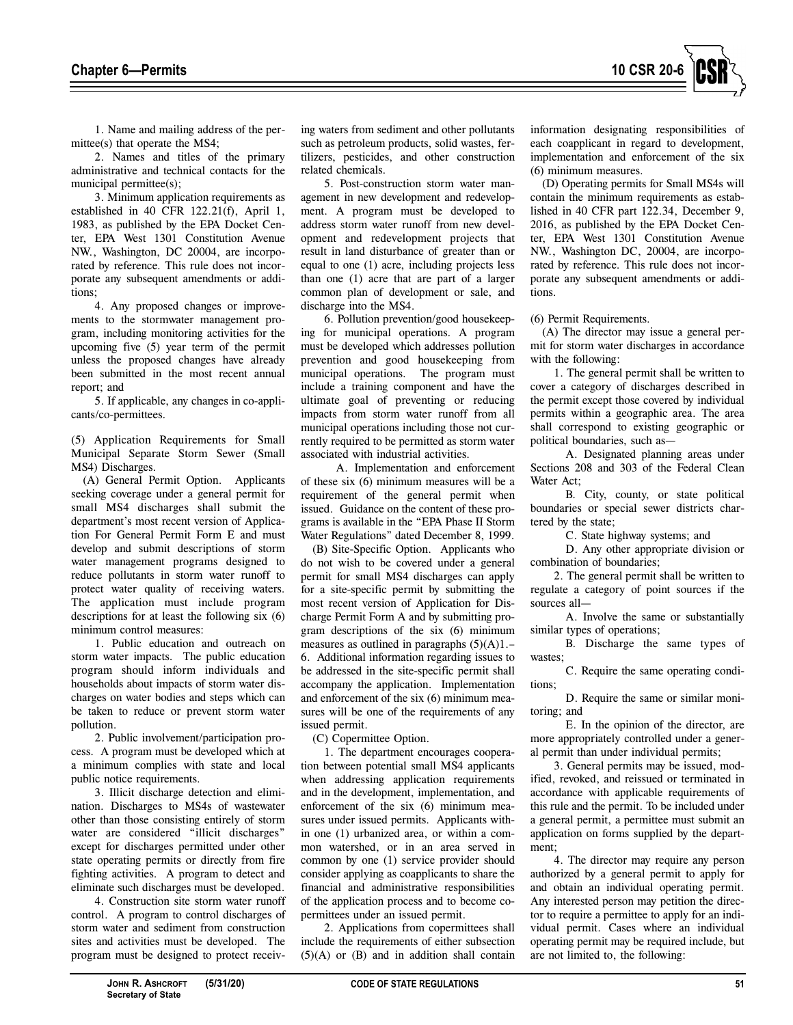

1. Name and mailing address of the permittee(s) that operate the MS4;

2. Names and titles of the primary administrative and technical contacts for the municipal permittee(s);

3. Minimum application requirements as established in 40 CFR 122.21(f), April 1, 1983, as published by the EPA Docket Center, EPA West 1301 Constitution Avenue NW., Washington, DC 20004, are incorporated by reference. This rule does not incorporate any subsequent amendments or additions;

4. Any proposed changes or improvements to the stormwater management program, including monitoring activities for the upcoming five (5) year term of the permit unless the proposed changes have already been submitted in the most recent annual report; and

5. If applicable, any changes in co-applicants/co-permittees.

(5) Application Requirements for Small Municipal Separate Storm Sewer (Small MS4) Discharges.

(A) General Permit Option. Applicants seeking coverage under a general permit for small MS4 discharges shall submit the department's most recent version of Application For General Permit Form E and must develop and submit descriptions of storm water management programs designed to reduce pollutants in storm water runoff to protect water quality of receiving waters. The application must include program descriptions for at least the following six (6) minimum control measures:

1. Public education and outreach on storm water impacts. The public education program should inform individuals and households about impacts of storm water discharges on water bodies and steps which can be taken to reduce or prevent storm water pollution.

2. Public involvement/participation process. A program must be developed which at a minimum complies with state and local public notice requirements.

3. Illicit discharge detection and elimination. Discharges to MS4s of wastewater other than those consisting entirely of storm water are considered "illicit discharges" except for discharges permitted under other state operating permits or directly from fire fighting activities. A program to detect and eliminate such discharges must be developed.

4. Construction site storm water runoff control. A program to control discharges of storm water and sediment from construction sites and activities must be developed. The program must be designed to protect receiv-

ing waters from sediment and other pollutants such as petroleum products, solid wastes, fertilizers, pesticides, and other construction related chemicals.

5. Post-construction storm water management in new development and redevelopment. A program must be developed to address storm water runoff from new development and redevelopment projects that result in land disturbance of greater than or equal to one (1) acre, including projects less than one (1) acre that are part of a larger common plan of development or sale, and discharge into the MS4.

6. Pollution prevention/good housekeeping for municipal operations. A program must be developed which addresses pollution prevention and good housekeeping from municipal operations. The program must include a training component and have the ultimate goal of preventing or reducing impacts from storm water runoff from all municipal operations including those not currently required to be permitted as storm water associated with industrial activities.

A. Implementation and enforcement of these six (6) minimum measures will be a requirement of the general permit when issued. Guidance on the content of these programs is available in the "EPA Phase II Storm Water Regulations" dated December 8, 1999.

(B) Site-Specific Option. Applicants who do not wish to be covered under a general permit for small MS4 discharges can apply for a site-specific permit by submitting the most recent version of Application for Discharge Permit Form A and by submitting program descriptions of the six (6) minimum measures as outlined in paragraphs  $(5)(A)1$ . 6. Additional information regarding issues to be addressed in the site-specific permit shall accompany the application. Implementation and enforcement of the six (6) minimum measures will be one of the requirements of any issued permit.

(C) Copermittee Option.

1. The department encourages cooperation between potential small MS4 applicants when addressing application requirements and in the development, implementation, and enforcement of the six (6) minimum measures under issued permits. Applicants within one (1) urbanized area, or within a common watershed, or in an area served in common by one (1) service provider should consider applying as coapplicants to share the financial and administrative responsibilities of the application process and to become copermittees under an issued permit.

2. Applications from copermittees shall include the requirements of either subsection  $(5)(A)$  or  $(B)$  and in addition shall contain information designating responsibilities of each coapplicant in regard to development, implementation and enforcement of the six (6) minimum measures.

(D) Operating permits for Small MS4s will contain the minimum requirements as established in 40 CFR part 122.34, December 9, 2016, as published by the EPA Docket Center, EPA West 1301 Constitution Avenue NW., Washington DC, 20004, are incorporated by reference. This rule does not incorporate any subsequent amendments or additions.

(6) Permit Requirements.

(A) The director may issue a general permit for storm water discharges in accordance with the following:

1. The general permit shall be written to cover a category of discharges described in the permit except those covered by individual permits within a geographic area. The area shall correspond to existing geographic or political boundaries, such as—

A. Designated planning areas under Sections 208 and 303 of the Federal Clean Water Act;

B. City, county, or state political boundaries or special sewer districts chartered by the state;

C. State highway systems; and

D. Any other appropriate division or combination of boundaries;

2. The general permit shall be written to regulate a category of point sources if the sources all—

A. Involve the same or substantially similar types of operations;

B. Discharge the same types of wastes;

C. Require the same operating conditions;

D. Require the same or similar monitoring; and

E. In the opinion of the director, are more appropriately controlled under a general permit than under individual permits;

3. General permits may be issued, modified, revoked, and reissued or terminated in accordance with applicable requirements of this rule and the permit. To be included under a general permit, a permittee must submit an application on forms supplied by the department;

4. The director may require any person authorized by a general permit to apply for and obtain an individual operating permit. Any interested person may petition the director to require a permittee to apply for an individual permit. Cases where an individual operating permit may be required include, but are not limited to, the following: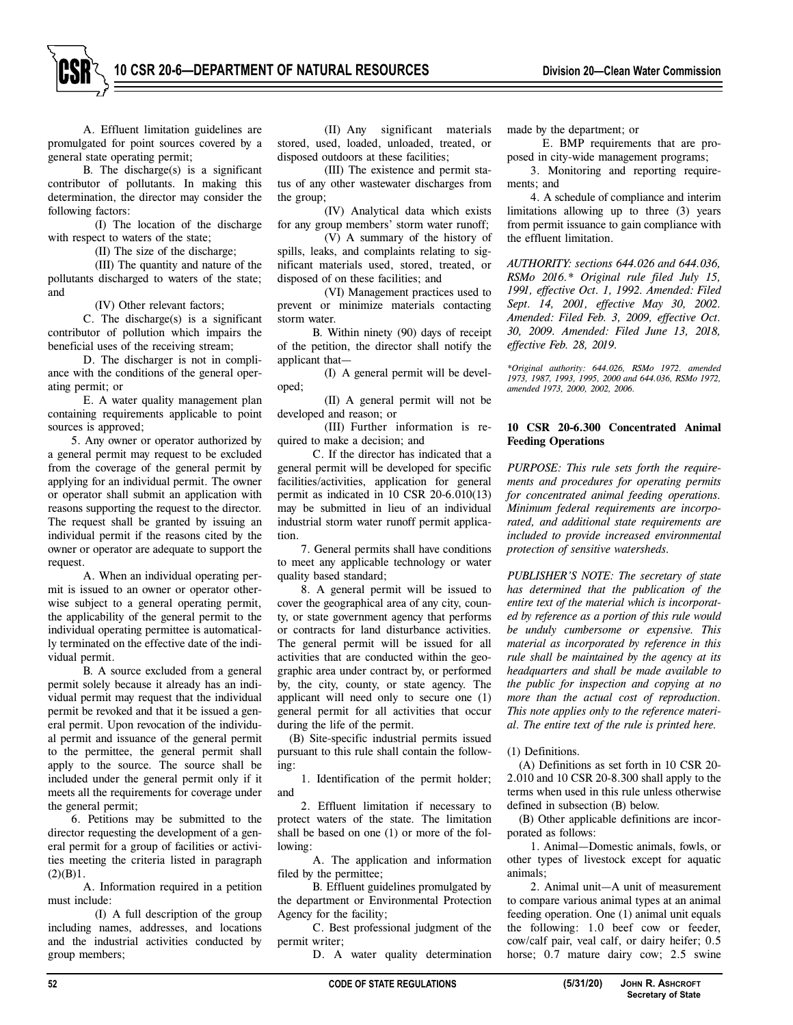A. Effluent limitation guidelines are promulgated for point sources covered by a general state operating permit;

B. The discharge(s) is a significant contributor of pollutants. In making this determination, the director may consider the following factors:

(I) The location of the discharge with respect to waters of the state;

(II) The size of the discharge;

(III) The quantity and nature of the pollutants discharged to waters of the state; and

(IV) Other relevant factors;

C. The discharge(s) is a significant contributor of pollution which impairs the beneficial uses of the receiving stream;

D. The discharger is not in compliance with the conditions of the general operating permit; or

E. A water quality management plan containing requirements applicable to point sources is approved;

5. Any owner or operator authorized by a general permit may request to be excluded from the coverage of the general permit by applying for an individual permit. The owner or operator shall submit an application with reasons supporting the request to the director. The request shall be granted by issuing an individual permit if the reasons cited by the owner or operator are adequate to support the request.

A. When an individual operating permit is issued to an owner or operator otherwise subject to a general operating permit, the applicability of the general permit to the individual operating permittee is automatically terminated on the effective date of the individual permit.

B. A source excluded from a general permit solely because it already has an individual permit may request that the individual permit be revoked and that it be issued a general permit. Upon revocation of the individual permit and issuance of the general permit to the permittee, the general permit shall apply to the source. The source shall be included under the general permit only if it meets all the requirements for coverage under the general permit;

6. Petitions may be submitted to the director requesting the development of a general permit for a group of facilities or activities meeting the criteria listed in paragraph  $(2)(B)1$ .

A. Information required in a petition must include:

(I) A full description of the group including names, addresses, and locations and the industrial activities conducted by group members;

(II) Any significant materials stored, used, loaded, unloaded, treated, or disposed outdoors at these facilities;

(III) The existence and permit status of any other wastewater discharges from the group;

(IV) Analytical data which exists for any group members' storm water runoff;

(V) A summary of the history of spills, leaks, and complaints relating to significant materials used, stored, treated, or disposed of on these facilities; and

(VI) Management practices used to prevent or minimize materials contacting storm water.

B. Within ninety (90) days of receipt of the petition, the director shall notify the applicant that—

(I) A general permit will be developed;

(II) A general permit will not be developed and reason; or

(III) Further information is re quired to make a decision; and

C. If the director has indicated that a general permit will be developed for specific facilities/activities, application for general permit as indicated in 10 CSR 20-6.010(13) may be submitted in lieu of an individual industrial storm water runoff permit application.

7. General permits shall have conditions to meet any applicable technology or water quality based standard;

8. A general permit will be issued to cover the geographical area of any city, county, or state government agency that performs or contracts for land disturbance activities. The general permit will be issued for all activities that are conducted within the geographic area under contract by, or performed by, the city, county, or state agency. The applicant will need only to secure one (1) general permit for all activities that occur during the life of the permit.

(B) Site-specific industrial permits issued pursuant to this rule shall contain the following:

1. Identification of the permit holder; and

2. Effluent limitation if necessary to protect waters of the state. The limitation shall be based on one (1) or more of the following:

A. The application and information filed by the permittee;

B. Effluent guidelines promulgated by the department or Environmental Protection Agency for the facility;

C. Best professional judgment of the permit writer;

D. A water quality determination

made by the department; or

E. BMP requirements that are proposed in city-wide management programs;

3. Monitoring and reporting requirements; and

4. A schedule of compliance and interim limitations allowing up to three (3) years from permit issuance to gain compliance with the effluent limitation.

*AUTHORITY: sections 644.026 and 644.036, RSMo 2016.\* Original rule filed July 15, 1991, effective Oct. 1, 1992. Amended: Filed Sept. 14, 2001, effective May 30, 2002. Amended: Filed Feb. 3, 2009, effective Oct. 30, 2009. Amended: Filed June 13, 2018, effective Feb. 28, 2019.* 

*\*Original authority: 644.026, RSMo 1972. amended 1973, 1987, 1993, 1995, 2000 and 644.036, RSMo 1972, amended 1973, 2000, 2002, 2006.* 

#### **10 CSR 20-6.300 Concentrated Animal Feeding Operations**

*PURPOSE: This rule sets forth the requirements and procedures for operating permits for concentrated animal feeding operations. Minimum federal requirements are incorporated, and additional state requirements are included to provide increased environmental protection of sensitive watersheds.* 

*PUBLISHER'S NOTE: The secretary of state has determined that the publication of the entire text of the material which is incorporated by reference as a portion of this rule would be unduly cumbersome or expensive. This material as incorporated by reference in this rule shall be maintained by the agency at its headquarters and shall be made available to the public for inspection and copying at no more than the actual cost of reproduction. This note applies only to the reference material. The entire text of the rule is printed here.* 

(1) Definitions.

(A) Definitions as set forth in 10 CSR 20- 2.010 and 10 CSR 20-8.300 shall apply to the terms when used in this rule unless otherwise defined in subsection (B) below.

(B) Other applicable definitions are incorporated as follows:

1. Animal—Domestic animals, fowls, or other types of livestock except for aquatic animals;

2. Animal unit—A unit of measurement to compare various animal types at an animal feeding operation. One (1) animal unit equals the following: 1.0 beef cow or feeder, cow/calf pair, veal calf, or dairy heifer; 0.5 horse; 0.7 mature dairy cow; 2.5 swine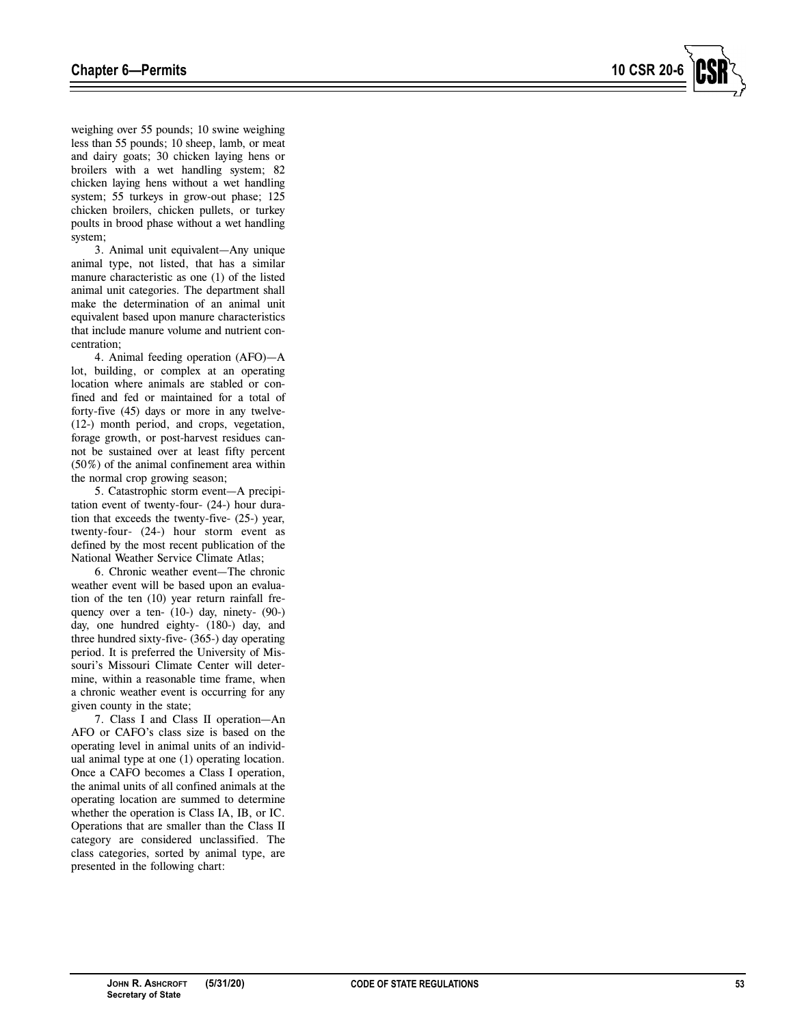

weighing over 55 pounds; 10 swine weighing less than 55 pounds; 10 sheep, lamb, or meat and dairy goats; 30 chicken laying hens or broilers with a wet handling system; 82 chicken laying hens without a wet handling system; 55 turkeys in grow-out phase; 125 chicken broilers, chicken pullets, or turkey poults in brood phase without a wet handling system;

3. Animal unit equivalent—Any unique animal type, not listed, that has a similar manure characteristic as one (1) of the listed animal unit categories. The department shall make the determination of an animal unit equivalent based upon manure characteristics that include manure volume and nutrient concentration;

4. Animal feeding operation (AFO)—A lot, building, or complex at an operating location where animals are stabled or confined and fed or maintained for a total of forty-five (45) days or more in any twelve- (12-) month period, and crops, vegetation, forage growth, or post-harvest residues cannot be sustained over at least fifty percent (50%) of the animal confinement area within the normal crop growing season;

5. Catastrophic storm event—A precipitation event of twenty-four- (24-) hour duration that exceeds the twenty-five- (25-) year, twenty-four- (24-) hour storm event as defined by the most recent publication of the National Weather Service Climate Atlas;

6. Chronic weather event—The chronic weather event will be based upon an evaluation of the ten (10) year return rainfall frequency over a ten- (10-) day, ninety- (90-) day, one hundred eighty- (180-) day, and three hundred sixty-five- (365-) day operating period. It is preferred the University of Missouri's Missouri Climate Center will determine, within a reasonable time frame, when a chronic weather event is occurring for any given county in the state;

7. Class I and Class II operation—An AFO or CAFO's class size is based on the operating level in animal units of an individual animal type at one (1) operating location. Once a CAFO becomes a Class I operation, the animal units of all confined animals at the operating location are summed to determine whether the operation is Class IA, IB, or IC. Operations that are smaller than the Class II category are considered unclassified. The class categories, sorted by animal type, are presented in the following chart: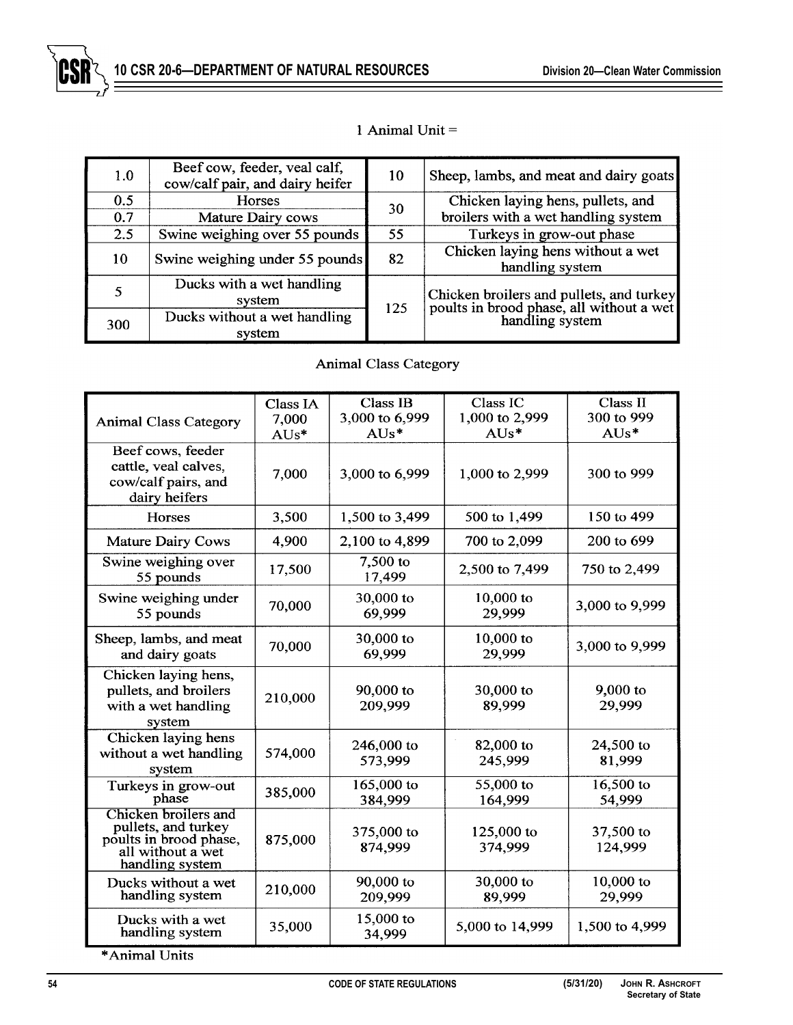

# 1 Animal Unit  $=$

| 1.0 | Beef cow, feeder, veal calf,<br>cow/calf pair, and dairy heifer | 10  | Sheep, lambs, and meat and dairy goats                                                                  |
|-----|-----------------------------------------------------------------|-----|---------------------------------------------------------------------------------------------------------|
| 0.5 | <b>Horses</b>                                                   | 30  | Chicken laying hens, pullets, and                                                                       |
| 0.7 | Mature Dairy cows                                               |     | broilers with a wet handling system                                                                     |
| 2.5 | Swine weighing over 55 pounds                                   | 55  | Turkeys in grow-out phase                                                                               |
| 10  | Swine weighing under 55 pounds                                  | 82  | Chicken laying hens without a wet<br>handling system                                                    |
|     | Ducks with a wet handling<br>system                             |     | Chicken broilers and pullets, and turkey<br>poults in brood phase, all without a wet<br>handling system |
| 300 | Ducks without a wet handling<br>system                          | 125 |                                                                                                         |

# **Animal Class Category**

| <b>Animal Class Category</b>                                                                                  | Class IA<br>7,000 | <b>Class IB</b><br>3,000 to 6,999 | Class IC<br>1,000 to 2,999 | Class II<br>300 to 999 |
|---------------------------------------------------------------------------------------------------------------|-------------------|-----------------------------------|----------------------------|------------------------|
|                                                                                                               | $AUs*$            | $AUs*$                            | $AUs*$                     | $AUs*$                 |
| Beef cows, feeder<br>cattle, veal calves,<br>cow/calf pairs, and<br>dairy heifers                             | 7,000             | 3,000 to 6,999                    | 1,000 to 2,999             | 300 to 999             |
| Horses                                                                                                        | 3,500             | 1,500 to 3,499                    | 500 to 1,499               | 150 to 499             |
| <b>Mature Dairy Cows</b>                                                                                      | 4,900             | 2,100 to 4,899                    | 700 to 2,099               | 200 to 699             |
| Swine weighing over<br>55 pounds                                                                              | 17,500            | 7,500 to<br>17,499                | 2,500 to 7,499             | 750 to 2,499           |
| Swine weighing under<br>55 pounds                                                                             | 70,000            | 30,000 to<br>69,999               | $10,000$ to<br>29,999      | 3,000 to 9,999         |
| Sheep, lambs, and meat<br>and dairy goats                                                                     | 70,000            | 30,000 to<br>69,999               | 10,000 to<br>29,999        | 3,000 to 9,999         |
| Chicken laying hens,<br>pullets, and broilers<br>with a wet handling<br>system                                | 210,000           | 90,000 to<br>209,999              | 30,000 to<br>89,999        | 9,000 to<br>29,999     |
| Chicken laying hens<br>without a wet handling<br>system                                                       | 574,000           | 246,000 to<br>573,999             | 82,000 to<br>245,999       | 24,500 to<br>81,999    |
| Turkeys in grow-out<br>phase                                                                                  | 385,000           | 165,000 to<br>384,999             | 55,000 to<br>164,999       | 16,500 to<br>54,999    |
| Chicken broilers and<br>pullets, and turkey<br>poults in brood phase,<br>all without a wet<br>handling system | 875,000           | 375,000 to<br>874,999             | 125,000 to<br>374,999      | 37,500 to<br>124,999   |
| Ducks without a wet<br>handling system                                                                        | 210,000           | 90,000 to<br>209,999              | 30,000 to<br>89,999        | 10,000 to<br>29,999    |
| Ducks with a wet<br>handling system                                                                           | 35,000            | 15,000 to<br>34,999               | 5,000 to 14,999            | 1,500 to 4,999         |

\*Animal Units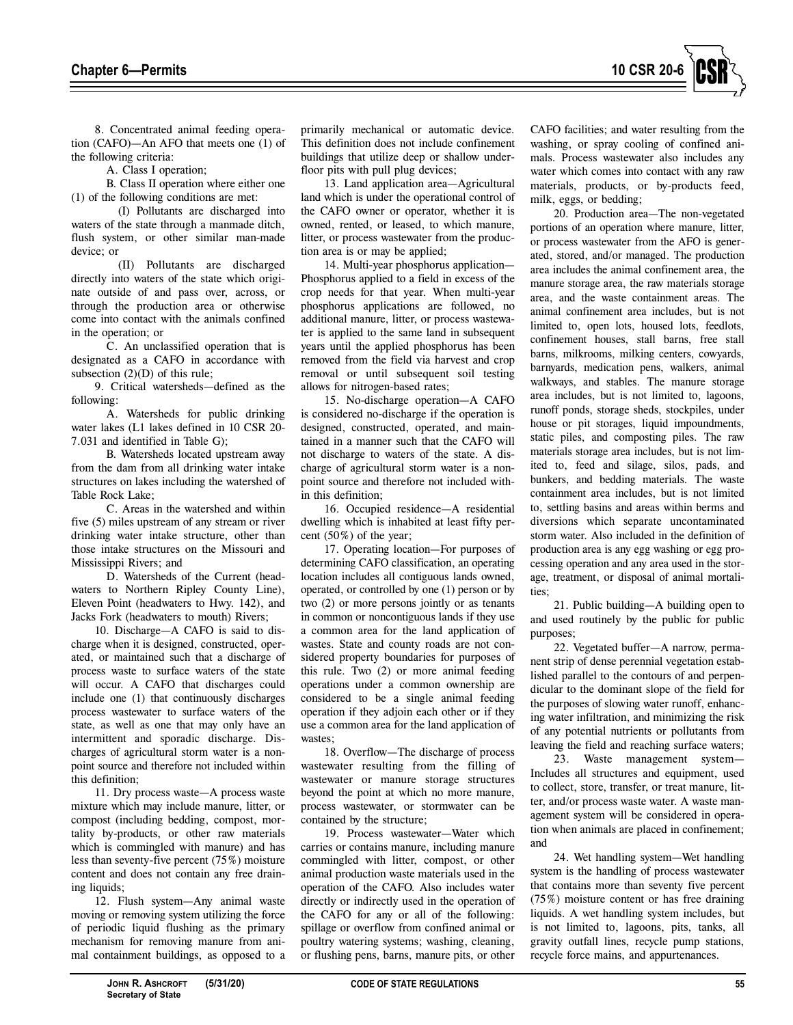

8. Concentrated animal feeding operation (CAFO)—An AFO that meets one (1) of the following criteria:

A. Class I operation;

B. Class II operation where either one (1) of the following conditions are met:

(I) Pollutants are discharged into waters of the state through a manmade ditch, flush system, or other similar man-made device; or

(II) Pollutants are discharged directly into waters of the state which originate outside of and pass over, across, or through the production area or otherwise come into contact with the animals confined in the operation; or

C. An unclassified operation that is designated as a CAFO in accordance with subsection  $(2)(D)$  of this rule;

9. Critical watersheds—defined as the following:

A. Watersheds for public drinking water lakes (L1 lakes defined in 10 CSR 20- 7.031 and identified in Table G);

B. Watersheds located upstream away from the dam from all drinking water intake structures on lakes including the watershed of Table Rock Lake;

C. Areas in the watershed and within five (5) miles upstream of any stream or river drinking water intake structure, other than those intake structures on the Missouri and Mississippi Rivers; and

D. Watersheds of the Current (headwaters to Northern Ripley County Line), Eleven Point (headwaters to Hwy. 142), and Jacks Fork (headwaters to mouth) Rivers;

10. Discharge—A CAFO is said to discharge when it is designed, constructed, operated, or maintained such that a discharge of process waste to surface waters of the state will occur. A CAFO that discharges could include one (1) that continuously discharges process wastewater to surface waters of the state, as well as one that may only have an intermittent and sporadic discharge. Discharges of agricultural storm water is a nonpoint source and therefore not included within this definition;

11. Dry process waste—A process waste mixture which may include manure, litter, or compost (including bedding, compost, mortality by-products, or other raw materials which is commingled with manure) and has less than seventy-five percent (75%) moisture content and does not contain any free draining liquids;

12. Flush system—Any animal waste moving or removing system utilizing the force of periodic liquid flushing as the primary mechanism for removing manure from animal containment buildings, as opposed to a primarily mechanical or automatic device. This definition does not include confinement buildings that utilize deep or shallow underfloor pits with pull plug devices;

13. Land application area—Agricultural land which is under the operational control of the CAFO owner or operator, whether it is owned, rented, or leased, to which manure, litter, or process wastewater from the production area is or may be applied;

14. Multi-year phosphorus application— Phosphorus applied to a field in excess of the crop needs for that year. When multi-year phosphorus applications are followed, no additional manure, litter, or process wastewater is applied to the same land in subsequent years until the applied phosphorus has been removed from the field via harvest and crop removal or until subsequent soil testing allows for nitrogen-based rates;

15. No-discharge operation—A CAFO is considered no-discharge if the operation is designed, constructed, operated, and maintained in a manner such that the CAFO will not discharge to waters of the state. A discharge of agricultural storm water is a nonpoint source and therefore not included within this definition;

16. Occupied residence—A residential dwelling which is inhabited at least fifty percent (50%) of the year;

17. Operating location—For purposes of determining CAFO classification, an operating location includes all contiguous lands owned, operated, or controlled by one (1) person or by two (2) or more persons jointly or as tenants in common or noncontiguous lands if they use a common area for the land application of wastes. State and county roads are not considered property boundaries for purposes of this rule. Two (2) or more animal feeding operations under a common ownership are considered to be a single animal feeding operation if they adjoin each other or if they use a common area for the land application of wastes;

18. Overflow—The discharge of process wastewater resulting from the filling of wastewater or manure storage structures beyond the point at which no more manure, process wastewater, or stormwater can be contained by the structure;

19. Process wastewater—Water which carries or contains manure, including manure commingled with litter, compost, or other animal production waste materials used in the operation of the CAFO. Also includes water directly or indirectly used in the operation of the CAFO for any or all of the following: spillage or overflow from confined animal or poultry watering systems; washing, cleaning, or flushing pens, barns, manure pits, or other CAFO facilities; and water resulting from the washing, or spray cooling of confined animals. Process wastewater also includes any water which comes into contact with any raw materials, products, or by-products feed, milk, eggs, or bedding;

20. Production area—The non-vegetated portions of an operation where manure, litter, or process wastewater from the AFO is generated, stored, and/or managed. The production area includes the animal confinement area, the manure storage area, the raw materials storage area, and the waste containment areas. The animal confinement area includes, but is not limited to, open lots, housed lots, feedlots, confinement houses, stall barns, free stall barns, milkrooms, milking centers, cowyards, barnyards, medication pens, walkers, animal walkways, and stables. The manure storage area includes, but is not limited to, lagoons, runoff ponds, storage sheds, stockpiles, under house or pit storages, liquid impoundments, static piles, and composting piles. The raw materials storage area includes, but is not limited to, feed and silage, silos, pads, and bunkers, and bedding materials. The waste containment area includes, but is not limited to, settling basins and areas within berms and diversions which separate uncontaminated storm water. Also included in the definition of production area is any egg washing or egg processing operation and any area used in the storage, treatment, or disposal of animal mortalities;

21. Public building—A building open to and used routinely by the public for public purposes;

22. Vegetated buffer—A narrow, permanent strip of dense perennial vegetation established parallel to the contours of and perpendicular to the dominant slope of the field for the purposes of slowing water runoff, enhancing water infiltration, and minimizing the risk of any potential nutrients or pollutants from leaving the field and reaching surface waters;

23. Waste management system— Includes all structures and equipment, used to collect, store, transfer, or treat manure, litter, and/or process waste water. A waste management system will be considered in operation when animals are placed in confinement; and

24. Wet handling system—Wet handling system is the handling of process wastewater that contains more than seventy five percent (75%) moisture content or has free draining liquids. A wet handling system includes, but is not limited to, lagoons, pits, tanks, all gravity outfall lines, recycle pump stations, recycle force mains, and appurtenances.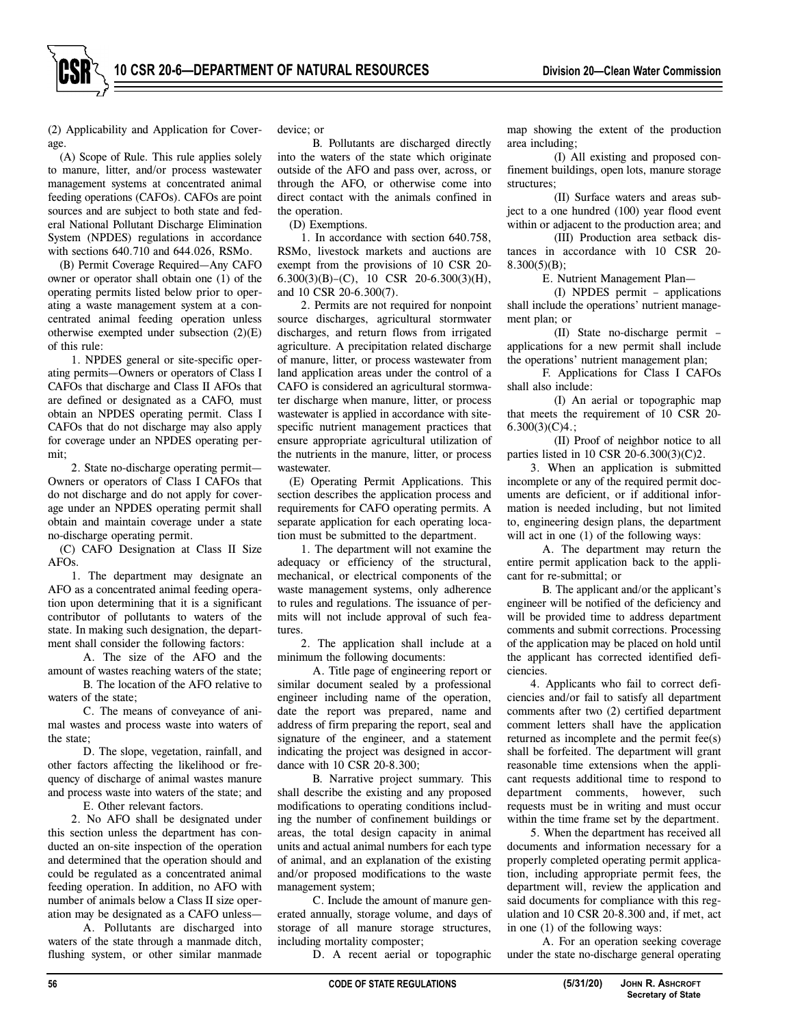(2) Applicability and Application for Coverage.

(A) Scope of Rule. This rule applies solely to manure, litter, and/or process wastewater management systems at concentrated animal feeding operations (CAFOs). CAFOs are point sources and are subject to both state and federal National Pollutant Discharge Elimination System (NPDES) regulations in accordance with sections 640.710 and 644.026, RSMo.

(B) Permit Coverage Required—Any CAFO owner or operator shall obtain one (1) of the operating permits listed below prior to operating a waste management system at a concentrated animal feeding operation unless otherwise exempted under subsection (2)(E) of this rule:

1. NPDES general or site-specific operating permits—Owners or operators of Class I CAFOs that discharge and Class II AFOs that are defined or designated as a CAFO, must obtain an NPDES operating permit. Class I CAFOs that do not discharge may also apply for coverage under an NPDES operating permit;

2. State no-discharge operating permit— Owners or operators of Class I CAFOs that do not discharge and do not apply for coverage under an NPDES operating permit shall obtain and maintain coverage under a state no-discharge operating permit.

(C) CAFO Designation at Class II Size AFOs.

1. The department may designate an AFO as a concentrated animal feeding operation upon determining that it is a significant contributor of pollutants to waters of the state. In making such designation, the department shall consider the following factors:

A. The size of the AFO and the amount of wastes reaching waters of the state;

B. The location of the AFO relative to waters of the state;

C. The means of conveyance of animal wastes and process waste into waters of the state;

D. The slope, vegetation, rainfall, and other factors affecting the likelihood or frequency of discharge of animal wastes manure and process waste into waters of the state; and

E. Other relevant factors.

2. No AFO shall be designated under this section unless the department has conducted an on-site inspection of the operation and determined that the operation should and could be regulated as a concentrated animal feeding operation. In addition, no AFO with number of animals below a Class II size operation may be designated as a CAFO unless—

A. Pollutants are discharged into waters of the state through a manmade ditch, flushing system, or other similar manmade

device; or

B. Pollutants are discharged directly into the waters of the state which originate outside of the AFO and pass over, across, or through the AFO, or otherwise come into direct contact with the animals confined in the operation.

(D) Exemptions.

1. In accordance with section 640.758, RSMo, livestock markets and auctions are exempt from the provisions of 10 CSR 20- 6.300(3)(B)–(C), 10 CSR 20-6.300(3)(H), and 10 CSR 20-6.300(7).

2. Permits are not required for nonpoint source discharges, agricultural stormwater discharges, and return flows from irrigated agriculture. A precipitation related discharge of manure, litter, or process wastewater from land application areas under the control of a CAFO is considered an agricultural stormwater discharge when manure, litter, or process wastewater is applied in accordance with sitespecific nutrient management practices that ensure appropriate agricultural utilization of the nutrients in the manure, litter, or process wastewater.

(E) Operating Permit Applications. This section describes the application process and requirements for CAFO operating permits. A separate application for each operating location must be submitted to the department.

1. The department will not examine the adequacy or efficiency of the structural, mechanical, or electrical components of the waste management systems, only adherence to rules and regulations. The issuance of permits will not include approval of such features.

2. The application shall include at a minimum the following documents:

A. Title page of engineering report or similar document sealed by a professional engineer including name of the operation, date the report was prepared, name and address of firm preparing the report, seal and signature of the engineer, and a statement indicating the project was designed in accordance with 10 CSR 20-8.300;

B. Narrative project summary. This shall describe the existing and any proposed modifications to operating conditions including the number of confinement buildings or areas, the total design capacity in animal units and actual animal numbers for each type of animal, and an explanation of the existing and/or proposed modifications to the waste management system;

C. Include the amount of manure generated annually, storage volume, and days of storage of all manure storage structures, including mortality composter;

D. A recent aerial or topographic

map showing the extent of the production area including;

(I) All existing and proposed confinement buildings, open lots, manure storage structures;

(II) Surface waters and areas subject to a one hundred (100) year flood event within or adjacent to the production area; and

(III) Production area setback distances in accordance with 10 CSR 20-  $8.300(5)(B);$ 

E. Nutrient Management Plan—

(I) NPDES permit – applications shall include the operations' nutrient management plan; or

(II) State no-discharge permit – applications for a new permit shall include the operations' nutrient management plan;

F. Applications for Class I CAFOs shall also include:

(I) An aerial or topographic map that meets the requirement of 10 CSR 20-  $6.300(3)(C)4.$ ;

(II) Proof of neighbor notice to all parties listed in 10 CSR 20-6.300(3)(C)2.

3. When an application is submitted incomplete or any of the required permit documents are deficient, or if additional information is needed including, but not limited to, engineering design plans, the department will act in one  $(1)$  of the following ways:

A. The department may return the entire permit application back to the applicant for re-submittal; or

B. The applicant and/or the applicant's engineer will be notified of the deficiency and will be provided time to address department comments and submit corrections. Processing of the application may be placed on hold until the applicant has corrected identified deficiencies.

4. Applicants who fail to correct deficiencies and/or fail to satisfy all department comments after two (2) certified department comment letters shall have the application returned as incomplete and the permit fee(s) shall be forfeited. The department will grant reasonable time extensions when the applicant requests additional time to respond to department comments, however, such requests must be in writing and must occur within the time frame set by the department.

5. When the department has received all documents and information necessary for a properly completed operating permit application, including appropriate permit fees, the department will, review the application and said documents for compliance with this regulation and 10 CSR 20-8.300 and, if met, act in one (1) of the following ways:

A. For an operation seeking coverage under the state no-discharge general operating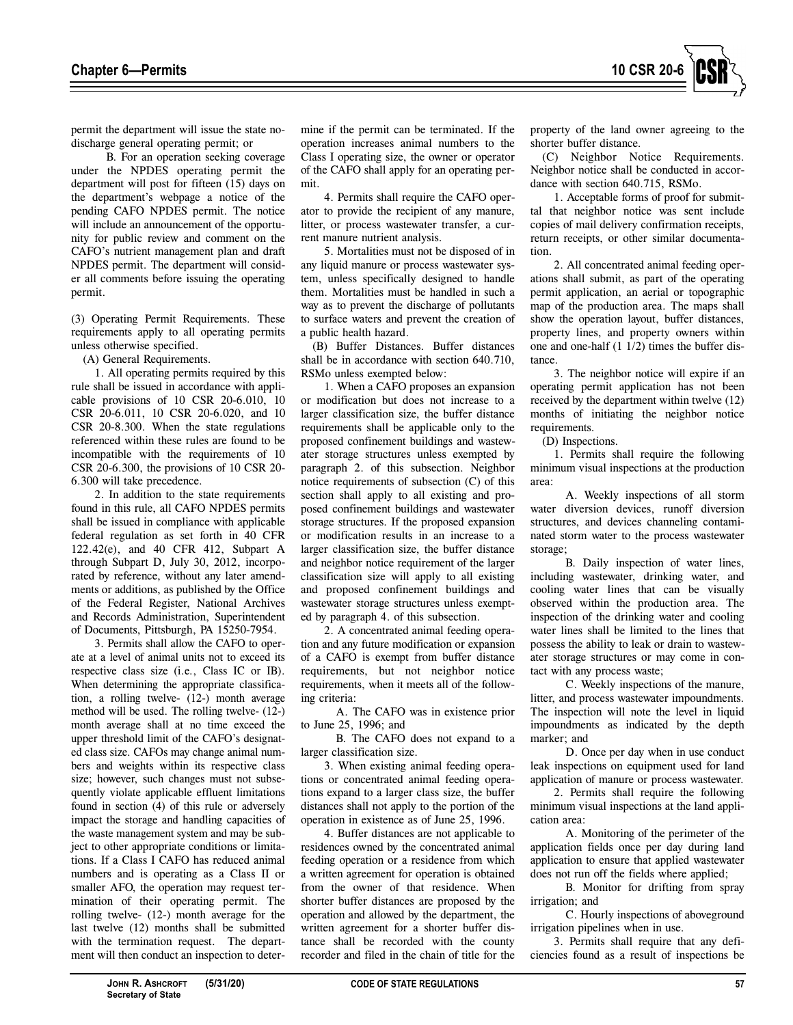

permit the department will issue the state nodischarge general operating permit; or

B. For an operation seeking coverage under the NPDES operating permit the department will post for fifteen (15) days on the department's webpage a notice of the pending CAFO NPDES permit. The notice will include an announcement of the opportunity for public review and comment on the CAFO's nutrient management plan and draft NPDES permit. The department will consider all comments before issuing the operating permit.

(3) Operating Permit Requirements. These requirements apply to all operating permits unless otherwise specified.

(A) General Requirements.

1. All operating permits required by this rule shall be issued in accordance with applicable provisions of 10 CSR 20-6.010, 10 CSR 20-6.011, 10 CSR 20-6.020, and 10 CSR 20-8.300. When the state regulations referenced within these rules are found to be incompatible with the requirements of 10 CSR 20-6.300, the provisions of 10 CSR 20- 6.300 will take precedence.

2. In addition to the state requirements found in this rule, all CAFO NPDES permits shall be issued in compliance with applicable federal regulation as set forth in 40 CFR 122.42(e), and 40 CFR 412, Subpart A through Subpart D, July 30, 2012, incorporated by reference, without any later amendments or additions, as published by the Office of the Federal Register, National Archives and Records Administration, Superintendent of Documents, Pittsburgh, PA 15250-7954.

3. Permits shall allow the CAFO to operate at a level of animal units not to exceed its respective class size (i.e., Class IC or IB). When determining the appropriate classification, a rolling twelve- (12-) month average method will be used. The rolling twelve- (12-) month average shall at no time exceed the upper threshold limit of the CAFO's designated class size. CAFOs may change animal numbers and weights within its respective class size; however, such changes must not subsequently violate applicable effluent limitations found in section (4) of this rule or adversely impact the storage and handling capacities of the waste management system and may be subject to other appropriate conditions or limitations. If a Class I CAFO has reduced animal numbers and is operating as a Class II or smaller AFO, the operation may request termination of their operating permit. The rolling twelve- (12-) month average for the last twelve (12) months shall be submitted with the termination request. The department will then conduct an inspection to determine if the permit can be terminated. If the operation increases animal numbers to the Class I operating size, the owner or operator of the CAFO shall apply for an operating permit.

4. Permits shall require the CAFO operator to provide the recipient of any manure, litter, or process wastewater transfer, a current manure nutrient analysis.

5. Mortalities must not be disposed of in any liquid manure or process wastewater system, unless specifically designed to handle them. Mortalities must be handled in such a way as to prevent the discharge of pollutants to surface waters and prevent the creation of a public health hazard.

(B) Buffer Distances. Buffer distances shall be in accordance with section 640.710, RSMo unless exempted below:

1. When a CAFO proposes an expansion or modification but does not increase to a larger classification size, the buffer distance requirements shall be applicable only to the proposed confinement buildings and wastewater storage structures unless exempted by paragraph 2. of this subsection. Neighbor notice requirements of subsection (C) of this section shall apply to all existing and proposed confinement buildings and wastewater storage structures. If the proposed expansion or modification results in an increase to a larger classification size, the buffer distance and neighbor notice requirement of the larger classification size will apply to all existing and proposed confinement buildings and wastewater storage structures unless exempted by paragraph 4. of this subsection.

2. A concentrated animal feeding operation and any future modification or expansion of a CAFO is exempt from buffer distance requirements, but not neighbor notice requirements, when it meets all of the following criteria:

A. The CAFO was in existence prior to June 25, 1996; and

B. The CAFO does not expand to a larger classification size.

3. When existing animal feeding operations or concentrated animal feeding operations expand to a larger class size, the buffer distances shall not apply to the portion of the operation in existence as of June 25, 1996.

4. Buffer distances are not applicable to residences owned by the concentrated animal feeding operation or a residence from which a written agreement for operation is obtained from the owner of that residence. When shorter buffer distances are proposed by the operation and allowed by the department, the written agreement for a shorter buffer distance shall be recorded with the county recorder and filed in the chain of title for the property of the land owner agreeing to the shorter buffer distance.

(C) Neighbor Notice Requirements. Neighbor notice shall be conducted in accordance with section 640.715, RSMo.

1. Acceptable forms of proof for submittal that neighbor notice was sent include copies of mail delivery confirmation receipts, return receipts, or other similar documentation.

2. All concentrated animal feeding operations shall submit, as part of the operating permit application, an aerial or topographic map of the production area. The maps shall show the operation layout, buffer distances, property lines, and property owners within one and one-half (1 1/2) times the buffer distance.

3. The neighbor notice will expire if an operating permit application has not been received by the department within twelve (12) months of initiating the neighbor notice requirements.

(D) Inspections.

1. Permits shall require the following minimum visual inspections at the production area:

A. Weekly inspections of all storm water diversion devices, runoff diversion structures, and devices channeling contaminated storm water to the process wastewater storage;

B. Daily inspection of water lines, including wastewater, drinking water, and cooling water lines that can be visually observed within the production area. The inspection of the drinking water and cooling water lines shall be limited to the lines that possess the ability to leak or drain to wastewater storage structures or may come in contact with any process waste;

C. Weekly inspections of the manure, litter, and process wastewater impoundments. The inspection will note the level in liquid impoundments as indicated by the depth marker; and

D. Once per day when in use conduct leak inspections on equipment used for land application of manure or process wastewater.

2. Permits shall require the following minimum visual inspections at the land application area:

A. Monitoring of the perimeter of the application fields once per day during land application to ensure that applied wastewater does not run off the fields where applied;

B. Monitor for drifting from spray irrigation; and

C. Hourly inspections of aboveground irrigation pipelines when in use.

3. Permits shall require that any deficiencies found as a result of inspections be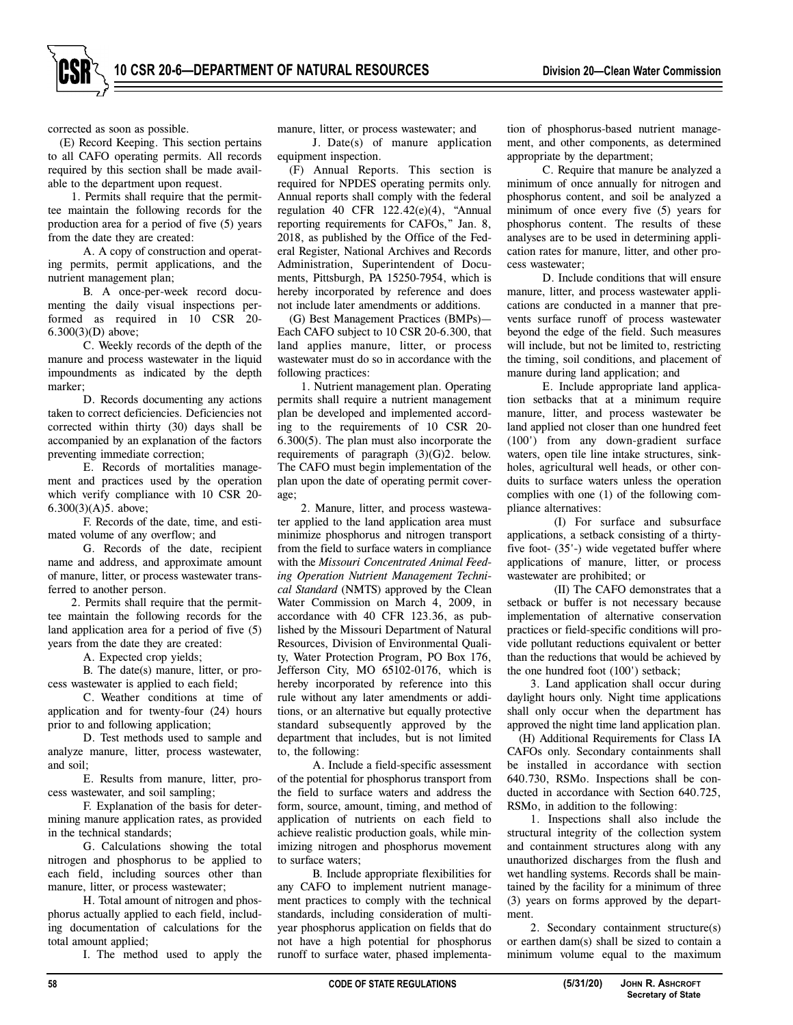corrected as soon as possible.

(E) Record Keeping. This section pertains to all CAFO operating permits. All records required by this section shall be made available to the department upon request.

1. Permits shall require that the permittee maintain the following records for the production area for a period of five (5) years from the date they are created:

A. A copy of construction and operating permits, permit applications, and the nutrient management plan;

B. A once-per-week record documenting the daily visual inspections performed as required in 10 CSR 20- 6.300(3)(D) above;

C. Weekly records of the depth of the manure and process wastewater in the liquid impoundments as indicated by the depth marker;

D. Records documenting any actions taken to correct deficiencies. Deficiencies not corrected within thirty (30) days shall be accompanied by an explanation of the factors preventing immediate correction;

E. Records of mortalities management and practices used by the operation which verify compliance with 10 CSR 20- 6.300(3)(A)5. above;

F. Records of the date, time, and estimated volume of any overflow; and

G. Records of the date, recipient name and address, and approximate amount of manure, litter, or process wastewater transferred to another person.

2. Permits shall require that the permittee maintain the following records for the land application area for a period of five (5) years from the date they are created:

A. Expected crop yields;

B. The date(s) manure, litter, or process wastewater is applied to each field;

C. Weather conditions at time of application and for twenty-four (24) hours prior to and following application;

D. Test methods used to sample and analyze manure, litter, process wastewater, and soil;

E. Results from manure, litter, process wastewater, and soil sampling;

F. Explanation of the basis for determining manure application rates, as provided in the technical standards;

G. Calculations showing the total nitrogen and phosphorus to be applied to each field, including sources other than manure, litter, or process wastewater;

H. Total amount of nitrogen and phosphorus actually applied to each field, including documentation of calculations for the total amount applied;

I. The method used to apply the

manure, litter, or process wastewater; and

J. Date(s) of manure application equipment inspection.

(F) Annual Reports. This section is required for NPDES operating permits only. Annual reports shall comply with the federal regulation 40 CFR 122.42(e)(4), "Annual reporting requirements for CAFOs," Jan. 8, 2018, as published by the Office of the Federal Register, National Archives and Records Administration, Superintendent of Documents, Pittsburgh, PA 15250-7954, which is hereby incorporated by reference and does not include later amendments or additions.

(G) Best Management Practices (BMPs)— Each CAFO subject to 10 CSR 20-6.300, that land applies manure, litter, or process wastewater must do so in accordance with the following practices:

1. Nutrient management plan. Operating permits shall require a nutrient management plan be developed and implemented according to the requirements of 10 CSR 20- 6.300(5). The plan must also incorporate the requirements of paragraph (3)(G)2. below. The CAFO must begin implementation of the plan upon the date of operating permit coverage;

2. Manure, litter, and process wastewater applied to the land application area must minimize phosphorus and nitrogen transport from the field to surface waters in compliance with the *Missouri Concentrated Animal Feeding Operation Nutrient Management Technical Standard* (NMTS) approved by the Clean Water Commission on March 4, 2009, in accordance with 40 CFR 123.36, as published by the Missouri Department of Natural Resources, Division of Environmental Quality, Water Protection Program, PO Box 176, Jefferson City, MO 65102-0176, which is hereby incorporated by reference into this rule without any later amendments or additions, or an alternative but equally protective standard subsequently approved by the department that includes, but is not limited to, the following:

A. Include a field-specific assessment of the potential for phosphorus transport from the field to surface waters and address the form, source, amount, timing, and method of application of nutrients on each field to achieve realistic production goals, while minimizing nitrogen and phosphorus movement to surface waters;

B. Include appropriate flexibilities for any CAFO to implement nutrient management practices to comply with the technical standards, including consideration of multiyear phosphorus application on fields that do not have a high potential for phosphorus runoff to surface water, phased implementa-

tion of phosphorus-based nutrient management, and other components, as determined appropriate by the department;

C. Require that manure be analyzed a minimum of once annually for nitrogen and phosphorus content, and soil be analyzed a minimum of once every five (5) years for phosphorus content. The results of these analyses are to be used in determining application rates for manure, litter, and other process wastewater;

D. Include conditions that will ensure manure, litter, and process wastewater applications are conducted in a manner that prevents surface runoff of process wastewater beyond the edge of the field. Such measures will include, but not be limited to, restricting the timing, soil conditions, and placement of manure during land application; and

E. Include appropriate land application setbacks that at a minimum require manure, litter, and process wastewater be land applied not closer than one hundred feet (100') from any down-gradient surface waters, open tile line intake structures, sinkholes, agricultural well heads, or other conduits to surface waters unless the operation complies with one (1) of the following compliance alternatives:

(I) For surface and subsurface applications, a setback consisting of a thirtyfive foot- (35'-) wide vegetated buffer where applications of manure, litter, or process wastewater are prohibited; or

(II) The CAFO demonstrates that a setback or buffer is not necessary because implementation of alternative conservation practices or field-specific conditions will provide pollutant reductions equivalent or better than the reductions that would be achieved by the one hundred foot (100') setback;

3. Land application shall occur during daylight hours only. Night time applications shall only occur when the department has approved the night time land application plan.

(H) Additional Requirements for Class IA CAFOs only. Secondary containments shall be installed in accordance with section 640.730, RSMo. Inspections shall be conducted in accordance with Section 640.725, RSMo, in addition to the following:

1. Inspections shall also include the structural integrity of the collection system and containment structures along with any unauthorized discharges from the flush and wet handling systems. Records shall be maintained by the facility for a minimum of three (3) years on forms approved by the department.

2. Secondary containment structure(s) or earthen dam(s) shall be sized to contain a minimum volume equal to the maximum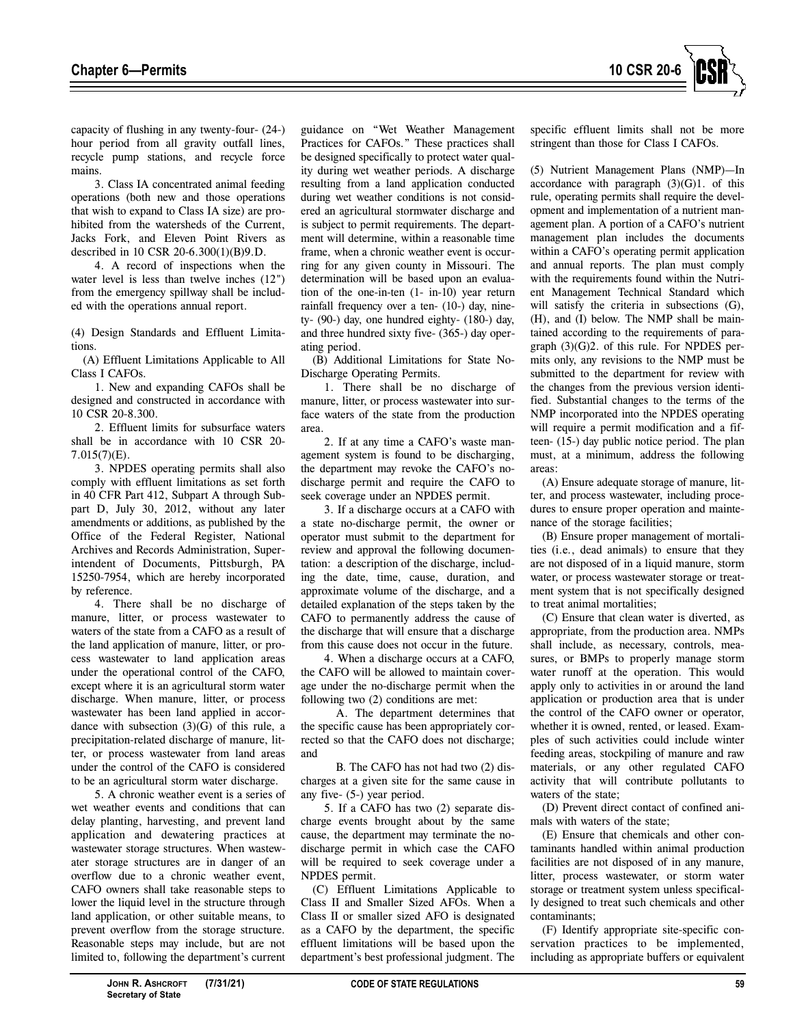

capacity of flushing in any twenty-four- (24-) hour period from all gravity outfall lines, recycle pump stations, and recycle force mains.

3. Class IA concentrated animal feeding operations (both new and those operations that wish to expand to Class IA size) are prohibited from the watersheds of the Current, Jacks Fork, and Eleven Point Rivers as described in 10 CSR 20-6.300(1)(B)9.D.

4. A record of inspections when the water level is less than twelve inches (12") from the emergency spillway shall be included with the operations annual report.

(4) Design Standards and Effluent Limitations.

(A) Effluent Limitations Applicable to All Class I CAFOs.

1. New and expanding CAFOs shall be designed and constructed in accordance with 10 CSR 20-8.300.

2. Effluent limits for subsurface waters shall be in accordance with 10 CSR 20- 7.015(7)(E).

3. NPDES operating permits shall also comply with effluent limitations as set forth in 40 CFR Part 412, Subpart A through Subpart D, July 30, 2012, without any later amendments or additions, as published by the Office of the Federal Register, National Archives and Records Administration, Superintendent of Documents, Pittsburgh, PA 15250-7954, which are hereby incorporated by reference.

4. There shall be no discharge of manure, litter, or process wastewater to waters of the state from a CAFO as a result of the land application of manure, litter, or process wastewater to land application areas under the operational control of the CAFO, except where it is an agricultural storm water discharge. When manure, litter, or process wastewater has been land applied in accordance with subsection  $(3)(G)$  of this rule, a precipitation-related discharge of manure, litter, or process wastewater from land areas under the control of the CAFO is considered to be an agricultural storm water discharge.

5. A chronic weather event is a series of wet weather events and conditions that can delay planting, harvesting, and prevent land application and dewatering practices at wastewater storage structures. When wastewater storage structures are in danger of an overflow due to a chronic weather event, CAFO owners shall take reasonable steps to lower the liquid level in the structure through land application, or other suitable means, to prevent overflow from the storage structure. Reasonable steps may include, but are not limited to, following the department's current

guidance on "Wet Weather Management Practices for CAFOs." These practices shall be designed specifically to protect water quality during wet weather periods. A discharge resulting from a land application conducted during wet weather conditions is not considered an agricultural stormwater discharge and is subject to permit requirements. The department will determine, within a reasonable time frame, when a chronic weather event is occurring for any given county in Missouri. The determination will be based upon an evaluation of the one-in-ten (1- in-10) year return rainfall frequency over a ten- (10-) day, ninety- (90-) day, one hundred eighty- (180-) day, and three hundred sixty five- (365-) day operating period.

(B) Additional Limitations for State No-Discharge Operating Permits.

1. There shall be no discharge of manure, litter, or process wastewater into surface waters of the state from the production area.

2. If at any time a CAFO's waste management system is found to be discharging, the department may revoke the CAFO's nodischarge permit and require the CAFO to seek coverage under an NPDES permit.

3. If a discharge occurs at a CAFO with a state no-discharge permit, the owner or operator must submit to the department for review and approval the following documentation: a description of the discharge, including the date, time, cause, duration, and approximate volume of the discharge, and a detailed explanation of the steps taken by the CAFO to permanently address the cause of the discharge that will ensure that a discharge from this cause does not occur in the future.

4. When a discharge occurs at a CAFO, the CAFO will be allowed to maintain coverage under the no-discharge permit when the following two (2) conditions are met:

A. The department determines that the specific cause has been appropriately corrected so that the CAFO does not discharge; and

B. The CAFO has not had two (2) discharges at a given site for the same cause in any five- (5-) year period.

5. If a CAFO has two (2) separate discharge events brought about by the same cause, the department may terminate the nodischarge permit in which case the CAFO will be required to seek coverage under a NPDES permit.

(C) Effluent Limitations Applicable to Class II and Smaller Sized AFOs. When a Class II or smaller sized AFO is designated as a CAFO by the department, the specific effluent limitations will be based upon the department's best professional judgment. The specific effluent limits shall not be more stringent than those for Class I CAFOs.

(5) Nutrient Management Plans (NMP)—In accordance with paragraph  $(3)(G)1$ . of this rule, operating permits shall require the development and implementation of a nutrient management plan. A portion of a CAFO's nutrient management plan includes the documents within a CAFO's operating permit application and annual reports. The plan must comply with the requirements found within the Nutrient Management Technical Standard which will satisfy the criteria in subsections (G), (H), and (I) below. The NMP shall be maintained according to the requirements of paragraph (3)(G)2. of this rule. For NPDES permits only, any revisions to the NMP must be submitted to the department for review with the changes from the previous version identified. Substantial changes to the terms of the NMP incorporated into the NPDES operating will require a permit modification and a fifteen- (15-) day public notice period. The plan must, at a minimum, address the following areas:

(A) Ensure adequate storage of manure, litter, and process wastewater, including procedures to ensure proper operation and maintenance of the storage facilities;

(B) Ensure proper management of mortalities (i.e., dead animals) to ensure that they are not disposed of in a liquid manure, storm water, or process wastewater storage or treatment system that is not specifically designed to treat animal mortalities;

(C) Ensure that clean water is diverted, as appropriate, from the production area. NMPs shall include, as necessary, controls, measures, or BMPs to properly manage storm water runoff at the operation. This would apply only to activities in or around the land application or production area that is under the control of the CAFO owner or operator, whether it is owned, rented, or leased. Examples of such activities could include winter feeding areas, stockpiling of manure and raw materials, or any other regulated CAFO activity that will contribute pollutants to waters of the state;

(D) Prevent direct contact of confined animals with waters of the state;

(E) Ensure that chemicals and other contaminants handled within animal production facilities are not disposed of in any manure, litter, process wastewater, or storm water storage or treatment system unless specifically designed to treat such chemicals and other contaminants;

(F) Identify appropriate site-specific conservation practices to be implemented, including as appropriate buffers or equivalent